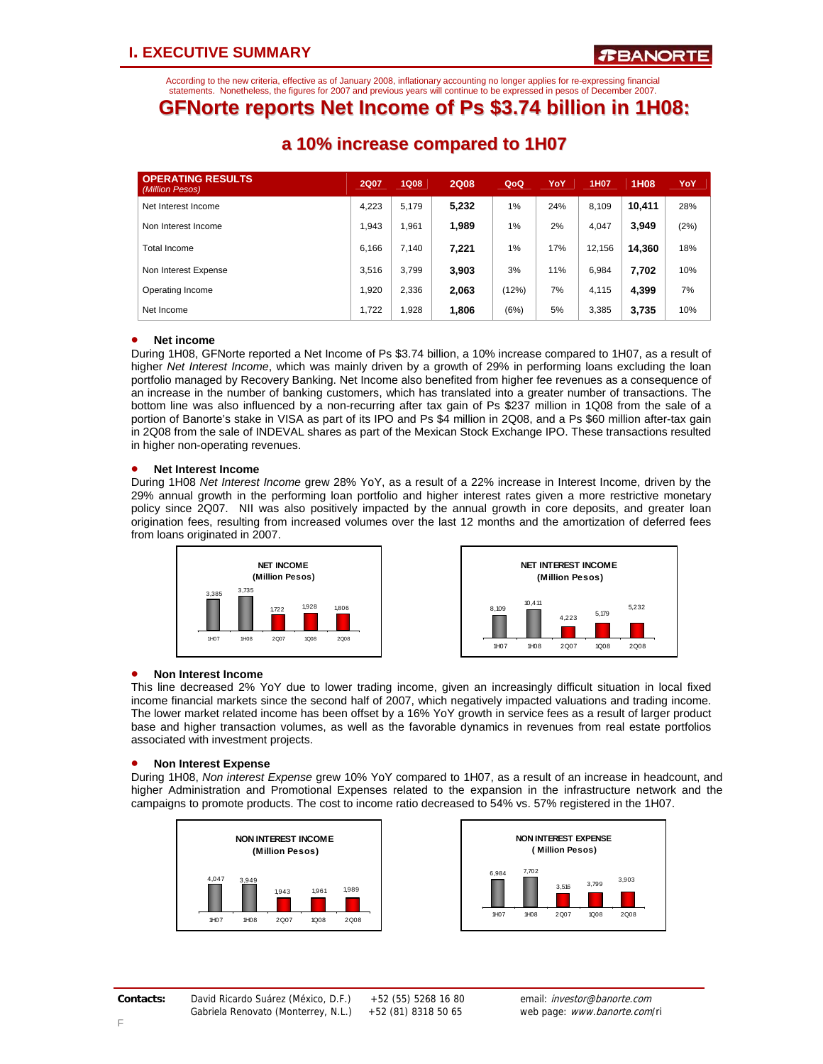According to the new criteria, effective as of January 2008, inflationary accounting no longer applies for re-expressing financial statements. Nonetheless, the figures for 2007 and previous years will continue to be expressed in pesos of December 2007.

### **GFNorte reports Net Income of Ps \$3.74 billion in 1H08:**

| <b>OPERATING RESULTS</b><br>(Million Pesos) | <b>2Q07</b> | <b>1Q08</b> | <b>2Q08</b> | QoQ   | YoY | <b>1H07</b> | 1H08   | YoY  |
|---------------------------------------------|-------------|-------------|-------------|-------|-----|-------------|--------|------|
| Net Interest Income                         | 4,223       | 5.179       | 5,232       | 1%    | 24% | 8.109       | 10.411 | 28%  |
| Non Interest Income                         | 1.943       | .961        | 1.989       | 1%    | 2%  | 4.047       | 3.949  | (2%) |
| Total Income                                | 6.166       | 7.140       | 7,221       | 1%    | 17% | 12,156      | 14.360 | 18%  |
| Non Interest Expense                        | 3.516       | 3.799       | 3,903       | 3%    | 11% | 6.984       | 7,702  | 10%  |
| Operating Income                            | 1.920       | 2,336       | 2,063       | (12%) | 7%  | 4,115       | 4,399  | 7%   |
| Net Income                                  | 1.722       | 928,        | 1,806       | (6%)  | 5%  | 3,385       | 3,735  | 10%  |

### **a 10% increase compared to 1H07**

### • **Net income**

During 1H08, GFNorte reported a Net Income of Ps \$3.74 billion, a 10% increase compared to 1H07, as a result of higher *Net Interest Income*, which was mainly driven by a growth of 29% in performing loans excluding the loan portfolio managed by Recovery Banking. Net Income also benefited from higher fee revenues as a consequence of an increase in the number of banking customers, which has translated into a greater number of transactions. The bottom line was also influenced by a non-recurring after tax gain of Ps \$237 million in 1Q08 from the sale of a portion of Banorte's stake in VISA as part of its IPO and Ps \$4 million in 2Q08, and a Ps \$60 million after-tax gain in 2Q08 from the sale of INDEVAL shares as part of the Mexican Stock Exchange IPO. These transactions resulted in higher non-operating revenues.

### • **Net Interest Income**

During 1H08 *Net Interest Income* grew 28% YoY, as a result of a 22% increase in Interest Income, driven by the 29% annual growth in the performing loan portfolio and higher interest rates given a more restrictive monetary policy since 2Q07. NII was also positively impacted by the annual growth in core deposits, and greater loan origination fees, resulting from increased volumes over the last 12 months and the amortization of deferred fees from loans originated in 2007.





### • **Non Interest Income**

This line decreased 2% YoY due to lower trading income, given an increasingly difficult situation in local fixed income financial markets since the second half of 2007, which negatively impacted valuations and trading income. The lower market related income has been offset by a 16% YoY growth in service fees as a result of larger product base and higher transaction volumes, as well as the favorable dynamics in revenues from real estate portfolios associated with investment projects.

### • **Non Interest Expense**

During 1H08, *Non interest Expense* grew 10% YoY compared to 1H07, as a result of an increase in headcount, and higher Administration and Promotional Expenses related to the expansion in the infrastructure network and the campaigns to promote products. The cost to income ratio decreased to 54% vs. 57% registered in the 1H07.



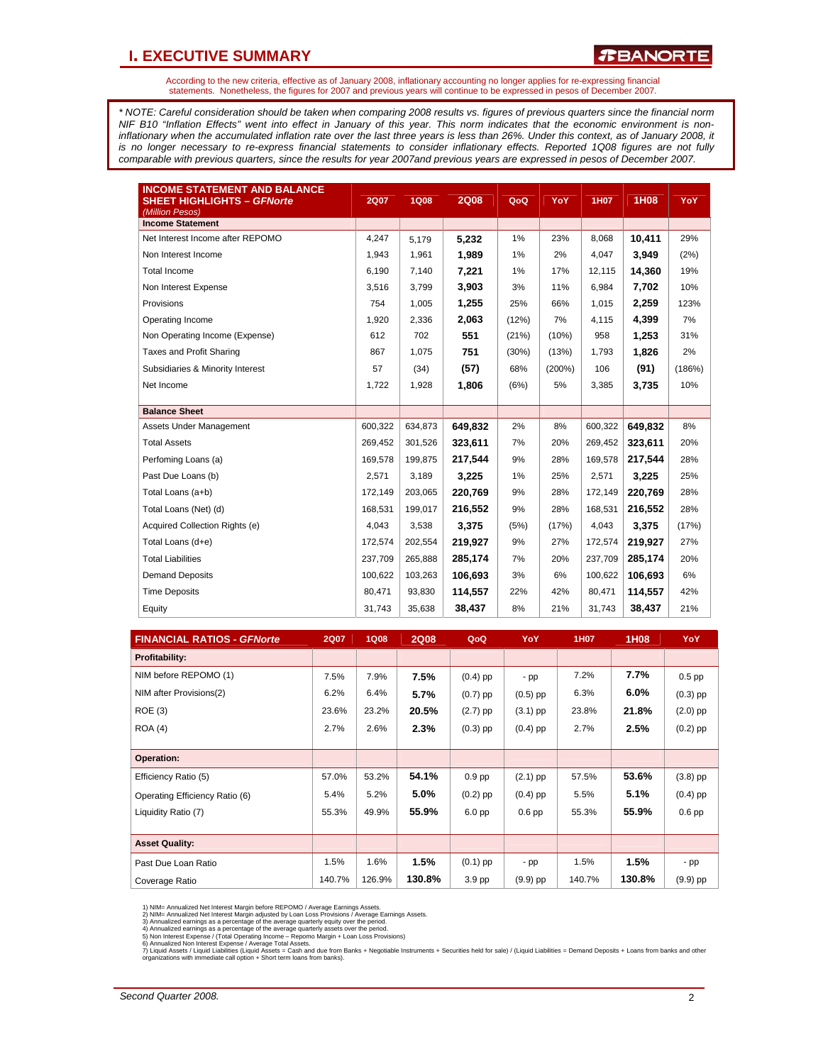### **I. EXECUTIVE SUMMARY**

According to the new criteria, effective as of January 2008, inflationary accounting no longer applies for re-expressing financial statements. Nonetheless, the figures for 2007 and previous years will continue to be expressed in pesos of December 2007.

*\* NOTE: Careful consideration should be taken when comparing 2008 results vs. figures of previous quarters since the financial norm NIF B10 "Inflation Effects" went into effect in January of this year. This norm indicates that the economic environment is non*inflationary when the accumulated inflation rate over the last three years is less than 26%. Under this context, as of January 2008, it *is no longer necessary to re-express financial statements to consider inflationary effects. Reported 1Q08 figures are not fully comparable with previous quarters, since the results for year 2007and previous years are expressed in pesos of December 2007.* 

| <b>INCOME STATEMENT AND BALANCE</b><br><b>SHEET HIGHLIGHTS - GFNorte</b><br>(Million Pesos) | <b>2Q07</b> | <b>1Q08</b> | <b>2Q08</b> | QoQ   | YoY       | 1H07    | 1H08    | <b>YoY</b> |
|---------------------------------------------------------------------------------------------|-------------|-------------|-------------|-------|-----------|---------|---------|------------|
| <b>Income Statement</b>                                                                     |             |             |             |       |           |         |         |            |
| Net Interest Income after REPOMO                                                            | 4,247       | 5,179       | 5,232       | 1%    | 23%       | 8,068   | 10,411  | 29%        |
| Non Interest Income                                                                         | 1,943       | 1,961       | 1,989       | 1%    | 2%        | 4.047   | 3.949   | (2%)       |
| <b>Total Income</b>                                                                         | 6,190       | 7,140       | 7,221       | 1%    | 17%       | 12,115  | 14,360  | 19%        |
| Non Interest Expense                                                                        | 3,516       | 3,799       | 3,903       | 3%    | 11%       | 6.984   | 7,702   | 10%        |
| Provisions                                                                                  | 754         | 1,005       | 1,255       | 25%   | 66%       | 1,015   | 2,259   | 123%       |
| Operating Income                                                                            | 1,920       | 2,336       | 2,063       | (12%) | 7%        | 4,115   | 4.399   | 7%         |
| Non Operating Income (Expense)                                                              | 612         | 702         | 551         | (21%) | (10%)     | 958     | 1,253   | 31%        |
| Taxes and Profit Sharing                                                                    | 867         | 1,075       | 751         | (30%) | (13%)     | 1,793   | 1,826   | 2%         |
| Subsidiaries & Minority Interest                                                            | 57          | (34)        | (57)        | 68%   | $(200\%)$ | 106     | (91)    | (186%)     |
| Net Income                                                                                  | 1,722       | 1,928       | 1,806       | (6%)  | 5%        | 3,385   | 3,735   | 10%        |
|                                                                                             |             |             |             |       |           |         |         |            |
| <b>Balance Sheet</b>                                                                        |             |             |             |       |           |         |         |            |
| Assets Under Management                                                                     | 600,322     | 634,873     | 649.832     | 2%    | 8%        | 600,322 | 649,832 | 8%         |
| <b>Total Assets</b>                                                                         | 269.452     | 301,526     | 323,611     | 7%    | 20%       | 269,452 | 323,611 | 20%        |
| Perfoming Loans (a)                                                                         | 169,578     | 199,875     | 217,544     | 9%    | 28%       | 169,578 | 217,544 | 28%        |
| Past Due Loans (b)                                                                          | 2,571       | 3,189       | 3,225       | 1%    | 25%       | 2,571   | 3,225   | 25%        |
| Total Loans (a+b)                                                                           | 172.149     | 203,065     | 220,769     | 9%    | 28%       | 172,149 | 220,769 | 28%        |
| Total Loans (Net) (d)                                                                       | 168,531     | 199,017     | 216,552     | 9%    | 28%       | 168,531 | 216.552 | 28%        |
| Acquired Collection Rights (e)                                                              | 4.043       | 3,538       | 3,375       | (5%)  | (17%)     | 4.043   | 3,375   | (17%)      |
| Total Loans (d+e)                                                                           | 172.574     | 202,554     | 219,927     | 9%    | 27%       | 172,574 | 219,927 | 27%        |
| <b>Total Liabilities</b>                                                                    | 237,709     | 265,888     | 285,174     | 7%    | 20%       | 237,709 | 285,174 | 20%        |
| <b>Demand Deposits</b>                                                                      | 100,622     | 103,263     | 106,693     | 3%    | 6%        | 100,622 | 106,693 | 6%         |
| <b>Time Deposits</b>                                                                        | 80,471      | 93,830      | 114,557     | 22%   | 42%       | 80,471  | 114,557 | 42%        |
| Equity                                                                                      | 31,743      | 35,638      | 38,437      | 8%    | 21%       | 31,743  | 38,437  | 21%        |

| <b>FINANCIAL RATIOS - GFNorte</b> | <b>2Q07</b> | <b>1Q08</b> | <b>2Q08</b> | QoQ        | YoY        | 1H07   | 1H08    | YoY        |
|-----------------------------------|-------------|-------------|-------------|------------|------------|--------|---------|------------|
| Profitability:                    |             |             |             |            |            |        |         |            |
| NIM before REPOMO (1)             | 7.5%        | 7.9%        | 7.5%        | $(0.4)$ pp | - pp       | 7.2%   | 7.7%    | $0.5$ pp   |
| NIM after Provisions(2)           | 6.2%        | 6.4%        | 5.7%        | $(0.7)$ pp | $(0.5)$ pp | 6.3%   | $6.0\%$ | $(0.3)$ pp |
| <b>ROE (3)</b>                    | 23.6%       | 23.2%       | 20.5%       | $(2.7)$ pp | $(3.1)$ pp | 23.8%  | 21.8%   | $(2.0)$ pp |
| <b>ROA (4)</b>                    | 2.7%        | 2.6%        | 2.3%        | $(0.3)$ pp | $(0.4)$ pp | 2.7%   | 2.5%    | $(0.2)$ pp |
|                                   |             |             |             |            |            |        |         |            |
| Operation:                        |             |             |             |            |            |        |         |            |
| Efficiency Ratio (5)              | 57.0%       | 53.2%       | 54.1%       | $0.9$ pp   | $(2.1)$ pp | 57.5%  | 53.6%   | $(3.8)$ pp |
| Operating Efficiency Ratio (6)    | 5.4%        | 5.2%        | 5.0%        | $(0.2)$ pp | $(0.4)$ pp | 5.5%   | 5.1%    | $(0.4)$ pp |
| Liquidity Ratio (7)               | 55.3%       | 49.9%       | 55.9%       | $6.0$ pp   | $0.6$ pp   | 55.3%  | 55.9%   | $0.6$ pp   |
|                                   |             |             |             |            |            |        |         |            |
| <b>Asset Quality:</b>             |             |             |             |            |            |        |         |            |
| Past Due Loan Ratio               | 1.5%        | 1.6%        | 1.5%        | $(0.1)$ pp | - pp       | 1.5%   | 1.5%    | - pp       |
| Coverage Ratio                    | 140.7%      | 126.9%      | 130.8%      | 3.9 pp     | $(9.9)$ pp | 140.7% | 130.8%  | $(9.9)$ pp |

1) NIM= Annualized Net Interest Margin before REPOMO / Average Earnings Assets.<br>2) NIM= Annualized Net Interest Margin adjusted by Loan Loss Provisions / Average Earnings Assets.<br>3) Annualized earnings as a percentage of t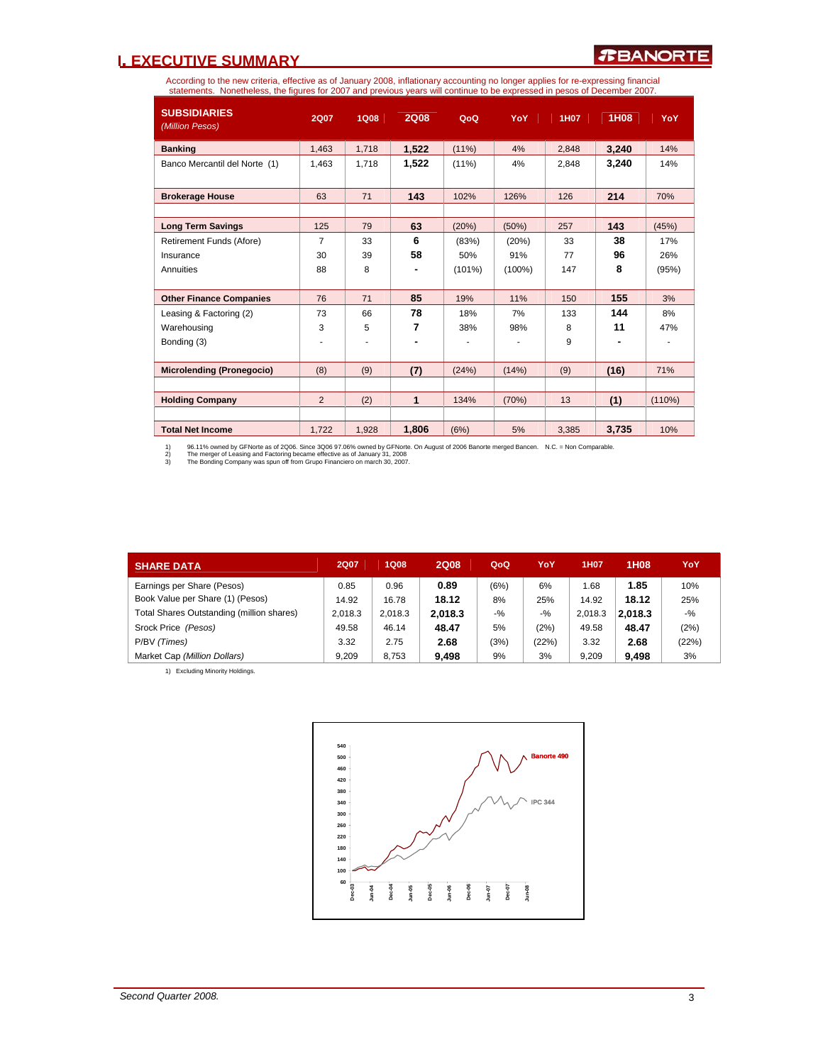### **I. EXECUTIVE SUMMARY**

According to the new criteria, effective as of January 2008, inflationary accounting no longer applies for re-expressing financial<br>statements. Nonetheless, the figures for 2007 and previous years will continue to be expres

| <b>SUBSIDIARIES</b><br>(Million Pesos) | 2Q07           | <b>1Q08</b>              | <b>2Q08</b>  | QoQ      | <b>YoY</b> | 1H07  | 1H08  | <b>YoY</b> |
|----------------------------------------|----------------|--------------------------|--------------|----------|------------|-------|-------|------------|
| <b>Banking</b>                         | 1,463          | 1,718                    | 1,522        | $(11\%)$ | 4%         | 2,848 | 3,240 | 14%        |
| Banco Mercantil del Norte (1)          | 1,463          | 1,718                    | 1,522        | $(11\%)$ | 4%         | 2.848 | 3,240 | 14%        |
| <b>Brokerage House</b>                 | 63             | 71                       | 143          | 102%     | 126%       | 126   | 214   | 70%        |
| <b>Long Term Savings</b>               | 125            | 79                       | 63           | (20%)    | (50%)      | 257   | 143   | (45%)      |
| Retirement Funds (Afore)               | $\overline{7}$ | 33                       | 6            | (83%)    | (20%)      | 33    | 38    | 17%        |
| Insurance                              | 30             | 39                       | 58           | 50%      | 91%        | 77    | 96    | 26%        |
| Annuities                              | 88             | 8                        |              | (101%)   | $(100\%)$  | 147   | 8     | (95%)      |
| <b>Other Finance Companies</b>         | 76             | 71                       | 85           | 19%      | 11%        | 150   | 155   | 3%         |
| Leasing & Factoring (2)                | 73             | 66                       | 78           | 18%      | 7%         | 133   | 144   | 8%         |
| Warehousing                            | 3              | 5                        | 7            | 38%      | 98%        | 8     | 11    | 47%        |
| Bonding (3)                            | ۰              | $\overline{\phantom{a}}$ |              | ٠        |            | 9     |       |            |
| <b>Microlending (Pronegocio)</b>       | (8)            | (9)                      | (7)          | (24%)    | (14%)      | (9)   | (16)  | 71%        |
|                                        |                |                          |              |          |            |       |       |            |
| <b>Holding Company</b>                 | 2              | (2)                      | $\mathbf{1}$ | 134%     | (70%)      | 13    | (1)   | (110%)     |
|                                        |                |                          |              |          |            |       |       |            |
| <b>Total Net Income</b>                | 1.722          | 1,928                    | 1.806        | (6%)     | 5%         | 3,385 | 3,735 | 10%        |

1) 96.11% owned by GFNorte as of 2006. Since 3006 97.06% owned by GFNorte. On August of 2006 Banorte merged Bancen. N.C. = Non Comparable.<br>2) The merger of Leasing and Factoring became effective as of January 31, 200

| <b>SHARE DATA</b>                         | <b>2Q07</b> | <b>1Q08</b> | <b>2Q08</b> | QoQ    | YoY    | <b>1H07</b> | 1H08    | YoY   |
|-------------------------------------------|-------------|-------------|-------------|--------|--------|-------------|---------|-------|
| Earnings per Share (Pesos)                | 0.85        | 0.96        | 0.89        | (6%)   | 6%     | 1.68        | 1.85    | 10%   |
| Book Value per Share (1) (Pesos)          | 14.92       | 16.78       | 18.12       | 8%     | 25%    | 14.92       | 18.12   | 25%   |
| Total Shares Outstanding (million shares) | 2.018.3     | 2.018.3     | 2,018.3     | $-9/2$ | $-9/2$ | 2.018.3     | 2.018.3 | $-$ % |
| Srock Price (Pesos)                       | 49.58       | 46.14       | 48.47       | 5%     | (2%)   | 49.58       | 48.47   | (2%)  |
| P/BV (Times)                              | 3.32        | 2.75        | 2.68        | (3%)   | (22%)  | 3.32        | 2.68    | (22%) |
| Market Cap (Million Dollars)              | 9.209       | 8.753       | 9,498       | 9%     | 3%     | 9.209       | 9,498   | 3%    |

1) Excluding Minority Holdings.

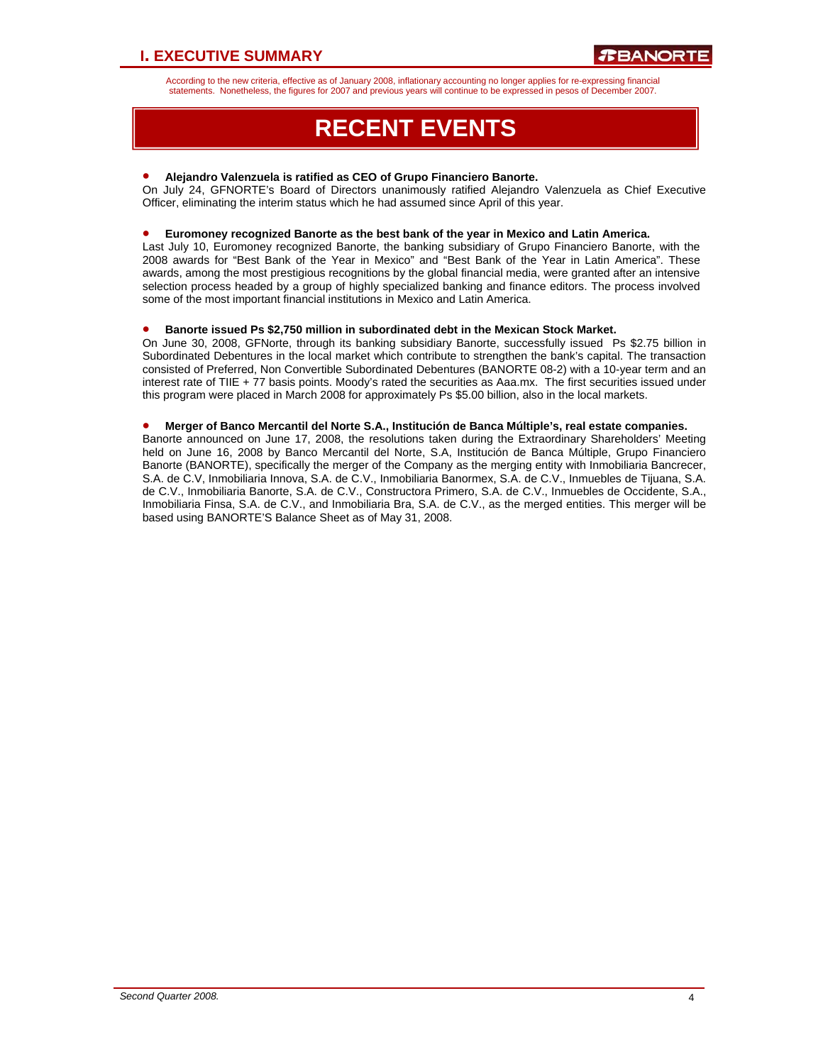According to the new criteria, effective as of January 2008, inflationary accounting no longer applies for re-expressing financial statements. Nonetheless, the figures for 2007 and previous years will continue to be expressed in pesos of December 2007.

# **RECENT EVENTS**

### • **Alejandro Valenzuela is ratified as CEO of Grupo Financiero Banorte.**

On July 24, GFNORTE's Board of Directors unanimously ratified Alejandro Valenzuela as Chief Executive Officer, eliminating the interim status which he had assumed since April of this year.

#### • **Euromoney recognized Banorte as the best bank of the year in Mexico and Latin America.**

Last July 10, Euromoney recognized Banorte, the banking subsidiary of Grupo Financiero Banorte, with the 2008 awards for "Best Bank of the Year in Mexico" and "Best Bank of the Year in Latin America". These awards, among the most prestigious recognitions by the global financial media, were granted after an intensive selection process headed by a group of highly specialized banking and finance editors. The process involved some of the most important financial institutions in Mexico and Latin America.

#### • **Banorte issued Ps \$2,750 million in subordinated debt in the Mexican Stock Market.**

On June 30, 2008, GFNorte, through its banking subsidiary Banorte, successfully issued Ps \$2.75 billion in Subordinated Debentures in the local market which contribute to strengthen the bank's capital. The transaction consisted of Preferred, Non Convertible Subordinated Debentures (BANORTE 08-2) with a 10-year term and an interest rate of TIIE + 77 basis points. Moody's rated the securities as Aaa.mx. The first securities issued under this program were placed in March 2008 for approximately Ps \$5.00 billion, also in the local markets.

#### • **Merger of Banco Mercantil del Norte S.A., Institución de Banca Múltiple's, real estate companies.**

Banorte announced on June 17, 2008, the resolutions taken during the Extraordinary Shareholders' Meeting held on June 16, 2008 by Banco Mercantil del Norte, S.A, Institución de Banca Múltiple, Grupo Financiero Banorte (BANORTE), specifically the merger of the Company as the merging entity with Inmobiliaria Bancrecer, S.A. de C.V, Inmobiliaria Innova, S.A. de C.V., Inmobiliaria Banormex, S.A. de C.V., Inmuebles de Tijuana, S.A. de C.V., Inmobiliaria Banorte, S.A. de C.V., Constructora Primero, S.A. de C.V., Inmuebles de Occidente, S.A., Inmobiliaria Finsa, S.A. de C.V., and Inmobiliaria Bra, S.A. de C.V., as the merged entities. This merger will be based using BANORTE'S Balance Sheet as of May 31, 2008.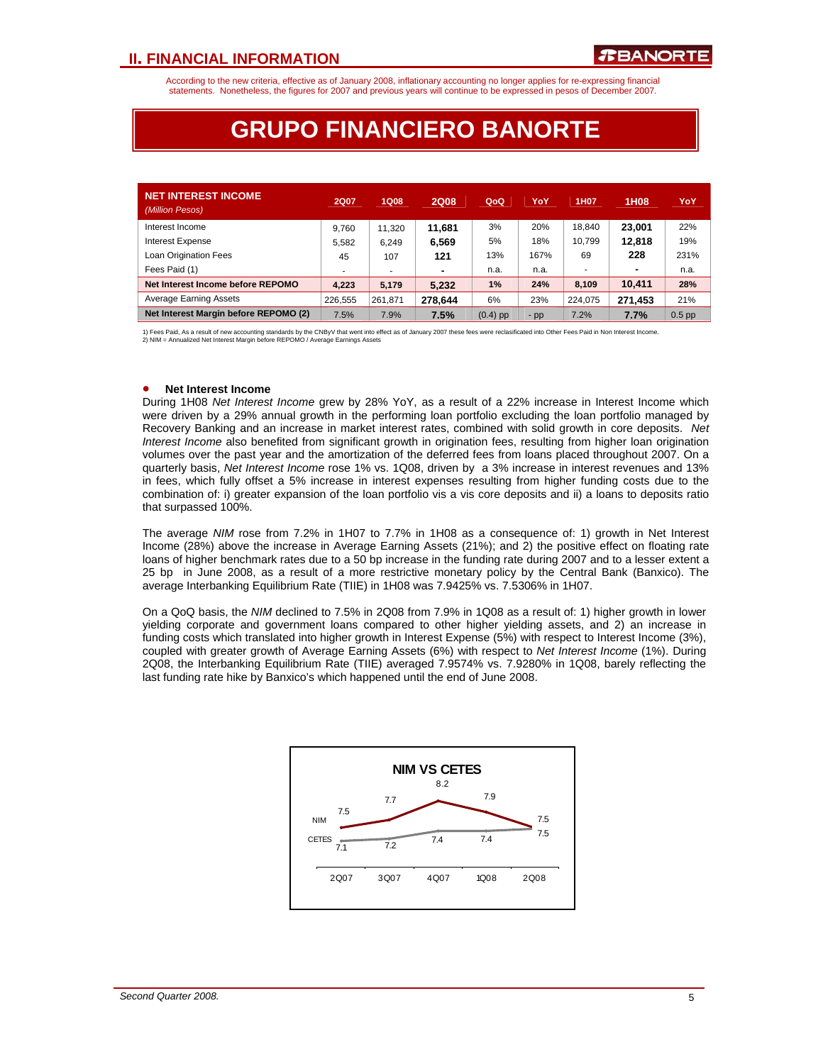According to the new criteria, effective as of January 2008, inflationary accounting no longer applies for re-expressing financial statements. Nonetheless, the figures for 2007 and previous years will continue to be expressed in pesos of December 2007.

## **GRUPO FINANCIERO BANORTE**

| <b>NET INTEREST INCOME</b><br>(Million Pesos) | <b>2Q07</b> | <b>1Q08</b> | <b>2Q08</b>    | QoQ        | YoY   | 1H <sub>0</sub> 7 | 1H08    | YoY      |
|-----------------------------------------------|-------------|-------------|----------------|------------|-------|-------------------|---------|----------|
| Interest Income                               | 9.760       | 11.320      | 11.681         | 3%         | 20%   | 18.840            | 23.001  | 22%      |
| <b>Interest Expense</b>                       | 5.582       | 6.249       | 6,569          | 5%         | 18%   | 10.799            | 12,818  | 19%      |
| Loan Origination Fees                         | 45          | 107         | 121            | 13%        | 167%  | 69                | 228     | 231%     |
| Fees Paid (1)                                 |             |             | $\blacksquare$ | n.a.       | n.a.  |                   |         | n.a.     |
| Net Interest Income before REPOMO             | 4.223       | 5.179       | 5,232          | 1%         | 24%   | 8.109             | 10.411  | 28%      |
| <b>Average Earning Assets</b>                 | 226.555     | 261.871     | 278,644        | 6%         | 23%   | 224.075           | 271.453 | 21%      |
| Net Interest Margin before REPOMO (2)         | 7.5%        | 7.9%        | 7.5%           | $(0.4)$ pp | $-pp$ | 7.2%              | 7.7%    | $0.5$ pp |

1) Fees Paid, As a result of new accounting standards by the CNBy∨ that went into effect as of January 2007 these fees were reclasificated into Other Fees Paid in Non Interest Income.<br>2) NIM = Annualized Net Interest Marg

#### • **Net Interest Income**

During 1H08 *Net Interest Income* grew by 28% YoY, as a result of a 22% increase in Interest Income which were driven by a 29% annual growth in the performing loan portfolio excluding the loan portfolio managed by Recovery Banking and an increase in market interest rates, combined with solid growth in core deposits. *Net Interest Income* also benefited from significant growth in origination fees, resulting from higher loan origination volumes over the past year and the amortization of the deferred fees from loans placed throughout 2007. On a quarterly basis, *Net Interest Income* rose 1% vs. 1Q08, driven by a 3% increase in interest revenues and 13% in fees, which fully offset a 5% increase in interest expenses resulting from higher funding costs due to the combination of: i) greater expansion of the loan portfolio vis a vis core deposits and ii) a loans to deposits ratio that surpassed 100%.

The average *NIM* rose from 7.2% in 1H07 to 7.7% in 1H08 as a consequence of: 1) growth in Net Interest Income (28%) above the increase in Average Earning Assets (21%); and 2) the positive effect on floating rate loans of higher benchmark rates due to a 50 bp increase in the funding rate during 2007 and to a lesser extent a 25 bp in June 2008, as a result of a more restrictive monetary policy by the Central Bank (Banxico). The average Interbanking Equilibrium Rate (TIIE) in 1H08 was 7.9425% vs. 7.5306% in 1H07.

On a QoQ basis, the *NIM* declined to 7.5% in 2Q08 from 7.9% in 1Q08 as a result of: 1) higher growth in lower yielding corporate and government loans compared to other higher yielding assets, and 2) an increase in funding costs which translated into higher growth in Interest Expense (5%) with respect to Interest Income (3%), coupled with greater growth of Average Earning Assets (6%) with respect to *Net Interest Income* (1%). During 2Q08, the Interbanking Equilibrium Rate (TIIE) averaged 7.9574% vs. 7.9280% in 1Q08, barely reflecting the last funding rate hike by Banxico's which happened until the end of June 2008.

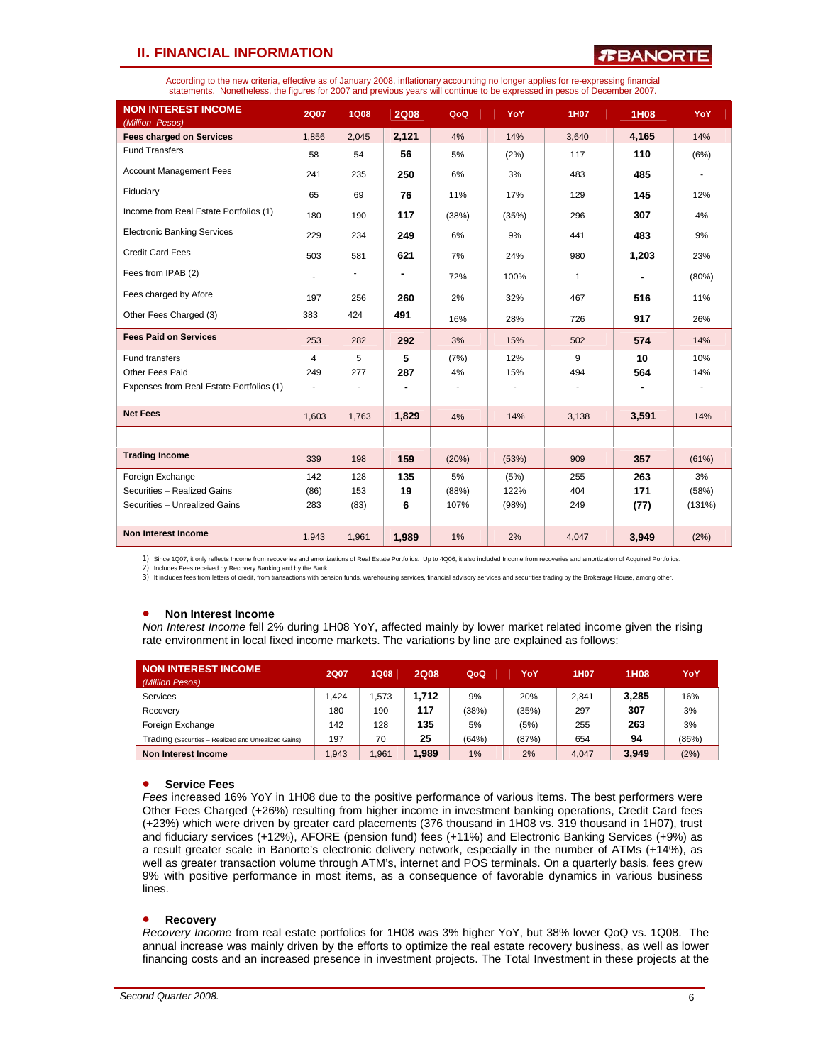### $\boldsymbol{x}$ BANORT

According to the new criteria, effective as of January 2008, inflationary accounting no longer applies for re-expressing financial statements. Nonetheless, the figures for 2007 and previous years will continue to be expressed in pesos of December 2007.

| <b>NON INTEREST INCOME</b><br>(Million Pesos) | <b>2Q07</b>    | <b>1Q08</b> | <b>2Q08</b>    | QoQ   | YoY   | <b>1H07</b> | <b>1H08</b> | YoY    |
|-----------------------------------------------|----------------|-------------|----------------|-------|-------|-------------|-------------|--------|
| <b>Fees charged on Services</b>               | 1,856          | 2,045       | 2,121          | 4%    | 14%   | 3,640       | 4,165       | 14%    |
| <b>Fund Transfers</b>                         | 58             | 54          | 56             | 5%    | (2%)  | 117         | 110         | (6%)   |
| <b>Account Management Fees</b>                | 241            | 235         | 250            | 6%    | 3%    | 483         | 485         | ٠      |
| Fiduciary                                     | 65             | 69          | 76             | 11%   | 17%   | 129         | 145         | 12%    |
| Income from Real Estate Portfolios (1)        | 180            | 190         | 117            | (38%) | (35%) | 296         | 307         | 4%     |
| <b>Electronic Banking Services</b>            | 229            | 234         | 249            | 6%    | 9%    | 441         | 483         | 9%     |
| <b>Credit Card Fees</b>                       | 503            | 581         | 621            | 7%    | 24%   | 980         | 1,203       | 23%    |
| Fees from IPAB (2)                            | ٠              |             |                | 72%   | 100%  | 1           |             | (80%)  |
| Fees charged by Afore                         | 197            | 256         | 260            | 2%    | 32%   | 467         | 516         | 11%    |
| Other Fees Charged (3)                        | 383            | 424         | 491            | 16%   | 28%   | 726         | 917         | 26%    |
| <b>Fees Paid on Services</b>                  | 253            | 282         | 292            | 3%    | 15%   | 502         | 574         | 14%    |
| Fund transfers                                | $\overline{4}$ | 5           | 5              | (7%)  | 12%   | 9           | 10          | 10%    |
| Other Fees Paid                               | 249            | 277         | 287            | 4%    | 15%   | 494         | 564         | 14%    |
| Expenses from Real Estate Portfolios (1)      | $\overline{a}$ |             | $\blacksquare$ |       |       |             |             |        |
| <b>Net Fees</b>                               | 1.603          | 1,763       | 1,829          | 4%    | 14%   | 3,138       | 3,591       | 14%    |
|                                               |                |             |                |       |       |             |             |        |
| <b>Trading Income</b>                         | 339            | 198         | 159            | (20%) | (53%) | 909         | 357         | (61%)  |
| Foreign Exchange                              | 142            | 128         | 135            | 5%    | (5%)  | 255         | 263         | 3%     |
| Securities - Realized Gains                   | (86)           | 153         | 19             | (88%) | 122%  | 404         | 171         | (58%)  |
| Securities - Unrealized Gains                 | 283            | (83)        | 6              | 107%  | (98%) | 249         | (77)        | (131%) |
| <b>Non Interest Income</b>                    | 1.943          | 1,961       | 1,989          | 1%    | 2%    | 4,047       | 3,949       | (2%)   |

1) Since 1Q07, it only reflects Income from recoveries and amortizations of Real Estate Portfolios. Up to 4Q06, it also included Income from recoveries and amortization of Acquired Portfolios.<br>2) Includes Fees received by

3) It includes fees from letters of credit, from transactions with pension funds, warehousing services, financial advisory services and securities trading by the Brokerage House, among other.

#### • **Non Interest Income**

*Non Interest Income* fell 2% during 1H08 YoY, affected mainly by lower market related income given the rising rate environment in local fixed income markets. The variations by line are explained as follows:

| <b>NON INTEREST INCOME</b><br>(Million Pesos)        | <b>2Q07</b> | <b>1Q08</b> | <b>2Q08</b> | QoQ   | YoY   | 1H07  | 1H <sub>08</sub> | YoY   |
|------------------------------------------------------|-------------|-------------|-------------|-------|-------|-------|------------------|-------|
| Services                                             | 1.424       | .573        | 1.712       | 9%    | 20%   | 2.841 | 3.285            | 16%   |
| Recovery                                             | 180         | 190         | 117         | (38%) | (35%) | 297   | 307              | 3%    |
| Foreign Exchange                                     | 142         | 128         | 135         | 5%    | (5%)  | 255   | 263              | 3%    |
| Trading (Securities - Realized and Unrealized Gains) | 197         | 70          | 25          | (64%) | (87%) | 654   | 94               | (86%) |
| Non Interest Income                                  | .943        | .961        | .989        | 1%    | 2%    | 4.047 | 3,949            | (2%)  |

#### • **Service Fees**

*Fees* increased 16% YoY in 1H08 due to the positive performance of various items. The best performers were Other Fees Charged (+26%) resulting from higher income in investment banking operations, Credit Card fees (+23%) which were driven by greater card placements (376 thousand in 1H08 vs. 319 thousand in 1H07), trust and fiduciary services (+12%), AFORE (pension fund) fees (+11%) and Electronic Banking Services (+9%) as a result greater scale in Banorte's electronic delivery network, especially in the number of ATMs (+14%), as well as greater transaction volume through ATM's, internet and POS terminals. On a quarterly basis, fees grew 9% with positive performance in most items, as a consequence of favorable dynamics in various business lines.

#### • **Recovery**

*Recovery Income* from real estate portfolios for 1H08 was 3% higher YoY, but 38% lower QoQ vs. 1Q08. The annual increase was mainly driven by the efforts to optimize the real estate recovery business, as well as lower financing costs and an increased presence in investment projects. The Total Investment in these projects at the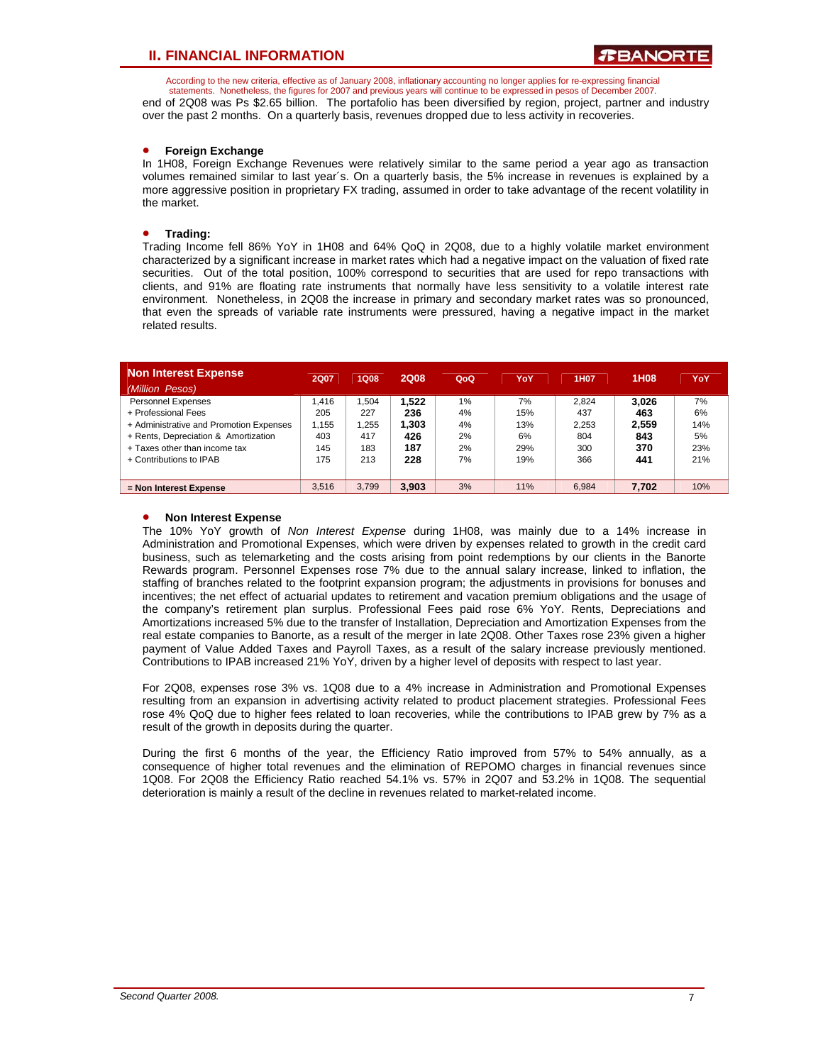According to the new criteria, effective as of January 2008, inflationary accounting no longer applies for re-expressing financial statements. Nonetheless, the figures for 2007 and previous years will continue to be expressed in pesos of December 2007.

end of 2Q08 was Ps \$2.65 billion. The portafolio has been diversified by region, project, partner and industry over the past 2 months. On a quarterly basis, revenues dropped due to less activity in recoveries.

### • **Foreign Exchange**

In 1H08, Foreign Exchange Revenues were relatively similar to the same period a year ago as transaction volumes remained similar to last year´s. On a quarterly basis, the 5% increase in revenues is explained by a more aggressive position in proprietary FX trading, assumed in order to take advantage of the recent volatility in the market.

#### • **Trading:**

Trading Income fell 86% YoY in 1H08 and 64% QoQ in 2Q08, due to a highly volatile market environment characterized by a significant increase in market rates which had a negative impact on the valuation of fixed rate securities. Out of the total position, 100% correspond to securities that are used for repo transactions with clients, and 91% are floating rate instruments that normally have less sensitivity to a volatile interest rate environment. Nonetheless, in 2Q08 the increase in primary and secondary market rates was so pronounced, that even the spreads of variable rate instruments were pressured, having a negative impact in the market related results.

| <b>Non Interest Expense</b>             | <b>2Q07</b> | <b>1Q08</b> | <b>2Q08</b> | QoQ   | YoY | 1H <sub>07</sub> | <b>1H08</b> | YoY |
|-----------------------------------------|-------------|-------------|-------------|-------|-----|------------------|-------------|-----|
| (Million Pesos)                         |             |             |             |       |     |                  |             |     |
| <b>Personnel Expenses</b>               | 1.416       | 1.504       | 1.522       | $1\%$ | 7%  | 2.824            | 3.026       | 7%  |
| + Professional Fees                     | 205         | 227         | 236         | 4%    | 15% | 437              | 463         | 6%  |
| + Administrative and Promotion Expenses | 1.155       | 1.255       | 1,303       | 4%    | 13% | 2.253            | 2.559       | 14% |
| + Rents, Depreciation & Amortization    | 403         | 417         | 426         | 2%    | 6%  | 804              | 843         | 5%  |
| + Taxes other than income tax           | 145         | 183         | 187         | 2%    | 29% | 300              | 370         | 23% |
| + Contributions to IPAB                 | 175         | 213         | 228         | 7%    | 19% | 366              | 441         | 21% |
|                                         |             |             |             |       |     |                  |             |     |
| $=$ Non Interest Expense                | 3.516       | 3.799       | 3.903       | 3%    | 11% | 6.984            | 7.702       | 10% |

#### • **Non Interest Expense**

The 10% YoY growth of *Non Interest Expense* during 1H08, was mainly due to a 14% increase in Administration and Promotional Expenses, which were driven by expenses related to growth in the credit card business, such as telemarketing and the costs arising from point redemptions by our clients in the Banorte Rewards program. Personnel Expenses rose 7% due to the annual salary increase, linked to inflation, the staffing of branches related to the footprint expansion program; the adjustments in provisions for bonuses and incentives; the net effect of actuarial updates to retirement and vacation premium obligations and the usage of the company's retirement plan surplus. Professional Fees paid rose 6% YoY. Rents, Depreciations and Amortizations increased 5% due to the transfer of Installation, Depreciation and Amortization Expenses from the real estate companies to Banorte, as a result of the merger in late 2Q08. Other Taxes rose 23% given a higher payment of Value Added Taxes and Payroll Taxes, as a result of the salary increase previously mentioned. Contributions to IPAB increased 21% YoY, driven by a higher level of deposits with respect to last year.

For 2Q08, expenses rose 3% vs. 1Q08 due to a 4% increase in Administration and Promotional Expenses resulting from an expansion in advertising activity related to product placement strategies. Professional Fees rose 4% QoQ due to higher fees related to loan recoveries, while the contributions to IPAB grew by 7% as a result of the growth in deposits during the quarter.

During the first 6 months of the year, the Efficiency Ratio improved from 57% to 54% annually, as a consequence of higher total revenues and the elimination of REPOMO charges in financial revenues since 1Q08. For 2Q08 the Efficiency Ratio reached 54.1% vs. 57% in 2Q07 and 53.2% in 1Q08. The sequential deterioration is mainly a result of the decline in revenues related to market-related income.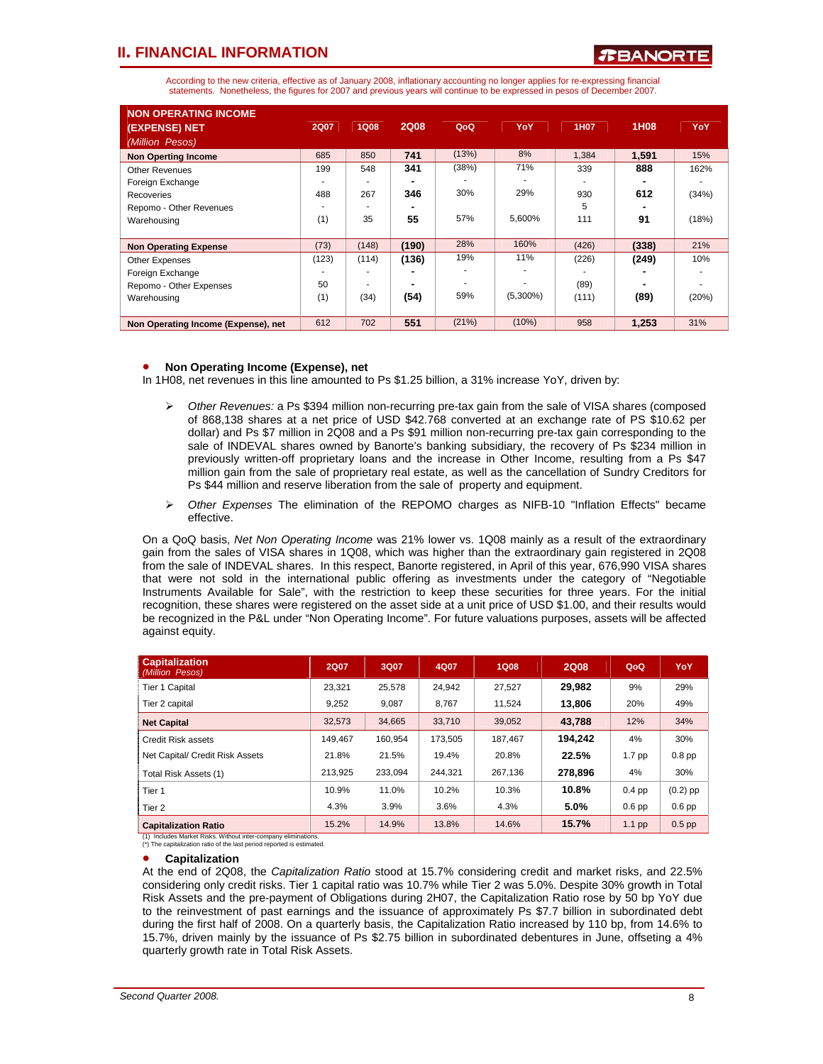According to the new criteria, effective as of January 2008, inflationary accounting no longer applies for re-expressing financial statements. Nonetheless, the figures for 2007 and previous years will continue to be expressed in pesos of December 2007.

| <b>NON OPERATING INCOME</b><br>(EXPENSE) NET | <b>2Q07</b> | <b>1Q08</b> | <b>2Q08</b> | QoQ   | YoY         | 1H07  | 1H08  | YoY   |
|----------------------------------------------|-------------|-------------|-------------|-------|-------------|-------|-------|-------|
| (Million Pesos)                              |             |             |             |       |             |       |       |       |
| <b>Non Operting Income</b>                   | 685         | 850         | 741         | (13%) | 8%          | 1,384 | 1.591 | 15%   |
| <b>Other Revenues</b>                        | 199         | 548         | 341         | (38%) | 71%         | 339   | 888   | 162%  |
| Foreign Exchange                             |             |             |             |       |             |       |       |       |
| Recoveries                                   | 488         | 267         | 346         | 30%   | 29%         | 930   | 612   | (34%) |
| Repomo - Other Revenues                      |             |             |             |       |             | 5     |       |       |
| Warehousing                                  | (1)         | 35          | 55          | 57%   | 5,600%      | 111   | 91    | (18%) |
|                                              |             |             |             |       |             |       |       |       |
| <b>Non Operating Expense</b>                 | (73)        | (148)       | (190)       | 28%   | 160%        | (426) | (338) | 21%   |
| <b>Other Expenses</b>                        | (123)       | (114)       | (136)       | 19%   | 11%         | (226) | (249) | 10%   |
| Foreign Exchange                             |             |             |             |       |             |       |       |       |
| Repomo - Other Expenses                      | 50          |             |             |       |             | (89)  |       |       |
| Warehousing                                  | (1)         | (34)        | (54)        | 59%   | $(5,300\%)$ | (111) | (89)  | (20%) |
|                                              |             |             |             |       |             |       |       |       |
| Non Operating Income (Expense), net          | 612         | 702         | 551         | (21%) | (10%)       | 958   | 1,253 | 31%   |

### • **Non Operating Income (Expense), net**

In 1H08, net revenues in this line amounted to Ps \$1.25 billion, a 31% increase YoY, driven by:

- ¾ *Other Revenues:* a Ps \$394 million non-recurring pre-tax gain from the sale of VISA shares (composed of 868,138 shares at a net price of USD \$42.768 converted at an exchange rate of PS \$10.62 per dollar) and Ps \$7 million in 2Q08 and a Ps \$91 million non-recurring pre-tax gain corresponding to the sale of INDEVAL shares owned by Banorte's banking subsidiary, the recovery of Ps \$234 million in previously written-off proprietary loans and the increase in Other Income, resulting from a Ps \$47 million gain from the sale of proprietary real estate, as well as the cancellation of Sundry Creditors for Ps \$44 million and reserve liberation from the sale of property and equipment.
- ¾ *Other Expenses* The elimination of the REPOMO charges as NIFB-10 "Inflation Effects" became effective.

On a QoQ basis, *Net Non Operating Income* was 21% lower vs. 1Q08 mainly as a result of the extraordinary gain from the sales of VISA shares in 1Q08, which was higher than the extraordinary gain registered in 2Q08 from the sale of INDEVAL shares. In this respect, Banorte registered, in April of this year, 676,990 VISA shares that were not sold in the international public offering as investments under the category of "Negotiable Instruments Available for Sale", with the restriction to keep these securities for three years. For the initial recognition, these shares were registered on the asset side at a unit price of USD \$1.00, and their results would be recognized in the P&L under "Non Operating Income". For future valuations purposes, assets will be affected against equity.

| <b>Capitalization</b><br>(Million Pesos) | <b>2Q07</b> | 3Q07    | 4Q07    | <b>1Q08</b> | <b>2Q08</b> | QoQ               | YoY        |
|------------------------------------------|-------------|---------|---------|-------------|-------------|-------------------|------------|
| Tier 1 Capital                           | 23.321      | 25.578  | 24.942  | 27.527      | 29.982      | 9%                | 29%        |
| Tier 2 capital                           | 9.252       | 9.087   | 8.767   | 11.524      | 13.806      | 20%               | 49%        |
| <b>Net Capital</b>                       | 32,573      | 34.665  | 33.710  | 39,052      | 43,788      | 12%               | 34%        |
| <b>Credit Risk assets</b>                | 149.467     | 160.954 | 173.505 | 187.467     | 194.242     | 4%                | 30%        |
| Net Capital/ Credit Risk Assets          | 21.8%       | 21.5%   | 19.4%   | 20.8%       | 22.5%       | 1.7 <sub>pp</sub> | $0.8$ pp   |
| Total Risk Assets (1)                    | 213.925     | 233.094 | 244.321 | 267.136     | 278,896     | 4%                | 30%        |
| Tier 1                                   | 10.9%       | 11.0%   | 10.2%   | 10.3%       | 10.8%       | $0.4$ pp          | $(0.2)$ pp |
| Tier 2                                   | 4.3%        | 3.9%    | 3.6%    | 4.3%        | 5.0%        | $0.6$ pp          | $0.6$ pp   |
| <b>Capitalization Ratio</b>              | 15.2%       | 14.9%   | 13.8%   | 14.6%       | 15.7%       | $1.1$ pp          | $0.5$ pp   |

(1) Includes Market Risks. Without inter-company eliminations. (\*) The capitalization ratio of the last period reported is estimated.

#### • **Capitalization**

At the end of 2Q08, the *Capitalization Ratio* stood at 15.7% considering credit and market risks, and 22.5% considering only credit risks. Tier 1 capital ratio was 10.7% while Tier 2 was 5.0%. Despite 30% growth in Total Risk Assets and the pre-payment of Obligations during 2H07, the Capitalization Ratio rose by 50 bp YoY due to the reinvestment of past earnings and the issuance of approximately Ps \$7.7 billion in subordinated debt during the first half of 2008. On a quarterly basis, the Capitalization Ratio increased by 110 bp, from 14.6% to 15.7%, driven mainly by the issuance of Ps \$2.75 billion in subordinated debentures in June, offseting a 4% quarterly growth rate in Total Risk Assets.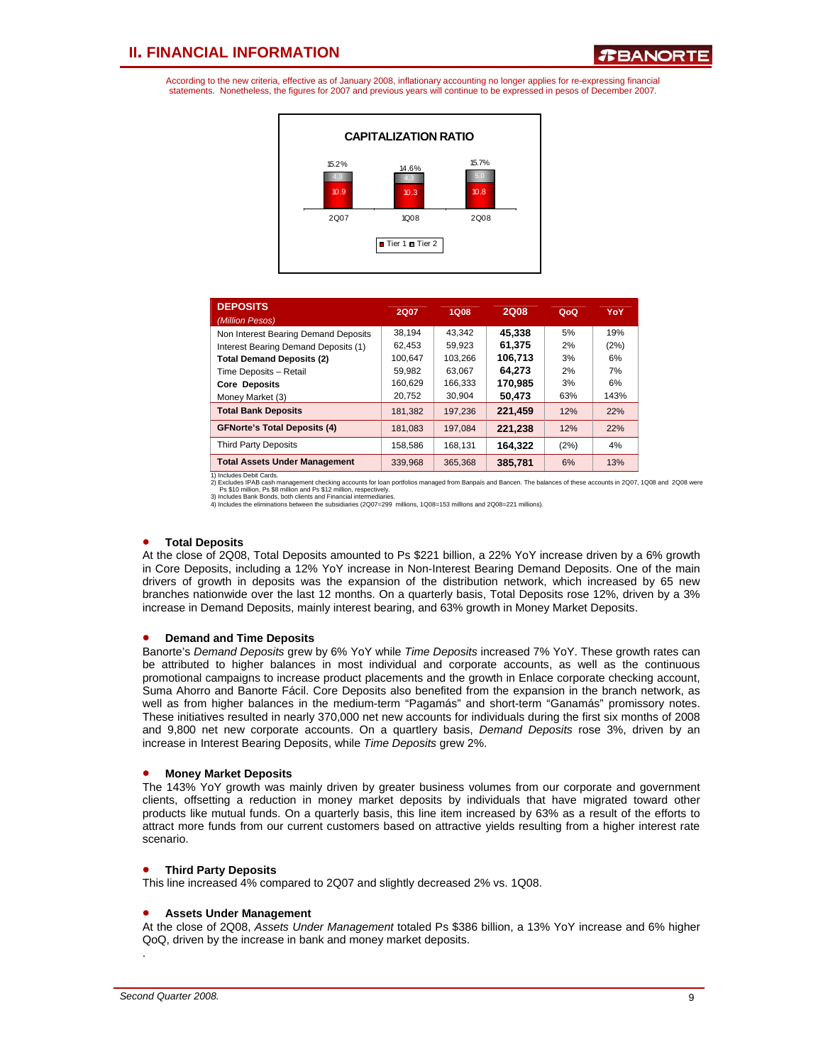According to the new criteria, effective as of January 2008, inflationary accounting no longer applies for re-expressing financial statements. Nonetheless, the figures for 2007 and previous years will continue to be expressed in pesos of December 2007.



| <b>DEPOSITS</b><br>(Million Pesos)   | 2Q07    | 1Q08    | <b>2Q08</b> | QoQ  | YoY  |
|--------------------------------------|---------|---------|-------------|------|------|
| Non Interest Bearing Demand Deposits | 38.194  | 43.342  | 45.338      | 5%   | 19%  |
| Interest Bearing Demand Deposits (1) | 62.453  | 59.923  | 61.375      | 2%   | (2%) |
| <b>Total Demand Deposits (2)</b>     | 100.647 | 103.266 | 106.713     | 3%   | 6%   |
| Time Deposits - Retail               | 59.982  | 63.067  | 64.273      | 2%   | 7%   |
| <b>Core Deposits</b>                 | 160.629 | 166.333 | 170.985     | 3%   | 6%   |
| Money Market (3)                     | 20,752  | 30.904  | 50.473      | 63%  | 143% |
| <b>Total Bank Deposits</b>           | 181,382 | 197.236 | 221.459     | 12%  | 22%  |
| <b>GFNorte's Total Deposits (4)</b>  | 181.083 | 197.084 | 221.238     | 12%  | 22%  |
| <b>Third Party Deposits</b>          | 158,586 | 168,131 | 164.322     | (2%) | 4%   |
| <b>Total Assets Under Management</b> | 339.968 | 365.368 | 385,781     | 6%   | 13%  |

1) Includes Debit Cards.<br>2) Excludes IPAB cash management checking accounts for loan portfolios managed from Banpais and Bancen. The balances of these accounts in 2007, 1008 and 2008 were<br>Ps \$10 million, Ps \$8 million and

#### • **Total Deposits**

At the close of 2Q08, Total Deposits amounted to Ps \$221 billion, a 22% YoY increase driven by a 6% growth in Core Deposits, including a 12% YoY increase in Non-Interest Bearing Demand Deposits. One of the main drivers of growth in deposits was the expansion of the distribution network, which increased by 65 new branches nationwide over the last 12 months. On a quarterly basis, Total Deposits rose 12%, driven by a 3% increase in Demand Deposits, mainly interest bearing, and 63% growth in Money Market Deposits.

#### • **Demand and Time Deposits**

Banorte's *Demand Deposits* grew by 6% YoY while *Time Deposits* increased 7% YoY. These growth rates can be attributed to higher balances in most individual and corporate accounts, as well as the continuous promotional campaigns to increase product placements and the growth in Enlace corporate checking account, Suma Ahorro and Banorte Fácil. Core Deposits also benefited from the expansion in the branch network, as well as from higher balances in the medium-term "Pagamás" and short-term "Ganamás" promissory notes. These initiatives resulted in nearly 370,000 net new accounts for individuals during the first six months of 2008 and 9,800 net new corporate accounts. On a quartlery basis, *Demand Deposits* rose 3%, driven by an increase in Interest Bearing Deposits, while *Time Deposits* grew 2%.

#### • **Money Market Deposits**

The 143% YoY growth was mainly driven by greater business volumes from our corporate and government clients, offsetting a reduction in money market deposits by individuals that have migrated toward other products like mutual funds. On a quarterly basis, this line item increased by 63% as a result of the efforts to attract more funds from our current customers based on attractive yields resulting from a higher interest rate scenario.

#### • **Third Party Deposits**

This line increased 4% compared to 2Q07 and slightly decreased 2% vs. 1Q08.

#### • **Assets Under Management**

At the close of 2Q08, *Assets Under Management* totaled Ps \$386 billion, a 13% YoY increase and 6% higher QoQ, driven by the increase in bank and money market deposits.

.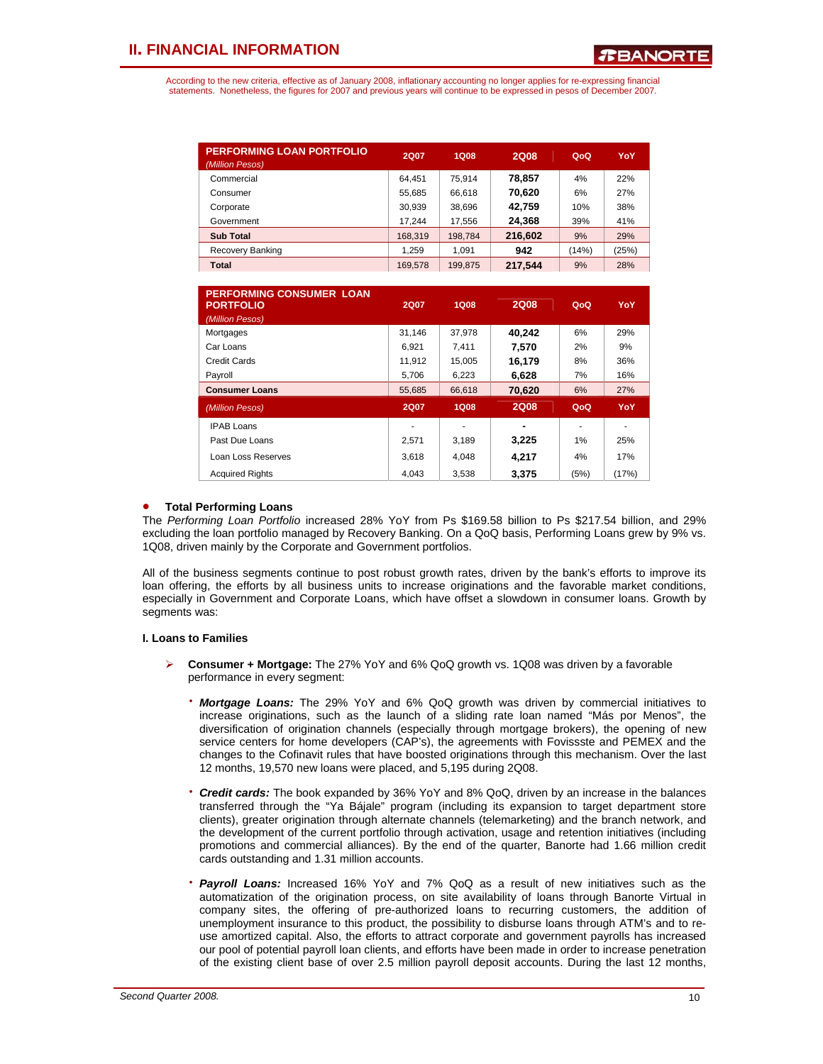According to the new criteria, effective as of January 2008, inflationary accounting no longer applies for re-expressing financial statements. Nonetheless, the figures for 2007 and previous years will continue to be expressed in pesos of December 2007.

| <b>PERFORMING LOAN PORTFOLIO</b><br>(Million Pesos) | <b>2Q07</b> | 1Q08    | <b>2Q08</b> | QoQ   | YoY   |
|-----------------------------------------------------|-------------|---------|-------------|-------|-------|
| Commercial                                          | 64.451      | 75.914  | 78.857      | 4%    | 22%   |
| Consumer                                            | 55.685      | 66,618  | 70,620      | 6%    | 27%   |
| Corporate                                           | 30.939      | 38.696  | 42,759      | 10%   | 38%   |
| Government                                          | 17.244      | 17,556  | 24,368      | 39%   | 41%   |
| <b>Sub Total</b>                                    | 168,319     | 198.784 | 216,602     | 9%    | 29%   |
| Recovery Banking                                    | 1.259       | 1.091   | 942         | (14%) | (25%) |
| Total                                               | 169,578     | 199.875 | 217.544     | 9%    | 28%   |

| <b>PERFORMING CONSUMER LOAN</b><br><b>PORTFOLIO</b><br>(Million Pesos) | <b>2Q07</b> | 1Q08        | <b>2Q08</b>    | QoQ  | YoY   |
|------------------------------------------------------------------------|-------------|-------------|----------------|------|-------|
| Mortgages                                                              | 31,146      | 37,978      | 40,242         | 6%   | 29%   |
| Car Loans                                                              | 6.921       | 7.411       | 7.570          | 2%   | 9%    |
| Credit Cards                                                           | 11.912      | 15,005      | 16,179         | 8%   | 36%   |
| Payroll                                                                | 5,706       | 6,223       | 6,628          | 7%   | 16%   |
| <b>Consumer Loans</b>                                                  | 55,685      | 66,618      | 70,620         | 6%   | 27%   |
| (Million Pesos)                                                        | <b>2Q07</b> | <b>1Q08</b> | <b>2Q08</b>    | QoQ  | YoY   |
| <b>IPAB Loans</b>                                                      |             | ۰           | $\blacksquare$ |      |       |
| Past Due Loans                                                         | 2.571       | 3.189       | 3,225          | 1%   | 25%   |
| Loan Loss Reserves                                                     | 3,618       | 4.048       | 4.217          | 4%   | 17%   |
| <b>Acquired Rights</b>                                                 | 4.043       | 3.538       | 3,375          | (5%) | (17%) |

#### • **Total Performing Loans**

The *Performing Loan Portfolio* increased 28% YoY from Ps \$169.58 billion to Ps \$217.54 billion, and 29% excluding the loan portfolio managed by Recovery Banking. On a QoQ basis, Performing Loans grew by 9% vs. 1Q08, driven mainly by the Corporate and Government portfolios.

All of the business segments continue to post robust growth rates, driven by the bank's efforts to improve its loan offering, the efforts by all business units to increase originations and the favorable market conditions, especially in Government and Corporate Loans, which have offset a slowdown in consumer loans. Growth by segments was:

#### **I. Loans to Families**

- ¾ **Consumer + Mortgage:** The 27% YoY and 6% QoQ growth vs. 1Q08 was driven by a favorable performance in every segment:
	- ⋅ *Mortgage Loans:* The 29% YoY and 6% QoQ growth was driven by commercial initiatives to increase originations, such as the launch of a sliding rate loan named "Más por Menos", the diversification of origination channels (especially through mortgage brokers), the opening of new service centers for home developers (CAP's), the agreements with Fovissste and PEMEX and the changes to the Cofinavit rules that have boosted originations through this mechanism. Over the last 12 months, 19,570 new loans were placed, and 5,195 during 2Q08.
	- ⋅ *Credit cards:* The book expanded by 36% YoY and 8% QoQ, driven by an increase in the balances transferred through the "Ya Bájale" program (including its expansion to target department store clients), greater origination through alternate channels (telemarketing) and the branch network, and the development of the current portfolio through activation, usage and retention initiatives (including promotions and commercial alliances). By the end of the quarter, Banorte had 1.66 million credit cards outstanding and 1.31 million accounts.
	- ⋅ *Payroll Loans:* Increased 16% YoY and 7% QoQ as a result of new initiatives such as the automatization of the origination process, on site availability of loans through Banorte Virtual in company sites, the offering of pre-authorized loans to recurring customers, the addition of unemployment insurance to this product, the possibility to disburse loans through ATM's and to reuse amortized capital. Also, the efforts to attract corporate and government payrolls has increased our pool of potential payroll loan clients, and efforts have been made in order to increase penetration of the existing client base of over 2.5 million payroll deposit accounts. During the last 12 months,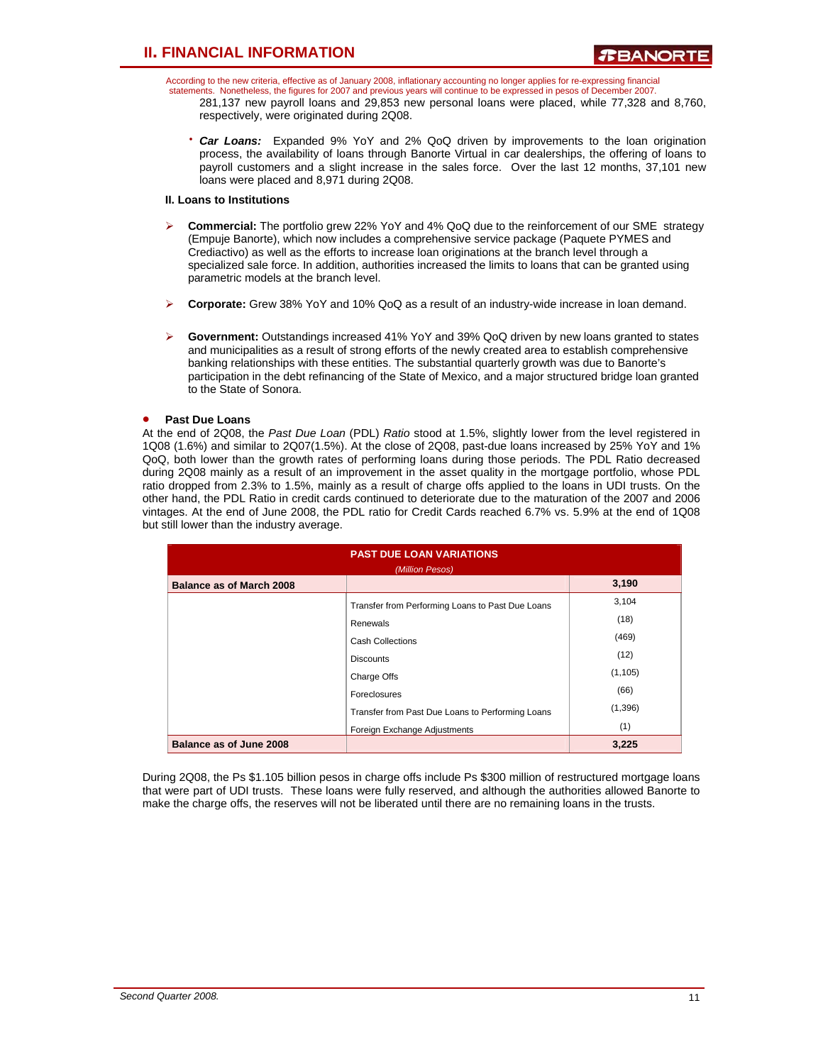According to the new criteria, effective as of January 2008, inflationary accounting no longer applies for re-expressing financial statements. Nonetheless, the figures for 2007 and previous years will continue to be expressed in pesos of December 2007. 281,137 new payroll loans and 29,853 new personal loans were placed, while 77,328 and 8,760, respectively, were originated during 2Q08.

⋅ *Car Loans:* Expanded 9% YoY and 2% QoQ driven by improvements to the loan origination process, the availability of loans through Banorte Virtual in car dealerships, the offering of loans to payroll customers and a slight increase in the sales force. Over the last 12 months, 37,101 new loans were placed and 8,971 during 2Q08.

### **II. Loans to Institutions**

- ¾ **Commercial:** The portfolio grew 22% YoY and 4% QoQ due to the reinforcement of our SME strategy (Empuje Banorte), which now includes a comprehensive service package (Paquete PYMES and Crediactivo) as well as the efforts to increase loan originations at the branch level through a specialized sale force. In addition, authorities increased the limits to loans that can be granted using parametric models at the branch level.
- ¾ **Corporate:** Grew 38% YoY and 10% QoQ as a result of an industry-wide increase in loan demand.
- ¾ **Government:** Outstandings increased 41% YoY and 39% QoQ driven by new loans granted to states and municipalities as a result of strong efforts of the newly created area to establish comprehensive banking relationships with these entities. The substantial quarterly growth was due to Banorte's participation in the debt refinancing of the State of Mexico, and a major structured bridge loan granted to the State of Sonora.

### • **Past Due Loans**

At the end of 2Q08, the *Past Due Loan* (PDL) *Ratio* stood at 1.5%, slightly lower from the level registered in 1Q08 (1.6%) and similar to 2Q07(1.5%). At the close of 2Q08, past-due loans increased by 25% YoY and 1% QoQ, both lower than the growth rates of performing loans during those periods. The PDL Ratio decreased during 2Q08 mainly as a result of an improvement in the asset quality in the mortgage portfolio, whose PDL ratio dropped from 2.3% to 1.5%, mainly as a result of charge offs applied to the loans in UDI trusts. On the other hand, the PDL Ratio in credit cards continued to deteriorate due to the maturation of the 2007 and 2006 vintages. At the end of June 2008, the PDL ratio for Credit Cards reached 6.7% vs. 5.9% at the end of 1Q08 but still lower than the industry average.

| <b>PAST DUE LOAN VARIATIONS</b><br>(Million Pesos) |                                                  |          |  |  |  |  |
|----------------------------------------------------|--------------------------------------------------|----------|--|--|--|--|
| <b>Balance as of March 2008</b>                    |                                                  | 3,190    |  |  |  |  |
|                                                    | Transfer from Performing Loans to Past Due Loans | 3,104    |  |  |  |  |
|                                                    | Renewals                                         | (18)     |  |  |  |  |
|                                                    | <b>Cash Collections</b>                          | (469)    |  |  |  |  |
|                                                    | <b>Discounts</b>                                 | (12)     |  |  |  |  |
|                                                    | Charge Offs                                      | (1, 105) |  |  |  |  |
|                                                    | Foreclosures                                     | (66)     |  |  |  |  |
|                                                    | Transfer from Past Due Loans to Performing Loans | (1,396)  |  |  |  |  |
|                                                    | Foreign Exchange Adjustments                     | (1)      |  |  |  |  |
| Balance as of June 2008                            |                                                  | 3,225    |  |  |  |  |

During 2Q08, the Ps \$1.105 billion pesos in charge offs include Ps \$300 million of restructured mortgage loans that were part of UDI trusts. These loans were fully reserved, and although the authorities allowed Banorte to make the charge offs, the reserves will not be liberated until there are no remaining loans in the trusts.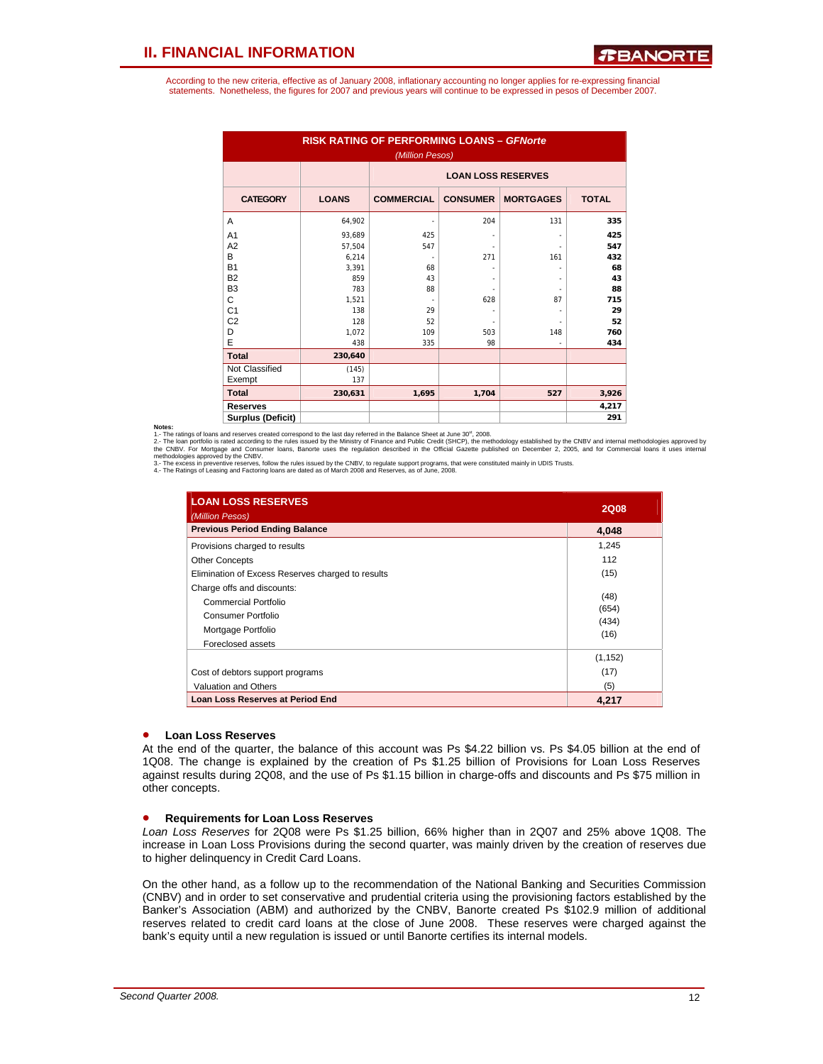According to the new criteria, effective as of January 2008, inflationary accounting no longer applies for re-expressing financial statements. Nonetheless, the figures for 2007 and previous years will continue to be expressed in pesos of December 2007.

| <b>RISK RATING OF PERFORMING LOANS - GFNorte</b><br>(Million Pesos) |              |                           |                 |                  |              |  |  |  |  |  |
|---------------------------------------------------------------------|--------------|---------------------------|-----------------|------------------|--------------|--|--|--|--|--|
|                                                                     |              | <b>LOAN LOSS RESERVES</b> |                 |                  |              |  |  |  |  |  |
| <b>CATEGORY</b>                                                     | <b>LOANS</b> | <b>COMMERCIAL</b>         | <b>CONSUMER</b> | <b>MORTGAGES</b> | <b>TOTAL</b> |  |  |  |  |  |
| A                                                                   | 64,902       | ٠                         | 204             | 131              | 335          |  |  |  |  |  |
| A <sub>1</sub>                                                      | 93.689       | 425                       |                 |                  | 425          |  |  |  |  |  |
| A2                                                                  | 57.504       | 547                       |                 |                  | 547          |  |  |  |  |  |
| B                                                                   | 6,214        | ٠                         | 271             | 161              | 432          |  |  |  |  |  |
| <b>B1</b>                                                           | 3.391        | 68                        |                 |                  | 68           |  |  |  |  |  |
| <b>B2</b>                                                           | 859          | 43                        |                 |                  | 43           |  |  |  |  |  |
| B <sub>3</sub>                                                      | 783          | 88                        |                 |                  | 88           |  |  |  |  |  |
| C                                                                   | 1,521        |                           | 628             | 87               | 715          |  |  |  |  |  |
| C <sub>1</sub>                                                      | 138          | 29                        |                 |                  | 29           |  |  |  |  |  |
| C <sub>2</sub>                                                      | 128          | 52                        |                 |                  | 52           |  |  |  |  |  |
| D                                                                   | 1.072        | 109                       | 503             | 148              | 760          |  |  |  |  |  |
| E                                                                   | 438          | 335                       | 98              |                  | 434          |  |  |  |  |  |
| <b>Total</b>                                                        | 230,640      |                           |                 |                  |              |  |  |  |  |  |
| Not Classified                                                      | (145)        |                           |                 |                  |              |  |  |  |  |  |
| Exempt                                                              | 137          |                           |                 |                  |              |  |  |  |  |  |
| <b>Total</b>                                                        | 230,631      | 1,695                     | 1,704           | 527              | 3,926        |  |  |  |  |  |
| <b>Reserves</b>                                                     |              |                           |                 |                  | 4,217        |  |  |  |  |  |
| <b>Surplus (Deficit)</b>                                            |              |                           |                 |                  | 291          |  |  |  |  |  |

#### **Notes:**

1.- The ratings of loans and reserves created correspond to the last day referred in the Balance Sheet at June 30<sup>st</sup>, 2008.<br>1.- The ratings of loans and reserves created correspond to the last day referred in the Balance

2. - The loan portfolio is rated according to the rules issued by the Ministry of Finance and Public Credit (SHCP), the methodology established by the CNBV and internal methodologies approved by<br>methodologies approved by t

| <b>LOAN LOSS RESERVES</b><br>(Million Pesos)                                                                        | <b>2Q08</b>                    |
|---------------------------------------------------------------------------------------------------------------------|--------------------------------|
| <b>Previous Period Ending Balance</b>                                                                               | 4,048                          |
| Provisions charged to results                                                                                       | 1,245                          |
| <b>Other Concepts</b>                                                                                               | 112                            |
| Elimination of Excess Reserves charged to results                                                                   | (15)                           |
| Charge offs and discounts:<br>Commercial Portfolio<br>Consumer Portfolio<br>Mortgage Portfolio<br>Foreclosed assets | (48)<br>(654)<br>(434)<br>(16) |
| Cost of debtors support programs<br>Valuation and Others                                                            | (1, 152)<br>(17)<br>(5)        |
| <b>Loan Loss Reserves at Period End</b>                                                                             | 4.217                          |

#### • **Loan Loss Reserves**

At the end of the quarter, the balance of this account was Ps \$4.22 billion vs. Ps \$4.05 billion at the end of 1Q08. The change is explained by the creation of Ps \$1.25 billion of Provisions for Loan Loss Reserves against results during 2Q08, and the use of Ps \$1.15 billion in charge-offs and discounts and Ps \$75 million in other concepts.

#### • **Requirements for Loan Loss Reserves**

*Loan Loss Reserves* for 2Q08 were Ps \$1.25 billion, 66% higher than in 2Q07 and 25% above 1Q08. The increase in Loan Loss Provisions during the second quarter, was mainly driven by the creation of reserves due to higher delinquency in Credit Card Loans.

On the other hand, as a follow up to the recommendation of the National Banking and Securities Commission (CNBV) and in order to set conservative and prudential criteria using the provisioning factors established by the Banker's Association (ABM) and authorized by the CNBV, Banorte created Ps \$102.9 million of additional reserves related to credit card loans at the close of June 2008. These reserves were charged against the bank's equity until a new regulation is issued or until Banorte certifies its internal models.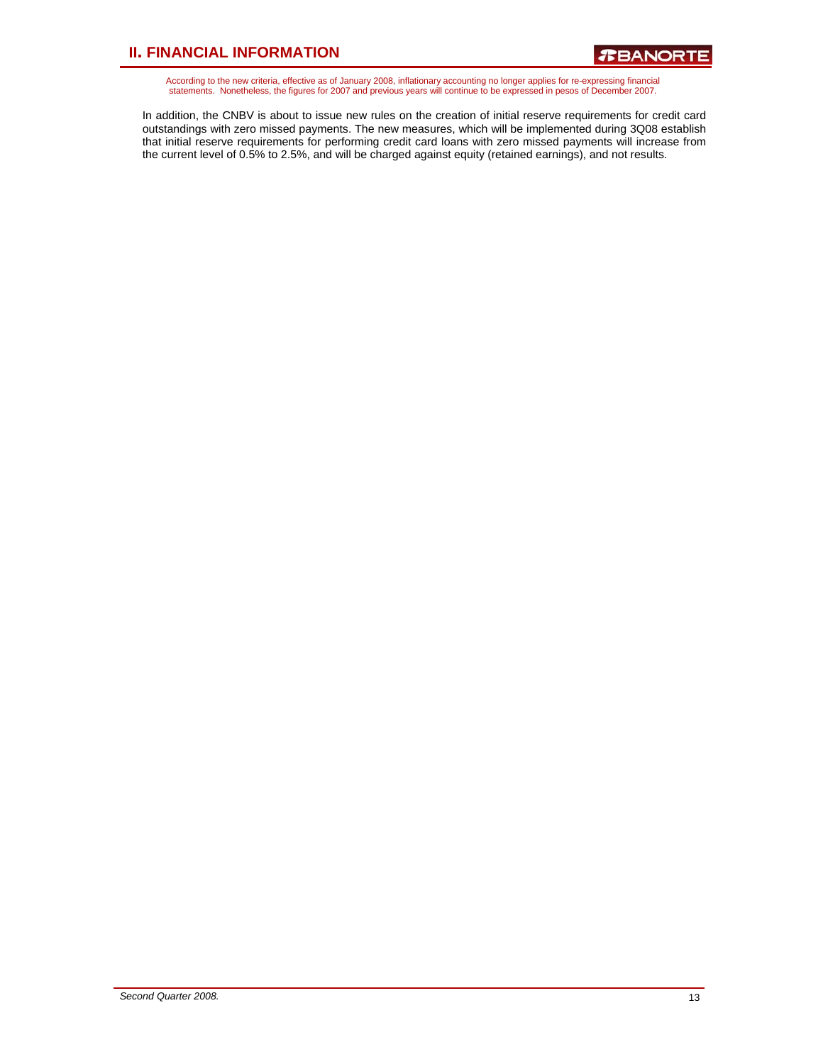According to the new criteria, effective as of January 2008, inflationary accounting no longer applies for re-expressing financial<br>statements. Nonetheless, the figures for 2007 and previous years will continue to be expres

In addition, the CNBV is about to issue new rules on the creation of initial reserve requirements for credit card outstandings with zero missed payments. The new measures, which will be implemented during 3Q08 establish that initial reserve requirements for performing credit card loans with zero missed payments will increase from the current level of 0.5% to 2.5%, and will be charged against equity (retained earnings), and not results.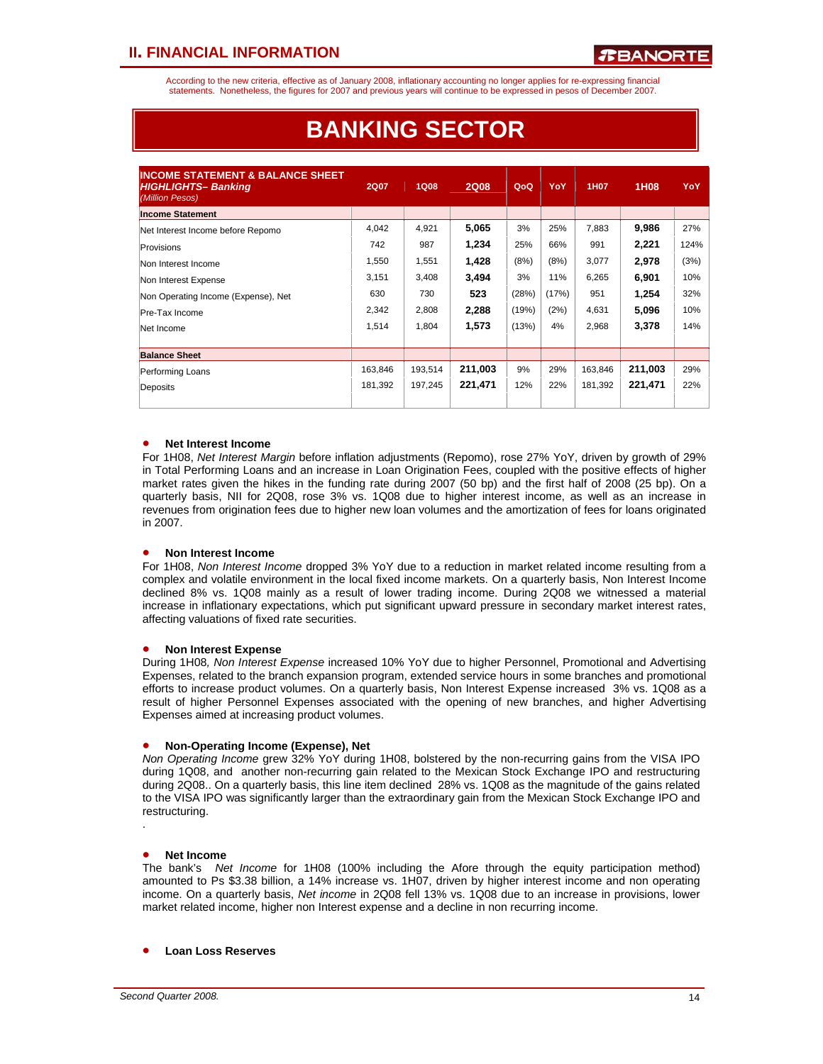According to the new criteria, effective as of January 2008, inflationary accounting no longer applies for re-expressing financial statements. Nonetheless, the figures for 2007 and previous years will continue to be expressed in pesos of December 2007.

| <b>INCOME STATEMENT &amp; BALANCE SHEET</b><br><b>HIGHLIGHTS-Banking</b><br>(Million Pesos) | <b>2Q07</b> | <b>1Q08</b> | <b>2Q08</b> | QoQ   | YoY   | 1H07    | 1H08    | YoY  |
|---------------------------------------------------------------------------------------------|-------------|-------------|-------------|-------|-------|---------|---------|------|
| <b>Income Statement</b>                                                                     |             |             |             |       |       |         |         |      |
| Net Interest Income before Repomo                                                           | 4,042       | 4,921       | 5,065       | 3%    | 25%   | 7,883   | 9,986   | 27%  |
| Provisions                                                                                  | 742         | 987         | 1.234       | 25%   | 66%   | 991     | 2,221   | 124% |
| Non Interest Income                                                                         | 1,550       | 1,551       | 1,428       | (8%)  | (8%)  | 3,077   | 2,978   | (3%) |
| Non Interest Expense                                                                        | 3,151       | 3,408       | 3,494       | 3%    | 11%   | 6,265   | 6,901   | 10%  |
| Non Operating Income (Expense), Net                                                         | 630         | 730         | 523         | (28%) | (17%) | 951     | 1,254   | 32%  |
| Pre-Tax Income                                                                              | 2,342       | 2,808       | 2,288       | (19%) | (2%)  | 4,631   | 5,096   | 10%  |
| Net Income                                                                                  | 1,514       | 1,804       | 1,573       | (13%) | 4%    | 2,968   | 3,378   | 14%  |
|                                                                                             |             |             |             |       |       |         |         |      |
| <b>Balance Sheet</b>                                                                        |             |             |             |       |       |         |         |      |
| Performing Loans                                                                            | 163,846     | 193,514     | 211,003     | 9%    | 29%   | 163,846 | 211,003 | 29%  |
| Deposits                                                                                    | 181.392     | 197,245     | 221,471     | 12%   | 22%   | 181.392 | 221,471 | 22%  |
|                                                                                             |             |             |             |       |       |         |         |      |

# **BANKING SECTOR**

### • **Net Interest Income**

For 1H08, *Net Interest Margin* before inflation adjustments (Repomo), rose 27% YoY, driven by growth of 29% in Total Performing Loans and an increase in Loan Origination Fees, coupled with the positive effects of higher market rates given the hikes in the funding rate during 2007 (50 bp) and the first half of 2008 (25 bp). On a quarterly basis, NII for 2Q08, rose 3% vs. 1Q08 due to higher interest income, as well as an increase in revenues from origination fees due to higher new loan volumes and the amortization of fees for loans originated in 2007.

### • **Non Interest Income**

For 1H08, *Non Interest Income* dropped 3% YoY due to a reduction in market related income resulting from a complex and volatile environment in the local fixed income markets. On a quarterly basis, Non Interest Income declined 8% vs. 1Q08 mainly as a result of lower trading income. During 2Q08 we witnessed a material increase in inflationary expectations, which put significant upward pressure in secondary market interest rates, affecting valuations of fixed rate securities.

#### • **Non Interest Expense**

During 1H08*, Non Interest Expense* increased 10% YoY due to higher Personnel, Promotional and Advertising Expenses, related to the branch expansion program, extended service hours in some branches and promotional efforts to increase product volumes. On a quarterly basis, Non Interest Expense increased 3% vs. 1Q08 as a result of higher Personnel Expenses associated with the opening of new branches, and higher Advertising Expenses aimed at increasing product volumes.

#### • **Non-Operating Income (Expense), Net**

*Non Operating Income* grew 32% YoY during 1H08, bolstered by the non-recurring gains from the VISA IPO during 1Q08, and another non-recurring gain related to the Mexican Stock Exchange IPO and restructuring during 2Q08.. On a quarterly basis, this line item declined 28% vs. 1Q08 as the magnitude of the gains related to the VISA IPO was significantly larger than the extraordinary gain from the Mexican Stock Exchange IPO and restructuring.

.

### • **Net Income**

The bank's *Net Income* for 1H08 (100% including the Afore through the equity participation method) amounted to Ps \$3.38 billion, a 14% increase vs. 1H07, driven by higher interest income and non operating income. On a quarterly basis, *Net income* in 2Q08 fell 13% vs. 1Q08 due to an increase in provisions, lower market related income, higher non Interest expense and a decline in non recurring income.

### • **Loan Loss Reserves**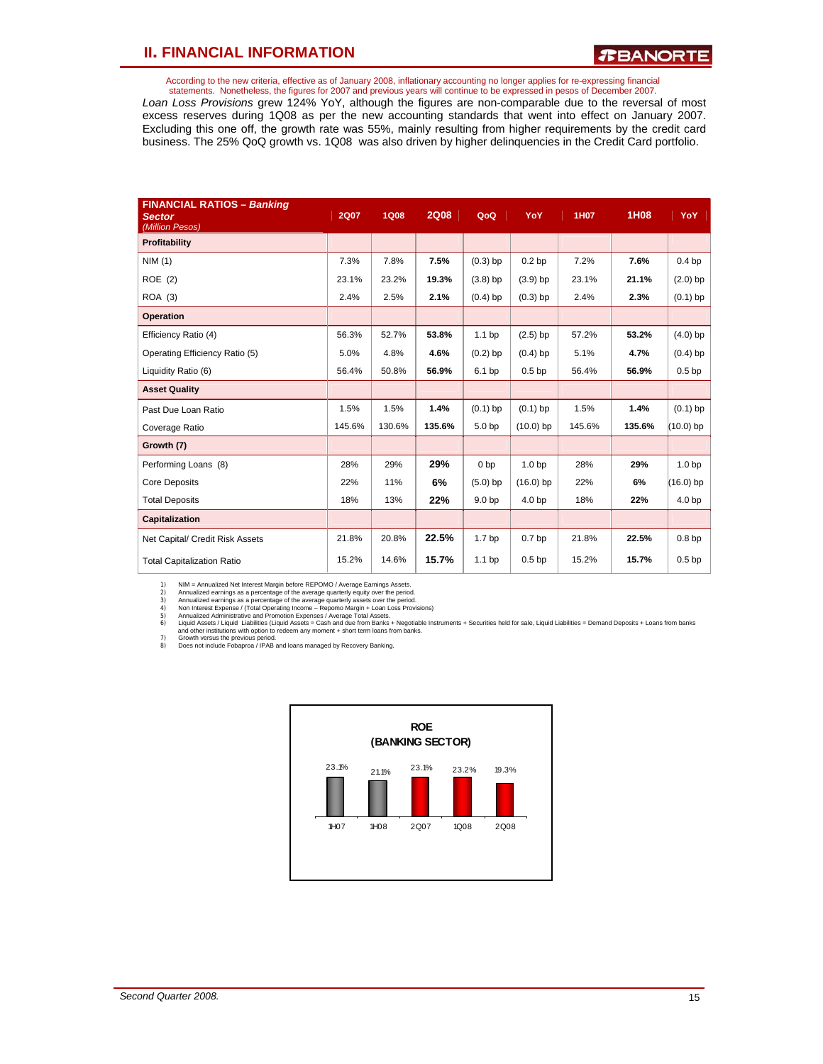According to the new criteria, effective as of January 2008, inflationary accounting no longer applies for re-expressing financial statements. Nonetheless, the figures for 2007 and previous years will continue to be expressed in pesos of December 2007.

*Loan Loss Provisions* grew 124% YoY, although the figures are non-comparable due to the reversal of most excess reserves during 1Q08 as per the new accounting standards that went into effect on January 2007. Excluding this one off, the growth rate was 55%, mainly resulting from higher requirements by the credit card business. The 25% QoQ growth vs. 1Q08 was also driven by higher delinquencies in the Credit Card portfolio.

| <b>FINANCIAL RATIOS - Banking</b><br><b>Sector</b><br>(Million Pesos) | <b>2Q07</b> | <b>1Q08</b> | <b>2Q08</b> | QoQ               | YoY               | 1H07   | 1H08   | YoY               |
|-----------------------------------------------------------------------|-------------|-------------|-------------|-------------------|-------------------|--------|--------|-------------------|
| Profitability                                                         |             |             |             |                   |                   |        |        |                   |
| NIM(1)                                                                | 7.3%        | 7.8%        | 7.5%        | $(0.3)$ bp        | 0.2 <sub>bp</sub> | 7.2%   | 7.6%   | 0.4 <sub>bp</sub> |
| <b>ROE</b> (2)                                                        | 23.1%       | 23.2%       | 19.3%       | $(3.8)$ bp        | $(3.9)$ bp        | 23.1%  | 21.1%  | $(2.0)$ bp        |
| ROA (3)                                                               | 2.4%        | 2.5%        | 2.1%        | $(0.4)$ bp        | $(0.3)$ bp        | 2.4%   | 2.3%   | $(0.1)$ bp        |
| <b>Operation</b>                                                      |             |             |             |                   |                   |        |        |                   |
| Efficiency Ratio (4)                                                  | 56.3%       | 52.7%       | 53.8%       | 1.1 <sub>bp</sub> | $(2.5)$ bp        | 57.2%  | 53.2%  | $(4.0)$ bp        |
| Operating Efficiency Ratio (5)                                        | 5.0%        | 4.8%        | 4.6%        | $(0.2)$ bp        | $(0.4)$ bp        | 5.1%   | 4.7%   | $(0.4)$ bp        |
| Liquidity Ratio (6)                                                   | 56.4%       | 50.8%       | 56.9%       | 6.1 bp            | 0.5 <sub>bp</sub> | 56.4%  | 56.9%  | 0.5 <sub>bp</sub> |
| <b>Asset Quality</b>                                                  |             |             |             |                   |                   |        |        |                   |
| Past Due Loan Ratio                                                   | 1.5%        | 1.5%        | 1.4%        | $(0.1)$ bp        | $(0.1)$ bp        | 1.5%   | 1.4%   | $(0.1)$ bp        |
| Coverage Ratio                                                        | 145.6%      | 130.6%      | 135.6%      | 5.0 <sub>bp</sub> | $(10.0)$ bp       | 145.6% | 135.6% | $(10.0)$ bp       |
| Growth (7)                                                            |             |             |             |                   |                   |        |        |                   |
| Performing Loans (8)                                                  | 28%         | 29%         | 29%         | 0 <sub>bp</sub>   | 1.0 <sub>bp</sub> | 28%    | 29%    | 1.0 <sub>bp</sub> |
| <b>Core Deposits</b>                                                  | 22%         | 11%         | 6%          | $(5.0)$ bp        | $(16.0)$ bp       | 22%    | 6%     | $(16.0)$ bp       |
| <b>Total Deposits</b>                                                 | 18%         | 13%         | 22%         | 9.0 <sub>bp</sub> | 4.0 <sub>bp</sub> | 18%    | 22%    | 4.0 <sub>bp</sub> |
| Capitalization                                                        |             |             |             |                   |                   |        |        |                   |
| Net Capital/ Credit Risk Assets                                       | 21.8%       | 20.8%       | 22.5%       | 1.7 <sub>bp</sub> | 0.7 <sub>bp</sub> | 21.8%  | 22.5%  | 0.8 <sub>bp</sub> |
| <b>Total Capitalization Ratio</b>                                     | 15.2%       | 14.6%       | 15.7%       | 1.1 <sub>bp</sub> | 0.5 <sub>bp</sub> | 15.2%  | 15.7%  | 0.5 <sub>bp</sub> |

1) NIM = Annualized aernings as a percentage of the average quarterly equity over the period.<br>2) Annualized earnings as a percentage of the average quarterly equity over the period.<br>3) Annualized earnings as a percentage o



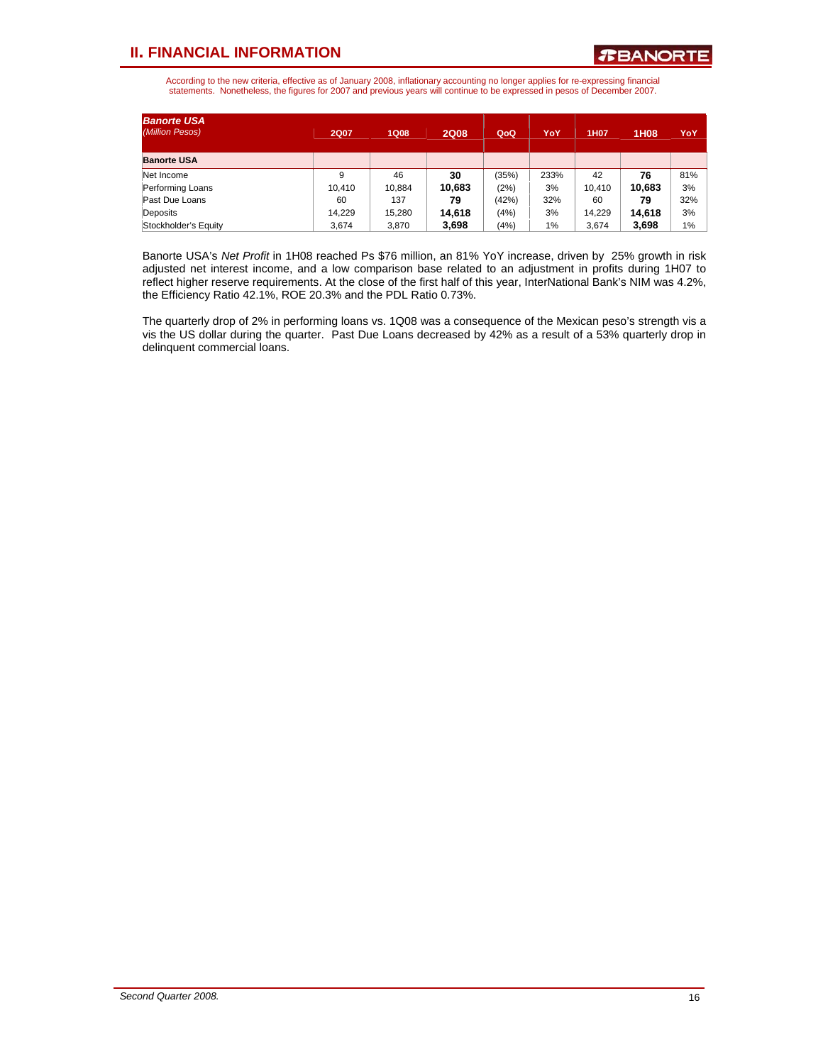According to the new criteria, effective as of January 2008, inflationary accounting no longer applies for re-expressing financial statements. Nonetheless, the figures for 2007 and previous years will continue to be expressed in pesos of December 2007.

| <b>Banorte USA</b><br>(Million Pesos) | <b>2Q07</b> | <b>1Q08</b> | <b>2Q08</b> | QoQ.  | YoY   | <b>1H07</b> | 1H08   | YoY |
|---------------------------------------|-------------|-------------|-------------|-------|-------|-------------|--------|-----|
| <b>Banorte USA</b>                    |             |             |             |       |       |             |        |     |
| Net Income                            | 9           | 46          | 30          | (35%) | 233%  | 42          | 76     | 81% |
| Performing Loans                      | 10.410      | 10.884      | 10,683      | (2%)  | 3%    | 10.410      | 10.683 | 3%  |
| Past Due Loans                        | 60          | 137         | 79          | (42%) | 32%   | 60          | 79     | 32% |
| Deposits                              | 14.229      | 15,280      | 14.618      | (4%)  | 3%    | 14.229      | 14.618 | 3%  |
| Stockholder's Equity                  | 3.674       | 3.870       | 3,698       | (4%)  | $1\%$ | 3.674       | 3,698  | 1%  |

Banorte USA's *Net Profit* in 1H08 reached Ps \$76 million, an 81% YoY increase, driven by 25% growth in risk adjusted net interest income, and a low comparison base related to an adjustment in profits during 1H07 to reflect higher reserve requirements. At the close of the first half of this year, InterNational Bank's NIM was 4.2%, the Efficiency Ratio 42.1%, ROE 20.3% and the PDL Ratio 0.73%.

The quarterly drop of 2% in performing loans vs. 1Q08 was a consequence of the Mexican peso's strength vis a vis the US dollar during the quarter. Past Due Loans decreased by 42% as a result of a 53% quarterly drop in delinquent commercial loans.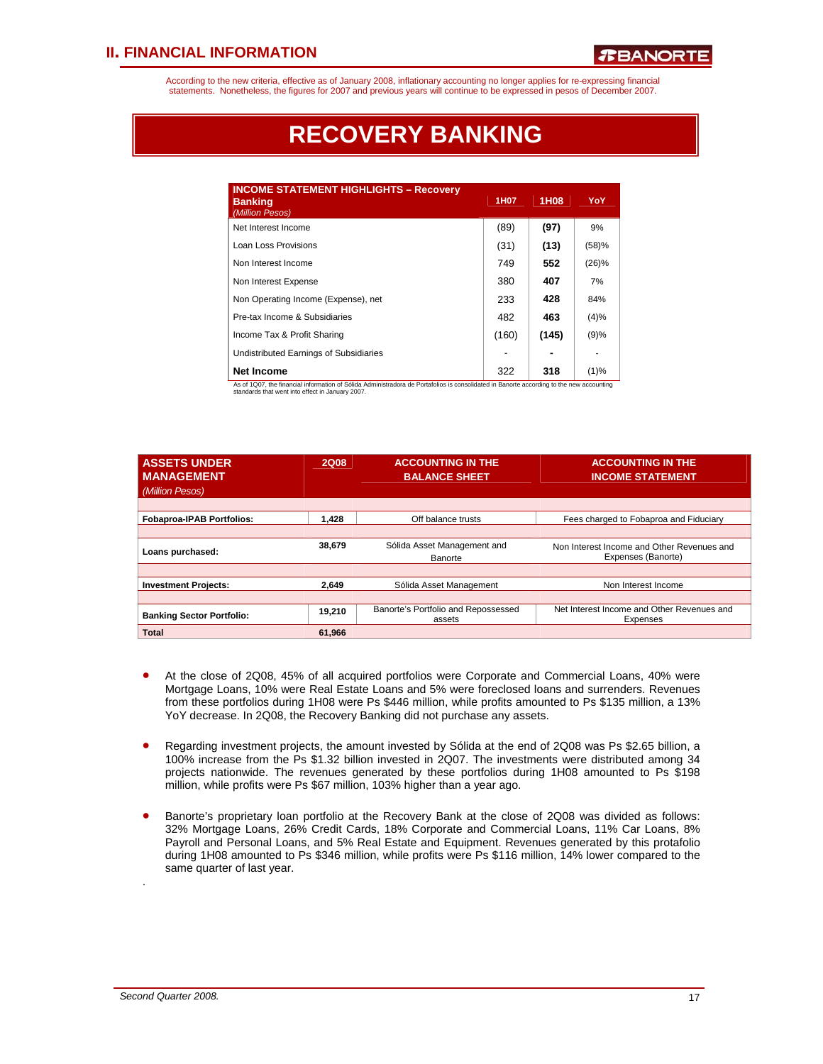According to the new criteria, effective as of January 2008, inflationary accounting no longer applies for re-expressing financial statements. Nonetheless, the figures for 2007 and previous years will continue to be expressed in pesos of December 2007.

# **RECOVERY BANKING**

| <b>INCOME STATEMENT HIGHLIGHTS - Recovery</b><br><b>Banking</b><br>(Million Pesos)                                                  | 1H07  | 1H08  | YoY   |
|-------------------------------------------------------------------------------------------------------------------------------------|-------|-------|-------|
| Net Interest Income                                                                                                                 | (89)  | (97)  | 9%    |
| Loan Loss Provisions                                                                                                                | (31)  | (13)  | (58)% |
| Non Interest Income                                                                                                                 | 749   | 552   | (26)% |
| Non Interest Expense                                                                                                                | 380   | 407   | 7%    |
| Non Operating Income (Expense), net                                                                                                 | 233   | 428   | 84%   |
| Pre-tax Income & Subsidiaries                                                                                                       | 482   | 463   | (4)%  |
| Income Tax & Profit Sharing                                                                                                         | (160) | (145) | (9)%  |
| Undistributed Earnings of Subsidiaries                                                                                              |       |       |       |
| <b>Net Income</b><br>a ranger en title en romane altres la provincia de la contra de la contra de la contra de la contra de la cont | 322   | 318   | (1)%  |

As of 1Q07, the financial information of Sólida Administradora de Portafolios is consolidated in Banorte according to the new accounting standards that went into effect in January 2007.

| <b>ASSETS UNDER</b><br><b>MANAGEMENT</b><br>(Million Pesos) | <b>2Q08</b> | <b>ACCOUNTING IN THE</b><br><b>BALANCE SHEET</b> | <b>ACCOUNTING IN THE</b><br><b>INCOME STATEMENT</b>              |
|-------------------------------------------------------------|-------------|--------------------------------------------------|------------------------------------------------------------------|
| <b>Fobaproa-IPAB Portfolios:</b>                            | 1.428       | Off balance trusts                               | Fees charged to Fobaproa and Fiduciary                           |
|                                                             |             |                                                  |                                                                  |
| Loans purchased:                                            | 38.679      | Sólida Asset Management and<br>Banorte           | Non Interest Income and Other Revenues and<br>Expenses (Banorte) |
|                                                             |             |                                                  |                                                                  |
| <b>Investment Projects:</b>                                 | 2.649       | Sólida Asset Management                          | Non Interest Income                                              |
|                                                             |             |                                                  |                                                                  |
| <b>Banking Sector Portfolio:</b>                            | 19,210      | Banorte's Portfolio and Repossessed<br>assets    | Net Interest Income and Other Revenues and<br>Expenses           |
| <b>Total</b>                                                | 61,966      |                                                  |                                                                  |

- At the close of 2Q08, 45% of all acquired portfolios were Corporate and Commercial Loans, 40% were Mortgage Loans, 10% were Real Estate Loans and 5% were foreclosed loans and surrenders. Revenues from these portfolios during 1H08 were Ps \$446 million, while profits amounted to Ps \$135 million, a 13% YoY decrease. In 2Q08, the Recovery Banking did not purchase any assets.
- Regarding investment projects, the amount invested by Sólida at the end of 2Q08 was Ps \$2.65 billion, a 100% increase from the Ps \$1.32 billion invested in 2Q07. The investments were distributed among 34 projects nationwide. The revenues generated by these portfolios during 1H08 amounted to Ps \$198 million, while profits were Ps \$67 million, 103% higher than a year ago.
- Banorte's proprietary loan portfolio at the Recovery Bank at the close of 2Q08 was divided as follows: 32% Mortgage Loans, 26% Credit Cards, 18% Corporate and Commercial Loans, 11% Car Loans, 8% Payroll and Personal Loans, and 5% Real Estate and Equipment. Revenues generated by this protafolio during 1H08 amounted to Ps \$346 million, while profits were Ps \$116 million, 14% lower compared to the same quarter of last year.

.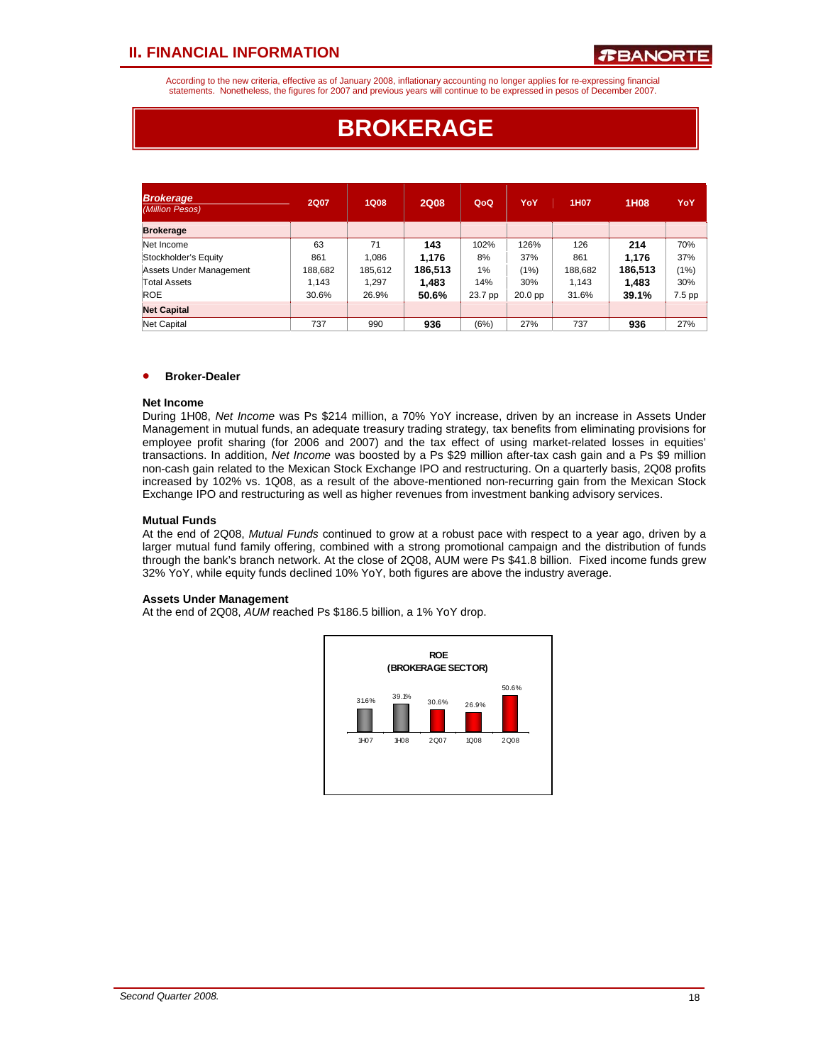According to the new criteria, effective as of January 2008, inflationary accounting no longer applies for re-expressing financial statements. Nonetheless, the figures for 2007 and previous years will continue to be expressed in pesos of December 2007.

# **BROKERAGE**

| <b>Brokerage</b><br>(Million Pesos) | 2Q07    | 1Q08    | <b>2Q08</b> | QoQ     | YoY       | 1H <sub>0</sub> 7 | 1H08    | YoY    |
|-------------------------------------|---------|---------|-------------|---------|-----------|-------------------|---------|--------|
| <b>Brokerage</b>                    |         |         |             |         |           |                   |         |        |
| Net Income                          | 63      | 71      | 143         | 102%    | 126%      | 126               | 214     | 70%    |
| Stockholder's Equity                | 861     | 1,086   | 1,176       | 8%      | 37%       | 861               | 1,176   | 37%    |
| Assets Under Management             | 188,682 | 185,612 | 186,513     | 1%      | (1%)      | 188,682           | 186,513 | (1%)   |
| Total Assets                        | 1.143   | 1.297   | 1.483       | 14%     | 30%       | 1.143             | 1.483   | 30%    |
| <b>ROE</b>                          | 30.6%   | 26.9%   | 50.6%       | 23.7 pp | $20.0$ pp | 31.6%             | 39.1%   | 7.5 pp |
| <b>Net Capital</b>                  |         |         |             |         |           |                   |         |        |
| Net Capital                         | 737     | 990     | 936         | (6%)    | 27%       | 737               | 936     | 27%    |

### • **Broker-Dealer**

#### **Net Income**

During 1H08, *Net Income* was Ps \$214 million, a 70% YoY increase, driven by an increase in Assets Under Management in mutual funds, an adequate treasury trading strategy, tax benefits from eliminating provisions for employee profit sharing (for 2006 and 2007) and the tax effect of using market-related losses in equities' transactions. In addition, *Net Income* was boosted by a Ps \$29 million after-tax cash gain and a Ps \$9 million non-cash gain related to the Mexican Stock Exchange IPO and restructuring. On a quarterly basis, 2Q08 profits increased by 102% vs. 1Q08, as a result of the above-mentioned non-recurring gain from the Mexican Stock Exchange IPO and restructuring as well as higher revenues from investment banking advisory services.

#### **Mutual Funds**

At the end of 2Q08, *Mutual Funds* continued to grow at a robust pace with respect to a year ago, driven by a larger mutual fund family offering, combined with a strong promotional campaign and the distribution of funds through the bank's branch network. At the close of 2Q08, AUM were Ps \$41.8 billion. Fixed income funds grew 32% YoY, while equity funds declined 10% YoY, both figures are above the industry average.

#### **Assets Under Management**

At the end of 2Q08, *AUM* reached Ps \$186.5 billion, a 1% YoY drop.

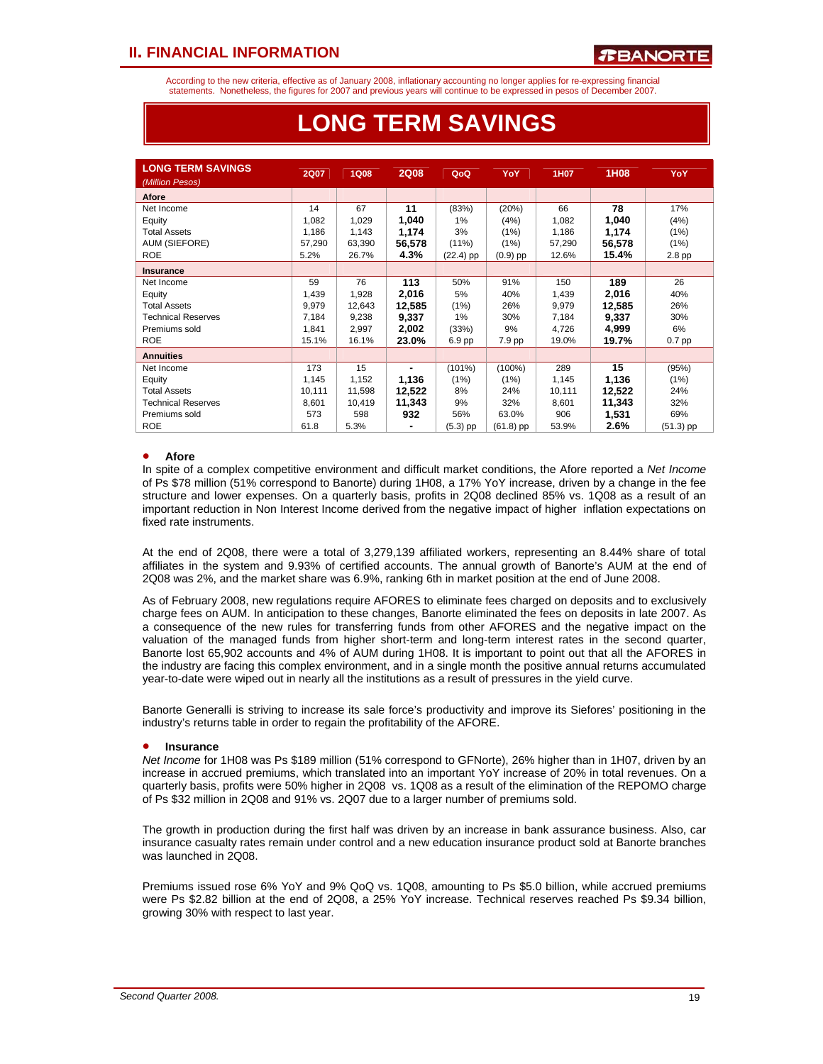According to the new criteria, effective as of January 2008, inflationary accounting no longer applies for re-expressing financial statements. Nonetheless, the figures for 2007 and previous years will continue to be expressed in pesos of December 2007.

| <b>LONG TERM SAVINGS</b><br>(Million Pesos) | <b>2Q07</b> | <b>1Q08</b> | <b>2Q08</b> | QoQ         | YoY        | 1H07   | 1H08   | YoY       |
|---------------------------------------------|-------------|-------------|-------------|-------------|------------|--------|--------|-----------|
| Afore                                       |             |             |             |             |            |        |        |           |
| Net Income                                  | 14          | 67          | 11          | (83%)       | (20%)      | 66     | 78     | 17%       |
| Equity                                      | 1,082       | 1,029       | 1,040       | 1%          | (4%)       | 1,082  | 1,040  | (4%)      |
| <b>Total Assets</b>                         | 1,186       | 1,143       | 1,174       | 3%          | (1%)       | 1,186  | 1,174  | (1%)      |
| AUM (SIEFORE)                               | 57,290      | 63,390      | 56,578      | (11%)       | (1%)       | 57,290 | 56,578 | (1%)      |
| <b>ROE</b>                                  | 5.2%        | 26.7%       | 4.3%        | $(22.4)$ pp | $(0.9)$ pp | 12.6%  | 15.4%  | $2.8$ pp  |
| <b>Insurance</b>                            |             |             |             |             |            |        |        |           |
| Net Income                                  | 59          | 76          | 113         | 50%         | 91%        | 150    | 189    | 26        |
| Equity                                      | 1,439       | 1,928       | 2,016       | 5%          | 40%        | 1,439  | 2,016  | 40%       |
| <b>Total Assets</b>                         | 9,979       | 12,643      | 12,585      | (1%)        | 26%        | 9,979  | 12,585 | 26%       |
| <b>Technical Reserves</b>                   | 7,184       | 9,238       | 9,337       | 1%          | 30%        | 7,184  | 9,337  | 30%       |
| Premiums sold                               | 1,841       | 2,997       | 2,002       | (33%)       | 9%         | 4,726  | 4,999  | 6%        |
| <b>ROE</b>                                  | 15.1%       | 16.1%       | 23.0%       | 6.9 pp      | 7.9 pp     | 19.0%  | 19.7%  | $0.7$ pp  |
| <b>Annuities</b>                            |             |             |             |             |            |        |        |           |
| Net Income                                  | 173         | 15          |             | $(101\%)$   | (100%)     | 289    | 15     | (95%)     |
| Equity                                      | 1,145       | 1,152       | 1,136       | (1%)        | (1%)       | 1,145  | 1,136  | (1%)      |
| <b>Total Assets</b>                         | 10,111      | 11,598      | 12,522      | 8%          | 24%        | 10,111 | 12,522 | 24%       |
| <b>Technical Reserves</b>                   | 8,601       | 10,419      | 11,343      | 9%          | 32%        | 8,601  | 11,343 | 32%       |
| Premiums sold                               | 573         | 598         | 932         | 56%         | 63.0%      | 906    | 1,531  | 69%       |
| <b>ROE</b>                                  | 61.8        | 5.3%        | ۰           | $(5.3)$ pp  | (61.8) pp  | 53.9%  | 2.6%   | (51.3) pp |

### **LONG TERM SAVINGS**

#### • **Afore**

• ֦֘

In spite of a complex competitive environment and difficult market conditions, the Afore reported a *Net Income* of Ps \$78 million (51% correspond to Banorte) during 1H08, a 17% YoY increase, driven by a change in the fee structure and lower expenses. On a quarterly basis, profits in 2Q08 declined 85% vs. 1Q08 as a result of an important reduction in Non Interest Income derived from the negative impact of higher inflation expectations on fixed rate instruments.

At the end of 2Q08, there were a total of 3,279,139 affiliated workers, representing an 8.44% share of total affiliates in the system and 9.93% of certified accounts. The annual growth of Banorte's AUM at the end of 2Q08 was 2%, and the market share was 6.9%, ranking 6th in market position at the end of June 2008.

As of February 2008, new regulations require AFORES to eliminate fees charged on deposits and to exclusively charge fees on AUM. In anticipation to these changes, Banorte eliminated the fees on deposits in late 2007. As a consequence of the new rules for transferring funds from other AFORES and the negative impact on the valuation of the managed funds from higher short-term and long-term interest rates in the second quarter, Banorte lost 65,902 accounts and 4% of AUM during 1H08. It is important to point out that all the AFORES in the industry are facing this complex environment, and in a single month the positive annual returns accumulated year-to-date were wiped out in nearly all the institutions as a result of pressures in the yield curve.

Banorte Generalli is striving to increase its sale force's productivity and improve its Siefores' positioning in the industry's returns table in order to regain the profitability of the AFORE.

#### • **Insurance**

*Net Income* for 1H08 was Ps \$189 million (51% correspond to GFNorte), 26% higher than in 1H07, driven by an increase in accrued premiums, which translated into an important YoY increase of 20% in total revenues. On a quarterly basis, profits were 50% higher in 2Q08 vs. 1Q08 as a result of the elimination of the REPOMO charge of Ps \$32 million in 2Q08 and 91% vs. 2Q07 due to a larger number of premiums sold.

The growth in production during the first half was driven by an increase in bank assurance business. Also, car insurance casualty rates remain under control and a new education insurance product sold at Banorte branches was launched in 2Q08.

Premiums issued rose 6% YoY and 9% QoQ vs. 1Q08, amounting to Ps \$5.0 billion, while accrued premiums were Ps \$2.82 billion at the end of 2Q08, a 25% YoY increase. Technical reserves reached Ps \$9.34 billion, growing 30% with respect to last year.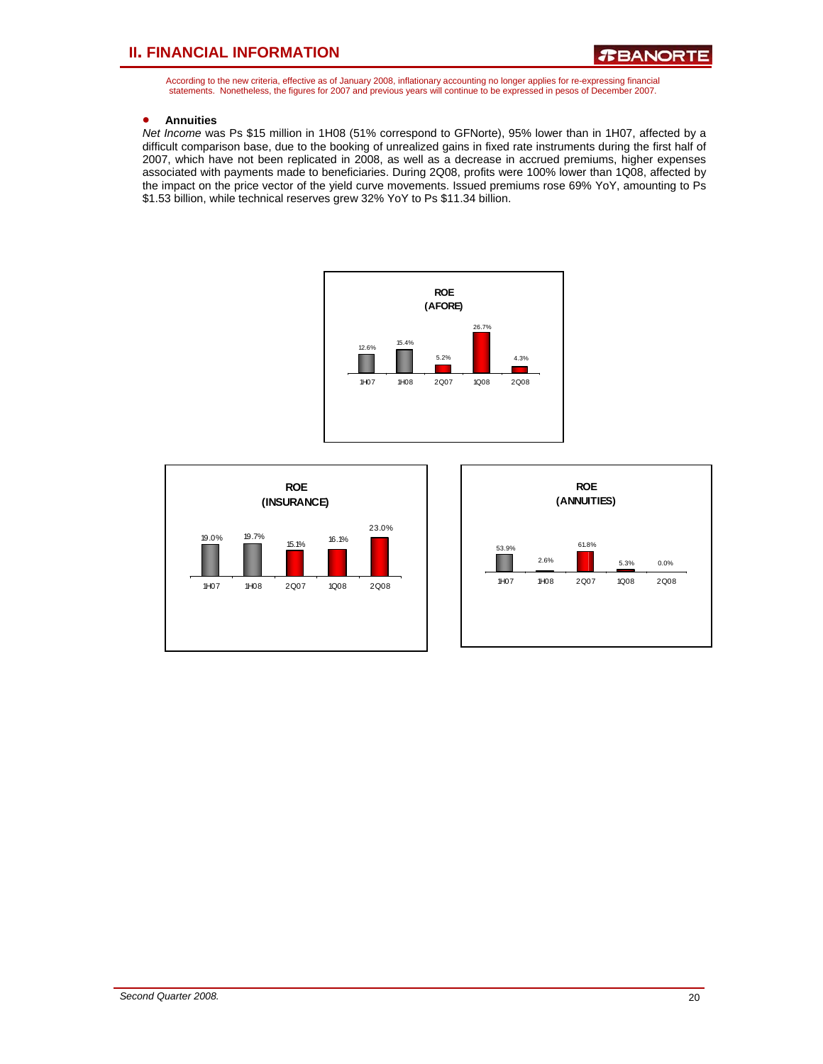According to the new criteria, effective as of January 2008, inflationary accounting no longer applies for re-expressing financial statements. Nonetheless, the figures for 2007 and previous years will continue to be expressed in pesos of December 2007.

#### • **Annuities**

*Net Income* was Ps \$15 million in 1H08 (51% correspond to GFNorte), 95% lower than in 1H07, affected by a difficult comparison base, due to the booking of unrealized gains in fixed rate instruments during the first half of 2007, which have not been replicated in 2008, as well as a decrease in accrued premiums, higher expenses associated with payments made to beneficiaries. During 2Q08, profits were 100% lower than 1Q08, affected by the impact on the price vector of the yield curve movements. Issued premiums rose 69% YoY, amounting to Ps \$1.53 billion, while technical reserves grew 32% YoY to Ps \$11.34 billion.





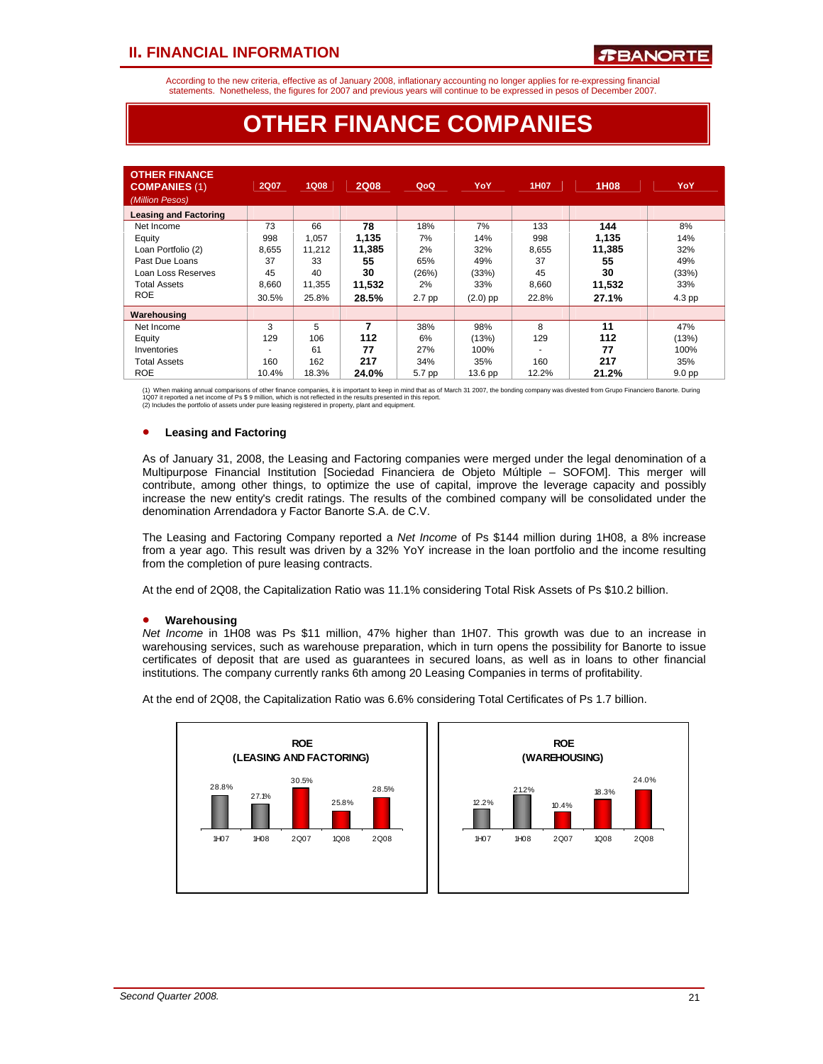According to the new criteria, effective as of January 2008, inflationary accounting no longer applies for re-expressing financial statements. Nonetheless, the figures for 2007 and previous years will continue to be expressed in pesos of December 2007.

### **OTHER FINANCE COMPANIES**

| <b>OTHER FINANCE</b><br><b>COMPANIES (1)</b><br>(Million Pesos) | <b>2Q07</b> | <b>1Q08</b> | <b>2Q08</b> | QoQ    | YoY                | 1H07  | 1H08   | YoY               |
|-----------------------------------------------------------------|-------------|-------------|-------------|--------|--------------------|-------|--------|-------------------|
| <b>Leasing and Factoring</b>                                    |             |             |             |        |                    |       |        |                   |
| Net Income                                                      | 73          | 66          | 78          | 18%    | 7%                 | 133   | 144    | 8%                |
| Equity                                                          | 998         | 1.057       | 1.135       | 7%     | 14%                | 998   | 1,135  | 14%               |
| Loan Portfolio (2)                                              | 8,655       | 11.212      | 11,385      | 2%     | 32%                | 8,655 | 11,385 | 32%               |
| Past Due Loans                                                  | 37          | 33          | 55          | 65%    | 49%                | 37    | 55     | 49%               |
| Loan Loss Reserves                                              | 45          | 40          | 30          | (26%)  | (33%)              | 45    | 30     | (33%)             |
| <b>Total Assets</b>                                             | 8,660       | 11,355      | 11,532      | 2%     | 33%                | 8,660 | 11,532 | 33%               |
| <b>ROE</b>                                                      | 30.5%       | 25.8%       | 28.5%       | 2.7 pp | $(2.0)$ pp         | 22.8% | 27.1%  | 4.3 pp            |
| Warehousing                                                     |             |             |             |        |                    |       |        |                   |
| Net Income                                                      | 3           | 5           | 7           | 38%    | 98%                | 8     | 11     | 47%               |
| Equity                                                          | 129         | 106         | 112         | 6%     | (13%)              | 129   | 112    | (13%)             |
| Inventories                                                     |             | 61          | 77          | 27%    | 100%               |       | 77     | 100%              |
| <b>Total Assets</b>                                             | 160         | 162         | 217         | 34%    | 35%                | 160   | 217    | 35%               |
| <b>ROE</b>                                                      | 10.4%       | 18.3%       | 24.0%       | 5.7 pp | 13.6 <sub>pp</sub> | 12.2% | 21.2%  | 9.0 <sub>pp</sub> |

(1) When making annual comparisons of other finance companies, it is important to keep in mind that as of March 31 2007, the bonding company was divested from Grupo Financiero Banorte. During<br>1Q07 it reported a net income

### • **Leasing and Factoring**

As of January 31, 2008, the Leasing and Factoring companies were merged under the legal denomination of a Multipurpose Financial Institution [Sociedad Financiera de Objeto Múltiple – SOFOM]. This merger will contribute, among other things, to optimize the use of capital, improve the leverage capacity and possibly increase the new entity's credit ratings. The results of the combined company will be consolidated under the denomination Arrendadora y Factor Banorte S.A. de C.V.

The Leasing and Factoring Company reported a *Net Income* of Ps \$144 million during 1H08, a 8% increase from a year ago. This result was driven by a 32% YoY increase in the loan portfolio and the income resulting from the completion of pure leasing contracts.

At the end of 2Q08, the Capitalization Ratio was 11.1% considering Total Risk Assets of Ps \$10.2 billion.

#### • **Warehousing**

*Net Income* in 1H08 was Ps \$11 million, 47% higher than 1H07. This growth was due to an increase in warehousing services, such as warehouse preparation, which in turn opens the possibility for Banorte to issue certificates of deposit that are used as guarantees in secured loans, as well as in loans to other financial institutions. The company currently ranks 6th among 20 Leasing Companies in terms of profitability.

At the end of 2Q08, the Capitalization Ratio was 6.6% considering Total Certificates of Ps 1.7 billion.

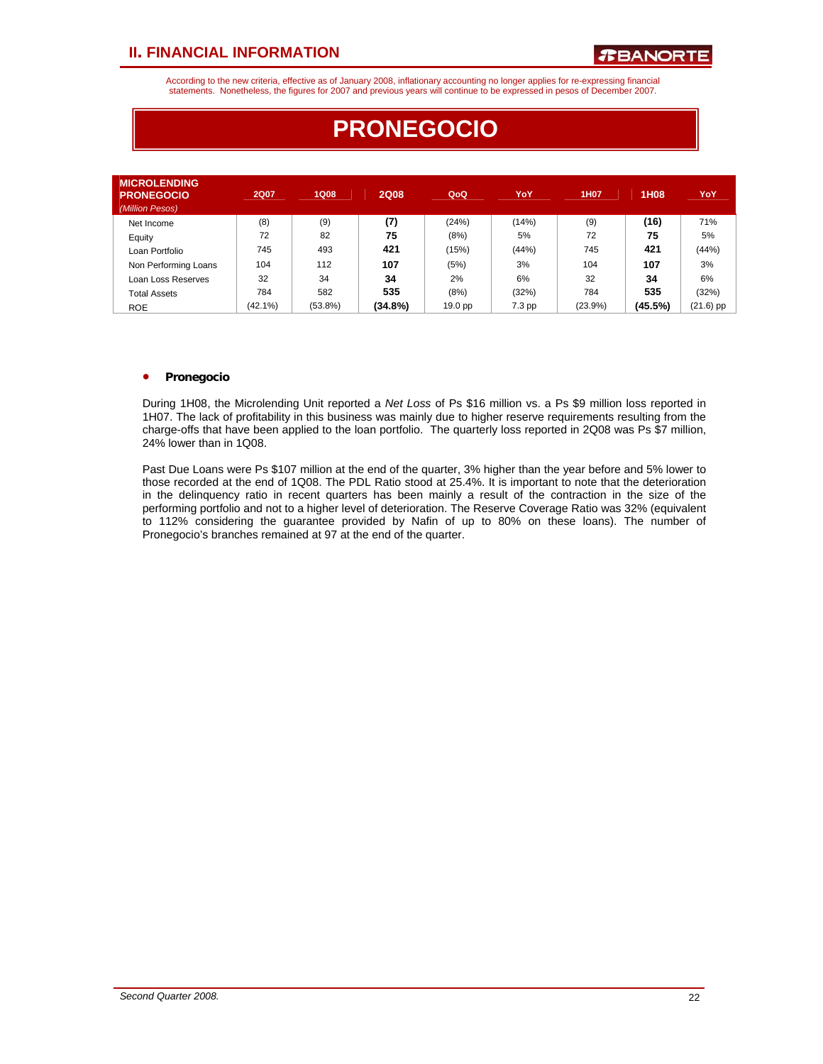According to the new criteria, effective as of January 2008, inflationary accounting no longer applies for re-expressing financial statements. Nonetheless, the figures for 2007 and previous years will continue to be expressed in pesos of December 2007.

| <b>MICROLENDING</b><br><b>PRONEGOCIO</b><br>(Million Pesos) | <b>2Q07</b> | <b>1Q08</b> | <b>2Q08</b> | QoQ     | YoY      | 1H07    | 1H08    | YoY         |
|-------------------------------------------------------------|-------------|-------------|-------------|---------|----------|---------|---------|-------------|
| Net Income                                                  | (8)         | (9)         | (7)         | (24%)   | (14%)    | (9)     | (16)    | 71%         |
| Equity                                                      | 72          | 82          | 75          | (8%)    | 5%       | 72      | 75      | 5%          |
| Loan Portfolio                                              | 745         | 493         | 421         | (15%)   | (44%)    | 745     | 421     | (44% )      |
| Non Performing Loans                                        | 104         | 112         | 107         | (5%)    | 3%       | 104     | 107     | 3%          |
| Loan Loss Reserves                                          | 32          | 34          | 34          | 2%      | 6%       | 32      | 34      | 6%          |
| <b>Total Assets</b>                                         | 784         | 582         | 535         | (8%)    | (32%)    | 784     | 535     | (32%)       |
| <b>ROE</b>                                                  | $(42.1\%)$  | $(53.8\%)$  | $(34.8\%)$  | 19.0 pp | $7.3$ pp | (23.9%) | (45.5%) | $(21.6)$ pp |

# **PRONEGOCIO**

### • **Pronegocio**

During 1H08, the Microlending Unit reported a *Net Loss* of Ps \$16 million vs. a Ps \$9 million loss reported in 1H07. The lack of profitability in this business was mainly due to higher reserve requirements resulting from the charge-offs that have been applied to the loan portfolio. The quarterly loss reported in 2Q08 was Ps \$7 million, 24% lower than in 1Q08.

Past Due Loans were Ps \$107 million at the end of the quarter, 3% higher than the year before and 5% lower to those recorded at the end of 1Q08. The PDL Ratio stood at 25.4%. It is important to note that the deterioration in the delinquency ratio in recent quarters has been mainly a result of the contraction in the size of the performing portfolio and not to a higher level of deterioration. The Reserve Coverage Ratio was 32% (equivalent to 112% considering the guarantee provided by Nafin of up to 80% on these loans). The number of Pronegocio's branches remained at 97 at the end of the quarter.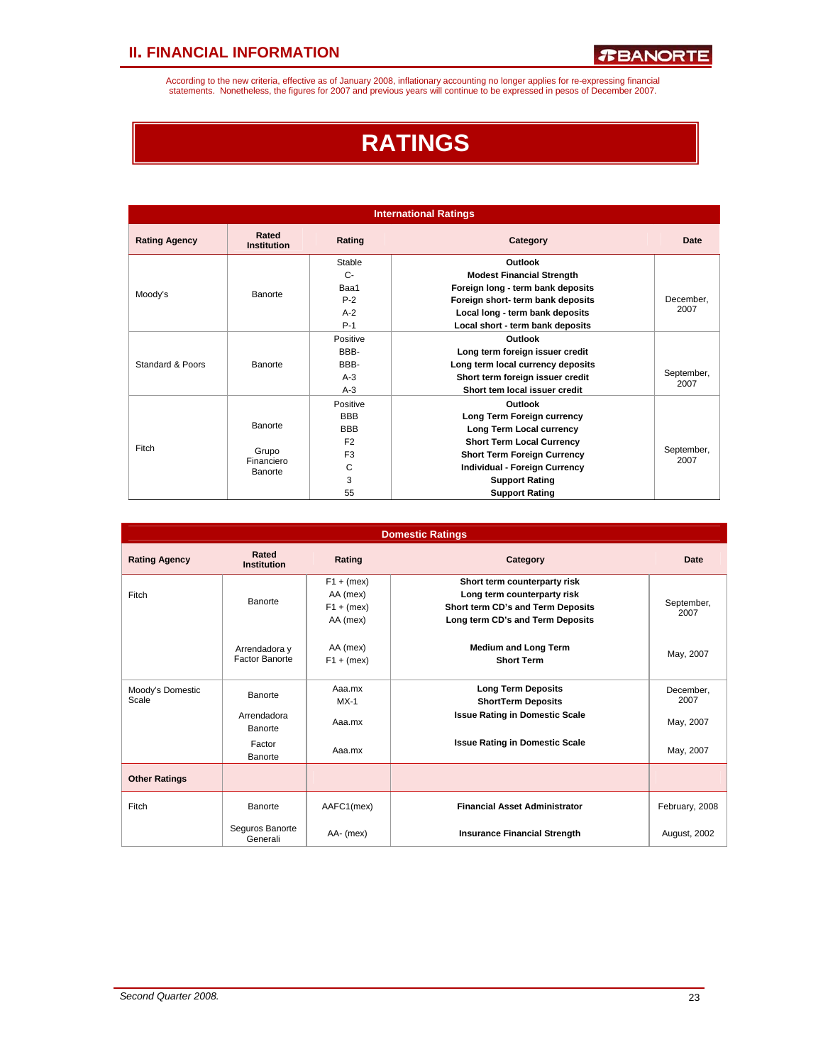According to the new criteria, effective as of January 2008, inflationary accounting no longer applies for re-expressing financial<br>statements. Nonetheless, the figures for 2007 and previous years will continue to be expres

# **RATINGS**

| <b>International Ratings</b> |                             |                |                                      |                    |  |  |  |  |  |
|------------------------------|-----------------------------|----------------|--------------------------------------|--------------------|--|--|--|--|--|
| <b>Rating Agency</b>         | Rated<br><b>Institution</b> | Rating         | Category                             | Date               |  |  |  |  |  |
|                              |                             | Stable         | Outlook                              |                    |  |  |  |  |  |
|                              |                             | $C -$          | <b>Modest Financial Strength</b>     |                    |  |  |  |  |  |
|                              | Banorte                     | Baa1           | Foreign long - term bank deposits    |                    |  |  |  |  |  |
| Moody's                      |                             | $P-2$          | Foreign short- term bank deposits    | December.          |  |  |  |  |  |
|                              |                             | $A-2$          | Local long - term bank deposits      | 2007               |  |  |  |  |  |
|                              |                             | $P-1$          | Local short - term bank deposits     |                    |  |  |  |  |  |
|                              |                             | Positive       | Outlook                              |                    |  |  |  |  |  |
|                              |                             | RRR-           | Long term foreign issuer credit      |                    |  |  |  |  |  |
| Standard & Poors             | Banorte                     | BBB-           | Long term local currency deposits    |                    |  |  |  |  |  |
|                              |                             | $A-3$          | Short term foreign issuer credit     | September,         |  |  |  |  |  |
|                              |                             | $A-3$          | Short tem local issuer credit        | 2007               |  |  |  |  |  |
|                              |                             | Positive       | Outlook                              |                    |  |  |  |  |  |
|                              |                             | <b>BBB</b>     | Long Term Foreign currency           |                    |  |  |  |  |  |
|                              | Banorte                     | <b>BBB</b>     | Long Term Local currency             |                    |  |  |  |  |  |
|                              |                             | F <sub>2</sub> | <b>Short Term Local Currency</b>     |                    |  |  |  |  |  |
| Fitch                        | Grupo                       | F <sub>3</sub> | <b>Short Term Foreign Currency</b>   | September,<br>2007 |  |  |  |  |  |
|                              | Financiero<br>Banorte       | C              | <b>Individual - Foreign Currency</b> |                    |  |  |  |  |  |
|                              |                             | 3              | <b>Support Rating</b>                |                    |  |  |  |  |  |
|                              |                             | 55             | <b>Support Rating</b>                |                    |  |  |  |  |  |

|                           |                                 |                                                      | <b>Domestic Ratings</b>                                                                                                              |                    |
|---------------------------|---------------------------------|------------------------------------------------------|--------------------------------------------------------------------------------------------------------------------------------------|--------------------|
| <b>Rating Agency</b>      | Rated<br><b>Institution</b>     | Rating                                               | Category                                                                                                                             | Date               |
| Fitch                     | Banorte                         | $F1 + (mex)$<br>AA (mex)<br>$F1 + (mex)$<br>AA (mex) | Short term counterparty risk<br>Long term counterparty risk<br>Short term CD's and Term Deposits<br>Long term CD's and Term Deposits | September,<br>2007 |
|                           | Arrendadora y<br>Factor Banorte | AA (mex)<br>$F1 + (mex)$                             | <b>Medium and Long Term</b><br><b>Short Term</b>                                                                                     | May, 2007          |
| Moody's Domestic<br>Scale | Banorte                         | Aaa.mx<br>$MX-1$                                     | <b>Long Term Deposits</b><br><b>ShortTerm Deposits</b>                                                                               | December.<br>2007  |
|                           | Arrendadora<br>Banorte          | Aaa.mx                                               | <b>Issue Rating in Domestic Scale</b>                                                                                                | May, 2007          |
|                           | Factor<br>Banorte               | Aaa.mx                                               | <b>Issue Rating in Domestic Scale</b>                                                                                                | May, 2007          |
| <b>Other Ratings</b>      |                                 |                                                      |                                                                                                                                      |                    |
| Fitch                     | Banorte                         | AAFC1(mex)                                           | <b>Financial Asset Administrator</b>                                                                                                 | February, 2008     |
|                           | Seguros Banorte<br>Generali     | AA- (mex)                                            | <b>Insurance Financial Strength</b>                                                                                                  | August, 2002       |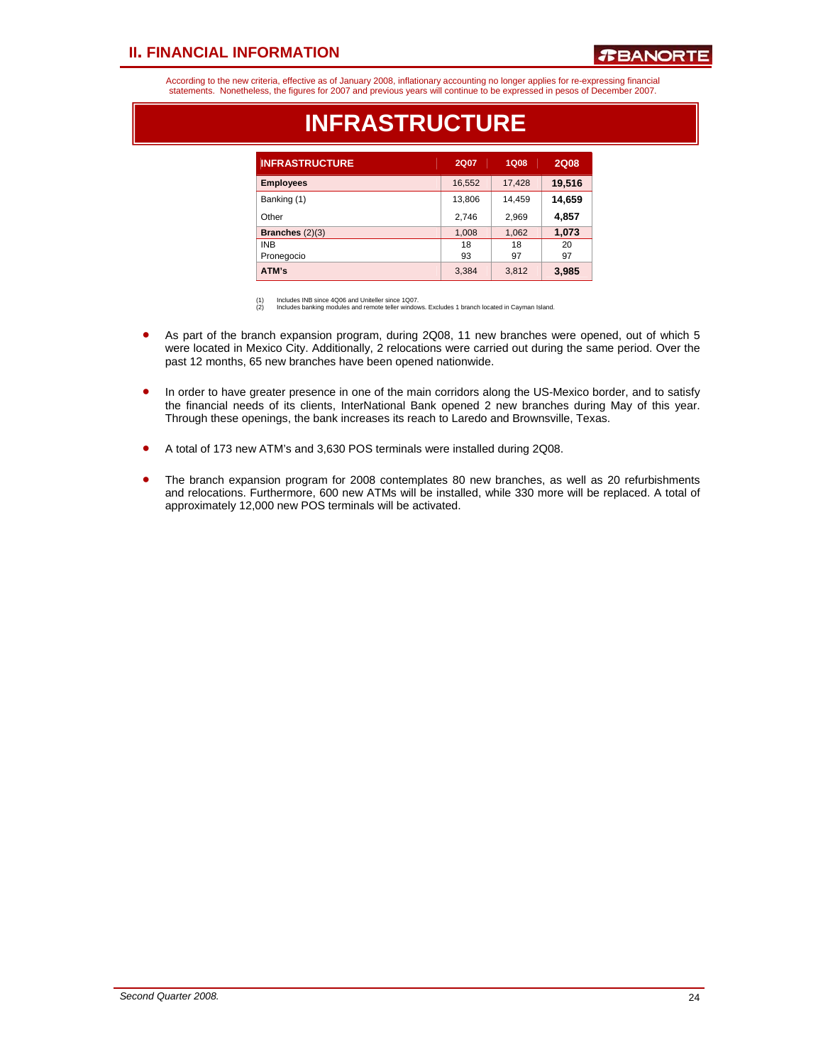### *R***BANORTE**

According to the new criteria, effective as of January 2008, inflationary accounting no longer applies for re-expressing financial statements. Nonetheless, the figures for 2007 and previous years will continue to be expressed in pesos of December 2007.

| <b>INFRASTRUCTURE</b>    | 2Q07     | <b>1Q08</b> | <b>2Q08</b> |
|--------------------------|----------|-------------|-------------|
| <b>Employees</b>         | 16,552   | 17,428      | 19,516      |
| Banking (1)              | 13,806   | 14,459      | 14,659      |
| Other                    | 2,746    | 2,969       | 4,857       |
| Branches $(2)(3)$        | 1,008    | 1,062       | 1,073       |
| <b>INB</b><br>Pronegocio | 18<br>93 | 18<br>97    | 20<br>97    |
| ATM's                    | 3,384    | 3,812       | 3,985       |

### **INFRASTRUCTURE**

(1) Includes INB since 4Q06 and Uniteller since 1Q07. (2) Includes banking modules and remote teller windows. Excludes 1 branch located in Cayman Island.

- As part of the branch expansion program, during 2Q08, 11 new branches were opened, out of which 5 were located in Mexico City. Additionally, 2 relocations were carried out during the same period. Over the past 12 months, 65 new branches have been opened nationwide.
- In order to have greater presence in one of the main corridors along the US-Mexico border, and to satisfy the financial needs of its clients, InterNational Bank opened 2 new branches during May of this year. Through these openings, the bank increases its reach to Laredo and Brownsville, Texas.
- A total of 173 new ATM's and 3,630 POS terminals were installed during 2Q08.
- The branch expansion program for 2008 contemplates 80 new branches, as well as 20 refurbishments and relocations. Furthermore, 600 new ATMs will be installed, while 330 more will be replaced. A total of approximately 12,000 new POS terminals will be activated.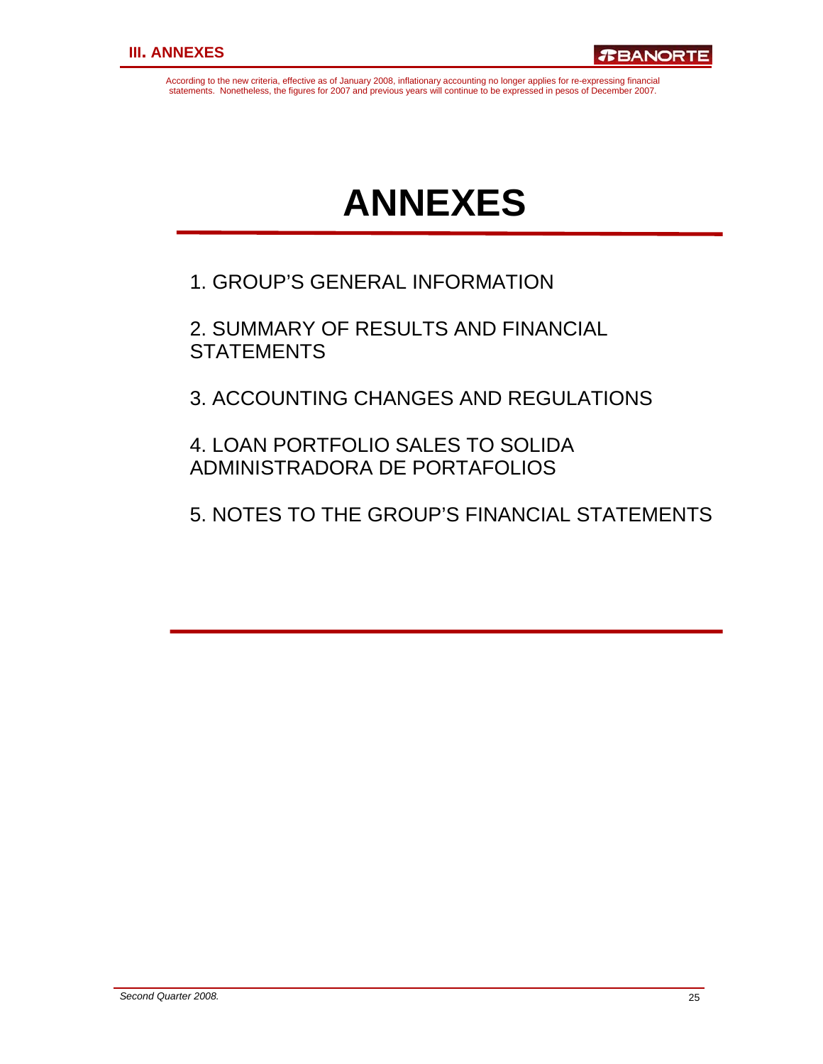According to the new criteria, effective as of January 2008, inflationary accounting no longer applies for re-expressing financial statements. Nonetheless, the figures for 2007 and previous years will continue to be expressed in pesos of December 2007.

# **ANNEXES**

1. GROUP'S GENERAL INFORMATION

2. SUMMARY OF RESULTS AND FINANCIAL **STATEMENTS** 

3. ACCOUNTING CHANGES AND REGULATIONS

4. LOAN PORTFOLIO SALES TO SOLIDA ADMINISTRADORA DE PORTAFOLIOS

5. NOTES TO THE GROUP'S FINANCIAL STATEMENTS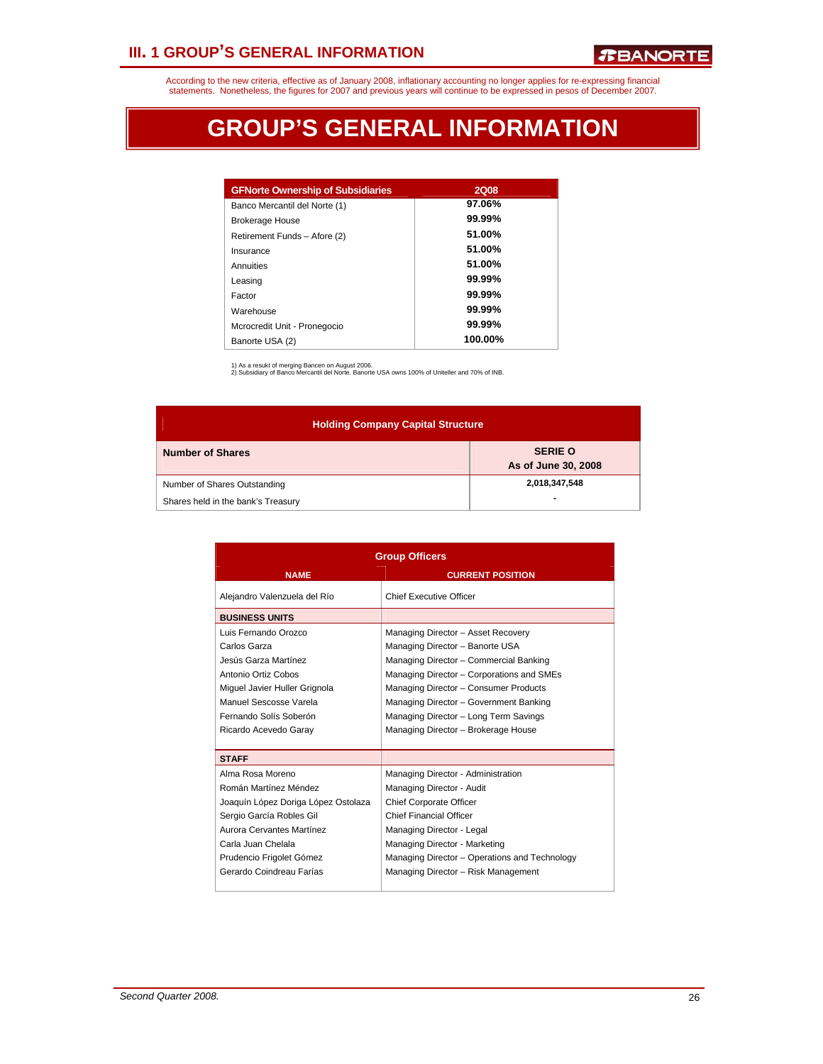### **III. 1 GROUP'S GENERAL INFORMATION**

According to the new criteria, effective as of January 2008, inflationary accounting no longer applies for re-expressing financial<br>statements. Nonetheless, the figures for 2007 and previous years will continue to be expres

# **GROUP'S GENERAL INFORMATION**

| <b>GFNorte Ownership of Subsidiaries</b> | <b>2Q08</b> |
|------------------------------------------|-------------|
| Banco Mercantil del Norte (1)            | 97.06%      |
| <b>Brokerage House</b>                   | 99.99%      |
| Retirement Funds - Afore (2)             | 51.00%      |
| Insurance                                | 51.00%      |
| Annuities                                | 51.00%      |
| Leasing                                  | $99.99\%$   |
| Factor                                   | $99.99\%$   |
| Warehouse                                | 99.99%      |
| Mcrocredit Unit - Pronegocio             | $99.99\%$   |
| Banorte USA (2)                          | 100.00%     |

1) As a resukt of merging Bancen on August 2006. 2) Subsidiary of Banco Mercantil del Norte. Banorte USA owns 100% of Uniteller and 70% of INB.

| <b>Holding Company Capital Structure</b> |                                       |  |  |  |  |  |  |  |  |
|------------------------------------------|---------------------------------------|--|--|--|--|--|--|--|--|
| <b>Number of Shares</b>                  | <b>SERIE O</b><br>As of June 30, 2008 |  |  |  |  |  |  |  |  |
| Number of Shares Outstanding             | 2,018,347,548                         |  |  |  |  |  |  |  |  |
| Shares held in the bank's Treasury       |                                       |  |  |  |  |  |  |  |  |

|                                     | <b>Group Officers</b>                         |  |  |  |  |  |
|-------------------------------------|-----------------------------------------------|--|--|--|--|--|
| <b>NAME</b>                         | <b>CURRENT POSITION</b>                       |  |  |  |  |  |
| Alejandro Valenzuela del Río        | <b>Chief Executive Officer</b>                |  |  |  |  |  |
| <b>BUSINESS UNITS</b>               |                                               |  |  |  |  |  |
| Luis Fernando Orozco                | Managing Director - Asset Recovery            |  |  |  |  |  |
| Carlos Garza                        | Managing Director - Banorte USA               |  |  |  |  |  |
| Jesús Garza Martínez                | Managing Director - Commercial Banking        |  |  |  |  |  |
| Antonio Ortiz Cobos                 | Managing Director - Corporations and SMEs     |  |  |  |  |  |
| Miquel Javier Huller Grignola       | Managing Director - Consumer Products         |  |  |  |  |  |
| Manuel Sescosse Varela              | Managing Director - Government Banking        |  |  |  |  |  |
| Fernando Solís Soberón              | Managing Director - Long Term Savings         |  |  |  |  |  |
| Ricardo Acevedo Garay               | Managing Director - Brokerage House           |  |  |  |  |  |
|                                     |                                               |  |  |  |  |  |
| <b>STAFF</b>                        |                                               |  |  |  |  |  |
| Alma Rosa Moreno                    | Managing Director - Administration            |  |  |  |  |  |
| Román Martínez Méndez               | Managing Director - Audit                     |  |  |  |  |  |
| Joaquín López Doriga López Ostolaza | <b>Chief Corporate Officer</b>                |  |  |  |  |  |
| Sergio García Robles Gil            | <b>Chief Financial Officer</b>                |  |  |  |  |  |
| Aurora Cervantes Martínez           | Managing Director - Legal                     |  |  |  |  |  |
| Carla Juan Chelala                  | Managing Director - Marketing                 |  |  |  |  |  |
| Prudencio Frigolet Gómez            | Managing Director - Operations and Technology |  |  |  |  |  |
| Gerardo Coindreau Farías            | Managing Director - Risk Management           |  |  |  |  |  |
|                                     |                                               |  |  |  |  |  |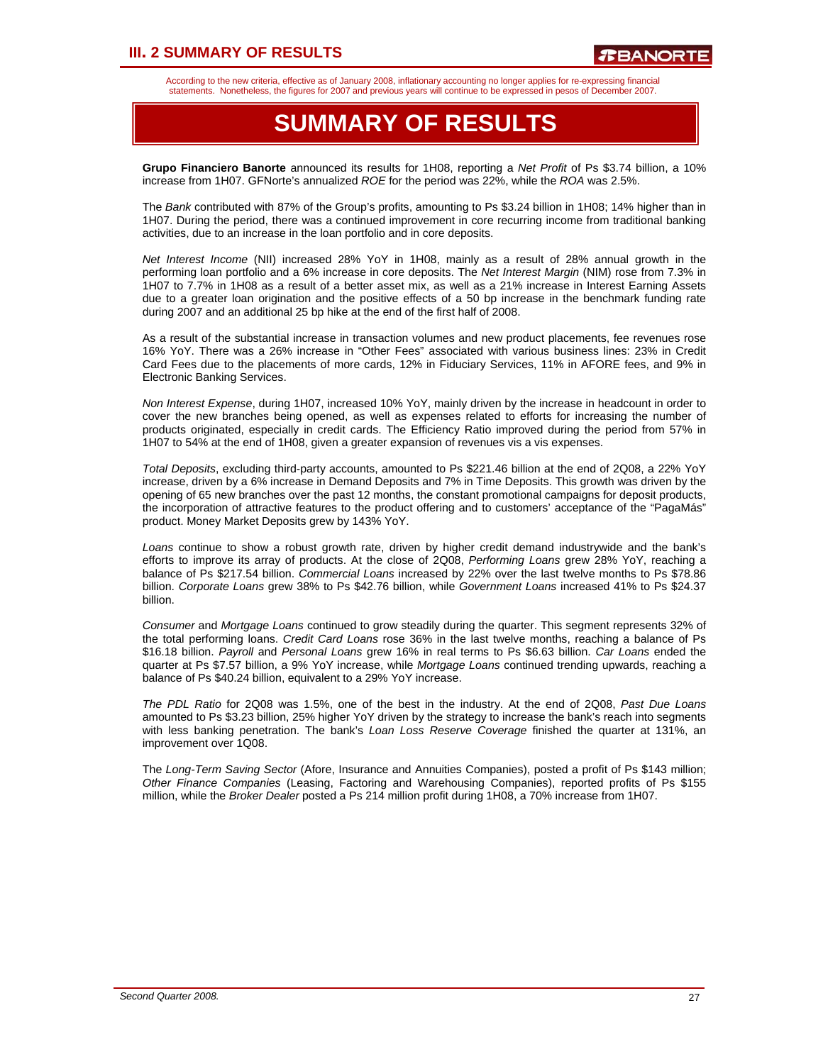### **III. 2 SUMMARY OF RESULTS**

According to the new criteria, effective as of January 2008, inflationary accounting no longer applies for re-expressing financial statements. Nonetheless, the figures for 2007 and previous years will continue to be expressed in pesos of December 2007.

### **SUMMARY OF RESULTS**

**Grupo Financiero Banorte** announced its results for 1H08, reporting a *Net Profit* of Ps \$3.74 billion, a 10% increase from 1H07. GFNorte's annualized *ROE* for the period was 22%, while the *ROA* was 2.5%.

The *Bank* contributed with 87% of the Group's profits, amounting to Ps \$3.24 billion in 1H08; 14% higher than in 1H07. During the period, there was a continued improvement in core recurring income from traditional banking activities, due to an increase in the loan portfolio and in core deposits.

*Net Interest Income* (NII) increased 28% YoY in 1H08, mainly as a result of 28% annual growth in the performing loan portfolio and a 6% increase in core deposits. The *Net Interest Margin* (NIM) rose from 7.3% in 1H07 to 7.7% in 1H08 as a result of a better asset mix, as well as a 21% increase in Interest Earning Assets due to a greater loan origination and the positive effects of a 50 bp increase in the benchmark funding rate during 2007 and an additional 25 bp hike at the end of the first half of 2008.

As a result of the substantial increase in transaction volumes and new product placements, fee revenues rose 16% YoY. There was a 26% increase in "Other Fees" associated with various business lines: 23% in Credit Card Fees due to the placements of more cards, 12% in Fiduciary Services, 11% in AFORE fees, and 9% in Electronic Banking Services.

*Non Interest Expense*, during 1H07, increased 10% YoY, mainly driven by the increase in headcount in order to cover the new branches being opened, as well as expenses related to efforts for increasing the number of products originated, especially in credit cards. The Efficiency Ratio improved during the period from 57% in 1H07 to 54% at the end of 1H08, given a greater expansion of revenues vis a vis expenses.

*Total Deposits*, excluding third-party accounts, amounted to Ps \$221.46 billion at the end of 2Q08, a 22% YoY increase, driven by a 6% increase in Demand Deposits and 7% in Time Deposits. This growth was driven by the opening of 65 new branches over the past 12 months, the constant promotional campaigns for deposit products, the incorporation of attractive features to the product offering and to customers' acceptance of the "PagaMás" product. Money Market Deposits grew by 143% YoY.

*Loans* continue to show a robust growth rate, driven by higher credit demand industrywide and the bank's efforts to improve its array of products. At the close of 2Q08, *Performing Loans* grew 28% YoY, reaching a balance of Ps \$217.54 billion. *Commercial Loans* increased by 22% over the last twelve months to Ps \$78.86 billion. *Corporate Loans* grew 38% to Ps \$42.76 billion, while *Government Loans* increased 41% to Ps \$24.37 billion.

*Consumer* and *Mortgage Loans* continued to grow steadily during the quarter. This segment represents 32% of the total performing loans. *Credit Card Loans* rose 36% in the last twelve months, reaching a balance of Ps \$16.18 billion. *Payroll* and *Personal Loans* grew 16% in real terms to Ps \$6.63 billion. *Car Loans* ended the quarter at Ps \$7.57 billion, a 9% YoY increase, while *Mortgage Loans* continued trending upwards, reaching a balance of Ps \$40.24 billion, equivalent to a 29% YoY increase.

*The PDL Ratio* for 2Q08 was 1.5%, one of the best in the industry. At the end of 2Q08, *Past Due Loans* amounted to Ps \$3.23 billion, 25% higher YoY driven by the strategy to increase the bank's reach into segments with less banking penetration. The bank's *Loan Loss Reserve Coverage* finished the quarter at 131%, an improvement over 1Q08.

The *Long-Term Saving Sector* (Afore, Insurance and Annuities Companies), posted a profit of Ps \$143 million; *Other Finance Companies* (Leasing, Factoring and Warehousing Companies), reported profits of Ps \$155 million, while the *Broker Dealer* posted a Ps 214 million profit during 1H08, a 70% increase from 1H07.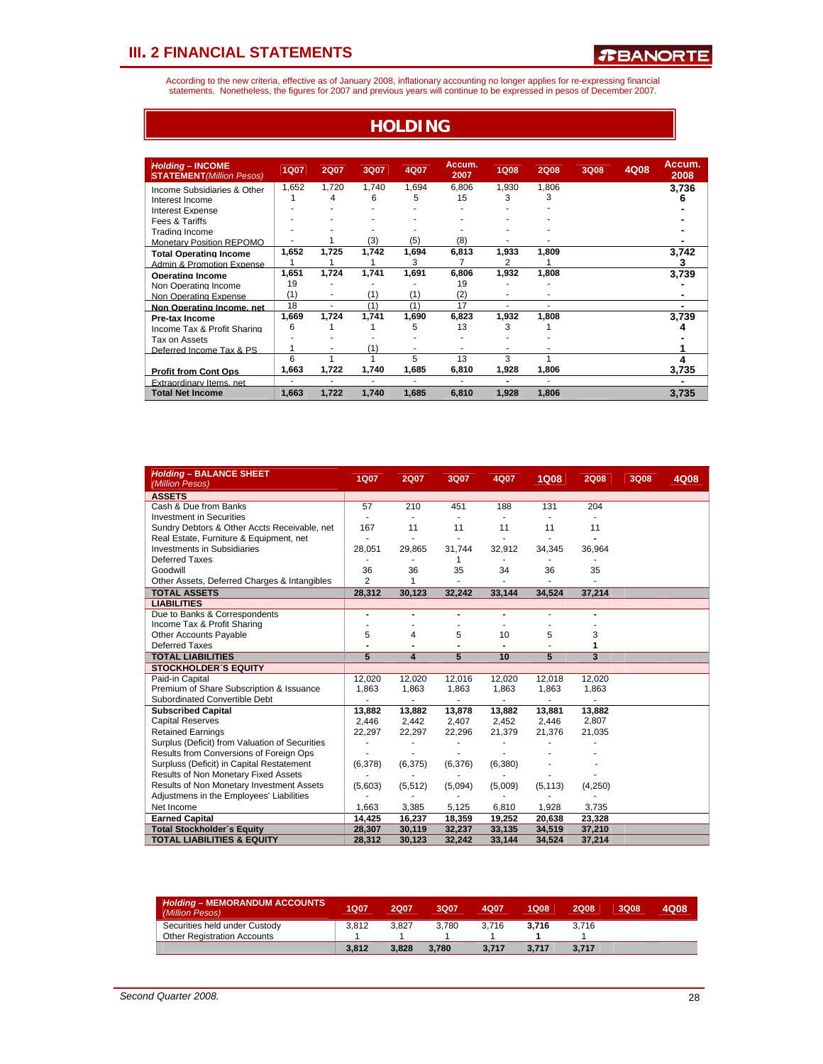According to the new criteria, effective as of January 2008, inflationary accounting no longer applies for re-expressing financial<br>statements. Nonetheless, the figures for 2007 and previous years will continue to be expres

**HOLDING**

| <b>Holding - INCOME</b><br><b>STATEMENT</b> (Million Pesos) | <b>1Q07</b> | 2Q07       | 3Q07       | 4Q07       | Accum.<br>2007 | <b>1Q08</b> | <b>2Q08</b> | <b>3Q08</b> | 4Q08 | Accum.<br>2008 |
|-------------------------------------------------------------|-------------|------------|------------|------------|----------------|-------------|-------------|-------------|------|----------------|
| Income Subsidiaries & Other<br>Interest Income              | 1,652       | 1,720<br>4 | 1,740<br>6 | 1,694<br>5 | 6,806<br>15    | 1,930<br>3  | 1,806<br>3  |             |      | 3.736<br>հ     |
| Interest Expense<br>Fees & Tariffs                          |             |            |            |            |                |             |             |             |      |                |
| <b>Trading Income</b><br><b>Monetary Position REPOMO</b>    |             |            | (3)        | (5)        | (8)            |             |             |             |      |                |
| <b>Total Operating Income</b><br>Admin & Promotion Expense  | 1,652       | 1,725      | 1,742      | 1,694<br>3 | 6,813          | 1,933<br>2  | 1.809       |             |      | 3.742<br>3     |
| <b>Operating Income</b><br>Non Operating Income             | 1,651<br>19 | 1,724      | 1,741      | 1,691      | 6,806<br>19    | 1,932       | 1,808       |             |      | 3,739          |
| Non Operating Expense<br>Non Operating Income, net          | (1)<br>18   | ٠<br>٠     | (1)<br>(1) | (1)<br>(1) | (2)<br>17      | ٠           |             |             |      |                |
| <b>Pre-tax Income</b><br>Income Tax & Profit Sharing        | 1,669<br>6  | 1,724      | 1,741      | 1,690<br>5 | 6,823<br>13    | 1,932<br>3  | 1,808       |             |      | 3,739<br>4     |
| Tax on Assets<br>Deferred Income Tax & PS                   |             | ۰          | (1)        |            |                |             |             |             |      |                |
| <b>Profit from Cont Ops</b>                                 | 6<br>1,663  | 1,722      | 1,740      | 5<br>1,685 | 13<br>6,810    | 3<br>1,928  | 1,806       |             |      | 3.735          |
| <b>Extraordinary Items</b> net                              | ٠           | ٠          | ٠          |            |                | ۰           |             |             |      |                |
| <b>Total Net Income</b>                                     | 1,663       | 1,722      | 1,740      | 1,685      | 6,810          | 1,928       | 1,806       |             |      | 3,735          |

| <b>Holding - BALANCE SHEET</b><br>(Million Pesos) | 1Q07           | <b>2Q07</b> | 3Q07    | 4Q07    | <b>1Q08</b> | <b>2Q08</b> | 3Q08 | 4Q08 |
|---------------------------------------------------|----------------|-------------|---------|---------|-------------|-------------|------|------|
| <b>ASSETS</b>                                     |                |             |         |         |             |             |      |      |
| Cash & Due from Banks                             | 57             | 210         | 451     | 188     | 131         | 204         |      |      |
| <b>Investment in Securities</b>                   |                |             |         |         |             |             |      |      |
| Sundry Debtors & Other Accts Receivable, net      | 167            | 11          | 11      | 11      | 11          | 11          |      |      |
| Real Estate, Furniture & Equipment, net           |                |             |         |         |             |             |      |      |
| Investments in Subsidiaries                       | 28,051         | 29,865      | 31,744  | 32,912  | 34,345      | 36,964      |      |      |
| Deferred Taxes                                    |                |             | 1       | ٠       |             |             |      |      |
| Goodwill                                          | 36             | 36          | 35      | 34      | 36          | 35          |      |      |
| Other Assets, Deferred Charges & Intangibles      | $\overline{2}$ | 1           |         |         |             |             |      |      |
| <b>TOTAL ASSETS</b>                               | 28,312         | 30,123      | 32,242  | 33,144  | 34,524      | 37,214      |      |      |
| <b>LIABILITIES</b>                                |                |             |         |         |             |             |      |      |
| Due to Banks & Correspondents                     | $\blacksquare$ |             |         |         |             |             |      |      |
| Income Tax & Profit Sharing                       |                |             |         |         |             |             |      |      |
| <b>Other Accounts Payable</b>                     | 5              | 4           | 5       | 10      | 5           | 3           |      |      |
| <b>Deferred Taxes</b>                             |                |             |         |         |             | 1           |      |      |
| <b>TOTAL LIABILITIES</b>                          | 5              | 4           | 5       | 10      | 5           | 3           |      |      |
| <b>STOCKHOLDER'S EQUITY</b>                       |                |             |         |         |             |             |      |      |
| Paid-in Capital                                   | 12,020         | 12,020      | 12,016  | 12,020  | 12,018      | 12,020      |      |      |
| Premium of Share Subscription & Issuance          | 1.863          | 1.863       | 1,863   | 1,863   | 1,863       | 1,863       |      |      |
| Subordinated Convertible Debt                     |                |             |         |         |             |             |      |      |
| <b>Subscribed Capital</b>                         | 13,882         | 13,882      | 13,878  | 13,882  | 13,881      | 13,882      |      |      |
| <b>Capital Reserves</b>                           | 2,446          | 2,442       | 2,407   | 2,452   | 2,446       | 2,807       |      |      |
| <b>Retained Earnings</b>                          | 22,297         | 22,297      | 22,296  | 21,379  | 21,376      | 21,035      |      |      |
| Surplus (Deficit) from Valuation of Securities    |                |             |         |         |             |             |      |      |
| Results from Conversions of Foreign Ops           |                |             |         |         |             |             |      |      |
| Surpluss (Deficit) in Capital Restatement         | (6,378)        | (6, 375)    | (6,376) | (6,380) |             |             |      |      |
| Results of Non Monetary Fixed Assets              |                |             |         |         |             |             |      |      |
| Results of Non Monetary Investment Assets         | (5,603)        | (5, 512)    | (5,094) | (5,009) | (5, 113)    | (4,250)     |      |      |
| Adjustmens in the Employees' Liabilities          |                |             |         |         |             |             |      |      |
| Net Income                                        | 1,663          | 3,385       | 5,125   | 6,810   | 1,928       | 3,735       |      |      |
| <b>Earned Capital</b>                             | 14,425         | 16,237      | 18,359  | 19,252  | 20,638      | 23,328      |      |      |
| <b>Total Stockholder's Equity</b>                 | 28,307         | 30,119      | 32,237  | 33,135  | 34,519      | 37,210      |      |      |
| <b>TOTAL LIABILITIES &amp; EQUITY</b>             | 28,312         | 30,123      | 32.242  | 33,144  | 34,524      | 37,214      |      |      |

| <b>Holding – MEMORANDUM ACCOUNTS</b><br>(Million Pesos) | 1Q07  | 2007  | 3007  | 4007  | 1008  | 2008  | 3Q08 | 4Q08 |
|---------------------------------------------------------|-------|-------|-------|-------|-------|-------|------|------|
| Securities held under Custody                           | 3.812 | 3.827 | 3.780 | 3.716 | 3.716 | 3.716 |      |      |
| <b>Other Registration Accounts</b>                      |       |       |       |       |       |       |      |      |
|                                                         | 3.812 | 3.828 | 3.780 | 3.717 | 3.717 | 3.717 |      |      |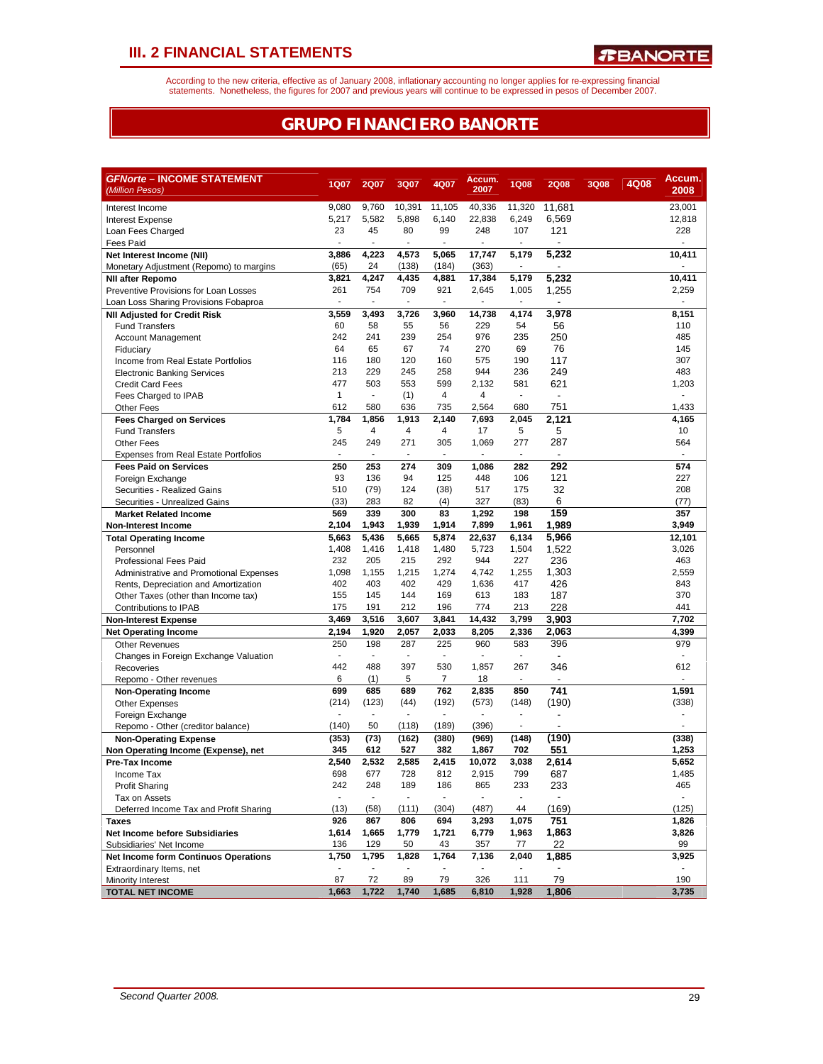According to the new criteria, effective as of January 2008, inflationary accounting no longer applies for re-expressing financial<br>statements. Nonetheless, the figures for 2007 and previous years will continue to be expres

### **GRUPO FINANCIERO BANORTE**

| <b><i>GFNorte</i> – INCOME STATEMENT</b>                            |                          |                                      |                          |                | Accum.                            |                          |                          |             |      | Accum. |
|---------------------------------------------------------------------|--------------------------|--------------------------------------|--------------------------|----------------|-----------------------------------|--------------------------|--------------------------|-------------|------|--------|
| (Million Pesos)                                                     | 1Q07                     | <b>2Q07</b>                          | 3Q07                     | 4Q07           | 2007                              | <b>1Q08</b>              | <b>2Q08</b>              | <b>3Q08</b> | 4Q08 | 2008   |
| Interest Income                                                     | 9,080                    | 9,760                                | 10,391                   | 11,105         | 40,336                            | 11,320                   | 11,681                   |             |      | 23,001 |
| <b>Interest Expense</b>                                             | 5,217                    | 5,582                                | 5,898                    | 6,140          | 22,838                            | 6,249                    | 6,569                    |             |      | 12,818 |
| Loan Fees Charged                                                   | 23                       | 45                                   | 80                       | 99             | 248                               | 107                      | 121                      |             |      | 228    |
| <b>Fees Paid</b>                                                    | ä,                       | ÷.                                   | ÷.                       | ä,             | ÷,                                |                          |                          |             |      |        |
| Net Interest Income (NII)                                           | 3,886                    | 4,223                                | 4,573                    | 5,065          | 17,747                            | 5,179                    | 5,232                    |             |      | 10.411 |
| Monetary Adjustment (Repomo) to margins                             | (65)                     | 24                                   | (138)                    | (184)          | (363)                             |                          | L.                       |             |      |        |
| <b>NII after Repomo</b>                                             | 3,821                    | 4,247                                | 4,435                    | 4,881          | 17,384                            | 5,179                    | 5,232                    |             |      | 10,411 |
| Preventive Provisions for Loan Losses                               | 261                      | 754                                  | 709                      | 921            | 2,645                             | 1,005                    | 1,255                    |             |      | 2,259  |
| Loan Loss Sharing Provisions Fobaproa                               | $\overline{\phantom{a}}$ | $\sim$                               | $\blacksquare$           | $\blacksquare$ | $\blacksquare$                    | $\overline{\phantom{a}}$ | $\blacksquare$           |             |      |        |
| <b>NII Adjusted for Credit Risk</b>                                 | 3,559                    | 3,493                                | 3,726                    | 3,960          | 14.738                            | 4,174                    | 3,978                    |             |      | 8,151  |
| <b>Fund Transfers</b>                                               | 60                       | 58                                   | 55                       | 56             | 229                               | 54                       | 56                       |             |      | 110    |
| <b>Account Management</b>                                           | 242                      | 241                                  | 239                      | 254            | 976                               | 235                      | 250                      |             |      | 485    |
| Fiduciary                                                           | 64                       | 65                                   | 67                       | 74             | 270                               | 69                       | 76                       |             |      | 145    |
| Income from Real Estate Portfolios                                  | 116                      | 180                                  | 120                      | 160            | 575                               | 190                      | 117                      |             |      | 307    |
| <b>Electronic Banking Services</b>                                  | 213                      | 229                                  | 245                      | 258            | 944                               | 236                      | 249                      |             |      | 483    |
| <b>Credit Card Fees</b>                                             | 477<br>$\mathbf{1}$      | 503<br>$\mathcal{L}_{\mathcal{A}}$   | 553                      | 599<br>4       | 2,132<br>4                        | 581<br>÷,                | 621<br>÷,                |             |      | 1,203  |
| Fees Charged to IPAB                                                | 612                      | 580                                  | (1)<br>636               | 735            | 2,564                             | 680                      | 751                      |             |      | 1,433  |
| <b>Other Fees</b><br><b>Fees Charged on Services</b>                | 1,784                    | 1,856                                | 1,913                    | 2,140          | 7,693                             | 2,045                    | 2,121                    |             |      | 4,165  |
| <b>Fund Transfers</b>                                               | 5                        | 4                                    | 4                        | 4              | 17                                | 5                        | 5                        |             |      | 10     |
| <b>Other Fees</b>                                                   | 245                      | 249                                  | 271                      | 305            | 1,069                             | 277                      | 287                      |             |      | 564    |
| <b>Expenses from Real Estate Portfolios</b>                         | $\blacksquare$           | $\sim$                               | ٠                        | $\blacksquare$ | $\blacksquare$                    | $\overline{\phantom{a}}$ | $\overline{\phantom{a}}$ |             |      |        |
| <b>Fees Paid on Services</b>                                        | 250                      | 253                                  | 274                      | 309            | 1,086                             | 282                      | 292                      |             |      | 574    |
| Foreign Exchange                                                    | 93                       | 136                                  | 94                       | 125            | 448                               | 106                      | 121                      |             |      | 227    |
| Securities - Realized Gains                                         | 510                      | (79)                                 | 124                      | (38)           | 517                               | 175                      | 32                       |             |      | 208    |
| Securities - Unrealized Gains                                       | (33)                     | 283                                  | 82                       | (4)            | 327                               | (83)                     | 6                        |             |      | (77)   |
| <b>Market Related Income</b>                                        | 569                      | 339                                  | 300                      | 83             | 1,292                             | 198                      | 159                      |             |      | 357    |
| <b>Non-Interest Income</b>                                          | 2,104                    | 1,943                                | 1.939                    | 1,914          | 7,899                             | 1,961                    | 1,989                    |             |      | 3,949  |
| <b>Total Operating Income</b>                                       | 5,663                    | 5,436                                | 5,665                    | 5,874          | 22,637                            | 6,134                    | 5,966                    |             |      | 12,101 |
| Personnel                                                           | 1,408                    | 1,416                                | 1,418                    | 1,480          | 5,723                             | 1,504                    | 1,522                    |             |      | 3,026  |
| <b>Professional Fees Paid</b>                                       | 232                      | 205                                  | 215                      | 292            | 944                               | 227                      | 236                      |             |      | 463    |
| Administrative and Promotional Expenses                             | 1,098                    | 1,155                                | 1,215                    | 1,274          | 4,742                             | 1,255                    | 1,303                    |             |      | 2,559  |
| Rents, Depreciation and Amortization                                | 402                      | 403                                  | 402                      | 429            | 1,636                             | 417                      | 426                      |             |      | 843    |
| Other Taxes (other than Income tax)                                 | 155                      | 145                                  | 144                      | 169            | 613                               | 183                      | 187                      |             |      | 370    |
| Contributions to IPAB                                               | 175                      | 191                                  | 212                      | 196            | 774                               | 213                      | 228                      |             |      | 441    |
| <b>Non-Interest Expense</b>                                         | 3,469                    | 3,516                                | 3,607                    | 3,841          | 14,432                            | 3,799                    | 3,903                    |             |      | 7,702  |
| <b>Net Operating Income</b>                                         | 2,194                    | 1,920                                | 2,057                    | 2,033          | 8,205                             | 2,336                    | 2,063                    |             |      | 4,399  |
| <b>Other Revenues</b>                                               | 250                      | 198                                  | 287                      | 225            | 960                               | 583                      | 396                      |             |      | 979    |
| Changes in Foreign Exchange Valuation                               | ٠                        | $\blacksquare$                       | ٠                        | $\blacksquare$ | $\blacksquare$                    | ٠                        |                          |             |      |        |
| Recoveries                                                          | 442                      | 488                                  | 397                      | 530            | 1,857                             | 267                      | 346                      |             |      | 612    |
| Repomo - Other revenues                                             | 6                        | (1)                                  | 5                        | $\overline{7}$ | 18                                |                          |                          |             |      |        |
| <b>Non-Operating Income</b>                                         | 699                      | 685                                  | 689                      | 762            | 2,835                             | 850                      | 741                      |             |      | 1,591  |
| <b>Other Expenses</b>                                               | (214)<br>÷,              | (123)<br>$\mathcal{L}_{\mathcal{A}}$ | (44)<br>÷.               | (192)<br>÷,    | (573)<br>$\overline{\phantom{a}}$ | (148)                    | (190)                    |             |      | (338)  |
| Foreign Exchange                                                    | (140)                    | 50                                   | (118)                    | (189)          | (396)                             |                          |                          |             |      |        |
| Repomo - Other (creditor balance)                                   | (353)                    | (73)                                 | (162)                    | (380)          | (969)                             | (148)                    | (190)                    |             |      | (338)  |
| <b>Non-Operating Expense</b><br>Non Operating Income (Expense), net | 345                      | 612                                  | 527                      | 382            | 1,867                             | 702                      | 551                      |             |      | 1,253  |
| Pre-Tax Income                                                      | 2,540                    | 2,532                                | 2.585                    | 2,415          | 10,072                            | 3,038                    | 2,614                    |             |      | 5,652  |
| Income Tax                                                          | 698                      | 677                                  | 728                      | 812            | 2,915                             | 799                      | 687                      |             |      | 1,485  |
| <b>Profit Sharing</b>                                               | 242                      | 248                                  | 189                      | 186            | 865                               | 233                      | 233                      |             |      | 465    |
| Tax on Assets                                                       | $\blacksquare$           | $\blacksquare$                       | $\overline{\phantom{a}}$ | $\blacksquare$ | $\overline{\phantom{a}}$          | $\blacksquare$           |                          |             |      |        |
| Deferred Income Tax and Profit Sharing                              | (13)                     | (58)                                 | (111)                    | (304)          | (487)                             | 44                       | (169)                    |             |      | (125)  |
| <b>Taxes</b>                                                        | 926                      | 867                                  | 806                      | 694            | 3,293                             | 1,075                    | 751                      |             |      | 1,826  |
| <b>Net Income before Subsidiaries</b>                               | 1,614                    | 1,665                                | 1,779                    | 1,721          | 6,779                             | 1,963                    | 1,863                    |             |      | 3,826  |
| Subsidiaries' Net Income                                            | 136                      | 129                                  | 50                       | 43             | 357                               | 77                       | 22                       |             |      | 99     |
| <b>Net Income form Continuos Operations</b>                         | 1,750                    | 1,795                                | 1,828                    | 1,764          | 7,136                             | 2,040                    | 1,885                    |             |      | 3,925  |
| Extraordinary Items, net                                            | $\blacksquare$           | $\blacksquare$                       | $\overline{\phantom{a}}$ |                | $\blacksquare$                    |                          |                          |             |      |        |
| Minority Interest                                                   | 87                       | 72                                   | 89                       | 79             | 326                               | 111                      | 79                       |             |      | 190    |
| <b>TOTAL NET INCOME</b>                                             | 1,663                    | 1,722                                | 1,740                    | 1,685          | 6,810                             | 1,928                    | 1,806                    |             |      | 3,735  |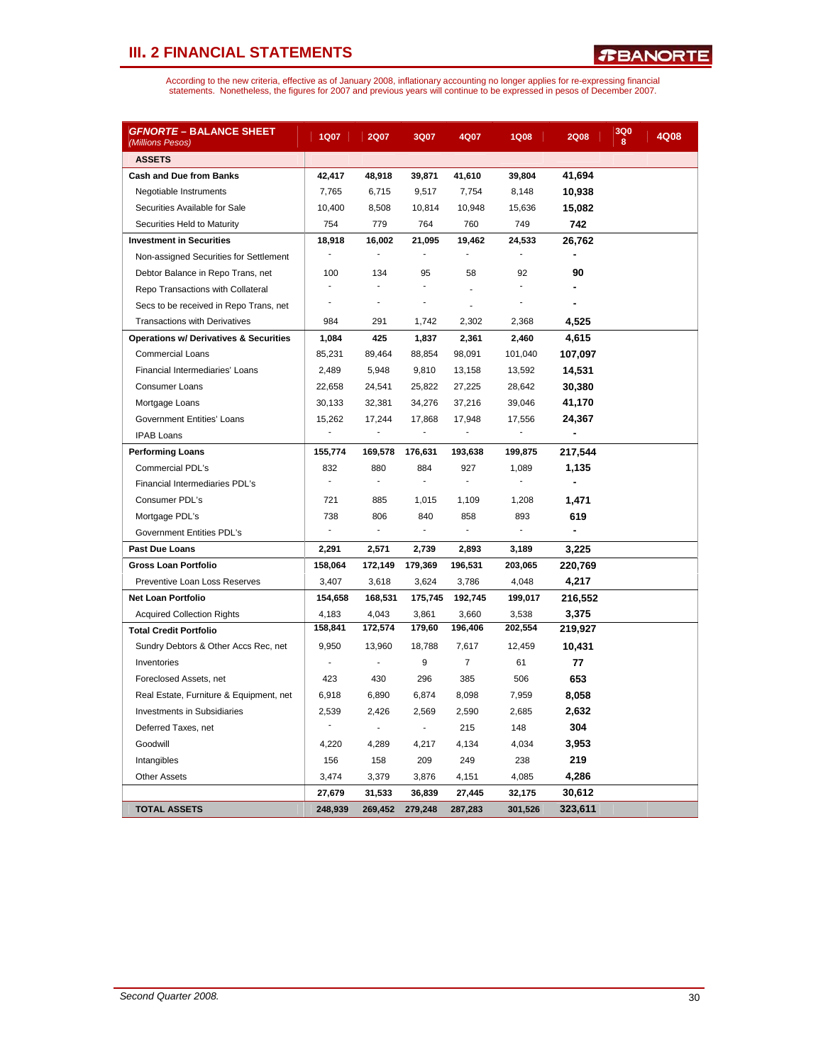| <i>GFNORTE</i> – BALANCE SHEET<br>(Millions Pesos) | <b>1Q07</b>              | <b>2Q07</b>              | 3Q07                     | 4Q07                     | <b>1Q08</b> | <b>2Q08</b> | 3Q0<br>8 | 4Q08 |
|----------------------------------------------------|--------------------------|--------------------------|--------------------------|--------------------------|-------------|-------------|----------|------|
| <b>ASSETS</b>                                      |                          |                          |                          |                          |             |             |          |      |
| <b>Cash and Due from Banks</b>                     | 42,417                   | 48,918                   | 39,871                   | 41,610                   | 39,804      | 41,694      |          |      |
| Negotiable Instruments                             | 7,765                    | 6,715                    | 9,517                    | 7,754                    | 8,148       | 10,938      |          |      |
| Securities Available for Sale                      | 10,400                   | 8,508                    | 10,814                   | 10,948                   | 15,636      | 15,082      |          |      |
| Securities Held to Maturity                        | 754                      | 779                      | 764                      | 760                      | 749         | 742         |          |      |
| <b>Investment in Securities</b>                    | 18,918                   | 16,002                   | 21,095                   | 19,462                   | 24,533      | 26,762      |          |      |
| Non-assigned Securities for Settlement             | $\blacksquare$           | $\blacksquare$           | ÷,                       | ä,                       |             | ä,          |          |      |
| Debtor Balance in Repo Trans, net                  | 100                      | 134                      | 95                       | 58                       | 92          | 90          |          |      |
| Repo Transactions with Collateral                  | ÷,                       |                          | ÷,                       | ä,                       |             |             |          |      |
| Secs to be received in Repo Trans, net             | ÷,                       | $\overline{a}$           | ÷,                       |                          |             |             |          |      |
| <b>Transactions with Derivatives</b>               | 984                      | 291                      | 1,742                    | 2,302                    | 2,368       | 4,525       |          |      |
| <b>Operations w/ Derivatives &amp; Securities</b>  | 1,084                    | 425                      | 1,837                    | 2,361                    | 2,460       | 4,615       |          |      |
| <b>Commercial Loans</b>                            | 85,231                   | 89,464                   | 88,854                   | 98,091                   | 101,040     | 107,097     |          |      |
| Financial Intermediaries' Loans                    | 2,489                    | 5,948                    | 9,810                    | 13,158                   | 13,592      | 14,531      |          |      |
| Consumer Loans                                     | 22,658                   | 24,541                   | 25,822                   | 27,225                   | 28,642      | 30,380      |          |      |
| Mortgage Loans                                     | 30,133                   | 32,381                   | 34,276                   | 37,216                   | 39,046      | 41,170      |          |      |
| <b>Government Entities' Loans</b>                  | 15,262                   | 17,244                   | 17,868                   | 17,948                   | 17,556      | 24,367      |          |      |
| <b>IPAB Loans</b>                                  | ä,                       | ÷,                       |                          |                          |             |             |          |      |
| <b>Performing Loans</b>                            | 155,774                  | 169,578                  | 176,631                  | 193,638                  | 199,875     | 217,544     |          |      |
| <b>Commercial PDL's</b>                            | 832                      | 880                      | 884                      | 927                      | 1,089       | 1,135       |          |      |
| Financial Intermediaries PDL's                     | ÷.                       | $\blacksquare$           | ÷                        | $\blacksquare$           |             |             |          |      |
| Consumer PDL's                                     | 721                      | 885                      | 1,015                    | 1,109                    | 1,208       | 1,471       |          |      |
| Mortgage PDL's                                     | 738                      | 806                      | 840                      | 858                      | 893         | 619         |          |      |
| Government Entities PDL's                          | $\overline{\phantom{a}}$ | $\overline{\phantom{a}}$ | $\overline{\phantom{a}}$ | $\overline{\phantom{a}}$ |             |             |          |      |
| <b>Past Due Loans</b>                              | 2,291                    | 2,571                    | 2,739                    | 2,893                    | 3,189       | 3,225       |          |      |
| <b>Gross Loan Portfolio</b>                        | 158,064                  | 172,149                  | 179,369                  | 196,531                  | 203,065     | 220,769     |          |      |
| <b>Preventive Loan Loss Reserves</b>               | 3,407                    | 3,618                    | 3,624                    | 3,786                    | 4,048       | 4,217       |          |      |
| <b>Net Loan Portfolio</b>                          | 154,658                  | 168,531                  | 175,745                  | 192,745                  | 199,017     | 216,552     |          |      |
| <b>Acquired Collection Rights</b>                  | 4,183                    | 4,043                    | 3,861                    | 3,660                    | 3,538       | 3,375       |          |      |
| <b>Total Credit Portfolio</b>                      | 158,841                  | 172,574                  | 179,60                   | 196,406                  | 202,554     | 219,927     |          |      |
| Sundry Debtors & Other Accs Rec, net               | 9,950                    | 13,960                   | 18,788                   | 7,617                    | 12,459      | 10,431      |          |      |
| Inventories                                        | ÷,                       | ÷,                       | 9                        | $\overline{7}$           | 61          | 77          |          |      |
| Foreclosed Assets, net                             | 423                      | 430                      | 296                      | 385                      | 506         | 653         |          |      |
| Real Estate, Furniture & Equipment, net            | 6,918                    | 6,890                    | 6,874                    | 8,098                    | 7,959       | 8,058       |          |      |
| <b>Investments in Subsidiaries</b>                 | 2,539                    | 2,426                    | 2,569                    | 2,590                    | 2,685       | 2,632       |          |      |
| Deferred Taxes, net                                |                          | ä,                       | $\blacksquare$           | 215                      | 148         | 304         |          |      |
| Goodwill                                           | 4,220                    | 4,289                    | 4,217                    | 4,134                    | 4,034       | 3,953       |          |      |
| Intangibles                                        | 156                      | 158                      | 209                      | 249                      | 238         | 219         |          |      |
| <b>Other Assets</b>                                | 3,474                    | 3,379                    | 3,876                    | 4,151                    | 4,085       | 4,286       |          |      |
|                                                    | 27,679                   | 31,533                   | 36,839                   | 27,445                   | 32,175      | 30,612      |          |      |
| <b>TOTAL ASSETS</b>                                | 248,939                  | 269,452                  | 279,248                  | 287,283                  | 301,526     | 323,611     |          |      |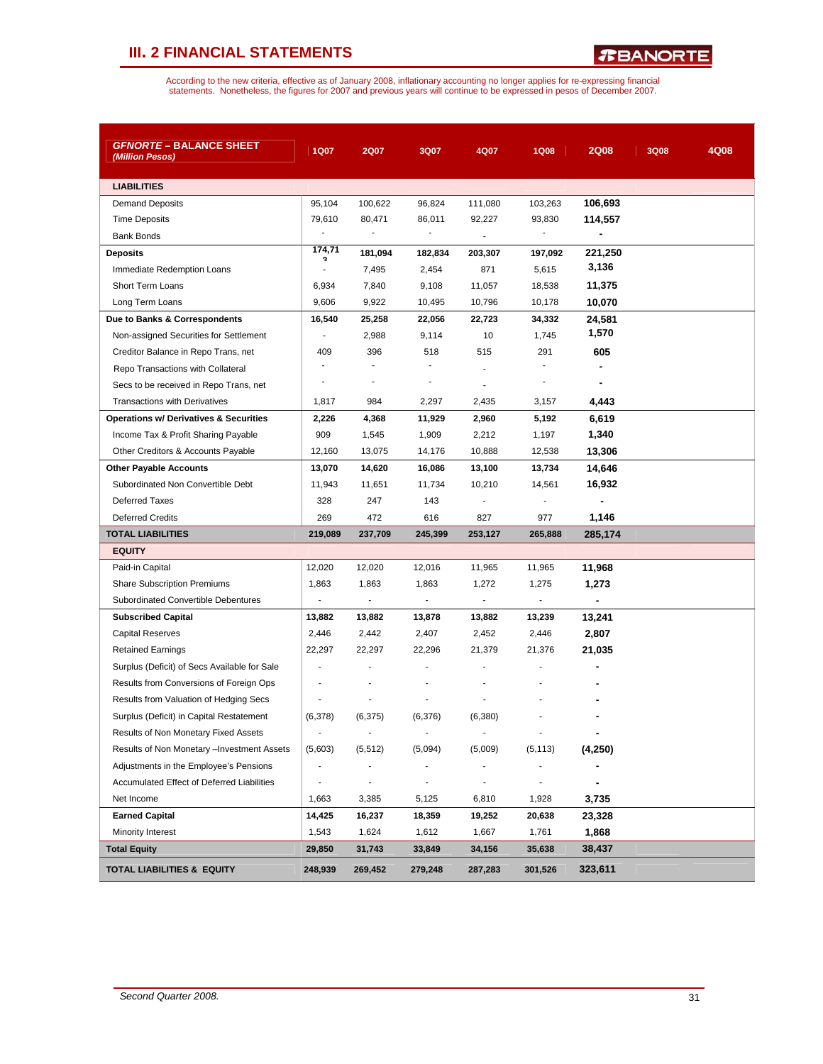*R***BANORTE** 

| <i>GFNORTE</i> – BALANCE SHEET<br>(Million Pesos) | 1Q07                     | 2Q07                     | 3Q07                         | 4Q07                     | <b>1Q08</b>              | <b>2Q08</b> | 3Q08 | 4Q08 |
|---------------------------------------------------|--------------------------|--------------------------|------------------------------|--------------------------|--------------------------|-------------|------|------|
| <b>LIABILITIES</b>                                |                          |                          |                              |                          |                          |             |      |      |
| <b>Demand Deposits</b>                            | 95,104                   | 100,622                  | 96,824                       | 111,080                  | 103,263                  | 106,693     |      |      |
| <b>Time Deposits</b>                              | 79,610                   | 80,471                   | 86,011                       | 92,227                   | 93,830                   | 114,557     |      |      |
| <b>Bank Bonds</b>                                 |                          |                          |                              |                          |                          |             |      |      |
| <b>Deposits</b>                                   | 174,71                   | 181,094                  | 182,834                      | 203,307                  | 197,092                  | 221,250     |      |      |
| Immediate Redemption Loans                        | ä,                       | 7,495                    | 2,454                        | 871                      | 5,615                    | 3,136       |      |      |
| Short Term Loans                                  | 6,934                    | 7,840                    | 9,108                        | 11,057                   | 18,538                   | 11,375      |      |      |
| Long Term Loans                                   | 9,606                    | 9,922                    | 10,495                       | 10,796                   | 10,178                   | 10,070      |      |      |
| Due to Banks & Correspondents                     | 16,540                   | 25,258                   | 22,056                       | 22,723                   | 34,332                   | 24,581      |      |      |
| Non-assigned Securities for Settlement            | ÷,                       | 2,988                    | 9,114                        | 10                       | 1,745                    | 1,570       |      |      |
| Creditor Balance in Repo Trans, net               | 409                      | 396                      | 518                          | 515                      | 291                      | 605         |      |      |
| Repo Transactions with Collateral                 |                          | $\overline{a}$           | $\blacksquare$               |                          | ٠                        | ÷           |      |      |
| Secs to be received in Repo Trans, net            | ٠                        | $\blacksquare$           | $\overline{a}$               | ٠                        | ٠                        | ٠           |      |      |
| <b>Transactions with Derivatives</b>              | 1,817                    | 984                      | 2,297                        | 2,435                    | 3,157                    | 4,443       |      |      |
| <b>Operations w/ Derivatives &amp; Securities</b> | 2,226                    | 4,368                    | 11,929                       | 2,960                    | 5,192                    | 6,619       |      |      |
| Income Tax & Profit Sharing Payable               | 909                      | 1,545                    | 1,909                        | 2,212                    | 1,197                    | 1,340       |      |      |
| Other Creditors & Accounts Payable                | 12,160                   | 13,075                   | 14,176                       | 10,888                   | 12,538                   | 13,306      |      |      |
| <b>Other Payable Accounts</b>                     | 13,070                   | 14,620                   | 16,086                       | 13,100                   | 13,734                   | 14,646      |      |      |
| Subordinated Non Convertible Debt                 | 11,943                   | 11,651                   | 11,734                       | 10,210                   | 14,561                   | 16,932      |      |      |
| <b>Deferred Taxes</b>                             | 328                      | 247                      | 143                          |                          | $\overline{\phantom{a}}$ |             |      |      |
| <b>Deferred Credits</b>                           | 269                      | 472                      | 616                          | 827                      | 977                      | 1,146       |      |      |
| <b>TOTAL LIABILITIES</b>                          | 219,089                  | 237,709                  | 245,399                      | 253,127                  | 265,888                  | 285,174     |      |      |
| <b>EQUITY</b>                                     |                          |                          |                              |                          |                          |             |      |      |
| Paid-in Capital                                   | 12,020                   | 12,020                   | 12,016                       | 11,965                   | 11,965                   | 11,968      |      |      |
| <b>Share Subscription Premiums</b>                | 1,863                    | 1,863                    | 1,863                        | 1,272                    | 1,275                    | 1,273       |      |      |
| Subordinated Convertible Debentures               | $\blacksquare$           | $\blacksquare$           | $\overline{\phantom{a}}$     | $\overline{\phantom{a}}$ | $\overline{\phantom{a}}$ | ۰           |      |      |
| <b>Subscribed Capital</b>                         | 13,882                   | 13,882                   | 13,878                       | 13,882                   | 13,239                   | 13,241      |      |      |
| <b>Capital Reserves</b>                           | 2,446                    | 2,442                    | 2,407                        | 2,452                    | 2,446                    | 2,807       |      |      |
| <b>Retained Earnings</b>                          | 22,297                   | 22,297                   | 22,296                       | 21,379                   | 21,376                   | 21,035      |      |      |
| Surplus (Deficit) of Secs Available for Sale      | ÷,                       |                          |                              |                          |                          |             |      |      |
| Results from Conversions of Foreign Ops           |                          |                          |                              |                          |                          |             |      |      |
| Results from Valuation of Hedging Secs            |                          |                          |                              |                          |                          |             |      |      |
| Surplus (Deficit) in Capital Restatement          | (6,378)                  | (6, 375)                 | (6,376)                      | (6, 380)                 |                          |             |      |      |
| Results of Non Monetary Fixed Assets              | $\overline{\phantom{a}}$ |                          |                              |                          |                          |             |      |      |
| Results of Non Monetary -Investment Assets        | (5,603)                  | (5, 512)                 | (5,094)                      | (5,009)                  | (5, 113)                 | (4,250)     |      |      |
| Adjustments in the Employee's Pensions            |                          |                          |                              |                          |                          |             |      |      |
| <b>Accumulated Effect of Deferred Liabilities</b> |                          | $\overline{\phantom{m}}$ | $\qquad \qquad \blacksquare$ |                          | $\overline{a}$           |             |      |      |
| Net Income                                        | 1,663                    | 3,385                    | 5,125                        | 6,810                    | 1,928                    | 3,735       |      |      |
| <b>Earned Capital</b>                             | 14,425                   | 16,237                   | 18,359                       | 19,252                   | 20,638                   | 23,328      |      |      |
| Minority Interest                                 | 1,543                    | 1,624                    | 1,612                        | 1,667                    | 1,761                    | 1,868       |      |      |
| <b>Total Equity</b>                               | 29,850                   | 31,743                   | 33,849                       | 34,156                   | 35,638                   | 38,437      |      |      |
| <b>TOTAL LIABILITIES &amp; EQUITY</b>             | 248,939                  | 269,452                  | 279,248                      | 287,283                  | 301,526                  | 323,611     |      |      |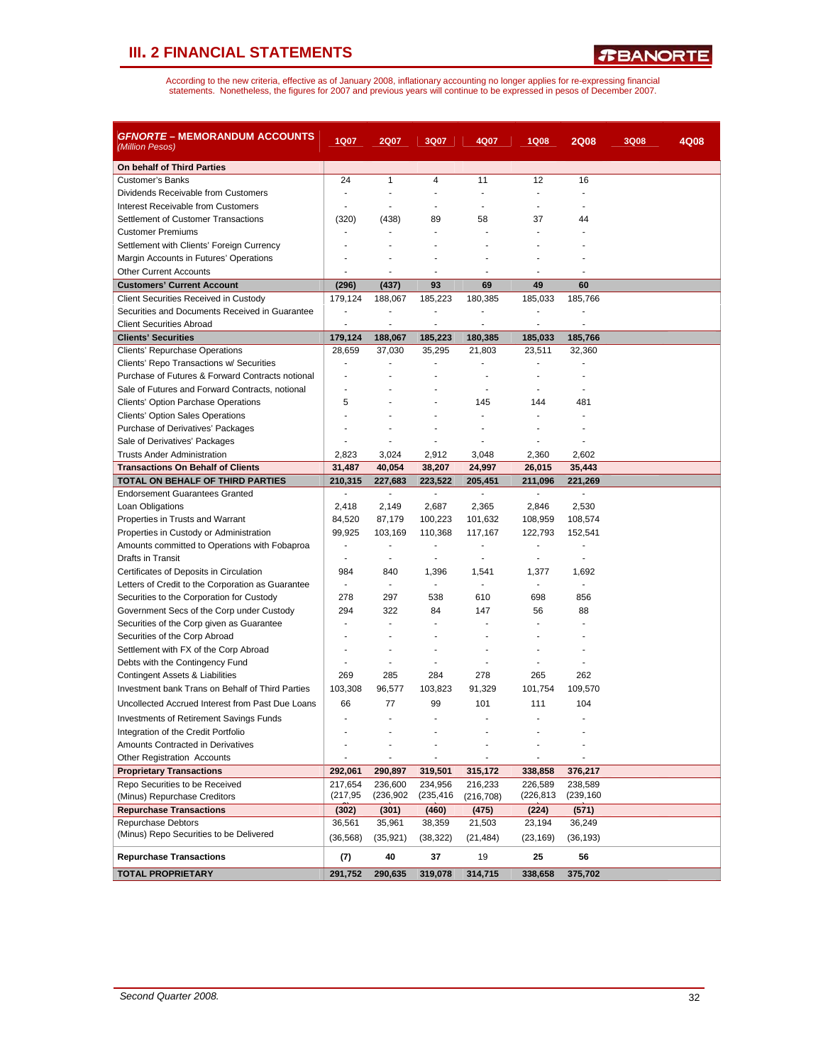*R***BANORTE** 

| <i>GFNORTE</i> – MEMORANDUM ACCOUNTS<br>(Million Pesos)                      | <b>1Q07</b>              | <b>2Q07</b>              | 3Q07              | 4Q07              | 1Q08                     | <b>2Q08</b>              | <b>3Q08</b> | 4Q08 |
|------------------------------------------------------------------------------|--------------------------|--------------------------|-------------------|-------------------|--------------------------|--------------------------|-------------|------|
| On behalf of Third Parties                                                   |                          |                          |                   |                   |                          |                          |             |      |
| Customer's Banks                                                             | 24                       | $\mathbf{1}$             | 4                 | 11                | 12                       | 16                       |             |      |
| Dividends Receivable from Customers                                          | ÷.                       | ×.                       | ٠                 | $\overline{a}$    | $\overline{a}$           | $\overline{a}$           |             |      |
| Interest Receivable from Customers                                           |                          |                          |                   | ä,                |                          |                          |             |      |
| Settlement of Customer Transactions                                          | (320)                    | (438)                    | 89                | 58                | 37                       | 44                       |             |      |
| <b>Customer Premiums</b>                                                     |                          |                          |                   |                   |                          |                          |             |      |
| Settlement with Clients' Foreign Currency                                    |                          |                          |                   |                   |                          |                          |             |      |
| Margin Accounts in Futures' Operations                                       |                          |                          |                   |                   |                          |                          |             |      |
| <b>Other Current Accounts</b>                                                |                          | ٠                        |                   | ٠                 |                          |                          |             |      |
| <b>Customers' Current Account</b>                                            | (296)                    | (437)                    | 93                | 69                | 49                       | 60                       |             |      |
| Client Securities Received in Custody                                        | 179,124                  | 188,067                  | 185,223           | 180,385           | 185,033                  | 185,766                  |             |      |
| Securities and Documents Received in Guarantee                               | $\overline{a}$           | ÷,                       | ٠                 | $\overline{a}$    |                          |                          |             |      |
| <b>Client Securities Abroad</b>                                              | $\overline{a}$           | ä,                       | $\blacksquare$    | $\overline{a}$    | ÷,                       |                          |             |      |
| <b>Clients' Securities</b>                                                   | 179,124                  | 188,067                  | 185,223           | 180,385           | 185,033                  | 185,766                  |             |      |
| Clients' Repurchase Operations                                               | 28,659                   | 37,030                   | 35,295            | 21,803            | 23,511                   | 32,360                   |             |      |
| Clients' Repo Transactions w/ Securities                                     |                          |                          |                   |                   |                          |                          |             |      |
| Purchase of Futures & Forward Contracts notional                             | ٠                        |                          |                   |                   |                          |                          |             |      |
| Sale of Futures and Forward Contracts, notional                              |                          |                          |                   |                   |                          |                          |             |      |
| Clients' Option Parchase Operations                                          | 5                        |                          |                   | 145               | 144                      | 481                      |             |      |
| <b>Clients' Option Sales Operations</b>                                      |                          |                          |                   |                   |                          |                          |             |      |
| Purchase of Derivatives' Packages                                            |                          |                          |                   |                   |                          |                          |             |      |
| Sale of Derivatives' Packages                                                |                          |                          |                   |                   |                          |                          |             |      |
| <b>Trusts Ander Administration</b>                                           | 2,823                    | 3,024                    | 2,912             | 3,048             | 2,360                    | 2,602                    |             |      |
| <b>Transactions On Behalf of Clients</b><br>TOTAL ON BEHALF OF THIRD PARTIES | 31,487<br>210,315        | 40,054<br>227,683        | 38,207<br>223,522 | 24,997<br>205,451 | 26,015<br>211,096        | 35,443<br>221,269        |             |      |
| <b>Endorsement Guarantees Granted</b>                                        | $\overline{\phantom{a}}$ | $\overline{\phantom{a}}$ | $\blacksquare$    | $\blacksquare$    | $\overline{\phantom{a}}$ | $\overline{\phantom{a}}$ |             |      |
| Loan Obligations                                                             | 2,418                    | 2,149                    | 2,687             | 2,365             | 2,846                    | 2,530                    |             |      |
| Properties in Trusts and Warrant                                             | 84,520                   | 87,179                   | 100,223           | 101,632           | 108,959                  | 108,574                  |             |      |
| Properties in Custody or Administration                                      | 99,925                   | 103,169                  | 110,368           | 117,167           | 122,793                  | 152,541                  |             |      |
| Amounts committed to Operations with Fobaproa                                |                          | $\overline{a}$           |                   | $\overline{a}$    | ÷,                       |                          |             |      |
| Drafts in Transit                                                            | $\overline{a}$           | ÷,                       |                   | ÷,                |                          |                          |             |      |
| Certificates of Deposits in Circulation                                      | 984                      | 840                      | 1,396             | 1,541             | 1,377                    | 1,692                    |             |      |
| Letters of Credit to the Corporation as Guarantee                            |                          | $\blacksquare$           |                   | $\overline{a}$    |                          |                          |             |      |
| Securities to the Corporation for Custody                                    | 278                      | 297                      | 538               | 610               | 698                      | 856                      |             |      |
| Government Secs of the Corp under Custody                                    | 294                      | 322                      | 84                | 147               | 56                       | 88                       |             |      |
| Securities of the Corp given as Guarantee                                    |                          | $\overline{a}$           |                   |                   |                          |                          |             |      |
| Securities of the Corp Abroad                                                |                          |                          |                   |                   |                          |                          |             |      |
| Settlement with FX of the Corp Abroad                                        |                          |                          |                   |                   |                          |                          |             |      |
| Debts with the Contingency Fund                                              | ٠                        | ÷.                       |                   |                   |                          |                          |             |      |
| Contingent Assets & Liabilities                                              | 269                      | 285                      | 284               | 278               | 265                      | 262                      |             |      |
| Investment bank Trans on Behalf of Third Parties                             | 103,308                  | 96,577                   | 103,823           | 91,329            | 101,754                  | 109,570                  |             |      |
| Uncollected Accrued Interest from Past Due Loans                             | 66                       | 77                       | 99                | 101               | 111                      | 104                      |             |      |
| <b>Investments of Retirement Savings Funds</b>                               |                          |                          |                   |                   |                          |                          |             |      |
| Integration of the Credit Portfolio                                          |                          |                          |                   |                   |                          |                          |             |      |
| Amounts Contracted in Derivatives                                            |                          |                          |                   |                   |                          |                          |             |      |
| <b>Other Registration Accounts</b>                                           |                          | ÷,                       |                   |                   | ÷,                       |                          |             |      |
| <b>Proprietary Transactions</b>                                              | 292,061                  | 290,897                  | 319,501           | 315,172           | 338,858                  | 376,217                  |             |      |
| Repo Securities to be Received                                               | 217,654                  | 236,600                  | 234,956           | 216,233           | 226,589                  | 238,589                  |             |      |
| (Minus) Repurchase Creditors                                                 | (217, 95)                | (236, 902)               | (235,416)         | (216, 708)        | (226, 813)               | (239, 160)               |             |      |
| <b>Repurchase Transactions</b>                                               | (302)                    | (301)                    | (460)             | (475)             | (224)                    | (571)                    |             |      |
| <b>Repurchase Debtors</b>                                                    | 36,561                   | 35,961                   | 38,359            | 21,503            | 23,194                   | 36,249                   |             |      |
| (Minus) Repo Securities to be Delivered                                      | (36, 568)                | (35, 921)                | (38, 322)         | (21, 484)         | (23, 169)                | (36, 193)                |             |      |
| <b>Repurchase Transactions</b>                                               | (7)                      | 40                       | 37                | 19                | 25                       | 56                       |             |      |
| <b>TOTAL PROPRIETARY</b>                                                     | 291,752                  | 290,635                  | 319,078           | 314,715           | 338,658                  | 375,702                  |             |      |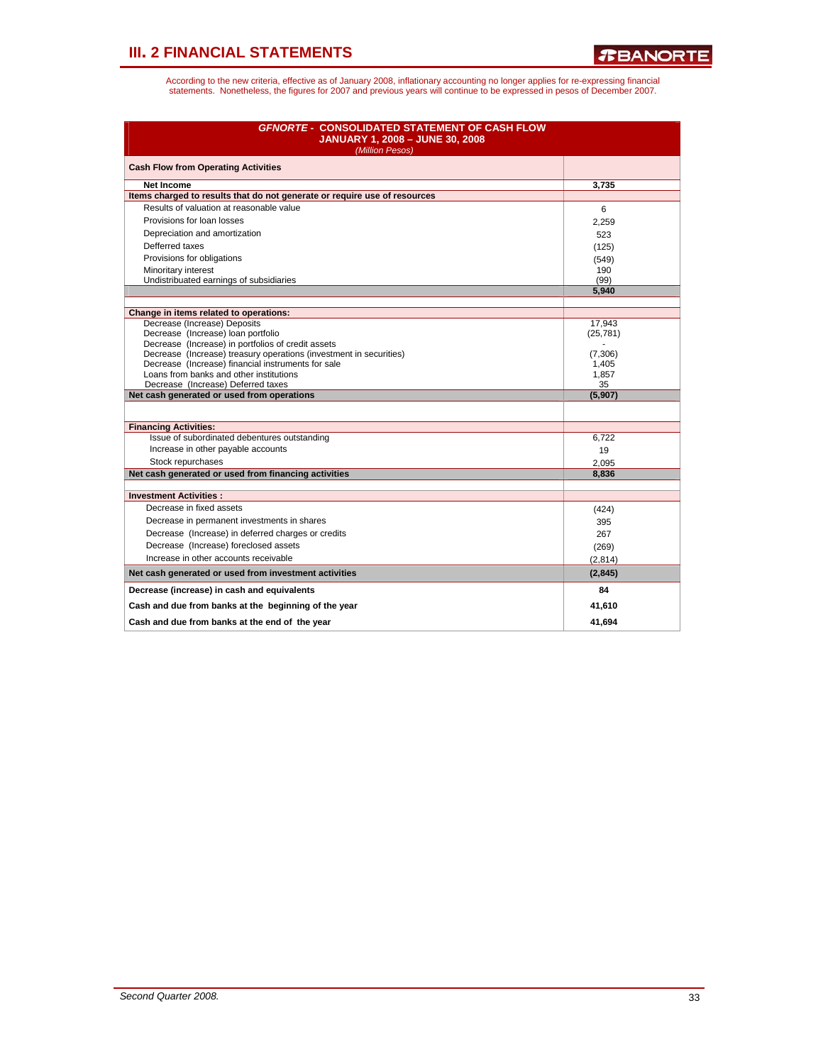| <b>GFNORTE - CONSOLIDATED STATEMENT OF CASH FLOW</b><br><b>JANUARY 1, 2008 - JUNE 30, 2008</b><br>(Million Pesos) |                     |  |  |  |  |  |  |
|-------------------------------------------------------------------------------------------------------------------|---------------------|--|--|--|--|--|--|
| <b>Cash Flow from Operating Activities</b>                                                                        |                     |  |  |  |  |  |  |
| <b>Net Income</b>                                                                                                 | 3.735               |  |  |  |  |  |  |
| Items charged to results that do not generate or require use of resources                                         |                     |  |  |  |  |  |  |
| Results of valuation at reasonable value                                                                          | 6                   |  |  |  |  |  |  |
| Provisions for loan losses                                                                                        | 2,259               |  |  |  |  |  |  |
| Depreciation and amortization                                                                                     | 523                 |  |  |  |  |  |  |
| Defferred taxes                                                                                                   | (125)               |  |  |  |  |  |  |
| Provisions for obligations                                                                                        | (549)               |  |  |  |  |  |  |
| Minoritary interest                                                                                               | 190                 |  |  |  |  |  |  |
| Undistribuated earnings of subsidiaries                                                                           | (99)                |  |  |  |  |  |  |
|                                                                                                                   | 5,940               |  |  |  |  |  |  |
|                                                                                                                   |                     |  |  |  |  |  |  |
| Change in items related to operations:<br>Decrease (Increase) Deposits                                            | 17,943              |  |  |  |  |  |  |
| Decrease (Increase) loan portfolio                                                                                | (25, 781)           |  |  |  |  |  |  |
| Decrease (Increase) in portfolios of credit assets                                                                |                     |  |  |  |  |  |  |
| Decrease (Increase) treasury operations (investment in securities)                                                | (7,306)             |  |  |  |  |  |  |
| Decrease (Increase) financial instruments for sale                                                                | 1,405               |  |  |  |  |  |  |
| Loans from banks and other institutions                                                                           | 1,857               |  |  |  |  |  |  |
| Decrease (Increase) Deferred taxes                                                                                | 35<br>(5,907)       |  |  |  |  |  |  |
| Net cash generated or used from operations                                                                        |                     |  |  |  |  |  |  |
|                                                                                                                   |                     |  |  |  |  |  |  |
| <b>Financing Activities:</b>                                                                                      |                     |  |  |  |  |  |  |
| Issue of subordinated debentures outstanding<br>Increase in other payable accounts                                | 6.722               |  |  |  |  |  |  |
|                                                                                                                   | 19                  |  |  |  |  |  |  |
| Stock repurchases                                                                                                 | 2.095               |  |  |  |  |  |  |
| Net cash generated or used from financing activities                                                              | 8,836               |  |  |  |  |  |  |
| <b>Investment Activities:</b>                                                                                     |                     |  |  |  |  |  |  |
| Decrease in fixed assets                                                                                          | (424)               |  |  |  |  |  |  |
| Decrease in permanent investments in shares                                                                       | 395                 |  |  |  |  |  |  |
| Decrease (Increase) in deferred charges or credits                                                                | 267                 |  |  |  |  |  |  |
| Decrease (Increase) foreclosed assets                                                                             | (269)               |  |  |  |  |  |  |
| Increase in other accounts receivable                                                                             |                     |  |  |  |  |  |  |
| Net cash generated or used from investment activities                                                             | (2,814)<br>(2, 845) |  |  |  |  |  |  |
|                                                                                                                   |                     |  |  |  |  |  |  |
| Decrease (increase) in cash and equivalents                                                                       | 84                  |  |  |  |  |  |  |
| Cash and due from banks at the beginning of the year                                                              | 41,610              |  |  |  |  |  |  |
| Cash and due from banks at the end of the year                                                                    | 41.694              |  |  |  |  |  |  |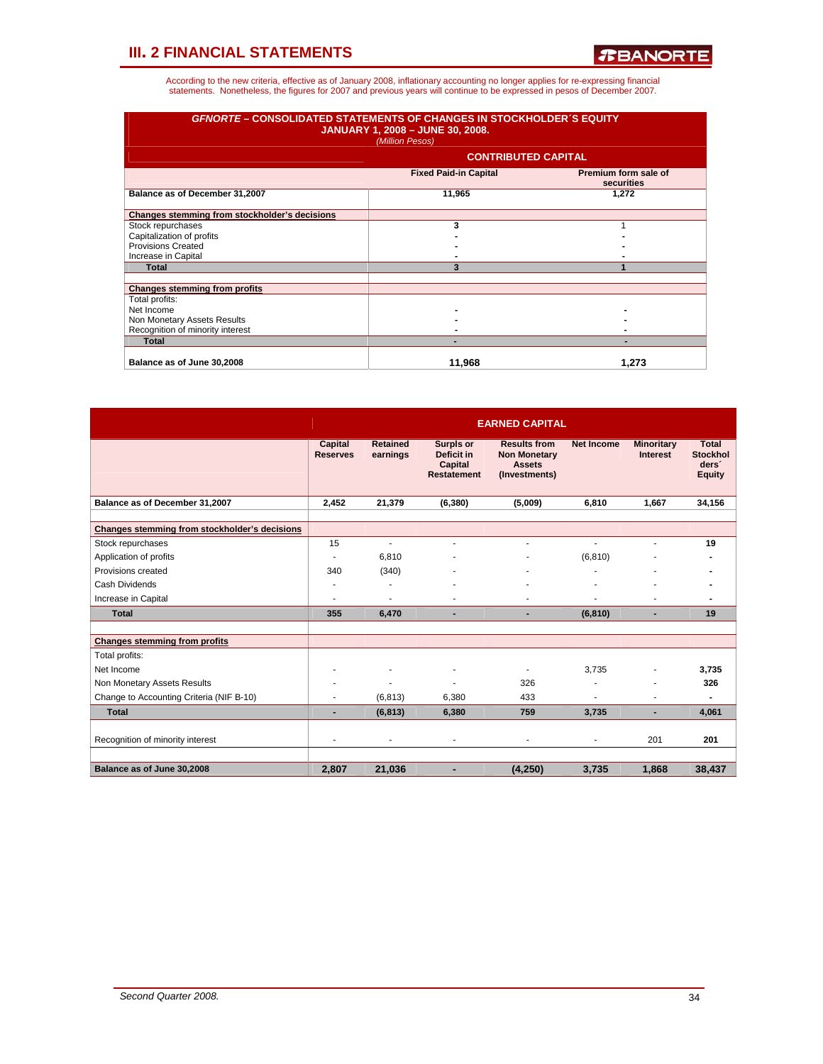| <b>GFNORTE - CONSOLIDATED STATEMENTS OF CHANGES IN STOCKHOLDER'S EQUITY</b><br><b>JANUARY 1, 2008 - JUNE 30, 2008.</b><br>(Million Pesos) |                              |                                    |  |  |  |  |  |  |  |  |
|-------------------------------------------------------------------------------------------------------------------------------------------|------------------------------|------------------------------------|--|--|--|--|--|--|--|--|
|                                                                                                                                           | <b>CONTRIBUTED CAPITAL</b>   |                                    |  |  |  |  |  |  |  |  |
|                                                                                                                                           | <b>Fixed Paid-in Capital</b> | Premium form sale of<br>securities |  |  |  |  |  |  |  |  |
| Balance as of December 31,2007                                                                                                            | 11,965                       | 1,272                              |  |  |  |  |  |  |  |  |
| Changes stemming from stockholder's decisions                                                                                             |                              |                                    |  |  |  |  |  |  |  |  |
| Stock repurchases                                                                                                                         | 3                            |                                    |  |  |  |  |  |  |  |  |
| Capitalization of profits                                                                                                                 |                              |                                    |  |  |  |  |  |  |  |  |
| <b>Provisions Created</b>                                                                                                                 |                              |                                    |  |  |  |  |  |  |  |  |
| Increase in Capital                                                                                                                       |                              |                                    |  |  |  |  |  |  |  |  |
| <b>Total</b>                                                                                                                              | 3                            |                                    |  |  |  |  |  |  |  |  |
| <b>Changes stemming from profits</b>                                                                                                      |                              |                                    |  |  |  |  |  |  |  |  |
| Total profits:                                                                                                                            |                              |                                    |  |  |  |  |  |  |  |  |
| Net Income                                                                                                                                |                              |                                    |  |  |  |  |  |  |  |  |
| Non Monetary Assets Results                                                                                                               |                              |                                    |  |  |  |  |  |  |  |  |
| Recognition of minority interest                                                                                                          |                              |                                    |  |  |  |  |  |  |  |  |
| <b>Total</b>                                                                                                                              |                              |                                    |  |  |  |  |  |  |  |  |
| Balance as of June 30,2008                                                                                                                | 11.968                       | 1.273                              |  |  |  |  |  |  |  |  |

|                                               |                            |                             |                                                          | <b>EARNED CAPITAL</b>                                                        |                   |                                      |                                                                       |
|-----------------------------------------------|----------------------------|-----------------------------|----------------------------------------------------------|------------------------------------------------------------------------------|-------------------|--------------------------------------|-----------------------------------------------------------------------|
|                                               | Capital<br><b>Reserves</b> | <b>Retained</b><br>earnings | Surpls or<br>Deficit in<br>Capital<br><b>Restatement</b> | <b>Results from</b><br><b>Non Monetary</b><br><b>Assets</b><br>(Investments) | <b>Net Income</b> | <b>Minoritary</b><br><b>Interest</b> | <b>Total</b><br><b>Stockhol</b><br>ders <sup>'</sup><br><b>Equity</b> |
| Balance as of December 31,2007                | 2,452                      | 21,379                      | (6, 380)                                                 | (5,009)                                                                      | 6,810             | 1.667                                | 34,156                                                                |
|                                               |                            |                             |                                                          |                                                                              |                   |                                      |                                                                       |
| Changes stemming from stockholder's decisions |                            |                             |                                                          |                                                                              |                   |                                      |                                                                       |
| Stock repurchases                             | 15                         | ÷                           | ٠                                                        |                                                                              |                   | ä,                                   | 19                                                                    |
| Application of profits<br>Provisions created  | ٠                          | 6,810                       |                                                          |                                                                              | (6, 810)          |                                      |                                                                       |
|                                               | 340                        | (340)                       |                                                          |                                                                              |                   | ۰                                    |                                                                       |
| Cash Dividends                                | ٠                          | ٠                           |                                                          |                                                                              |                   |                                      |                                                                       |
| Increase in Capital                           | ٠                          | ٠                           |                                                          |                                                                              |                   |                                      |                                                                       |
| <b>Total</b>                                  | 355                        | 6,470                       | -                                                        | ٠                                                                            | (6, 810)          |                                      | 19                                                                    |
|                                               |                            |                             |                                                          |                                                                              |                   |                                      |                                                                       |
| <b>Changes stemming from profits</b>          |                            |                             |                                                          |                                                                              |                   |                                      |                                                                       |
| Total profits:                                |                            |                             |                                                          |                                                                              |                   |                                      |                                                                       |
| Net Income                                    | ٠                          |                             | ٠                                                        | ٠                                                                            | 3.735             | ä,                                   | 3,735                                                                 |
| Non Monetary Assets Results                   | ٠                          | ä,                          |                                                          | 326                                                                          |                   |                                      | 326                                                                   |
| Change to Accounting Criteria (NIF B-10)      | ä,                         | (6, 813)                    | 6.380                                                    | 433                                                                          |                   | ä,                                   | ۰                                                                     |
| <b>Total</b>                                  | ٠                          | (6, 813)                    | 6,380                                                    | 759                                                                          | 3,735             | ٠                                    | 4,061                                                                 |
|                                               |                            |                             |                                                          |                                                                              |                   |                                      |                                                                       |
| Recognition of minority interest              | ä,                         | ٠                           | ٠                                                        | ٠                                                                            | ٠                 | 201                                  | 201                                                                   |
|                                               |                            |                             |                                                          |                                                                              |                   |                                      |                                                                       |
| Balance as of June 30,2008                    | 2,807                      | 21,036                      |                                                          | (4, 250)                                                                     | 3,735             | 1,868                                | 38,437                                                                |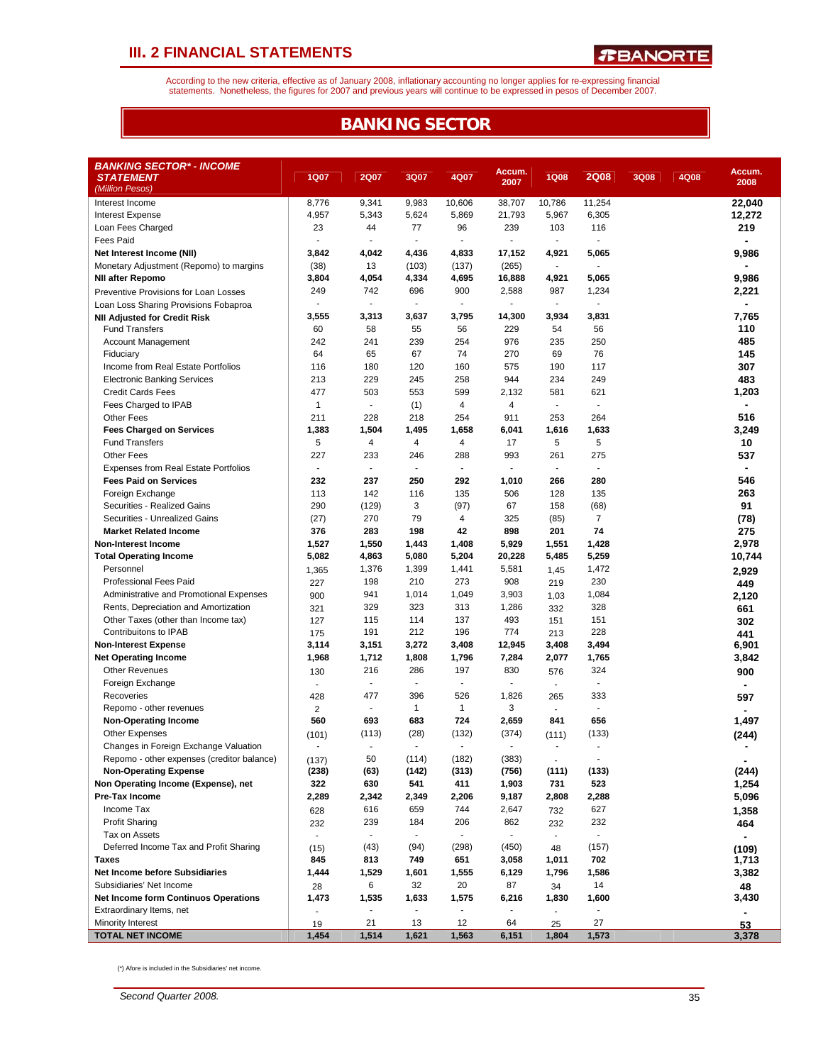According to the new criteria, effective as of January 2008, inflationary accounting no longer applies for re-expressing financial<br>statements. Nonetheless, the figures for 2007 and previous years will continue to be expres

### **BANKING SECTOR**

| <b>BANKING SECTOR* - INCOME</b><br>Accum.<br>Accum.<br><b>1Q07</b><br><b>1Q08</b><br><b>2Q08</b><br><b>STATEMENT</b><br><b>2Q07</b><br>3Q07<br>4Q07<br>3Q08<br>4Q08<br>2007<br>2008<br>(Million Pesos)<br>8,776<br>9,341<br>9,983<br>10,606<br>11,254<br>Interest Income<br>38,707<br>10,786<br>22,040<br>4,957<br>5,343<br>5,624<br>5,869<br>21,793<br>5,967<br>6,305<br>12,272<br><b>Interest Expense</b><br>23<br>77<br>96<br>239<br>103<br>116<br>219<br>Loan Fees Charged<br>44<br><b>Fees Paid</b><br>$\overline{\phantom{a}}$<br>$\blacksquare$<br>$\overline{\phantom{a}}$<br>$\overline{\phantom{a}}$<br>$\overline{a}$<br>$\overline{\phantom{a}}$<br>9,986<br>Net Interest Income (NII)<br>3,842<br>4,042<br>4,436<br>4,833<br>17,152<br>4,921<br>5,065<br>(38)<br>Monetary Adjustment (Repomo) to margins<br>13<br>(103)<br>(137)<br>(265)<br>$\blacksquare$<br>$\mathbf{r}$<br>3,804<br>5,065<br>9,986<br><b>NII after Repomo</b><br>4,054<br>4,334<br>4,695<br>16,888<br>4,921<br>249<br>900<br>2,221<br>742<br>696<br>2,588<br>987<br>1,234<br>Preventive Provisions for Loan Losses<br>÷<br>ä,<br>÷.<br>ä,<br>ä,<br>Loan Loss Sharing Provisions Fobaproa<br>3,555<br>3,313<br>3,637<br>3,795<br>14,300<br>7,765<br>3,934<br>3,831<br><b>NII Adjusted for Credit Risk</b><br>60<br>58<br>229<br>54<br>56<br>110<br><b>Fund Transfers</b><br>55<br>56 |
|----------------------------------------------------------------------------------------------------------------------------------------------------------------------------------------------------------------------------------------------------------------------------------------------------------------------------------------------------------------------------------------------------------------------------------------------------------------------------------------------------------------------------------------------------------------------------------------------------------------------------------------------------------------------------------------------------------------------------------------------------------------------------------------------------------------------------------------------------------------------------------------------------------------------------------------------------------------------------------------------------------------------------------------------------------------------------------------------------------------------------------------------------------------------------------------------------------------------------------------------------------------------------------------------------------------------------------------------------------------------|
|                                                                                                                                                                                                                                                                                                                                                                                                                                                                                                                                                                                                                                                                                                                                                                                                                                                                                                                                                                                                                                                                                                                                                                                                                                                                                                                                                                      |
|                                                                                                                                                                                                                                                                                                                                                                                                                                                                                                                                                                                                                                                                                                                                                                                                                                                                                                                                                                                                                                                                                                                                                                                                                                                                                                                                                                      |
|                                                                                                                                                                                                                                                                                                                                                                                                                                                                                                                                                                                                                                                                                                                                                                                                                                                                                                                                                                                                                                                                                                                                                                                                                                                                                                                                                                      |
|                                                                                                                                                                                                                                                                                                                                                                                                                                                                                                                                                                                                                                                                                                                                                                                                                                                                                                                                                                                                                                                                                                                                                                                                                                                                                                                                                                      |
|                                                                                                                                                                                                                                                                                                                                                                                                                                                                                                                                                                                                                                                                                                                                                                                                                                                                                                                                                                                                                                                                                                                                                                                                                                                                                                                                                                      |
|                                                                                                                                                                                                                                                                                                                                                                                                                                                                                                                                                                                                                                                                                                                                                                                                                                                                                                                                                                                                                                                                                                                                                                                                                                                                                                                                                                      |
|                                                                                                                                                                                                                                                                                                                                                                                                                                                                                                                                                                                                                                                                                                                                                                                                                                                                                                                                                                                                                                                                                                                                                                                                                                                                                                                                                                      |
|                                                                                                                                                                                                                                                                                                                                                                                                                                                                                                                                                                                                                                                                                                                                                                                                                                                                                                                                                                                                                                                                                                                                                                                                                                                                                                                                                                      |
|                                                                                                                                                                                                                                                                                                                                                                                                                                                                                                                                                                                                                                                                                                                                                                                                                                                                                                                                                                                                                                                                                                                                                                                                                                                                                                                                                                      |
|                                                                                                                                                                                                                                                                                                                                                                                                                                                                                                                                                                                                                                                                                                                                                                                                                                                                                                                                                                                                                                                                                                                                                                                                                                                                                                                                                                      |
|                                                                                                                                                                                                                                                                                                                                                                                                                                                                                                                                                                                                                                                                                                                                                                                                                                                                                                                                                                                                                                                                                                                                                                                                                                                                                                                                                                      |
|                                                                                                                                                                                                                                                                                                                                                                                                                                                                                                                                                                                                                                                                                                                                                                                                                                                                                                                                                                                                                                                                                                                                                                                                                                                                                                                                                                      |
|                                                                                                                                                                                                                                                                                                                                                                                                                                                                                                                                                                                                                                                                                                                                                                                                                                                                                                                                                                                                                                                                                                                                                                                                                                                                                                                                                                      |
| 242<br>239<br>254<br>976<br>235<br>250<br>485<br>Account Management<br>241                                                                                                                                                                                                                                                                                                                                                                                                                                                                                                                                                                                                                                                                                                                                                                                                                                                                                                                                                                                                                                                                                                                                                                                                                                                                                           |
| 64<br>65<br>74<br>76<br>145<br>67<br>270<br>69<br>Fiduciary                                                                                                                                                                                                                                                                                                                                                                                                                                                                                                                                                                                                                                                                                                                                                                                                                                                                                                                                                                                                                                                                                                                                                                                                                                                                                                          |
| 116<br>180<br>120<br>160<br>575<br>190<br>117<br>307<br>Income from Real Estate Portfolios                                                                                                                                                                                                                                                                                                                                                                                                                                                                                                                                                                                                                                                                                                                                                                                                                                                                                                                                                                                                                                                                                                                                                                                                                                                                           |
| 483<br>213<br>229<br>258<br>944<br>234<br>249<br><b>Electronic Banking Services</b><br>245                                                                                                                                                                                                                                                                                                                                                                                                                                                                                                                                                                                                                                                                                                                                                                                                                                                                                                                                                                                                                                                                                                                                                                                                                                                                           |
| 477<br>621<br>1,203<br><b>Credit Cards Fees</b><br>503<br>553<br>599<br>2,132<br>581<br>4<br>$\blacksquare$<br>$\blacksquare$                                                                                                                                                                                                                                                                                                                                                                                                                                                                                                                                                                                                                                                                                                                                                                                                                                                                                                                                                                                                                                                                                                                                                                                                                                        |
| $\mathbf{1}$<br>4<br>Fees Charged to IPAB<br>(1)<br>$\blacksquare$<br>516                                                                                                                                                                                                                                                                                                                                                                                                                                                                                                                                                                                                                                                                                                                                                                                                                                                                                                                                                                                                                                                                                                                                                                                                                                                                                            |
| 211<br>228<br>218<br>254<br>911<br>253<br>264<br><b>Other Fees</b><br>1,495                                                                                                                                                                                                                                                                                                                                                                                                                                                                                                                                                                                                                                                                                                                                                                                                                                                                                                                                                                                                                                                                                                                                                                                                                                                                                          |
| 1,383<br>3,249<br><b>Fees Charged on Services</b><br>1,504<br>1,658<br>6,041<br>1,616<br>1,633<br>5<br>4<br>5<br>5<br>10<br><b>Fund Transfers</b><br>4<br>4                                                                                                                                                                                                                                                                                                                                                                                                                                                                                                                                                                                                                                                                                                                                                                                                                                                                                                                                                                                                                                                                                                                                                                                                          |
| 17<br>227<br>233<br>993<br>261<br>537<br><b>Other Fees</b><br>246<br>288<br>275                                                                                                                                                                                                                                                                                                                                                                                                                                                                                                                                                                                                                                                                                                                                                                                                                                                                                                                                                                                                                                                                                                                                                                                                                                                                                      |
| <b>Expenses from Real Estate Portfolios</b><br>÷,<br>$\mathbf{r}$<br>$\blacksquare$<br>$\mathbf{r}$<br>÷.<br>$\sim$<br>÷                                                                                                                                                                                                                                                                                                                                                                                                                                                                                                                                                                                                                                                                                                                                                                                                                                                                                                                                                                                                                                                                                                                                                                                                                                             |
| 232<br>237<br>250<br>292<br>280<br>546<br><b>Fees Paid on Services</b><br>1,010<br>266                                                                                                                                                                                                                                                                                                                                                                                                                                                                                                                                                                                                                                                                                                                                                                                                                                                                                                                                                                                                                                                                                                                                                                                                                                                                               |
| 263<br>113<br>142<br>135<br>128<br>135<br>Foreign Exchange<br>116<br>506                                                                                                                                                                                                                                                                                                                                                                                                                                                                                                                                                                                                                                                                                                                                                                                                                                                                                                                                                                                                                                                                                                                                                                                                                                                                                             |
| 91<br>290<br>(129)<br>3<br>(97)<br>67<br>158<br>(68)<br>Securities - Realized Gains                                                                                                                                                                                                                                                                                                                                                                                                                                                                                                                                                                                                                                                                                                                                                                                                                                                                                                                                                                                                                                                                                                                                                                                                                                                                                  |
| (78)<br>(27)<br>270<br>79<br>4<br>325<br>(85)<br>$\overline{7}$<br>Securities - Unrealized Gains                                                                                                                                                                                                                                                                                                                                                                                                                                                                                                                                                                                                                                                                                                                                                                                                                                                                                                                                                                                                                                                                                                                                                                                                                                                                     |
| 376<br>42<br>74<br>275<br><b>Market Related Income</b><br>283<br>198<br>898<br>201                                                                                                                                                                                                                                                                                                                                                                                                                                                                                                                                                                                                                                                                                                                                                                                                                                                                                                                                                                                                                                                                                                                                                                                                                                                                                   |
| 1,527<br>1,408<br>5,929<br>1,428<br>2,978<br><b>Non-Interest Income</b><br>1,550<br>1,443<br>1,551                                                                                                                                                                                                                                                                                                                                                                                                                                                                                                                                                                                                                                                                                                                                                                                                                                                                                                                                                                                                                                                                                                                                                                                                                                                                   |
| 5,082<br>5,204<br>5,259<br>10,744<br><b>Total Operating Income</b><br>4,863<br>5,080<br>20,228<br>5,485                                                                                                                                                                                                                                                                                                                                                                                                                                                                                                                                                                                                                                                                                                                                                                                                                                                                                                                                                                                                                                                                                                                                                                                                                                                              |
| Personnel<br>1,376<br>1,399<br>1,441<br>5,581<br>1,472<br>1,365<br>1,45<br>2,929                                                                                                                                                                                                                                                                                                                                                                                                                                                                                                                                                                                                                                                                                                                                                                                                                                                                                                                                                                                                                                                                                                                                                                                                                                                                                     |
| 230<br>Professional Fees Paid<br>198<br>210<br>273<br>908<br>227<br>219<br>449                                                                                                                                                                                                                                                                                                                                                                                                                                                                                                                                                                                                                                                                                                                                                                                                                                                                                                                                                                                                                                                                                                                                                                                                                                                                                       |
| Administrative and Promotional Expenses<br>941<br>1,014<br>1,049<br>3,903<br>1,084<br>900<br>1,03<br>2,120                                                                                                                                                                                                                                                                                                                                                                                                                                                                                                                                                                                                                                                                                                                                                                                                                                                                                                                                                                                                                                                                                                                                                                                                                                                           |
| 329<br>323<br>328<br>313<br>1,286<br>Rents, Depreciation and Amortization<br>321<br>332<br>661                                                                                                                                                                                                                                                                                                                                                                                                                                                                                                                                                                                                                                                                                                                                                                                                                                                                                                                                                                                                                                                                                                                                                                                                                                                                       |
| 493<br>Other Taxes (other than Income tax)<br>115<br>114<br>137<br>151<br>127<br>151<br>302                                                                                                                                                                                                                                                                                                                                                                                                                                                                                                                                                                                                                                                                                                                                                                                                                                                                                                                                                                                                                                                                                                                                                                                                                                                                          |
| 228<br>Contribuitons to IPAB<br>191<br>212<br>196<br>774<br>175<br>213<br>441                                                                                                                                                                                                                                                                                                                                                                                                                                                                                                                                                                                                                                                                                                                                                                                                                                                                                                                                                                                                                                                                                                                                                                                                                                                                                        |
| 3,114<br>3,272<br>3,408<br>3,494<br>6,901<br><b>Non-Interest Expense</b><br>3,151<br>3,408<br>12,945                                                                                                                                                                                                                                                                                                                                                                                                                                                                                                                                                                                                                                                                                                                                                                                                                                                                                                                                                                                                                                                                                                                                                                                                                                                                 |
| 1,712<br>1,796<br>2,077<br>3,842<br><b>Net Operating Income</b><br>1,968<br>1,808<br>7,284<br>1,765                                                                                                                                                                                                                                                                                                                                                                                                                                                                                                                                                                                                                                                                                                                                                                                                                                                                                                                                                                                                                                                                                                                                                                                                                                                                  |
| 286<br>830<br>324<br><b>Other Revenues</b><br>216<br>197<br>130<br>576<br>900                                                                                                                                                                                                                                                                                                                                                                                                                                                                                                                                                                                                                                                                                                                                                                                                                                                                                                                                                                                                                                                                                                                                                                                                                                                                                        |
| Foreign Exchange<br>$\sim$<br>٠<br>$\overline{\phantom{a}}$<br>$\blacksquare$<br>÷.<br>$\blacksquare$                                                                                                                                                                                                                                                                                                                                                                                                                                                                                                                                                                                                                                                                                                                                                                                                                                                                                                                                                                                                                                                                                                                                                                                                                                                                |
| 477<br>396<br>526<br>1,826<br>333<br>Recoveries<br>428<br>265<br>597                                                                                                                                                                                                                                                                                                                                                                                                                                                                                                                                                                                                                                                                                                                                                                                                                                                                                                                                                                                                                                                                                                                                                                                                                                                                                                 |
| $\mathbf{1}$<br>$\mathbf{1}$<br>3<br>Repomo - other revenues<br>$\overline{\phantom{a}}$<br>$\overline{\phantom{a}}$<br>2<br>÷.                                                                                                                                                                                                                                                                                                                                                                                                                                                                                                                                                                                                                                                                                                                                                                                                                                                                                                                                                                                                                                                                                                                                                                                                                                      |
| 560<br>724<br>656<br>1,497<br><b>Non-Operating Income</b><br>693<br>683<br>2,659<br>841                                                                                                                                                                                                                                                                                                                                                                                                                                                                                                                                                                                                                                                                                                                                                                                                                                                                                                                                                                                                                                                                                                                                                                                                                                                                              |
| <b>Other Expenses</b><br>(113)<br>(28)<br>(132)<br>(374)<br>(133)<br>(101)<br>(111)<br>(244)                                                                                                                                                                                                                                                                                                                                                                                                                                                                                                                                                                                                                                                                                                                                                                                                                                                                                                                                                                                                                                                                                                                                                                                                                                                                         |
| Changes in Foreign Exchange Valuation<br>÷,<br>$\sim$<br>$\blacksquare$<br>$\blacksquare$<br>$\overline{\phantom{a}}$<br>ä,                                                                                                                                                                                                                                                                                                                                                                                                                                                                                                                                                                                                                                                                                                                                                                                                                                                                                                                                                                                                                                                                                                                                                                                                                                          |
| Repomo - other expenses (creditor balance)<br>50<br>(114)<br>(182)<br>(383)<br>(137)<br>$\blacksquare$                                                                                                                                                                                                                                                                                                                                                                                                                                                                                                                                                                                                                                                                                                                                                                                                                                                                                                                                                                                                                                                                                                                                                                                                                                                               |
| (244)<br><b>Non-Operating Expense</b><br>(238)<br>(63)<br>(142)<br>(313)<br>(756)<br>(111)<br>(133)                                                                                                                                                                                                                                                                                                                                                                                                                                                                                                                                                                                                                                                                                                                                                                                                                                                                                                                                                                                                                                                                                                                                                                                                                                                                  |
| Non Operating Income (Expense), net<br>322<br>630<br>411<br>1,903<br>523<br>1,254<br>541<br>731                                                                                                                                                                                                                                                                                                                                                                                                                                                                                                                                                                                                                                                                                                                                                                                                                                                                                                                                                                                                                                                                                                                                                                                                                                                                      |
| Pre-Tax Income<br>2,206<br>5,096<br>2,289<br>2,342<br>2,349<br>9,187<br>2,808<br>2,288                                                                                                                                                                                                                                                                                                                                                                                                                                                                                                                                                                                                                                                                                                                                                                                                                                                                                                                                                                                                                                                                                                                                                                                                                                                                               |
| Income Tax<br>616<br>744<br>659<br>2,647<br>627<br>628<br>732<br>1,358                                                                                                                                                                                                                                                                                                                                                                                                                                                                                                                                                                                                                                                                                                                                                                                                                                                                                                                                                                                                                                                                                                                                                                                                                                                                                               |
| <b>Profit Sharing</b><br>239<br>184<br>206<br>862<br>232<br>232<br>232<br>464                                                                                                                                                                                                                                                                                                                                                                                                                                                                                                                                                                                                                                                                                                                                                                                                                                                                                                                                                                                                                                                                                                                                                                                                                                                                                        |
| Tax on Assets<br>÷.<br>$\blacksquare$<br>$\mathcal{L}_{\mathcal{A}}$<br>$\overline{\phantom{a}}$                                                                                                                                                                                                                                                                                                                                                                                                                                                                                                                                                                                                                                                                                                                                                                                                                                                                                                                                                                                                                                                                                                                                                                                                                                                                     |
| Deferred Income Tax and Profit Sharing<br>(43)<br>(298)<br>(450)<br>(94)<br>(157)<br>(15)<br>48<br>(109)                                                                                                                                                                                                                                                                                                                                                                                                                                                                                                                                                                                                                                                                                                                                                                                                                                                                                                                                                                                                                                                                                                                                                                                                                                                             |
| 845<br>702<br>1,713<br>Taxes<br>813<br>749<br>651<br>3,058<br>1,011                                                                                                                                                                                                                                                                                                                                                                                                                                                                                                                                                                                                                                                                                                                                                                                                                                                                                                                                                                                                                                                                                                                                                                                                                                                                                                  |
| Net Income before Subsidiaries<br>1,444<br>1,529<br>1,601<br>1,555<br>6,129<br>1,796<br>1,586<br>3,382<br>Subsidiaries' Net Income                                                                                                                                                                                                                                                                                                                                                                                                                                                                                                                                                                                                                                                                                                                                                                                                                                                                                                                                                                                                                                                                                                                                                                                                                                   |
| 32<br>20<br>87<br>6<br>14<br>28<br>34<br>48<br><b>Net Income form Continuos Operations</b>                                                                                                                                                                                                                                                                                                                                                                                                                                                                                                                                                                                                                                                                                                                                                                                                                                                                                                                                                                                                                                                                                                                                                                                                                                                                           |
| 1,473<br>1,535<br>1,633<br>1,575<br>6,216<br>1,830<br>1,600<br>3,430<br>Extraordinary Items, net                                                                                                                                                                                                                                                                                                                                                                                                                                                                                                                                                                                                                                                                                                                                                                                                                                                                                                                                                                                                                                                                                                                                                                                                                                                                     |
| $\overline{\phantom{a}}$<br>Minority Interest<br>21<br>13<br>12<br>27<br>64                                                                                                                                                                                                                                                                                                                                                                                                                                                                                                                                                                                                                                                                                                                                                                                                                                                                                                                                                                                                                                                                                                                                                                                                                                                                                          |
| 25<br>19<br>53<br><b>TOTAL NET INCOME</b><br>1,454<br>1,621<br>3,378<br>1,514<br>1,563<br>6,151<br>1,804<br>1,573                                                                                                                                                                                                                                                                                                                                                                                                                                                                                                                                                                                                                                                                                                                                                                                                                                                                                                                                                                                                                                                                                                                                                                                                                                                    |

(\*) Afore is included in the Subsidiaries' net income.

*Second Quarter 2008.* 35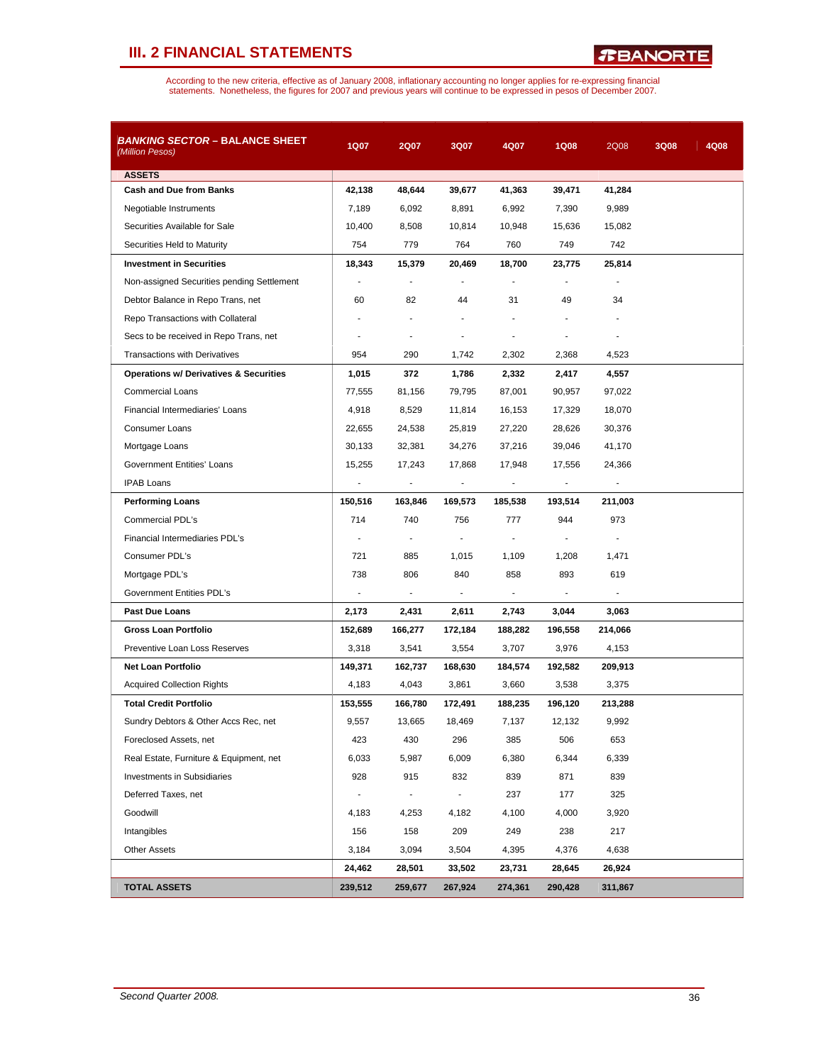*R***BANORTE** 

| <b>BANKING SECTOR - BALANCE SHEET</b><br>(Million Pesos) | 1Q07                     | 2Q07           | 3Q07           | 4Q07           | <b>1Q08</b> | 2Q08    | 3Q08 | 4Q08 |
|----------------------------------------------------------|--------------------------|----------------|----------------|----------------|-------------|---------|------|------|
| <b>ASSETS</b>                                            |                          |                |                |                |             |         |      |      |
| <b>Cash and Due from Banks</b>                           | 42,138                   | 48,644         | 39,677         | 41,363         | 39,471      | 41,284  |      |      |
| Negotiable Instruments                                   | 7,189                    | 6,092          | 8,891          | 6,992          | 7,390       | 9,989   |      |      |
| Securities Available for Sale                            | 10,400                   | 8,508          | 10,814         | 10,948         | 15,636      | 15,082  |      |      |
| Securities Held to Maturity                              | 754                      | 779            | 764            | 760            | 749         | 742     |      |      |
| <b>Investment in Securities</b>                          | 18,343                   | 15,379         | 20,469         | 18,700         | 23,775      | 25,814  |      |      |
| Non-assigned Securities pending Settlement               | $\blacksquare$           | ÷,             |                |                |             |         |      |      |
| Debtor Balance in Repo Trans, net                        | 60                       | 82             | 44             | 31             | 49          | 34      |      |      |
| Repo Transactions with Collateral                        |                          |                |                |                |             |         |      |      |
| Secs to be received in Repo Trans, net                   |                          | $\overline{a}$ |                |                |             |         |      |      |
| <b>Transactions with Derivatives</b>                     | 954                      | 290            | 1,742          | 2,302          | 2,368       | 4,523   |      |      |
| <b>Operations w/ Derivatives &amp; Securities</b>        | 1,015                    | 372            | 1,786          | 2,332          | 2,417       | 4,557   |      |      |
| <b>Commercial Loans</b>                                  | 77,555                   | 81,156         | 79,795         | 87,001         | 90,957      | 97,022  |      |      |
| Financial Intermediaries' Loans                          | 4,918                    | 8,529          | 11,814         | 16,153         | 17,329      | 18,070  |      |      |
| <b>Consumer Loans</b>                                    | 22,655                   | 24,538         | 25,819         | 27,220         | 28,626      | 30,376  |      |      |
| Mortgage Loans                                           | 30,133                   | 32,381         | 34,276         | 37,216         | 39,046      | 41,170  |      |      |
| Government Entities' Loans                               | 15,255                   | 17,243         | 17,868         | 17,948         | 17,556      | 24,366  |      |      |
| <b>IPAB Loans</b>                                        |                          |                |                |                |             |         |      |      |
| <b>Performing Loans</b>                                  | 150,516                  | 163,846        | 169,573        | 185,538        | 193,514     | 211,003 |      |      |
| Commercial PDL's                                         | 714                      | 740            | 756            | 777            | 944         | 973     |      |      |
| Financial Intermediaries PDL's                           | $\blacksquare$           | $\blacksquare$ | $\blacksquare$ | $\blacksquare$ |             |         |      |      |
| Consumer PDL's                                           | 721                      | 885            | 1,015          | 1,109          | 1,208       | 1,471   |      |      |
| Mortgage PDL's                                           | 738                      | 806            | 840            | 858            | 893         | 619     |      |      |
| Government Entities PDL's                                | $\overline{\phantom{a}}$ | $\blacksquare$ | $\blacksquare$ | $\blacksquare$ |             |         |      |      |
| <b>Past Due Loans</b>                                    | 2,173                    | 2,431          | 2,611          | 2,743          | 3,044       | 3,063   |      |      |
| Gross Loan Portfolio                                     | 152,689                  | 166,277        | 172,184        | 188,282        | 196,558     | 214,066 |      |      |
| Preventive Loan Loss Reserves                            | 3,318                    | 3,541          | 3,554          | 3,707          | 3,976       | 4,153   |      |      |
| <b>Net Loan Portfolio</b>                                | 149,371                  | 162,737        | 168,630        | 184,574        | 192,582     | 209,913 |      |      |
| <b>Acquired Collection Rights</b>                        | 4,183                    | 4,043          | 3,861          | 3,660          | 3,538       | 3,375   |      |      |
| <b>Total Credit Portfolio</b>                            | 153,555                  | 166,780        | 172,491        | 188,235        | 196,120     | 213,288 |      |      |
| Sundry Debtors & Other Accs Rec, net                     | 9,557                    | 13,665         | 18,469         | 7,137          | 12,132      | 9,992   |      |      |
| Foreclosed Assets, net                                   | 423                      | 430            | 296            | 385            | 506         | 653     |      |      |
| Real Estate, Furniture & Equipment, net                  | 6,033                    | 5,987          | 6,009          | 6,380          | 6,344       | 6,339   |      |      |
| <b>Investments in Subsidiaries</b>                       | 928                      | 915            | 832            | 839            | 871         | 839     |      |      |
| Deferred Taxes, net                                      | $\blacksquare$           | $\blacksquare$ | $\blacksquare$ | 237            | 177         | 325     |      |      |
| Goodwill                                                 | 4,183                    | 4,253          | 4,182          | 4,100          | 4,000       | 3,920   |      |      |
| Intangibles                                              | 156                      | 158            | 209            | 249            | 238         | 217     |      |      |
| <b>Other Assets</b>                                      | 3,184                    | 3,094          | 3,504          | 4,395          | 4,376       | 4,638   |      |      |
|                                                          | 24,462                   | 28,501         | 33,502         | 23,731         | 28,645      | 26,924  |      |      |
| <b>TOTAL ASSETS</b>                                      | 239,512                  | 259,677        | 267,924        | 274,361        | 290,428     | 311,867 |      |      |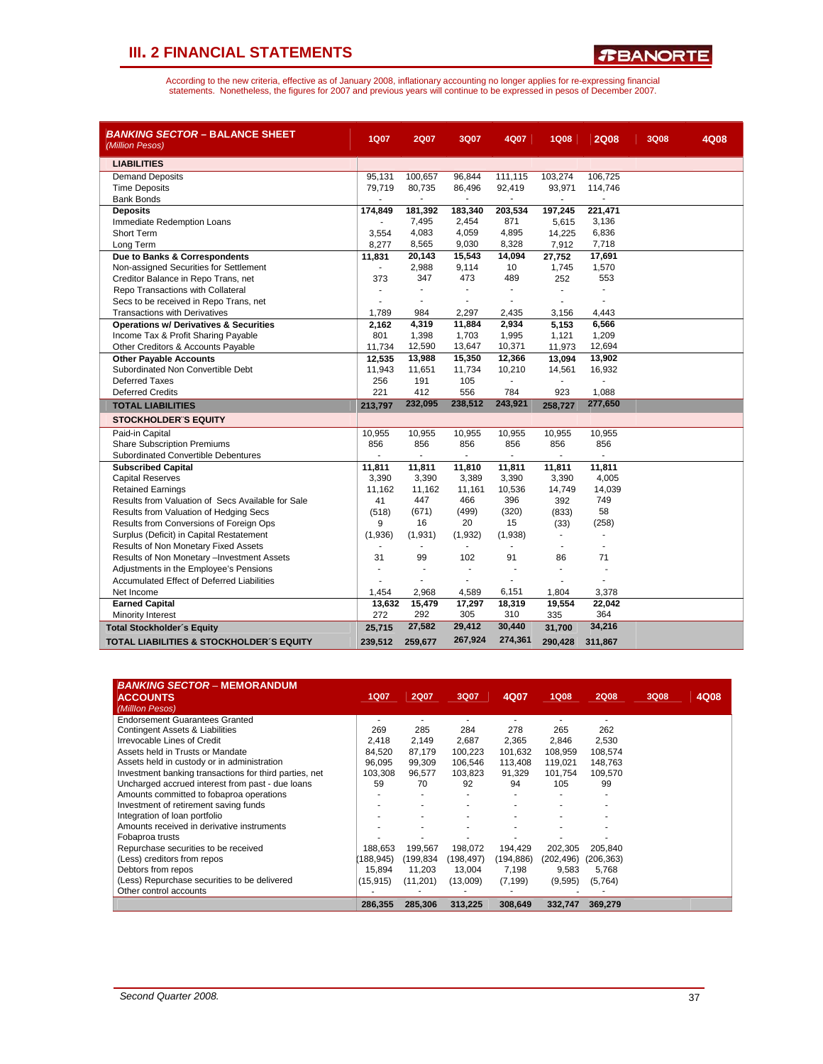*R***BANORTE** 

| <b>BANKING SECTOR - BALANCE SHEET</b><br>(Million Pesos) | <b>1Q07</b>    | <b>2Q07</b> | 3Q07                     | 4Q07           | <b>1Q08</b> | <b>2Q08</b>              | <b>3Q08</b> | 4Q08 |
|----------------------------------------------------------|----------------|-------------|--------------------------|----------------|-------------|--------------------------|-------------|------|
| <b>LIABILITIES</b>                                       |                |             |                          |                |             |                          |             |      |
| <b>Demand Deposits</b>                                   | 95,131         | 100,657     | 96,844                   | 111,115        | 103,274     | 106,725                  |             |      |
| <b>Time Deposits</b>                                     | 79,719         | 80,735      | 86,496                   | 92,419         | 93,971      | 114,746                  |             |      |
| <b>Bank Bonds</b>                                        |                |             |                          |                |             |                          |             |      |
| <b>Deposits</b>                                          | 174,849        | 181,392     | 183,340                  | 203,534        | 197,245     | 221,471                  |             |      |
| Immediate Redemption Loans                               | $\blacksquare$ | 7,495       | 2,454                    | 871            | 5,615       | 3,136                    |             |      |
| <b>Short Term</b>                                        | 3,554          | 4,083       | 4,059                    | 4,895          | 14,225      | 6,836                    |             |      |
| Long Term                                                | 8,277          | 8,565       | 9,030                    | 8,328          | 7,912       | 7,718                    |             |      |
| Due to Banks & Correspondents                            | 11,831         | 20,143      | 15,543                   | 14,094         | 27,752      | 17,691                   |             |      |
| Non-assigned Securities for Settlement                   | $\sim$         | 2,988       | 9,114                    | 10             | 1,745       | 1,570                    |             |      |
| Creditor Balance in Repo Trans, net                      | 373            | 347         | 473                      | 489            | 252         | 553                      |             |      |
| Repo Transactions with Collateral                        |                |             | ÷                        | ÷.             |             | ÷.                       |             |      |
| Secs to be received in Repo Trans, net                   |                |             |                          |                |             |                          |             |      |
| <b>Transactions with Derivatives</b>                     | 1,789          | 984         | 2,297                    | 2,435          | 3,156       | 4,443                    |             |      |
| <b>Operations w/ Derivatives &amp; Securities</b>        | 2,162          | 4,319       | 11,884                   | 2,934          | 5,153       | 6,566                    |             |      |
| Income Tax & Profit Sharing Payable                      | 801            | 1,398       | 1,703                    | 1,995          | 1,121       | 1,209                    |             |      |
| Other Creditors & Accounts Payable                       | 11,734         | 12,590      | 13,647                   | 10,371         | 11,973      | 12,694                   |             |      |
| <b>Other Payable Accounts</b>                            | 12,535         | 13,988      | 15,350                   | 12,366         | 13,094      | 13,902                   |             |      |
| Subordinated Non Convertible Debt                        | 11,943         | 11,651      | 11,734                   | 10,210         | 14,561      | 16,932                   |             |      |
| Deferred Taxes                                           | 256            | 191         | 105                      |                |             |                          |             |      |
| <b>Deferred Credits</b>                                  | 221            | 412         | 556                      | 784            | 923         | 1,088                    |             |      |
| <b>TOTAL LIABILITIES</b>                                 | 213,797        | 232,095     | 238,512                  | 243,921        | 258,727     | 277,650                  |             |      |
| <b>STOCKHOLDER'S EQUITY</b>                              |                |             |                          |                |             |                          |             |      |
| Paid-in Capital                                          | 10,955         | 10,955      | 10,955                   | 10,955         | 10,955      | 10,955                   |             |      |
| <b>Share Subscription Premiums</b>                       | 856            | 856         | 856                      | 856            | 856         | 856                      |             |      |
| Subordinated Convertible Debentures                      |                |             |                          |                |             |                          |             |      |
| <b>Subscribed Capital</b>                                | 11,811         | 11,811      | 11,810                   | 11,811         | 11,811      | 11,811                   |             |      |
| <b>Capital Reserves</b>                                  | 3,390          | 3,390       | 3,389                    | 3,390          | 3,390       | 4,005                    |             |      |
| <b>Retained Earnings</b>                                 | 11.162         | 11,162      | 11,161                   | 10,536         | 14,749      | 14,039                   |             |      |
| Results from Valuation of Secs Available for Sale        | 41             | 447         | 466                      | 396            | 392         | 749                      |             |      |
| Results from Valuation of Hedging Secs                   | (518)          | (671)       | (499)                    | (320)          | (833)       | 58                       |             |      |
| Results from Conversions of Foreign Ops                  | 9              | 16          | 20                       | 15             | (33)        | (258)                    |             |      |
| Surplus (Deficit) in Capital Restatement                 | (1,936)        | (1,931)     | (1,932)                  | (1,938)        | $\sim$      |                          |             |      |
| Results of Non Monetary Fixed Assets                     |                | ٠           | $\sim$                   | $\overline{a}$ |             | $\overline{\phantom{a}}$ |             |      |
| Results of Non Monetary -Investment Assets               | 31             | 99          | 102                      | 91             | 86          | 71                       |             |      |
| Adjustments in the Employee's Pensions                   | ä,             |             | $\overline{\phantom{a}}$ |                | ä,          | ä,                       |             |      |
| Accumulated Effect of Deferred Liabilities               |                |             | L.                       |                |             |                          |             |      |
| Net Income                                               | 1,454          | 2,968       | 4,589                    | 6,151          | 1,804       | 3,378                    |             |      |
| <b>Earned Capital</b>                                    | 13,632         | 15,479      | 17,297                   | 18,319         | 19,554      | 22,042                   |             |      |
| Minority Interest                                        | 272            | 292         | 305                      | 310            | 335         | 364                      |             |      |
| <b>Total Stockholder's Equity</b>                        | 25,715         | 27,582      | 29,412                   | 30,440         | 31,700      | 34,216                   |             |      |
| TOTAL LIABILITIES & STOCKHOLDER'S EQUITY                 | 239,512        | 259,677     | 267,924                  | 274,361        | 290,428     | 311,867                  |             |      |

| <b>BANKING SECTOR - MEMORANDUM</b><br><b>ACCOUNTS</b><br>(Milllon Pesos) | 1Q07       | <b>2Q07</b> | 3Q07       | 4Q07      | <b>1Q08</b> | <b>2Q08</b> | 3Q08 | 4Q08 |
|--------------------------------------------------------------------------|------------|-------------|------------|-----------|-------------|-------------|------|------|
| <b>Endorsement Guarantees Granted</b>                                    | ۰          |             |            |           |             |             |      |      |
| Contingent Assets & Liabilities                                          | 269        | 285         | 284        | 278       | 265         | 262         |      |      |
| Irrevocable Lines of Credit                                              | 2.418      | 2,149       | 2,687      | 2,365     | 2,846       | 2,530       |      |      |
| Assets held in Trusts or Mandate                                         | 84.520     | 87,179      | 100,223    | 101,632   | 108,959     | 108,574     |      |      |
| Assets held in custody or in administration                              | 96.095     | 99,309      | 106,546    | 113,408   | 119.021     | 148,763     |      |      |
| Investment banking transactions for third parties, net                   | 103.308    | 96,577      | 103,823    | 91,329    | 101,754     | 109,570     |      |      |
| Uncharged accrued interest from past - due loans                         | 59         | 70          | 92         | 94        | 105         | 99          |      |      |
| Amounts committed to fobaproa operations                                 |            |             |            |           |             |             |      |      |
| Investment of retirement saving funds                                    |            |             |            |           |             |             |      |      |
| Integration of loan portfolio                                            |            |             |            |           |             |             |      |      |
| Amounts received in derivative instruments                               |            |             |            |           |             |             |      |      |
| Fobaproa trusts                                                          |            |             |            |           |             |             |      |      |
| Repurchase securities to be received                                     | 188,653    | 199,567     | 198,072    | 194,429   | 202,305     | 205,840     |      |      |
| (Less) creditors from repos                                              | (188, 945) | (199,834    | (198, 497) | (194,886) | (202, 496)  | (206, 363)  |      |      |
| Debtors from repos                                                       | 15.894     | 11,203      | 13,004     | 7,198     | 9,583       | 5,768       |      |      |
| (Less) Repurchase securities to be delivered                             | (15, 915)  | (11,201)    | (13,009)   | (7, 199)  | (9,595)     | (5,764)     |      |      |
| Other control accounts                                                   |            |             |            |           |             |             |      |      |
|                                                                          | 286,355    | 285,306     | 313,225    | 308,649   | 332.747     | 369,279     |      |      |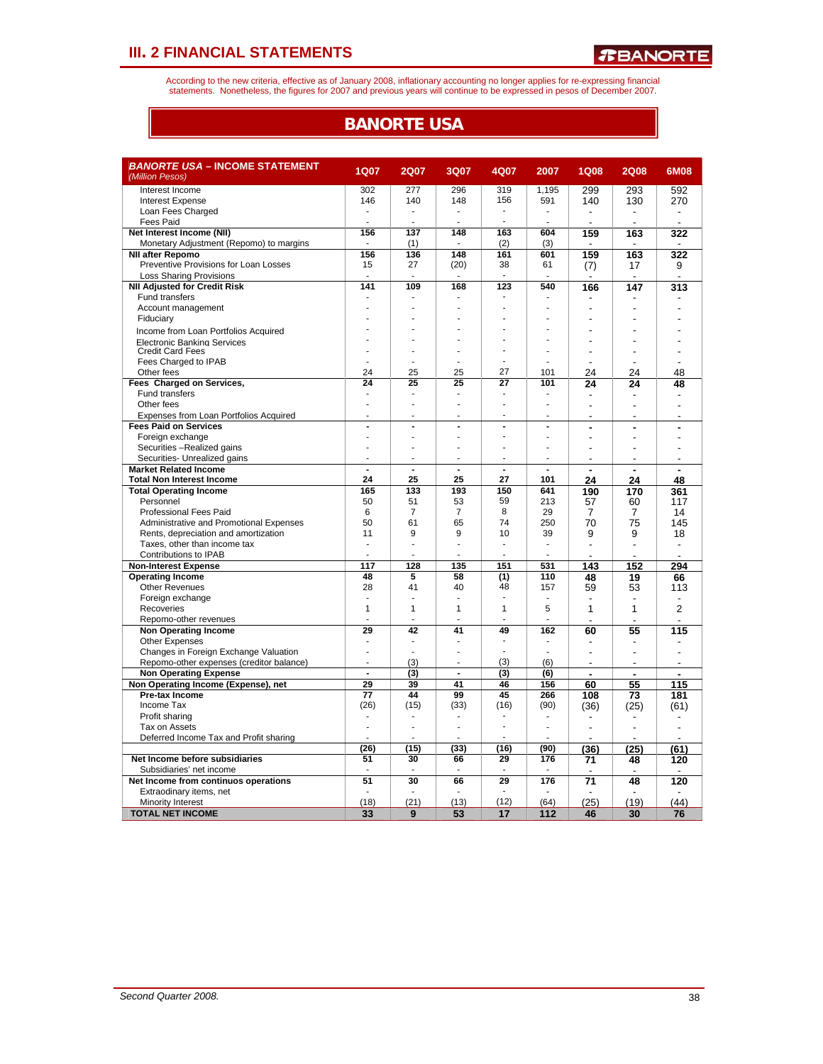According to the new criteria, effective as of January 2008, inflationary accounting no longer applies for re-expressing financial<br>statements. Nonetheless, the figures for 2007 and previous years will continue to be expres

### **BANORTE USA**

| <i>BANORTE USA –</i> INCOME STATEMENT<br>(Million Pesos) | <b>1Q07</b>    | <b>2Q07</b>     | 3Q07                     | 4Q07           | 2007           | <b>1Q08</b>    | <b>2Q08</b>    | 6M08           |
|----------------------------------------------------------|----------------|-----------------|--------------------------|----------------|----------------|----------------|----------------|----------------|
| Interest Income                                          | 302            | 277             | 296                      | 319            | 1,195          | 299            | 293            | 592            |
| <b>Interest Expense</b>                                  | 146            | 140             | 148                      | 156            | 591            | 140            | 130            | 270            |
| Loan Fees Charged                                        | Ĭ.             |                 |                          | ä,             | Ĭ.             |                |                |                |
| <b>Fees Paid</b>                                         |                |                 |                          | ä,             |                |                |                |                |
| Net Interest Income (NII)                                | 156            | 137             | 148                      | 163            | 604            | 159            | 163            | 322            |
| Monetary Adjustment (Repomo) to margins                  |                | (1)             |                          | (2)            | (3)            |                | $\overline{a}$ |                |
| <b>NII after Repomo</b>                                  | 156            | 136             | 148                      | 161            | 601            | 159            | 163            | 322            |
| Preventive Provisions for Loan Losses                    | 15             | 27              | (20)                     | 38             | 61             | (7)            | 17             | 9              |
| <b>Loss Sharing Provisions</b>                           |                |                 |                          |                |                |                |                |                |
| <b>NII Adjusted for Credit Risk</b>                      | 141            | 109             | 168                      | 123            | 540            | 166            | 147            | 313            |
| Fund transfers                                           |                |                 |                          |                |                |                |                |                |
| Account management                                       |                |                 |                          |                |                |                |                |                |
| Fiduciary                                                |                |                 |                          |                |                |                |                |                |
|                                                          |                |                 |                          |                |                |                |                |                |
| Income from Loan Portfolios Acquired                     |                |                 |                          |                | ÷,             |                |                |                |
| Electronic Banking Services                              |                |                 |                          |                |                |                |                |                |
| <b>Credit Card Fees</b>                                  | ÷              |                 |                          |                |                |                |                |                |
| Fees Charged to IPAB                                     |                |                 |                          |                |                |                |                |                |
| Other fees                                               | 24             | 25              | 25                       | 27             | 101            | 24             | 24             | 48             |
| Fees Charged on Services,                                | 24             | 25              | 25                       | 27             | 101            | 24             | 24             | 48             |
| <b>Fund transfers</b>                                    |                |                 |                          |                |                |                |                |                |
| Other fees                                               | L              |                 |                          |                | J.             |                |                |                |
| Expenses from Loan Portfolios Acquired                   | ä,             |                 |                          | ä,             | ä,             | J.             | $\overline{a}$ | $\overline{a}$ |
| <b>Fees Paid on Services</b>                             | $\overline{a}$ | $\overline{a}$  | $\overline{\phantom{a}}$ | ÷,             | L,             | ř.             | ÷              |                |
| Foreign exchange                                         |                |                 |                          |                |                | Ĭ.             |                |                |
| Securities -Realized gains                               | Ĭ.             |                 |                          |                | L,             |                |                |                |
| Securities- Unrealized gains                             |                |                 |                          |                |                |                |                |                |
| <b>Market Related Income</b>                             | $\blacksquare$ | $\blacksquare$  | $\overline{a}$           | $\blacksquare$ | $\blacksquare$ |                |                |                |
| <b>Total Non Interest Income</b>                         | 24             | 25              | 25                       | 27             | 101            | 24             | 24             | 48             |
| <b>Total Operating Income</b>                            | 165            | 133             | 193                      | 150            | 641            | 190            | 170            | 361            |
| Personnel                                                | 50             | 51              | 53                       | 59             | 213            | 57             | 60             | 117            |
| <b>Professional Fees Paid</b>                            | 6              | $\overline{7}$  | $\overline{7}$           | 8              | 29             | 7              | 7              | 14             |
| Administrative and Promotional Expenses                  | 50             | 61              | 65                       | 74             | 250            | 70             | 75             | 145            |
| Rents, depreciation and amortization                     | 11             | 9               | 9                        | 10             | 39             | 9              | 9              | 18             |
| Taxes, other than income tax                             | ä,             | $\overline{a}$  | ÷                        | ٠              | ä,             | $\overline{a}$ | $\overline{a}$ | $\overline{a}$ |
| Contributions to IPAB                                    |                |                 |                          |                | J.             |                |                |                |
| <b>Non-Interest Expense</b>                              | 117            | 128             | 135                      | 151            | 531            | 143            | 152            | 294            |
| <b>Operating Income</b>                                  | 48             | 5               | 58                       | (1)            | 110            | 48             | 19             | 66             |
| <b>Other Revenues</b>                                    | 28             | 41              | 40                       | 48             | 157            | 59             | 53             | 113            |
| Foreign exchange                                         | ä,             |                 | ÷.                       | ٠              | $\overline{a}$ |                |                |                |
| Recoveries                                               | 1              | $\mathbf{1}$    | $\mathbf{1}$             | 1              | 5              | 1              | 1              | 2              |
| Repomo-other revenues                                    |                |                 |                          |                | J.             |                |                | $\overline{a}$ |
| <b>Non Operating Income</b>                              | 29             | 42              | 41                       | 49             | 162            | 60             | 55             | 115            |
| <b>Other Expenses</b>                                    | Ĭ.             | ٠               |                          |                |                | ٠              | $\blacksquare$ |                |
| Changes in Foreign Exchange Valuation                    | L,             |                 | J.                       | ÷.             | J.             | Ĭ.             | $\overline{a}$ | $\overline{a}$ |
| Repomo-other expenses (creditor balance)                 | ä,             | (3)             |                          | (3)            | (6)            |                |                |                |
| <b>Non Operating Expense</b>                             | $\overline{a}$ | (3)             | $\overline{\phantom{a}}$ | (3)            | (6)            | $\blacksquare$ | ٠              | $\blacksquare$ |
| Non Operating Income (Expense), net                      | 29             | 39              | 41                       | 46             | 156            | 60             | 55             | 115            |
| Pre-tax Income                                           | 77             | 44              | 99                       | 45             | 266            | 108            | 73             | 181            |
| Income Tax                                               | (26)           | (15)            | (33)                     | (16)           | (90)           |                | (25)           |                |
| Profit sharing                                           |                |                 |                          |                | ÷.             | (36)           |                | (61)           |
|                                                          |                |                 |                          |                | ÷.             |                |                |                |
| Tax on Assets                                            | ÷              |                 | ÷                        |                | l.             | J.             |                |                |
| Deferred Income Tax and Profit sharing                   |                |                 |                          |                |                |                |                |                |
|                                                          | (26)           | (15)            | (33)                     | (16)           | (90)           | (36            | (25)           | (61)           |
| Net Income before subsidiaries                           | 51             | 30              | 66                       | 29             | 176            | 71             | 48             | 120            |
| Subsidiaries' net income                                 |                |                 | ÷.                       |                |                |                |                |                |
| Net Income from continuos operations                     | 51             | $\overline{30}$ | 66                       | 29             | 176            | 71             | 48             | 120            |
| Extraodinary items, net                                  |                |                 |                          |                |                |                |                |                |
| <b>Minority Interest</b>                                 | (18)           | (21)            | (13)                     | (12)           | (64)           | (25)           | (19)           | (44)           |
| <b>TOTAL NET INCOME</b>                                  | 33             | 9               | 53                       | 17             | 112            | 46             | 30             | 76             |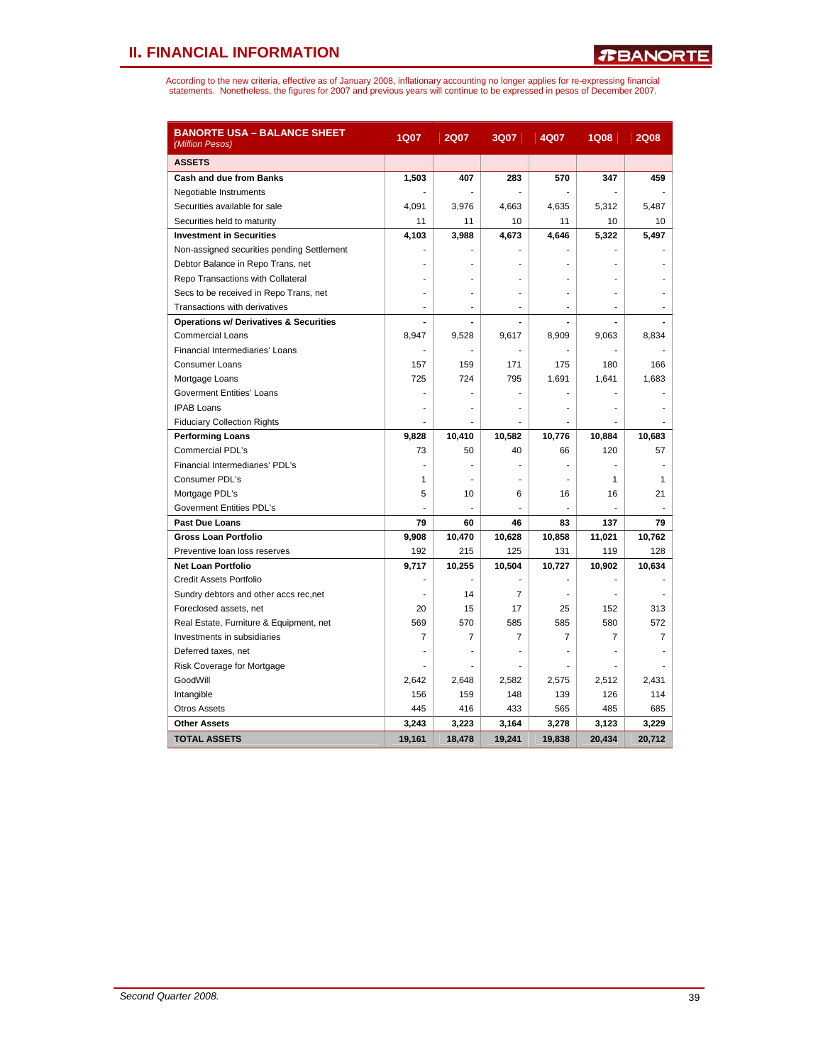| <b>BANORTE USA - BALANCE SHEET</b><br>(Million Pesos) | 1Q07   | <b>2Q07</b>    | 3Q07           | 4Q07           | <b>1Q08</b>    | <b>2Q08</b> |
|-------------------------------------------------------|--------|----------------|----------------|----------------|----------------|-------------|
| <b>ASSETS</b>                                         |        |                |                |                |                |             |
| <b>Cash and due from Banks</b>                        | 1,503  | 407            | 283            | 570            | 347            | 459         |
| Negotiable Instruments                                |        |                |                |                |                |             |
| Securities available for sale                         | 4,091  | 3,976          | 4,663          | 4,635          | 5,312          | 5,487       |
| Securities held to maturity                           | 11     | 11             | 10             | 11             | 10             | 10          |
| <b>Investment in Securities</b>                       | 4,103  | 3,988          | 4,673          | 4,646          | 5,322          | 5,497       |
| Non-assigned securities pending Settlement            |        |                |                |                |                |             |
| Debtor Balance in Repo Trans, net                     |        |                |                |                |                |             |
| Repo Transactions with Collateral                     |        |                |                |                |                |             |
| Secs to be received in Repo Trans, net                |        |                |                |                |                |             |
| Transactions with derivatives                         | ä,     | $\overline{a}$ | ÷.             | ÷              | $\overline{a}$ |             |
| <b>Operations w/ Derivatives &amp; Securities</b>     |        | L.             | ä,             | $\overline{a}$ |                |             |
| <b>Commercial Loans</b>                               | 8,947  | 9,528          | 9,617          | 8,909          | 9,063          | 8,834       |
| Financial Intermediaries' Loans                       |        |                |                |                |                |             |
| <b>Consumer Loans</b>                                 | 157    | 159            | 171            | 175            | 180            | 166         |
| Mortgage Loans                                        | 725    | 724            | 795            | 1,691          | 1,641          | 1,683       |
| Goverment Entities' Loans                             |        |                |                |                |                |             |
| <b>IPAB Loans</b>                                     |        |                |                |                |                |             |
| <b>Fiduciary Collection Rights</b>                    |        |                |                |                |                |             |
| <b>Performing Loans</b>                               | 9,828  | 10,410         | 10,582         | 10,776         | 10,884         | 10,683      |
| Commercial PDL's                                      | 73     | 50             | 40             | 66             | 120            | 57          |
| Financial Intermediaries' PDL's                       |        |                |                |                |                |             |
| Consumer PDL's                                        | 1      |                |                |                | 1              | 1           |
| Mortgage PDL's                                        | 5      | 10             | 6              | 16             | 16             | 21          |
| Goverment Entities PDL's                              |        |                |                | ÷,             |                |             |
| Past Due Loans                                        | 79     | 60             | 46             | 83             | 137            | 79          |
| <b>Gross Loan Portfolio</b>                           | 9,908  | 10,470         | 10,628         | 10,858         | 11,021         | 10,762      |
| Preventive loan loss reserves                         | 192    | 215            | 125            | 131            | 119            | 128         |
| <b>Net Loan Portfolio</b>                             | 9,717  | 10,255         | 10,504         | 10,727         | 10,902         | 10,634      |
| Credit Assets Portfolio                               |        |                |                |                |                |             |
| Sundry debtors and other accs rec, net                |        | 14             | $\overline{7}$ |                |                |             |
| Foreclosed assets, net                                | 20     | 15             | 17             | 25             | 152            | 313         |
| Real Estate, Furniture & Equipment, net               | 569    | 570            | 585            | 585            | 580            | 572         |
| Investments in subsidiaries                           | 7      | 7              | $\overline{7}$ | $\overline{7}$ | 7              | 7           |
| Deferred taxes, net                                   |        |                |                |                |                |             |
| Risk Coverage for Mortgage                            |        | ٠              | ٠              | ٠              |                |             |
| GoodWill                                              | 2,642  | 2,648          | 2,582          | 2,575          | 2,512          | 2,431       |
| Intangible                                            | 156    | 159            | 148            | 139            | 126            | 114         |
| <b>Otros Assets</b>                                   | 445    | 416            | 433            | 565            | 485            | 685         |
| <b>Other Assets</b>                                   | 3,243  | 3,223          | 3,164          | 3,278          | 3,123          | 3,229       |
| <b>TOTAL ASSETS</b>                                   | 19,161 | 18.478         | 19.241         | 19,838         | 20.434         | 20.712      |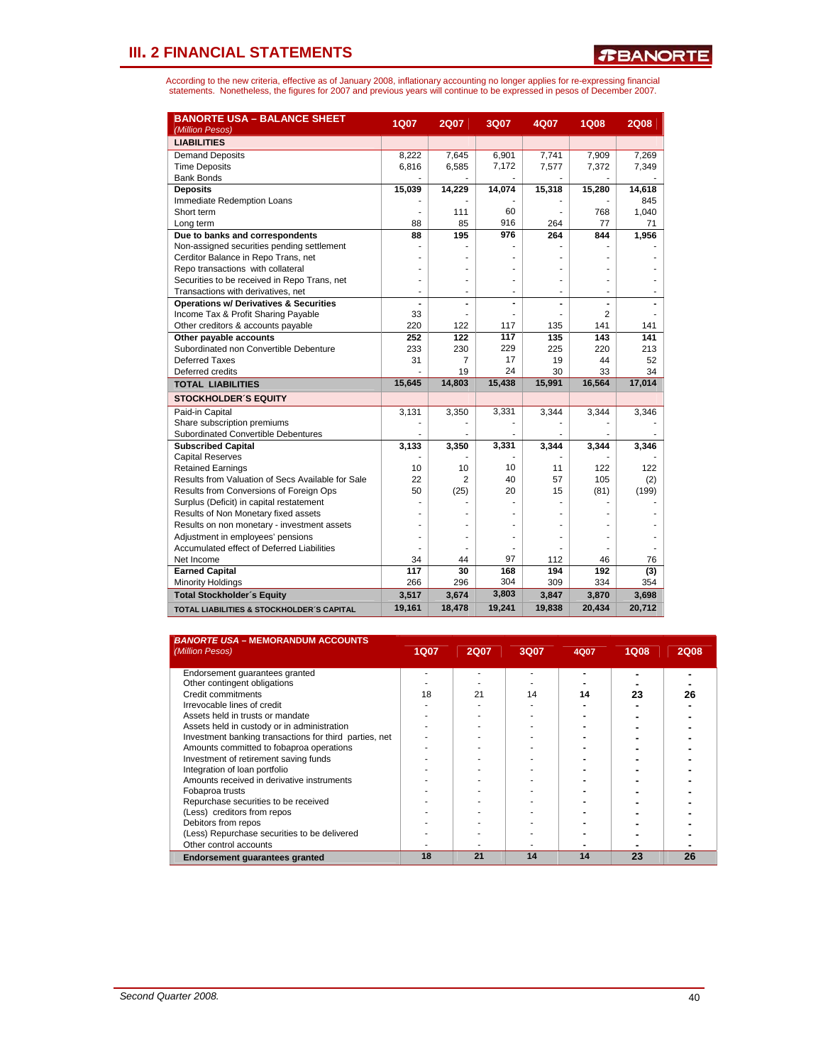| <b>BANORTE USA - BALANCE SHEET</b><br>(Million Pesos) | <b>1Q07</b> | <b>2Q07</b>    | 3Q07   | 4Q07   | <b>1Q08</b>    | <b>2Q08</b> |
|-------------------------------------------------------|-------------|----------------|--------|--------|----------------|-------------|
| <b>LIABILITIES</b>                                    |             |                |        |        |                |             |
| <b>Demand Deposits</b>                                | 8,222       | 7,645          | 6,901  | 7,741  | 7,909          | 7,269       |
| <b>Time Deposits</b>                                  | 6,816       | 6,585          | 7,172  | 7,577  | 7,372          | 7,349       |
| <b>Bank Bonds</b>                                     |             |                |        |        |                |             |
| <b>Deposits</b>                                       | 15,039      | 14,229         | 14,074 | 15,318 | 15,280         | 14,618      |
| Immediate Redemption Loans                            |             |                |        |        |                | 845         |
| Short term                                            |             | 111            | 60     |        | 768            | 1.040       |
| Long term                                             | 88          | 85             | 916    | 264    | 77             | 71          |
| Due to banks and correspondents                       | 88          | 195            | 976    | 264    | 844            | 1,956       |
| Non-assigned securities pending settlement            |             |                |        |        |                |             |
| Cerditor Balance in Repo Trans, net                   |             |                |        |        |                |             |
| Repo transactions with collateral                     |             |                |        |        |                |             |
| Securities to be received in Repo Trans, net          | ۰           |                | ÷      |        |                |             |
| Transactions with derivatives, net                    | ٠           |                | ä,     |        |                |             |
| <b>Operations w/ Derivatives &amp; Securities</b>     |             |                |        |        | $\overline{a}$ |             |
| Income Tax & Profit Sharing Payable                   | 33          |                |        |        | $\overline{2}$ |             |
| Other creditors & accounts payable                    | 220         | 122            | 117    | 135    | 141            | 141         |
| Other payable accounts                                | 252         | 122            | 117    | 135    | 143            | 141         |
| Subordinated non Convertible Debenture                | 233         | 230            | 229    | 225    | 220            | 213         |
| Deferred Taxes                                        | 31          | 7              | 17     | 19     | 44             | 52          |
| Deferred credits                                      |             | 19             | 24     | 30     | 33             | 34          |
| <b>TOTAL LIABILITIES</b>                              | 15,645      | 14,803         | 15,438 | 15,991 | 16,564         | 17,014      |
| <b>STOCKHOLDER'S EQUITY</b>                           |             |                |        |        |                |             |
| Paid-in Capital                                       | 3,131       | 3,350          | 3,331  | 3,344  | 3,344          | 3,346       |
| Share subscription premiums                           |             |                |        |        |                |             |
| Subordinated Convertible Debentures                   |             |                |        |        |                |             |
| <b>Subscribed Capital</b>                             | 3,133       | 3,350          | 3,331  | 3,344  | 3,344          | 3,346       |
| <b>Capital Reserves</b>                               |             |                |        |        |                |             |
| <b>Retained Earnings</b>                              | 10          | 10             | 10     | 11     | 122            | 122         |
| Results from Valuation of Secs Available for Sale     | 22          | $\overline{2}$ | 40     | 57     | 105            | (2)         |
| Results from Conversions of Foreign Ops               | 50          | (25)           | 20     | 15     | (81)           | (199)       |
| Surplus (Deficit) in capital restatement              |             |                |        |        |                |             |
| Results of Non Monetary fixed assets                  |             |                |        |        |                |             |
| Results on non monetary - investment assets           |             |                |        |        |                |             |
| Adjustment in employees' pensions                     |             |                |        |        |                |             |
| Accumulated effect of Deferred Liabilities            |             |                |        |        |                |             |
| Net Income                                            | 34          | 44             | 97     | 112    | 46             | 76          |
| <b>Earned Capital</b>                                 | 117         | 30             | 168    | 194    | 192            | (3)         |
| <b>Minority Holdings</b>                              | 266         | 296            | 304    | 309    | 334            | 354         |
| <b>Total Stockholder's Equity</b>                     | 3,517       | 3,674          | 3,803  | 3,847  | 3,870          | 3,698       |
| TOTAL LIABILITIES & STOCKHOLDER'S CAPITAL             | 19,161      | 18,478         | 19,241 | 19,838 | 20,434         | 20,712      |

| <b>BANORTE USA - MEMORANDUM ACCOUNTS</b><br>(Million Pesos) | <b>1Q07</b> | <b>2Q07</b> | 3Q07 | 4Q07 | <b>1Q08</b> | <b>2Q08</b> |
|-------------------------------------------------------------|-------------|-------------|------|------|-------------|-------------|
| Endorsement quarantees granted                              |             |             |      |      |             |             |
| Other contingent obligations                                |             |             |      |      |             |             |
| Credit commitments                                          | 18          | 21          | 14   | 14   | 23          | 26          |
| Irrevocable lines of credit                                 |             |             |      |      |             |             |
| Assets held in trusts or mandate                            |             |             |      |      |             |             |
| Assets held in custody or in administration                 |             |             |      |      |             |             |
| Investment banking transactions for third parties, net      |             |             |      |      |             |             |
| Amounts committed to fobaproa operations                    |             |             |      |      |             |             |
| Investment of retirement saving funds                       |             |             |      |      |             |             |
| Integration of loan portfolio                               |             |             |      |      |             |             |
| Amounts received in derivative instruments                  |             |             |      |      |             |             |
| Fobaproa trusts                                             |             |             |      |      |             |             |
| Repurchase securities to be received                        |             |             |      |      |             |             |
| (Less) creditors from repos                                 |             |             |      |      |             |             |
| Debitors from repos                                         |             |             |      |      |             |             |
| (Less) Repurchase securities to be delivered                |             |             |      |      |             |             |
| Other control accounts                                      |             |             |      |      |             |             |
| Endorsement guarantees granted                              | 18          | 21          | 14   | 14   | 23          | 26          |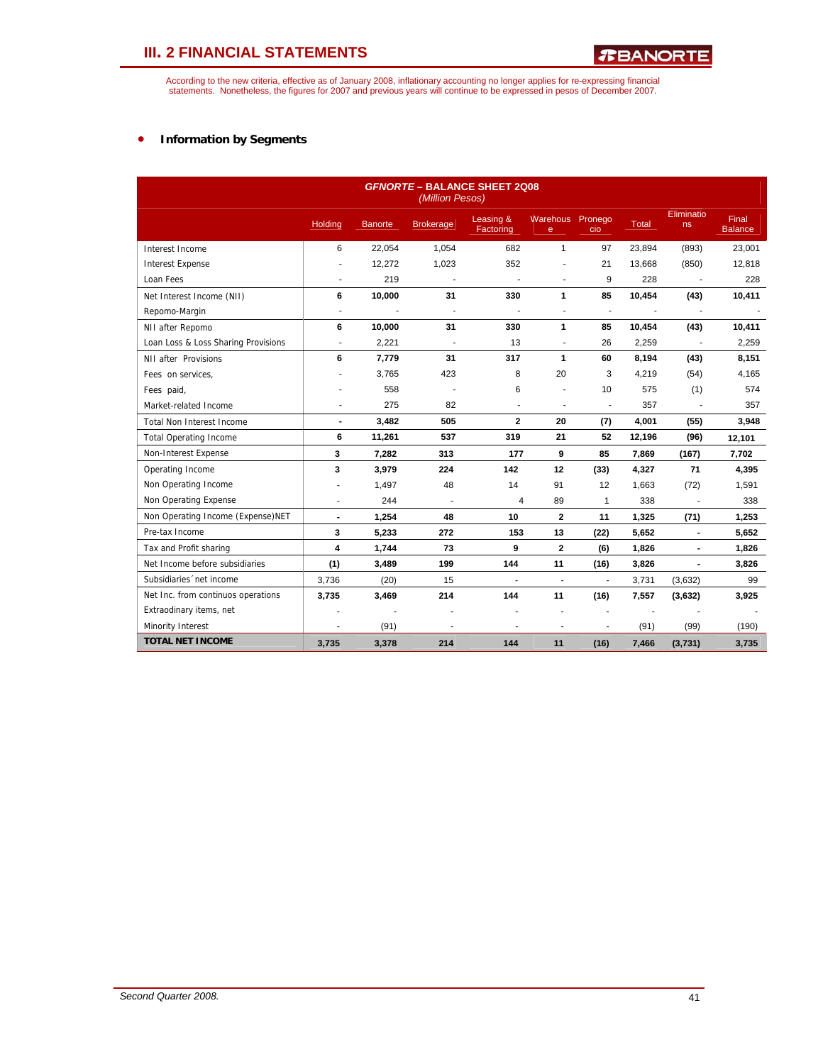According to the new criteria, effective as of January 2008, inflationary accounting no longer applies for re-expressing financial<br>statements. Nonetheless, the figures for 2007 and previous years will continue to be expres

### • **Information by Segments**

| <b>GFNORTE - BALANCE SHEET 2Q08</b><br>(Million Pesos) |                |                |                          |                          |                          |                          |              |                  |                                |
|--------------------------------------------------------|----------------|----------------|--------------------------|--------------------------|--------------------------|--------------------------|--------------|------------------|--------------------------------|
|                                                        | <b>Holding</b> | <b>Banorte</b> | <b>Brokerage</b>         | Leasing &<br>Factoring   | Warehous Pronego<br>e    | cio                      | <b>Total</b> | Eliminatio<br>ns | <b>Final</b><br><b>Balance</b> |
| Interest Income                                        | 6              | 22,054         | 1,054                    | 682                      | $\mathbf{1}$             | 97                       | 23,894       | (893)            | 23,001                         |
| <b>Interest Expense</b>                                |                | 12,272         | 1,023                    | 352                      |                          | 21                       | 13,668       | (850)            | 12,818                         |
| Loan Fees                                              | ÷.             | 219            | $\sim$                   | $\overline{a}$           | ä,                       | 9                        | 228          | $\blacksquare$   | 228                            |
| Net Interest Income (NII)                              | 6              | 10,000         | 31                       | 330                      | 1                        | 85                       | 10,454       | (43)             | 10,411                         |
| Repomo-Margin                                          | ÷,             |                | $\blacksquare$           |                          | ä,                       | $\tilde{\phantom{a}}$    |              |                  |                                |
| NII after Repomo                                       | 6              | 10,000         | 31                       | 330                      | 1                        | 85                       | 10,454       | (43)             | 10,411                         |
| Loan Loss & Loss Sharing Provisions                    | ÷,             | 2,221          | $\overline{\phantom{a}}$ | 13                       | ÷,                       | 26                       | 2,259        | ÷,               | 2,259                          |
| NII after Provisions                                   | 6              | 7,779          | 31                       | 317                      | 1                        | 60                       | 8,194        | (43)             | 8,151                          |
| Fees on services,                                      |                | 3,765          | 423                      | 8                        | 20                       | 3                        | 4,219        | (54)             | 4,165                          |
| Fees paid,                                             |                | 558            |                          | 6                        |                          | 10                       | 575          | (1)              | 574                            |
| Market-related Income                                  |                | 275            | 82                       | $\blacksquare$           | ä,                       | ä,                       | 357          |                  | 357                            |
| <b>Total Non Interest Income</b>                       | $\blacksquare$ | 3,482          | 505                      | $\mathbf{2}$             | 20                       | (7)                      | 4,001        | (55)             | 3,948                          |
| <b>Total Operating Income</b>                          | 6              | 11,261         | 537                      | 319                      | 21                       | 52                       | 12,196       | (96)             | 12,101                         |
| Non-Interest Expense                                   | 3              | 7,282          | 313                      | 177                      | 9                        | 85                       | 7,869        | (167)            | 7,702                          |
| Operating Income                                       | 3              | 3,979          | 224                      | 142                      | 12                       | (33)                     | 4,327        | 71               | 4,395                          |
| Non Operating Income                                   |                | 1,497          | 48                       | 14                       | 91                       | 12                       | 1,663        | (72)             | 1,591                          |
| Non Operating Expense                                  | ä,             | 244            | $\overline{\phantom{a}}$ | 4                        | 89                       | $\mathbf{1}$             | 338          | $\overline{a}$   | 338                            |
| Non Operating Income (Expense)NET                      | $\blacksquare$ | 1,254          | 48                       | 10                       | $\overline{2}$           | 11                       | 1,325        | (71)             | 1,253                          |
| Pre-tax Income                                         | 3              | 5,233          | 272                      | 153                      | 13                       | (22)                     | 5,652        | $\blacksquare$   | 5,652                          |
| Tax and Profit sharing                                 | 4              | 1.744          | 73                       | 9                        | $\mathbf{2}$             | (6)                      | 1,826        | $\blacksquare$   | 1,826                          |
| Net Income before subsidiaries                         | (1)            | 3,489          | 199                      | 144                      | 11                       | (16)                     | 3,826        | $\overline{a}$   | 3,826                          |
| Subsidiaries 'net income                               | 3,736          | (20)           | 15                       | $\overline{\phantom{a}}$ | $\overline{\phantom{a}}$ | $\overline{\phantom{a}}$ | 3,731        | (3,632)          | 99                             |
| Net Inc. from continuos operations                     | 3,735          | 3,469          | 214                      | 144                      | 11                       | (16)                     | 7,557        | (3,632)          | 3,925                          |
| Extraodinary items, net                                |                |                | $\overline{a}$           |                          |                          |                          |              |                  |                                |
| Minority Interest                                      |                | (91)           | $\overline{a}$           |                          |                          |                          | (91)         | (99)             | (190)                          |
| <b>TOTAL NET INCOME</b>                                | 3,735          | 3,378          | 214                      | 144                      | 11                       | (16)                     | 7,466        | (3,731)          | 3,735                          |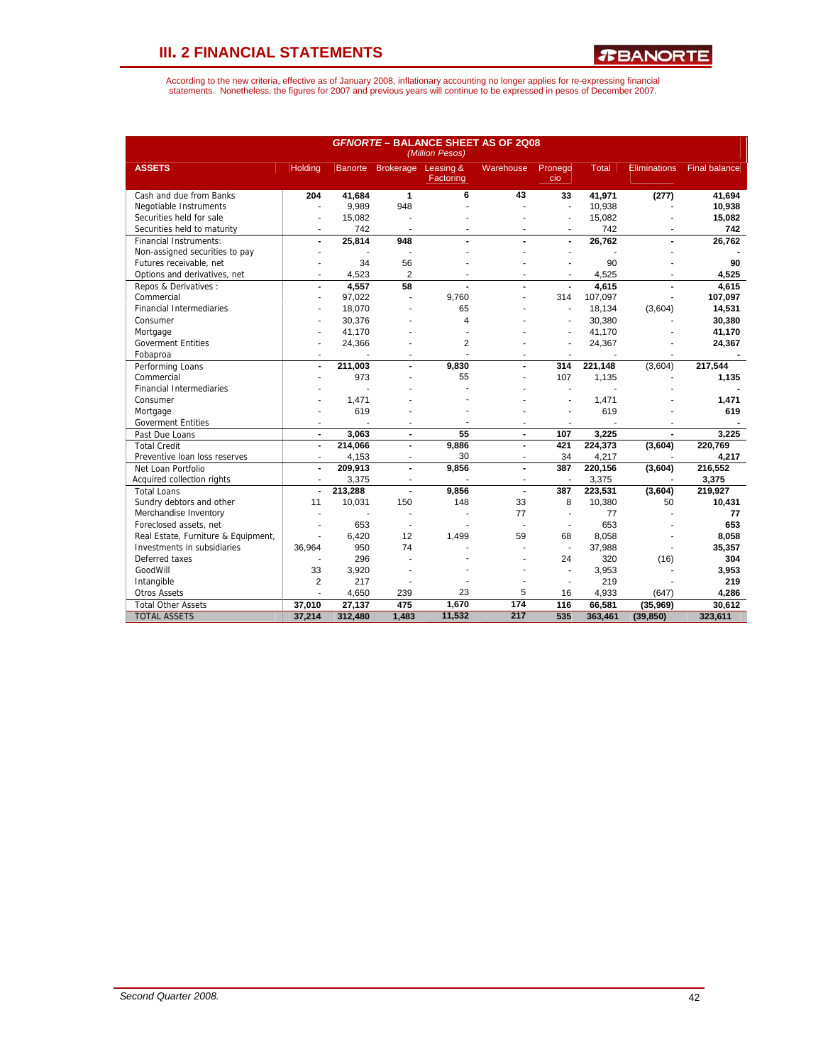*R***BANORTE** 

|                                     | <b>GFNORTE - BALANCE SHEET AS OF 2Q08</b><br>(Million Pesos) |         |                   |                        |                          |                          |              |                     |                      |  |  |
|-------------------------------------|--------------------------------------------------------------|---------|-------------------|------------------------|--------------------------|--------------------------|--------------|---------------------|----------------------|--|--|
| <b>ASSETS</b>                       | <b>Holding</b>                                               |         | Banorte Brokerage | Leasing &<br>Factoring | <b>Warehouse</b>         | Pronego<br>cio           | <b>Total</b> | <b>Eliminations</b> | <b>Final balance</b> |  |  |
| Cash and due from Banks             | 204                                                          | 41,684  | $\mathbf{1}$      | 6                      | 43                       | 33                       | 41,971       | (277)               | 41.694               |  |  |
| Negotiable Instruments              | ÷,                                                           | 9,989   | 948               |                        |                          | $\blacksquare$           | 10,938       |                     | 10,938               |  |  |
| Securities held for sale            | ä,                                                           | 15,082  |                   |                        |                          | ÷,                       | 15,082       |                     | 15,082               |  |  |
| Securities held to maturity         | ÷                                                            | 742     | ٠                 |                        |                          | $\blacksquare$           | 742          |                     | 742                  |  |  |
| Financial Instruments:              | $\overline{a}$                                               | 25,814  | 948               |                        |                          | $\blacksquare$           | 26,762       |                     | 26,762               |  |  |
| Non-assigned securities to pay      | ä,                                                           |         |                   |                        |                          |                          |              |                     |                      |  |  |
| Futures receivable, net             |                                                              | 34      | 56                |                        |                          |                          | 90           |                     | 90                   |  |  |
| Options and derivatives, net        | ٠                                                            | 4,523   | $\overline{2}$    |                        | $\overline{a}$           | $\blacksquare$           | 4,525        |                     | 4,525                |  |  |
| Repos & Derivatives:                | $\overline{a}$                                               | 4.557   | 58                |                        |                          |                          | 4.615        |                     | 4.615                |  |  |
| Commercial                          | ÷                                                            | 97,022  | ä,                | 9,760                  |                          | 314                      | 107,097      |                     | 107,097              |  |  |
| <b>Financial Intermediaries</b>     |                                                              | 18,070  |                   | 65                     |                          | ÷.                       | 18,134       | (3,604)             | 14,531               |  |  |
| Consumer                            |                                                              | 30,376  |                   | 4                      |                          |                          | 30,380       |                     | 30,380               |  |  |
| Mortgage                            |                                                              | 41,170  |                   |                        |                          |                          | 41,170       |                     | 41,170               |  |  |
| <b>Goverment Entities</b>           |                                                              | 24,366  |                   | $\overline{2}$         |                          |                          | 24,367       |                     | 24,367               |  |  |
| Fobaproa                            |                                                              |         |                   | ÷                      |                          |                          |              |                     |                      |  |  |
| Performing Loans                    | $\overline{a}$                                               | 211,003 |                   | 9,830                  |                          | 314                      | 221,148      | (3,604)             | 217,544              |  |  |
| Commercial                          |                                                              | 973     |                   | 55                     |                          | 107                      | 1,135        |                     | 1,135                |  |  |
| <b>Financial Intermediaries</b>     |                                                              |         |                   |                        |                          |                          |              |                     |                      |  |  |
| Consumer                            |                                                              | 1,471   |                   |                        |                          |                          | 1,471        |                     | 1,471                |  |  |
| Mortgage                            |                                                              | 619     |                   |                        |                          |                          | 619          |                     | 619                  |  |  |
| <b>Goverment Entities</b>           | ٠                                                            | ÷,      | ٠                 | ٠                      | ٠                        | $\blacksquare$           |              |                     |                      |  |  |
| Past Due Loans                      | $\blacksquare$                                               | 3.063   | $\blacksquare$    | 55                     | $\overline{\phantom{a}}$ | 107                      | 3.225        |                     | 3.225                |  |  |
| <b>Total Credit</b>                 | $\blacksquare$                                               | 214,066 | $\blacksquare$    | 9,886                  | $\overline{a}$           | 421                      | 224,373      | (3,604)             | 220,769              |  |  |
| Preventive Ioan loss reserves       |                                                              | 4,153   | ä,                | 30                     | ÷                        | 34                       | 4,217        |                     | 4.217                |  |  |
| Net Loan Portfolio                  | $\blacksquare$                                               | 209,913 | $\blacksquare$    | 9,856                  | $\overline{a}$           | 387                      | 220,156      | (3,604)             | 216,552              |  |  |
| Acquired collection rights          | $\overline{\phantom{a}}$                                     | 3,375   |                   |                        |                          |                          | 3,375        |                     | 3,375                |  |  |
| <b>Total Loans</b>                  |                                                              | 213,288 | ÷,                | 9,856                  |                          | 387                      | 223,531      | (3,604)             | 219,927              |  |  |
| Sundry debtors and other            | 11                                                           | 10,031  | 150               | 148                    | 33                       | 8                        | 10,380       | 50                  | 10,431               |  |  |
| Merchandise Inventory               | ÷,                                                           |         | ä,                |                        | 77                       | ÷,                       | 77           |                     | 77                   |  |  |
| Foreclosed assets, net              | ÷                                                            | 653     | ٠                 |                        | ÷.                       | $\blacksquare$           | 653          |                     | 653                  |  |  |
| Real Estate, Furniture & Equipment, |                                                              | 6,420   | 12                | 1,499                  | 59                       | 68                       | 8,058        |                     | 8,058                |  |  |
| Investments in subsidiaries         | 36.964                                                       | 950     | 74                |                        |                          | $\overline{\phantom{a}}$ | 37,988       |                     | 35,357               |  |  |
| Deferred taxes                      |                                                              | 296     |                   |                        |                          | 24                       | 320          | (16)                | 304                  |  |  |
| GoodWill                            | 33                                                           | 3,920   |                   |                        |                          | $\blacksquare$           | 3,953        |                     | 3,953                |  |  |
| Intangible                          | $\overline{2}$                                               | 217     |                   |                        |                          | $\blacksquare$           | 219          |                     | 219                  |  |  |
| <b>Otros Assets</b>                 |                                                              | 4,650   | 239               | 23                     | 5                        | 16                       | 4,933        | (647)               | 4,286                |  |  |
| <b>Total Other Assets</b>           | 37,010                                                       | 27,137  | 475               | 1,670                  | $\frac{1}{174}$          | 116                      | 66,581       | (35,969)            | 30,612               |  |  |
| <b>TOTAL ASSETS</b>                 | 37,214                                                       | 312,480 | 1,483             | 11,532                 | 217                      | 535                      | 363,461      | (39, 850)           | 323,611              |  |  |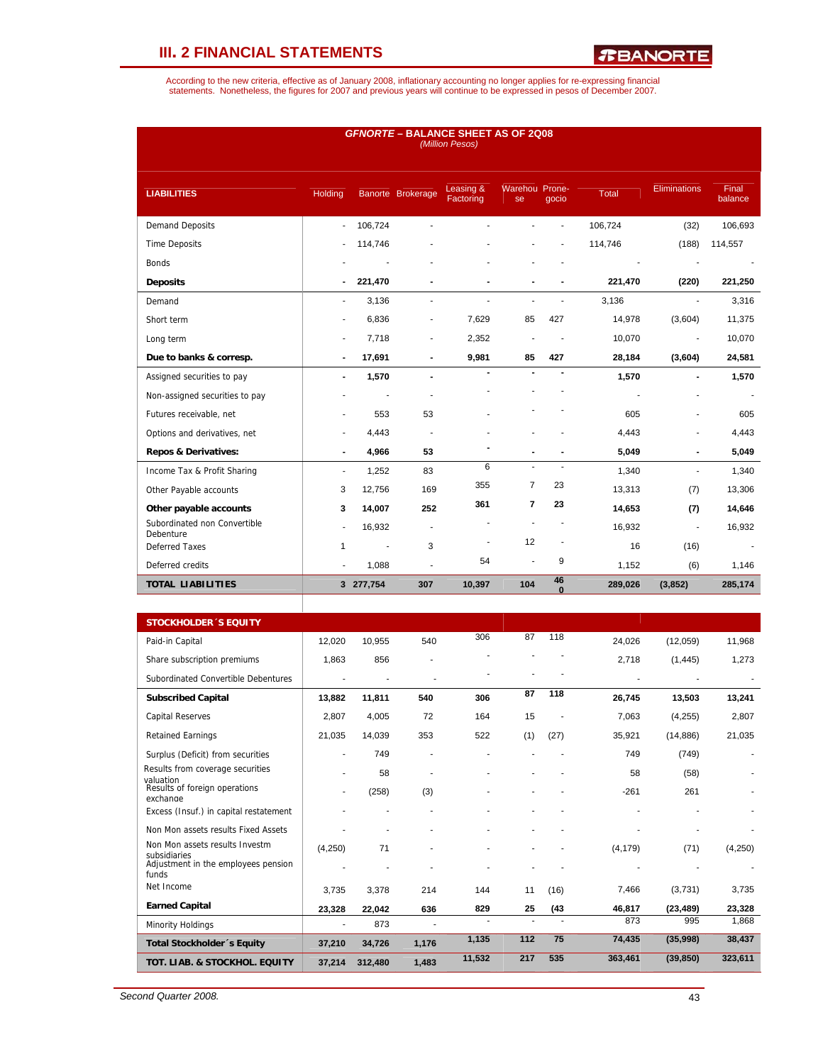*R***BANORTE** 

According to the new criteria, effective as of January 2008, inflationary accounting no longer applies for re-expressing financial<br>statements. Nonetheless, the figures for 2007 and previous years will continue to be expres

| <b>GFNORTE - BALANCE SHEET AS OF 2Q08</b><br>(Million Pesos) |                          |                |                          |                        |                      |                |         |                     |                  |  |
|--------------------------------------------------------------|--------------------------|----------------|--------------------------|------------------------|----------------------|----------------|---------|---------------------|------------------|--|
| <b>LIABILITIES</b>                                           | Holding                  |                | Banorte Brokerage        | Leasing &<br>Factoring | Warehou Prone-<br>se | qocio          | Total   | <b>Eliminations</b> | Final<br>balance |  |
| <b>Demand Deposits</b>                                       | $\sim$                   | 106,724        |                          |                        |                      |                | 106,724 | (32)                | 106,693          |  |
| <b>Time Deposits</b>                                         |                          | 114,746        |                          |                        |                      |                | 114,746 | (188)               | 114,557          |  |
| <b>Bonds</b>                                                 |                          |                |                          |                        |                      |                |         |                     |                  |  |
| <b>Deposits</b>                                              | $\blacksquare$           | 221,470        | $\blacksquare$           |                        |                      |                | 221,470 | (220)               | 221,250          |  |
| Demand                                                       | ٠                        | 3,136          | $\blacksquare$           | ٠                      | $\blacksquare$       | $\overline{a}$ | 3,136   | $\blacksquare$      | 3,316            |  |
| Short term                                                   | $\overline{a}$           | 6,836          | ٠                        | 7,629                  | 85                   | 427            | 14,978  | (3,604)             | 11,375           |  |
| Long term                                                    | $\overline{\phantom{a}}$ | 7,718          | ٠                        | 2,352                  | ٠                    |                | 10,070  | ÷,                  | 10,070           |  |
| Due to banks & corresp.                                      | $\blacksquare$           | 17,691         | $\blacksquare$           | 9,981                  | 85                   | 427            | 28,184  | (3,604)             | 24,581           |  |
| Assigned securities to pay                                   | $\blacksquare$           | 1,570          | $\blacksquare$           | $\blacksquare$         |                      |                | 1,570   | $\blacksquare$      | 1,570            |  |
| Non-assigned securities to pay                               |                          |                |                          |                        |                      |                |         |                     |                  |  |
| Futures receivable, net                                      |                          | 553            | 53                       |                        |                      |                | 605     | ÷                   | 605              |  |
| Options and derivatives, net                                 |                          | 4,443          | ä,                       |                        |                      |                | 4,443   | ٠                   | 4,443            |  |
| <b>Repos &amp; Derivatives:</b>                              | ٠                        | 4,966          | 53                       |                        |                      |                | 5,049   |                     | 5,049            |  |
| Income Tax & Profit Sharing                                  | $\blacksquare$           | 1,252          | 83                       | 6                      | $\mathbf{r}$         | $\sim$         | 1,340   | L,                  | 1,340            |  |
| Other Payable accounts                                       | 3                        | 12,756         | 169                      | 355                    | $\overline{7}$       | 23             | 13,313  | (7)                 | 13,306           |  |
| Other payable accounts                                       | 3                        | 14,007         | 252                      | 361                    | $\overline{7}$       | 23             | 14,653  | (7)                 | 14,646           |  |
| Subordinated non Convertible<br>Debenture                    | $\overline{a}$           | 16,932         | $\overline{\phantom{m}}$ |                        |                      |                | 16,932  | Ĭ.                  | 16,932           |  |
| <b>Deferred Taxes</b>                                        | 1                        | $\blacksquare$ | 3                        | $\overline{a}$         | 12                   | ä,             | 16      | (16)                |                  |  |
| Deferred credits                                             | $\overline{\phantom{a}}$ | 1,088          | ÷.                       | 54                     | $\overline{a}$       | 9              | 1,152   | (6)                 | 1,146            |  |
| <b>TOTAL LIABILITIES</b>                                     |                          | 3 277,754      | 307                      | 10,397                 | 104                  | 46<br>$\Omega$ | 289,026 | (3,852)             | 285,174          |  |

| <b>STOCKHOLDER 'S EQUITY</b>                           |         |         |       |        |     |      |          |           |         |
|--------------------------------------------------------|---------|---------|-------|--------|-----|------|----------|-----------|---------|
| Paid-in Capital                                        | 12,020  | 10,955  | 540   | 306    | 87  | 118  | 24,026   | (12,059)  | 11,968  |
| Share subscription premiums                            | 1,863   | 856     |       |        |     |      | 2,718    | (1, 445)  | 1,273   |
| Subordinated Convertible Debentures                    |         |         |       |        |     |      |          |           |         |
| <b>Subscribed Capital</b>                              | 13,882  | 11,811  | 540   | 306    | 87  | 118  | 26,745   | 13,503    | 13,241  |
| <b>Capital Reserves</b>                                | 2,807   | 4,005   | 72    | 164    | 15  |      | 7,063    | (4,255)   | 2,807   |
| <b>Retained Earnings</b>                               | 21,035  | 14,039  | 353   | 522    | (1) | (27) | 35,921   | (14, 886) | 21,035  |
| Surplus (Deficit) from securities                      |         | 749     |       |        |     |      | 749      | (749)     |         |
| Results from coverage securities                       |         | 58      |       |        |     |      | 58       | (58)      |         |
| valuation<br>Results of foreign operations<br>exchange |         | (258)   | (3)   |        |     |      | $-261$   | 261       |         |
| Excess (Insuf.) in capital restatement                 |         |         |       |        |     |      |          |           |         |
| Non Mon assets results Fixed Assets                    |         |         |       |        |     |      |          |           |         |
| Non Mon assets results Investm<br>subsidiaries         | (4,250) | 71      |       |        |     |      | (4, 179) | (71)      | (4,250) |
| Adjustment in the employees pension<br>funds           |         |         |       |        |     |      |          |           |         |
| Net Income                                             | 3.735   | 3,378   | 214   | 144    | 11  | (16) | 7,466    | (3,731)   | 3,735   |
| <b>Earned Capital</b>                                  | 23,328  | 22.042  | 636   | 829    | 25  | (43) | 46,817   | (23, 489) | 23,328  |
| Minority Holdings                                      | ٠       | 873     |       |        |     |      | 873      | 995       | 1,868   |
| Total Stockholder's Equity                             | 37,210  | 34,726  | 1,176 | 1,135  | 112 | 75   | 74,435   | (35,998)  | 38,437  |
| TOT. LIAB. & STOCKHOL. EQUITY                          | 37,214  | 312,480 | 1,483 | 11,532 | 217 | 535  | 363,461  | (39, 850) | 323,611 |

*Second Quarter 2008.* 43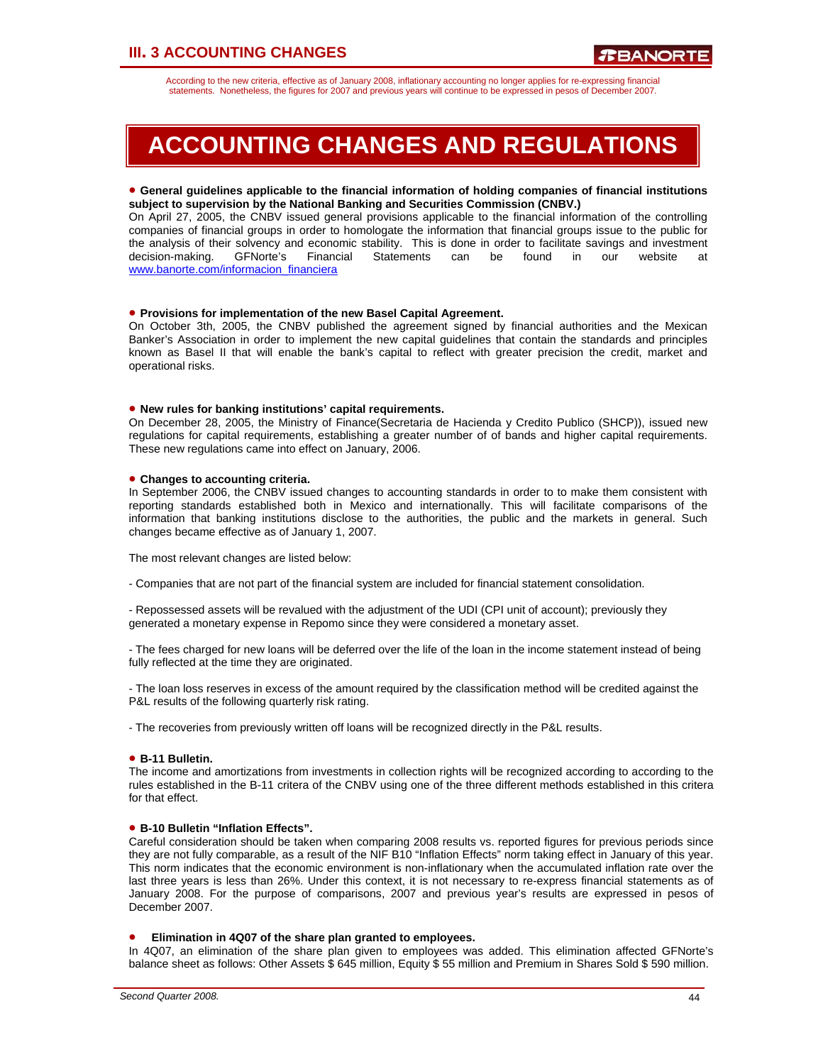### **III. 3 ACCOUNTING CHANGES**

According to the new criteria, effective as of January 2008, inflationary accounting no longer applies for re-expressing financial statements. Nonetheless, the figures for 2007 and previous years will continue to be expressed in pesos of December 2007.

# **ACCOUNTING CHANGES AND REGULATIONS**

#### • **General guidelines applicable to the financial information of holding companies of financial institutions subject to supervision by the National Banking and Securities Commission (CNBV.)**

On April 27, 2005, the CNBV issued general provisions applicable to the financial information of the controlling companies of financial groups in order to homologate the information that financial groups issue to the public for the analysis of their solvency and economic stability. This is done in order to facilitate savings and investment decision-making. GFNorte's Financial Statements can be found in our website at www.banorte.com/informacion\_financiera

#### • **Provisions for implementation of the new Basel Capital Agreement.**

On October 3th, 2005, the CNBV published the agreement signed by financial authorities and the Mexican Banker's Association in order to implement the new capital guidelines that contain the standards and principles known as Basel II that will enable the bank's capital to reflect with greater precision the credit, market and operational risks.

#### • **New rules for banking institutions' capital requirements.**

On December 28, 2005, the Ministry of Finance(Secretaria de Hacienda y Credito Publico (SHCP)), issued new regulations for capital requirements, establishing a greater number of of bands and higher capital requirements. These new regulations came into effect on January, 2006.

#### • **Changes to accounting criteria.**

In September 2006, the CNBV issued changes to accounting standards in order to to make them consistent with reporting standards established both in Mexico and internationally. This will facilitate comparisons of the information that banking institutions disclose to the authorities, the public and the markets in general. Such changes became effective as of January 1, 2007.

The most relevant changes are listed below:

- Companies that are not part of the financial system are included for financial statement consolidation.

- Repossessed assets will be revalued with the adjustment of the UDI (CPI unit of account); previously they generated a monetary expense in Repomo since they were considered a monetary asset.

- The fees charged for new loans will be deferred over the life of the loan in the income statement instead of being fully reflected at the time they are originated.

- The loan loss reserves in excess of the amount required by the classification method will be credited against the P&L results of the following quarterly risk rating.

- The recoveries from previously written off loans will be recognized directly in the P&L results.

#### • **B-11 Bulletin.**

The income and amortizations from investments in collection rights will be recognized according to according to the rules established in the B-11 critera of the CNBV using one of the three different methods established in this critera for that effect.

#### • **B-10 Bulletin "Inflation Effects".**

Careful consideration should be taken when comparing 2008 results vs. reported figures for previous periods since they are not fully comparable, as a result of the NIF B10 "Inflation Effects" norm taking effect in January of this year. This norm indicates that the economic environment is non-inflationary when the accumulated inflation rate over the last three years is less than 26%. Under this context, it is not necessary to re-express financial statements as of January 2008. For the purpose of comparisons, 2007 and previous year's results are expressed in pesos of December 2007.

#### • **Elimination in 4Q07 of the share plan granted to employees.**

In 4Q07, an elimination of the share plan given to employees was added. This elimination affected GFNorte's balance sheet as follows: Other Assets \$ 645 million, Equity \$ 55 million and Premium in Shares Sold \$ 590 million.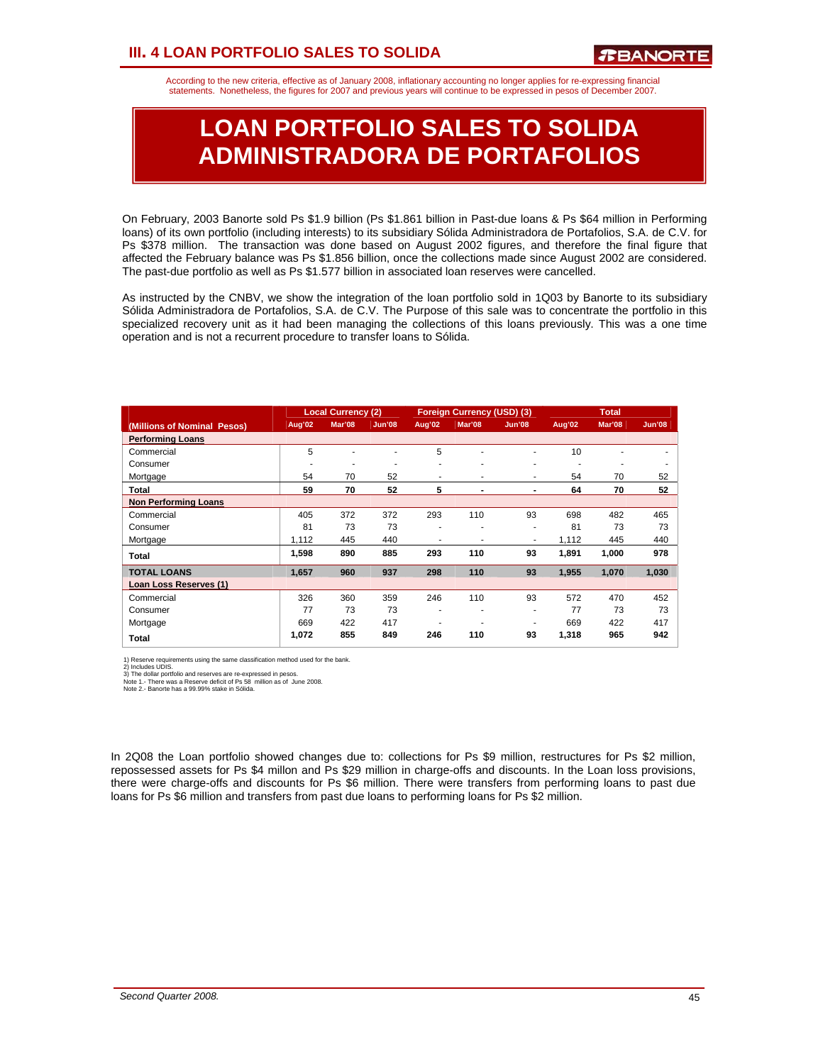According to the new criteria, effective as of January 2008, inflationary accounting no longer applies for re-expressing financial statements. Nonetheless, the figures for 2007 and previous years will continue to be expressed in pesos of December 2007.

# **LOAN PORTFOLIO SALES TO SOLIDA ADMINISTRADORA DE PORTAFOLIOS**

On February, 2003 Banorte sold Ps \$1.9 billion (Ps \$1.861 billion in Past-due loans & Ps \$64 million in Performing loans) of its own portfolio (including interests) to its subsidiary Sólida Administradora de Portafolios, S.A. de C.V. for Ps \$378 million. The transaction was done based on August 2002 figures, and therefore the final figure that affected the February balance was Ps \$1.856 billion, once the collections made since August 2002 are considered. The past-due portfolio as well as Ps \$1.577 billion in associated loan reserves were cancelled.

As instructed by the CNBV, we show the integration of the loan portfolio sold in 1Q03 by Banorte to its subsidiary Sólida Administradora de Portafolios, S.A. de C.V. The Purpose of this sale was to concentrate the portfolio in this specialized recovery unit as it had been managing the collections of this loans previously. This was a one time operation and is not a recurrent procedure to transfer loans to Sólida.

|                             |        | <b>Local Currency (2)</b> |               |        | Foreign Currency (USD) (3) |        |        | <b>Total</b> |               |
|-----------------------------|--------|---------------------------|---------------|--------|----------------------------|--------|--------|--------------|---------------|
| (Millions of Nominal Pesos) | Aug'02 | Mar'08                    | <b>Jun'08</b> | Aug'02 | Mar'08                     | Jun'08 | Aug'02 | Mar'08       | <b>Jun'08</b> |
| <b>Performing Loans</b>     |        |                           |               |        |                            |        |        |              |               |
| Commercial                  | 5      |                           |               | 5      | ٠                          | ۰      | 10     |              |               |
| Consumer                    | ۰      | ٠                         |               | ۰      | ۰                          | ٠      | ۰      | ۰            |               |
| Mortgage                    | 54     | 70                        | 52            | ۰      | ٠                          | ٠      | 54     | 70           | 52            |
| Total                       | 59     | 70                        | 52            | 5      | $\blacksquare$             |        | 64     | 70           | 52            |
| <b>Non Performing Loans</b> |        |                           |               |        |                            |        |        |              |               |
| Commercial                  | 405    | 372                       | 372           | 293    | 110                        | 93     | 698    | 482          | 465           |
| Consumer                    | 81     | 73                        | 73            | ۰      | ٠                          | ٠      | 81     | 73           | 73            |
| Mortgage                    | 1.112  | 445                       | 440           | ۰      | ٠                          | ٠      | 1.112  | 445          | 440           |
| Total                       | 1,598  | 890                       | 885           | 293    | 110                        | 93     | 1,891  | 1,000        | 978           |
| <b>TOTAL LOANS</b>          | 1.657  | 960                       | 937           | 298    | 110                        | 93     | 1,955  | 1,070        | 1,030         |
| Loan Loss Reserves (1)      |        |                           |               |        |                            |        |        |              |               |
| Commercial                  | 326    | 360                       | 359           | 246    | 110                        | 93     | 572    | 470          | 452           |
| Consumer                    | 77     | 73                        | 73            | ۰      | ٠                          | ٠      | 77     | 73           | 73            |
| Mortgage                    | 669    | 422                       | 417           |        | ۰                          | ۰      | 669    | 422          | 417           |
| Total                       | 1,072  | 855                       | 849           | 246    | 110                        | 93     | 1,318  | 965          | 942           |

1) Reserve requirements using the same classification method used for the bank.<br>2) Includes UDIS.<br>3) The dollar portfolio and reserves are re-expressed in pesos.<br>Note 1. - There was a Reserve deficit of Ps 58 million as of

In 2Q08 the Loan portfolio showed changes due to: collections for Ps \$9 million, restructures for Ps \$2 million, repossessed assets for Ps \$4 millon and Ps \$29 million in charge-offs and discounts. In the Loan loss provisions, there were charge-offs and discounts for Ps \$6 million. There were transfers from performing loans to past due loans for Ps \$6 million and transfers from past due loans to performing loans for Ps \$2 million.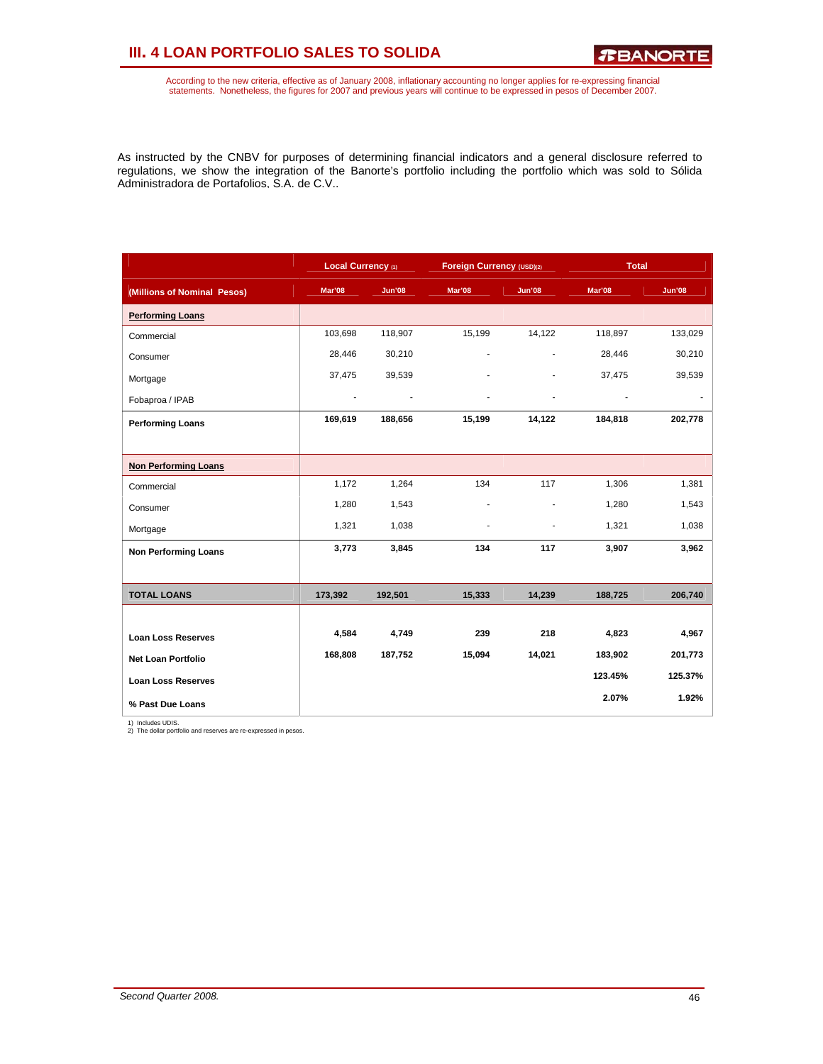### **III. 4 LOAN PORTFOLIO SALES TO SOLIDA**

According to the new criteria, effective as of January 2008, inflationary accounting no longer applies for re-expressing financial<br>statements. Nonetheless, the figures for 2007 and previous years will continue to be expres

As instructed by the CNBV for purposes of determining financial indicators and a general disclosure referred to regulations, we show the integration of the Banorte's portfolio including the portfolio which was sold to Sólida Administradora de Portafolios, S.A. de C.V..

|                             | Local Currency (1) |               | Foreign Currency (USD)(2) |               | <b>Total</b> |               |
|-----------------------------|--------------------|---------------|---------------------------|---------------|--------------|---------------|
| (Millions of Nominal Pesos) | Mar'08             | <b>Jun'08</b> | Mar'08                    | <b>Jun'08</b> | Mar'08       | <b>Jun'08</b> |
| <b>Performing Loans</b>     |                    |               |                           |               |              |               |
| Commercial                  | 103,698            | 118,907       | 15,199                    | 14,122        | 118,897      | 133,029       |
| Consumer                    | 28,446             | 30,210        | ä,                        |               | 28,446       | 30,210        |
| Mortgage                    | 37,475             | 39,539        |                           |               | 37,475       | 39,539        |
| Fobaproa / IPAB             | $\blacksquare$     |               |                           |               |              |               |
| <b>Performing Loans</b>     | 169,619            | 188,656       | 15,199                    | 14,122        | 184,818      | 202,778       |
|                             |                    |               |                           |               |              |               |
| <b>Non Performing Loans</b> |                    |               |                           |               |              |               |
| Commercial                  | 1,172              | 1,264         | 134                       | 117           | 1,306        | 1,381         |
| Consumer                    | 1,280              | 1,543         | ä,                        | ٠             | 1,280        | 1,543         |
| Mortgage                    | 1,321              | 1,038         |                           |               | 1,321        | 1,038         |
| <b>Non Performing Loans</b> | 3,773              | 3,845         | 134                       | 117           | 3,907        | 3,962         |
|                             |                    |               |                           |               |              |               |
| <b>TOTAL LOANS</b>          | 173,392            | 192,501       | 15,333                    | 14,239        | 188,725      | 206,740       |
|                             |                    |               |                           |               |              |               |
| <b>Loan Loss Reserves</b>   | 4,584              | 4,749         | 239                       | 218           | 4,823        | 4,967         |
| <b>Net Loan Portfolio</b>   | 168,808            | 187,752       | 15,094                    | 14,021        | 183,902      | 201,773       |
| <b>Loan Loss Reserves</b>   |                    |               |                           |               | 123.45%      | 125.37%       |
| % Past Due Loans            |                    |               |                           |               | 2.07%        | 1.92%         |

1) Includes UDIS. 2) The dollar portfolio and reserves are re-expressed in pesos.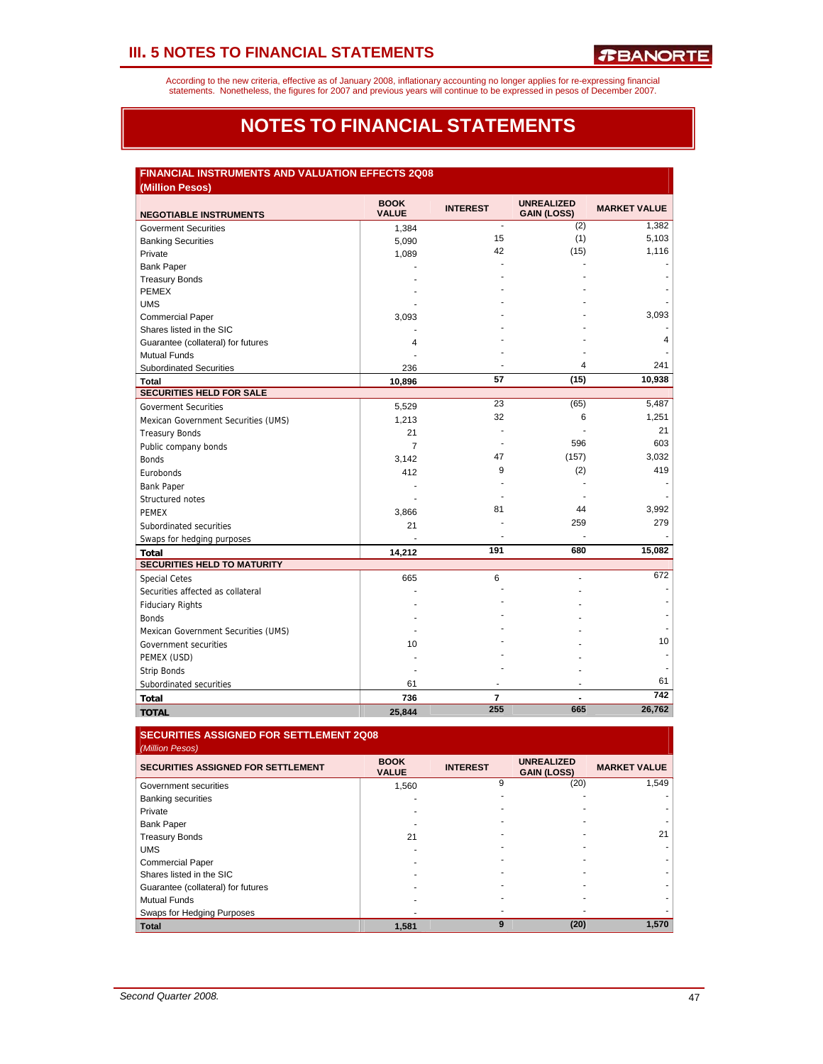According to the new criteria, effective as of January 2008, inflationary accounting no longer applies for re-expressing financial<br>statements. Nonetheless, the figures for 2007 and previous years will continue to be expres

### **NOTES TO FINANCIAL STATEMENTS**

### **FINANCIAL INSTRUMENTS AND VALUATION EFFECTS 2Q08**

| (Million Pesos)                     |                             |                 |                                         |                     |
|-------------------------------------|-----------------------------|-----------------|-----------------------------------------|---------------------|
| <b>NEGOTIABLE INSTRUMENTS</b>       | <b>BOOK</b><br><b>VALUE</b> | <b>INTEREST</b> | <b>UNREALIZED</b><br><b>GAIN (LOSS)</b> | <b>MARKET VALUE</b> |
| <b>Goverment Securities</b>         | 1,384                       | $\blacksquare$  | (2)                                     | 1,382               |
| <b>Banking Securities</b>           | 5,090                       | 15              | (1)                                     | 5,103               |
| Private                             | 1,089                       | 42              | (15)                                    | 1,116               |
| <b>Bank Paper</b>                   |                             |                 |                                         |                     |
| <b>Treasury Bonds</b>               |                             |                 |                                         |                     |
| <b>PEMEX</b>                        |                             |                 |                                         |                     |
| <b>UMS</b>                          |                             |                 |                                         |                     |
| <b>Commercial Paper</b>             | 3,093                       |                 |                                         | 3,093               |
| Shares listed in the SIC            |                             |                 |                                         |                     |
| Guarantee (collateral) for futures  | 4                           |                 |                                         | 4                   |
| <b>Mutual Funds</b>                 |                             |                 |                                         |                     |
| <b>Subordinated Securities</b>      | 236                         |                 | $\overline{4}$                          | 241                 |
| Total                               | 10,896                      | 57              | (15)                                    | 10,938              |
| <b>SECURITIES HELD FOR SALE</b>     |                             |                 |                                         |                     |
| <b>Goverment Securities</b>         | 5,529                       | 23              | (65)                                    | 5,487               |
| Mexican Government Securities (UMS) | 1,213                       | 32              | 6                                       | 1,251               |
| <b>Treasury Bonds</b>               | 21                          |                 |                                         | 21                  |
| Public company bonds                | $\overline{7}$              |                 | 596                                     | 603                 |
| <b>Bonds</b>                        | 3,142                       | 47              | (157)                                   | 3,032               |
| Eurobonds                           | 412                         | 9               | (2)                                     | 419                 |
| <b>Bank Paper</b>                   |                             |                 |                                         |                     |
| Structured notes                    |                             |                 |                                         |                     |
| <b>PEMEX</b>                        | 3,866                       | 81              | 44                                      | 3,992               |
| Subordinated securities             | 21                          |                 | 259                                     | 279                 |
| Swaps for hedging purposes          |                             |                 |                                         |                     |
| <b>Total</b>                        | 14,212                      | 191             | 680                                     | 15,082              |
| <b>SECURITIES HELD TO MATURITY</b>  |                             |                 |                                         |                     |
| <b>Special Cetes</b>                | 665                         | 6               |                                         | 672                 |
| Securities affected as collateral   |                             |                 |                                         |                     |
| <b>Fiduciary Rights</b>             |                             |                 |                                         |                     |
| <b>Bonds</b>                        |                             |                 |                                         |                     |
| Mexican Government Securities (UMS) |                             |                 |                                         |                     |
| Government securities               | 10                          |                 |                                         | 10                  |
| PEMEX (USD)                         |                             |                 |                                         |                     |
| <b>Strip Bonds</b>                  |                             |                 |                                         |                     |
| Subordinated securities             | 61                          |                 |                                         | 61                  |
| Total                               | 736                         | $\overline{7}$  |                                         | 742                 |
| <b>TOTAL</b>                        | 25,844                      | 255             | 665                                     | 26,762              |

#### **SECURITIES ASSIGNED FOR SETTLEMENT 2Q08**  *(Million Pesos)*

| <b>SECURITIES ASSIGNED FOR SETTLEMENT</b> | <b>BOOK</b><br><b>VALUE</b> | <b>INTEREST</b> | <b>UNREALIZED</b><br><b>GAIN (LOSS)</b> | <b>MARKET VALUE</b> |
|-------------------------------------------|-----------------------------|-----------------|-----------------------------------------|---------------------|
| Government securities                     | 1,560                       | 9               | (20)                                    | 1,549               |
| <b>Banking securities</b>                 |                             |                 | ٠                                       |                     |
| Private                                   |                             |                 |                                         |                     |
| <b>Bank Paper</b>                         |                             |                 |                                         |                     |
| <b>Treasury Bonds</b>                     | 21                          |                 |                                         | 21                  |
| <b>UMS</b>                                |                             |                 |                                         |                     |
| <b>Commercial Paper</b>                   |                             |                 |                                         |                     |
| Shares listed in the SIC                  |                             |                 |                                         |                     |
| Guarantee (collateral) for futures        |                             |                 |                                         |                     |
| <b>Mutual Funds</b>                       |                             |                 |                                         |                     |
| Swaps for Hedging Purposes                |                             |                 |                                         |                     |
| <b>Total</b>                              | 1,581                       | 9               | (20)                                    | 1.570               |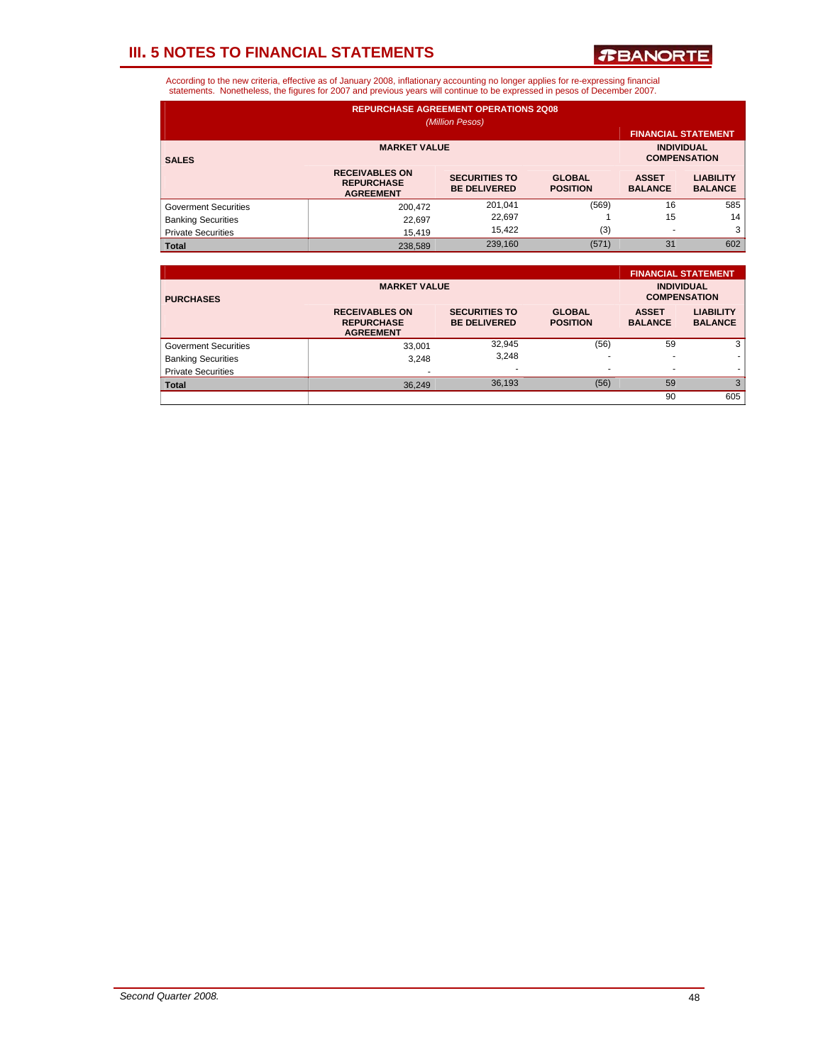*T***BANORTE** 

| <b>REPURCHASE AGREEMENT OPERATIONS 2Q08</b><br>(Million Pesos) |                                                                |                                             |                                  |                                |                                    |  |  |  |  |  |  |
|----------------------------------------------------------------|----------------------------------------------------------------|---------------------------------------------|----------------------------------|--------------------------------|------------------------------------|--|--|--|--|--|--|
|                                                                | <b>FINANCIAL STATEMENT</b>                                     |                                             |                                  |                                |                                    |  |  |  |  |  |  |
| <b>SALES</b>                                                   | <b>MARKET VALUE</b>                                            | <b>INDIVIDUAL</b><br><b>COMPENSATION</b>    |                                  |                                |                                    |  |  |  |  |  |  |
|                                                                | <b>RECEIVABLES ON</b><br><b>REPURCHASE</b><br><b>AGREEMENT</b> | <b>SECURITIES TO</b><br><b>BE DELIVERED</b> | <b>GLOBAL</b><br><b>POSITION</b> | <b>ASSET</b><br><b>BALANCE</b> | <b>LIABILITY</b><br><b>BALANCE</b> |  |  |  |  |  |  |
| <b>Goverment Securities</b>                                    | 200.472                                                        | 201,041                                     | (569)                            | 16                             | 585                                |  |  |  |  |  |  |
| <b>Banking Securities</b>                                      | 22.697                                                         | 22,697                                      |                                  | 15                             | 14                                 |  |  |  |  |  |  |
| <b>Private Securities</b>                                      | 15.419                                                         | 15.422                                      | (3)                              | $\overline{\phantom{a}}$       | 3                                  |  |  |  |  |  |  |
| <b>Total</b>                                                   | 238,589                                                        | 239,160                                     | (571)                            | 31                             | 602                                |  |  |  |  |  |  |

|                             |                                                                |                                             |                                  |                                | <b>FINANCIAL STATEMENT</b>         |
|-----------------------------|----------------------------------------------------------------|---------------------------------------------|----------------------------------|--------------------------------|------------------------------------|
| <b>PURCHASES</b>            | <b>MARKET VALUE</b>                                            | <b>INDIVIDUAL</b><br><b>COMPENSATION</b>    |                                  |                                |                                    |
|                             | <b>RECEIVABLES ON</b><br><b>REPURCHASE</b><br><b>AGREEMENT</b> | <b>SECURITIES TO</b><br><b>BE DELIVERED</b> | <b>GLOBAL</b><br><b>POSITION</b> | <b>ASSET</b><br><b>BALANCE</b> | <b>LIABILITY</b><br><b>BALANCE</b> |
| <b>Goverment Securities</b> | 33.001                                                         | 32,945                                      | (56)                             | 59                             | 3                                  |
| <b>Banking Securities</b>   | 3.248                                                          | 3.248                                       |                                  |                                |                                    |
| <b>Private Securities</b>   | $\overline{\phantom{a}}$                                       |                                             |                                  | $\overline{\phantom{a}}$       |                                    |
| <b>Total</b>                | 36.249                                                         | 36,193                                      | (56)                             | 59                             | 3                                  |
|                             |                                                                |                                             |                                  | 90                             | 605                                |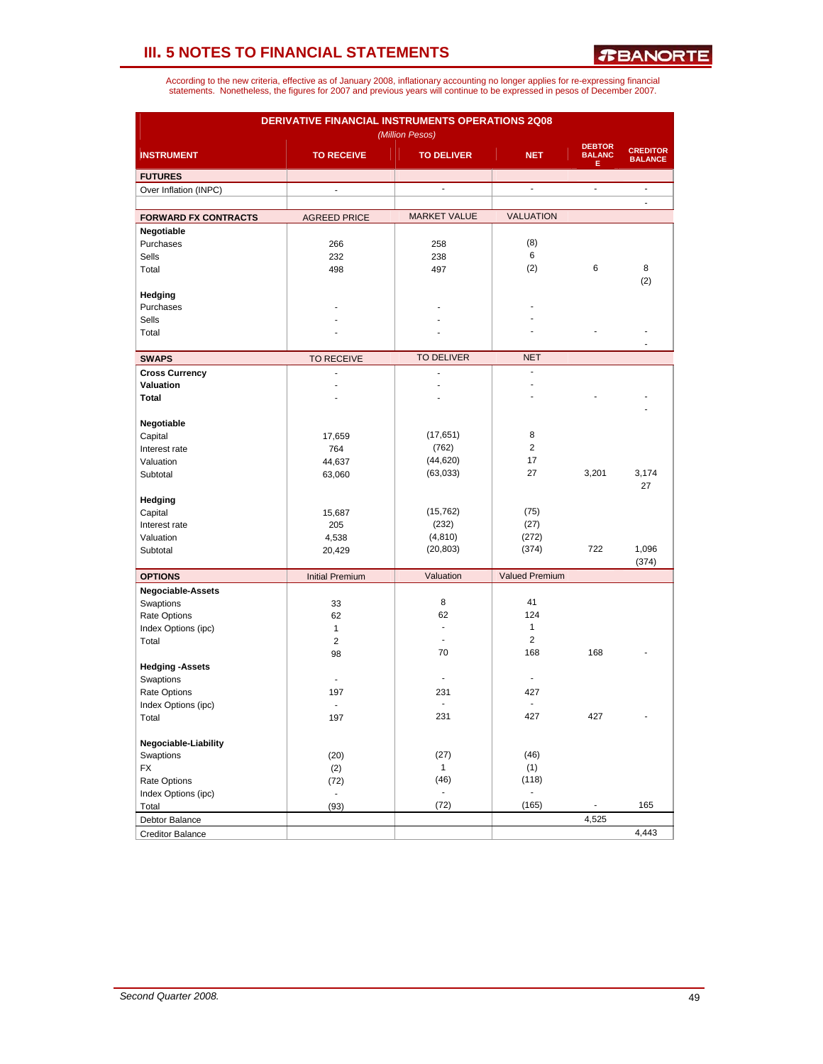| DERIVATIVE FINANCIAL INSTRUMENTS OPERATIONS 2Q08<br>(Million Pesos) |                        |                          |                         |                                     |                                   |  |  |  |  |
|---------------------------------------------------------------------|------------------------|--------------------------|-------------------------|-------------------------------------|-----------------------------------|--|--|--|--|
| <b>INSTRUMENT</b>                                                   | <b>TO RECEIVE</b>      | <b>TO DELIVER</b>        | <b>NET</b>              | <b>DEBTOR</b><br><b>BALANC</b><br>Е | <b>CREDITOR</b><br><b>BALANCE</b> |  |  |  |  |
| <b>FUTURES</b>                                                      |                        |                          |                         |                                     |                                   |  |  |  |  |
| Over Inflation (INPC)                                               | $\mathbb{Z}^2$         | ÷,                       | $\blacksquare$          | $\frac{1}{2}$                       | $\overline{a}$                    |  |  |  |  |
|                                                                     |                        |                          |                         |                                     | L.                                |  |  |  |  |
| <b>FORWARD FX CONTRACTS</b>                                         | <b>AGREED PRICE</b>    | <b>MARKET VALUE</b>      | <b>VALUATION</b>        |                                     |                                   |  |  |  |  |
| Negotiable                                                          |                        |                          |                         |                                     |                                   |  |  |  |  |
| Purchases                                                           | 266                    | 258                      | (8)                     |                                     |                                   |  |  |  |  |
| Sells                                                               | 232                    | 238                      | 6<br>(2)                | 6                                   | 8                                 |  |  |  |  |
| Total                                                               | 498                    | 497                      |                         |                                     | (2)                               |  |  |  |  |
| Hedging                                                             |                        |                          |                         |                                     |                                   |  |  |  |  |
| Purchases                                                           |                        |                          |                         |                                     |                                   |  |  |  |  |
| Sells                                                               |                        |                          |                         |                                     |                                   |  |  |  |  |
| Total                                                               |                        |                          |                         |                                     |                                   |  |  |  |  |
|                                                                     |                        |                          |                         |                                     |                                   |  |  |  |  |
| <b>SWAPS</b>                                                        | <b>TO RECEIVE</b>      | <b>TO DELIVER</b>        | <b>NET</b>              |                                     |                                   |  |  |  |  |
| <b>Cross Currency</b>                                               | $\overline{a}$         | $\overline{a}$           | $\overline{a}$          |                                     |                                   |  |  |  |  |
| Valuation                                                           | ÷                      | J.                       |                         |                                     |                                   |  |  |  |  |
| Total                                                               |                        |                          |                         |                                     |                                   |  |  |  |  |
| Negotiable                                                          |                        |                          |                         |                                     |                                   |  |  |  |  |
| Capital                                                             | 17,659                 | (17, 651)                | 8                       |                                     |                                   |  |  |  |  |
| Interest rate                                                       | 764                    | (762)                    | 2                       |                                     |                                   |  |  |  |  |
| Valuation                                                           | 44,637                 | (44, 620)                | 17                      |                                     |                                   |  |  |  |  |
| Subtotal                                                            | 63,060                 | (63,033)                 | 27                      | 3,201                               | 3,174                             |  |  |  |  |
|                                                                     |                        |                          |                         |                                     | 27                                |  |  |  |  |
| Hedging                                                             |                        |                          |                         |                                     |                                   |  |  |  |  |
| Capital                                                             | 15,687                 | (15, 762)                | (75)                    |                                     |                                   |  |  |  |  |
| Interest rate                                                       | 205                    | (232)                    | (27)                    |                                     |                                   |  |  |  |  |
| Valuation<br>Subtotal                                               | 4,538<br>20,429        | (4, 810)<br>(20, 803)    | (272)<br>(374)          | 722                                 | 1,096                             |  |  |  |  |
|                                                                     |                        |                          |                         |                                     | (374)                             |  |  |  |  |
| <b>OPTIONS</b>                                                      | <b>Initial Premium</b> | Valuation                | <b>Valued Premium</b>   |                                     |                                   |  |  |  |  |
| Negociable-Assets                                                   |                        |                          |                         |                                     |                                   |  |  |  |  |
| Swaptions                                                           | 33                     | 8                        | 41                      |                                     |                                   |  |  |  |  |
| Rate Options                                                        | 62                     | 62                       | 124                     |                                     |                                   |  |  |  |  |
| Index Options (ipc)                                                 | $\mathbf{1}$           | ÷.                       | $\mathbf{1}$            |                                     |                                   |  |  |  |  |
| Total                                                               | $\overline{2}$         | $\overline{\phantom{a}}$ | $\overline{2}$          |                                     |                                   |  |  |  |  |
|                                                                     | 98                     | 70                       | 168                     | 168                                 |                                   |  |  |  |  |
| <b>Hedging -Assets</b><br>Swaptions                                 | $\blacksquare$         | ÷                        | $\overline{a}$          |                                     |                                   |  |  |  |  |
| Rate Options                                                        | 197                    | 231                      | 427                     |                                     |                                   |  |  |  |  |
| Index Options (ipc)                                                 | ä,                     | ٠                        | ٠                       |                                     |                                   |  |  |  |  |
| Total                                                               | 197                    | 231                      | 427                     | 427                                 |                                   |  |  |  |  |
|                                                                     |                        |                          |                         |                                     |                                   |  |  |  |  |
| Negociable-Liability                                                |                        |                          |                         |                                     |                                   |  |  |  |  |
| Swaptions                                                           | (20)                   | (27)                     | (46)                    |                                     |                                   |  |  |  |  |
| <b>FX</b>                                                           | (2)                    | $\mathbf{1}$             | (1)                     |                                     |                                   |  |  |  |  |
| Rate Options                                                        | (72)                   | (46)<br>٠                | (118)<br>$\blacksquare$ |                                     |                                   |  |  |  |  |
| Index Options (ipc)<br>Total                                        | $\blacksquare$<br>(93) | (72)                     | (165)                   | $\overline{\phantom{a}}$            | 165                               |  |  |  |  |
| Debtor Balance                                                      |                        |                          |                         | 4,525                               |                                   |  |  |  |  |
| <b>Creditor Balance</b>                                             |                        |                          |                         |                                     | 4,443                             |  |  |  |  |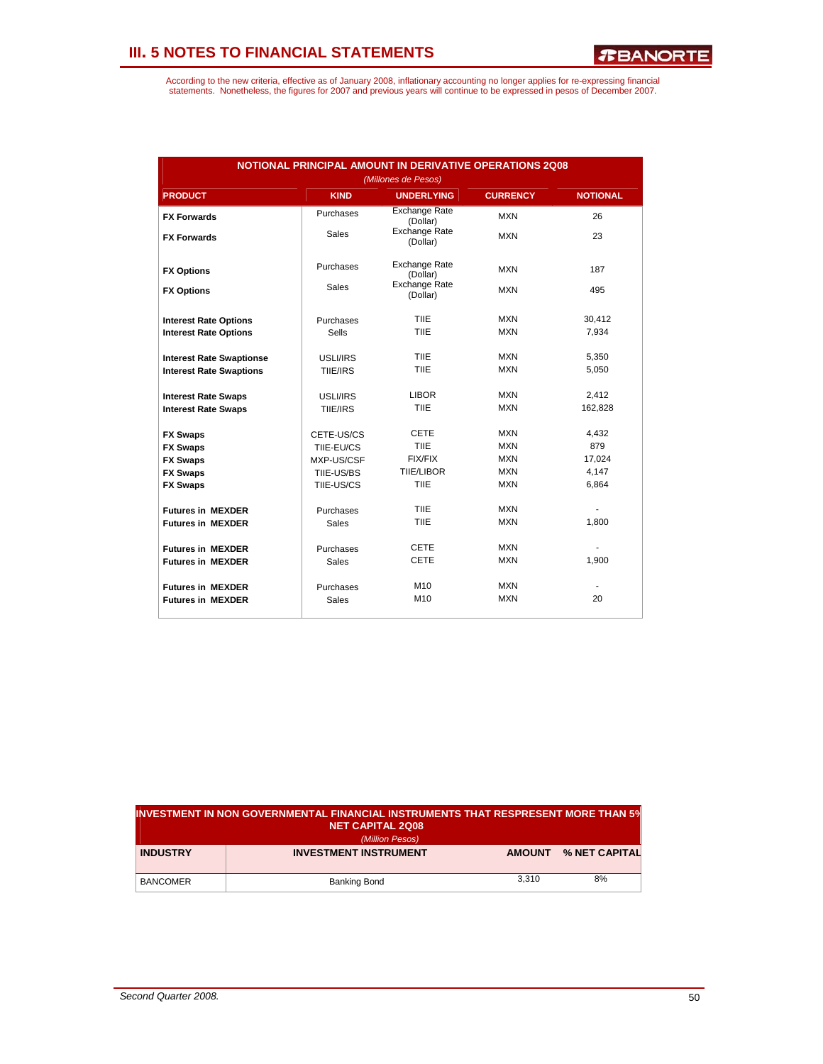| <b>NOTIONAL PRINCIPAL AMOUNT IN DERIVATIVE OPERATIONS 2Q08</b><br>(Millones de Pesos) |              |                                  |                 |                 |  |  |  |
|---------------------------------------------------------------------------------------|--------------|----------------------------------|-----------------|-----------------|--|--|--|
| <b>PRODUCT</b>                                                                        | <b>KIND</b>  | <b>UNDERLYING</b>                | <b>CURRENCY</b> | <b>NOTIONAL</b> |  |  |  |
| <b>FX Forwards</b>                                                                    | Purchases    | <b>Exchange Rate</b><br>(Dollar) | <b>MXN</b>      | 26              |  |  |  |
| <b>FX Forwards</b>                                                                    | Sales        | <b>Exchange Rate</b><br>(Dollar) | <b>MXN</b>      | 23              |  |  |  |
| <b>FX Options</b>                                                                     | Purchases    | <b>Exchange Rate</b><br>(Dollar) | <b>MXN</b>      | 187             |  |  |  |
| <b>FX Options</b>                                                                     | <b>Sales</b> | <b>Exchange Rate</b><br>(Dollar) | <b>MXN</b>      | 495             |  |  |  |
| <b>Interest Rate Options</b>                                                          | Purchases    | <b>TIIE</b>                      | <b>MXN</b>      | 30,412          |  |  |  |
| <b>Interest Rate Options</b>                                                          | <b>Sells</b> | TIIF                             | <b>MXN</b>      | 7,934           |  |  |  |
| <b>Interest Rate Swaptionse</b>                                                       | USLI/IRS     | TIIF                             | <b>MXN</b>      | 5.350           |  |  |  |
| <b>Interest Rate Swaptions</b>                                                        | TIIE/IRS     | TIIE                             | <b>MXN</b>      | 5,050           |  |  |  |
| <b>Interest Rate Swaps</b>                                                            | USLI/IRS     | <b>LIBOR</b>                     | <b>MXN</b>      | 2.412           |  |  |  |
| <b>Interest Rate Swaps</b>                                                            | TIIE/IRS     | TIIF                             | <b>MXN</b>      | 162,828         |  |  |  |
| <b>FX Swaps</b>                                                                       | CETE-US/CS   | <b>CETE</b>                      | <b>MXN</b>      | 4,432           |  |  |  |
| <b>FX Swaps</b>                                                                       | TIIE-EU/CS   | TIIF                             | <b>MXN</b>      | 879             |  |  |  |
| <b>FX Swaps</b>                                                                       | MXP-US/CSF   | <b>FIX/FIX</b>                   | <b>MXN</b>      | 17,024          |  |  |  |
| <b>FX Swaps</b>                                                                       | TIIE-US/BS   | <b>TIIE/LIBOR</b>                | <b>MXN</b>      | 4,147           |  |  |  |
| <b>FX Swaps</b>                                                                       | TIIE-US/CS   | TIIE                             | <b>MXN</b>      | 6,864           |  |  |  |
| <b>Futures in MEXDER</b>                                                              | Purchases    | <b>TIIE</b>                      | <b>MXN</b>      |                 |  |  |  |
| <b>Futures in MEXDER</b>                                                              | <b>Sales</b> | <b>TIIE</b>                      | <b>MXN</b>      | 1,800           |  |  |  |
| <b>Futures in MEXDER</b>                                                              | Purchases    | <b>CETE</b>                      | <b>MXN</b>      |                 |  |  |  |
| <b>Futures in MEXDER</b>                                                              | Sales        | <b>CETE</b>                      | <b>MXN</b>      | 1,900           |  |  |  |
| <b>Futures in MEXDER</b>                                                              | Purchases    | M <sub>10</sub>                  | <b>MXN</b>      |                 |  |  |  |
| <b>Futures in MEXDER</b>                                                              | Sales        | M <sub>10</sub>                  | <b>MXN</b>      | 20              |  |  |  |

| INVESTMENT IN NON GOVERNMENTAL FINANCIAL INSTRUMENTS THAT RESPRESENT MORE THAN 5%<br><b>NET CAPITAL 2Q08</b> |               |               |  |  |  |  |
|--------------------------------------------------------------------------------------------------------------|---------------|---------------|--|--|--|--|
| (Million Pesos)                                                                                              |               |               |  |  |  |  |
| <b>INVESTMENT INSTRUMENT</b>                                                                                 | <b>AMOUNT</b> | % NET CAPITAL |  |  |  |  |
|                                                                                                              |               |               |  |  |  |  |
| Banking Bond                                                                                                 | 3.310         | 8%            |  |  |  |  |
|                                                                                                              |               |               |  |  |  |  |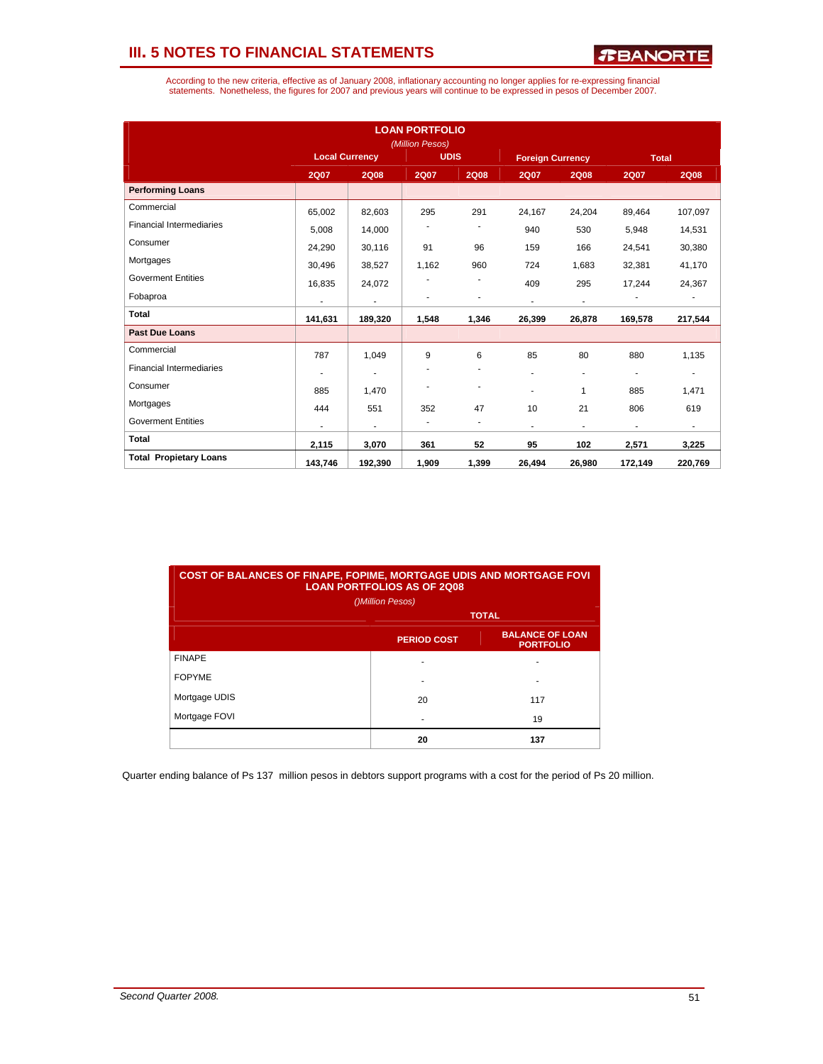According to the new criteria, effective as of January 2008, inflationary accounting no longer applies for re-expressing financial<br>statements. Nonetheless, the figures for 2007 and previous years will continue to be expres

|                                 |                       |                          | <b>LOAN PORTFOLIO</b><br>(Million Pesos) |                          |                         |                          |              |                          |
|---------------------------------|-----------------------|--------------------------|------------------------------------------|--------------------------|-------------------------|--------------------------|--------------|--------------------------|
|                                 | <b>Local Currency</b> |                          | <b>UDIS</b>                              |                          | <b>Foreign Currency</b> |                          | <b>Total</b> |                          |
|                                 | <b>2Q07</b>           | <b>2Q08</b>              | <b>2Q07</b>                              | <b>2Q08</b>              | <b>2Q07</b>             | <b>2Q08</b>              | <b>2Q07</b>  | <b>2Q08</b>              |
| <b>Performing Loans</b>         |                       |                          |                                          |                          |                         |                          |              |                          |
| Commercial                      | 65.002                | 82,603                   | 295                                      | 291                      | 24.167                  | 24,204                   | 89.464       | 107,097                  |
| <b>Financial Intermediaries</b> | 5,008                 | 14,000                   |                                          |                          | 940                     | 530                      | 5,948        | 14,531                   |
| Consumer                        | 24,290                | 30,116                   | 91                                       | 96                       | 159                     | 166                      | 24,541       | 30,380                   |
| Mortgages                       | 30,496                | 38,527                   | 1,162                                    | 960                      | 724                     | 1,683                    | 32,381       | 41,170                   |
| <b>Goverment Entities</b>       | 16,835                | 24,072                   |                                          |                          | 409                     | 295                      | 17,244       | 24,367                   |
| Fobaproa                        | ٠                     | $\overline{\phantom{a}}$ |                                          | ٠                        | $\sim$                  | $\overline{\phantom{a}}$ |              |                          |
| <b>Total</b>                    | 141,631               | 189,320                  | 1,548                                    | 1,346                    | 26,399                  | 26,878                   | 169,578      | 217,544                  |
| <b>Past Due Loans</b>           |                       |                          |                                          |                          |                         |                          |              |                          |
| Commercial                      | 787                   | 1,049                    | 9                                        | 6                        | 85                      | 80                       | 880          | 1,135                    |
| <b>Financial Intermediaries</b> |                       |                          |                                          | ٠                        | $\overline{a}$          | ٠                        | ä,           | ٠                        |
| Consumer                        | 885                   | 1,470                    |                                          | ٠                        | ٠                       | 1                        | 885          | 1,471                    |
| Mortgages                       | 444                   | 551                      | 352                                      | 47                       | 10                      | 21                       | 806          | 619                      |
| <b>Goverment Entities</b>       |                       | ٠                        | ٠                                        | $\overline{\phantom{a}}$ | $\blacksquare$          |                          | ٠            | $\overline{\phantom{0}}$ |
| <b>Total</b>                    | 2,115                 | 3,070                    | 361                                      | 52                       | 95                      | 102                      | 2,571        | 3,225                    |
| <b>Total Propietary Loans</b>   | 143,746               | 192.390                  | 1,909                                    | 1,399                    | 26,494                  | 26,980                   | 172,149      | 220,769                  |

| <b>COST OF BALANCES OF FINAPE, FOPIME, MORTGAGE UDIS AND MORTGAGE FOVI</b><br><b>LOAN PORTFOLIOS AS OF 2Q08</b> |    |     |  |  |  |  |  |
|-----------------------------------------------------------------------------------------------------------------|----|-----|--|--|--|--|--|
| ()Million Pesos)                                                                                                |    |     |  |  |  |  |  |
| <b>TOTAL</b>                                                                                                    |    |     |  |  |  |  |  |
| <b>BALANCE OF LOAN</b><br><b>PERIOD COST</b><br><b>PORTFOLIO</b>                                                |    |     |  |  |  |  |  |
| <b>FINAPE</b>                                                                                                   |    |     |  |  |  |  |  |
| <b>FOPYME</b>                                                                                                   |    |     |  |  |  |  |  |
| Mortgage UDIS                                                                                                   | 20 | 117 |  |  |  |  |  |
| Mortgage FOVI                                                                                                   |    | 19  |  |  |  |  |  |
|                                                                                                                 | 20 | 137 |  |  |  |  |  |

Quarter ending balance of Ps 137 million pesos in debtors support programs with a cost for the period of Ps 20 million.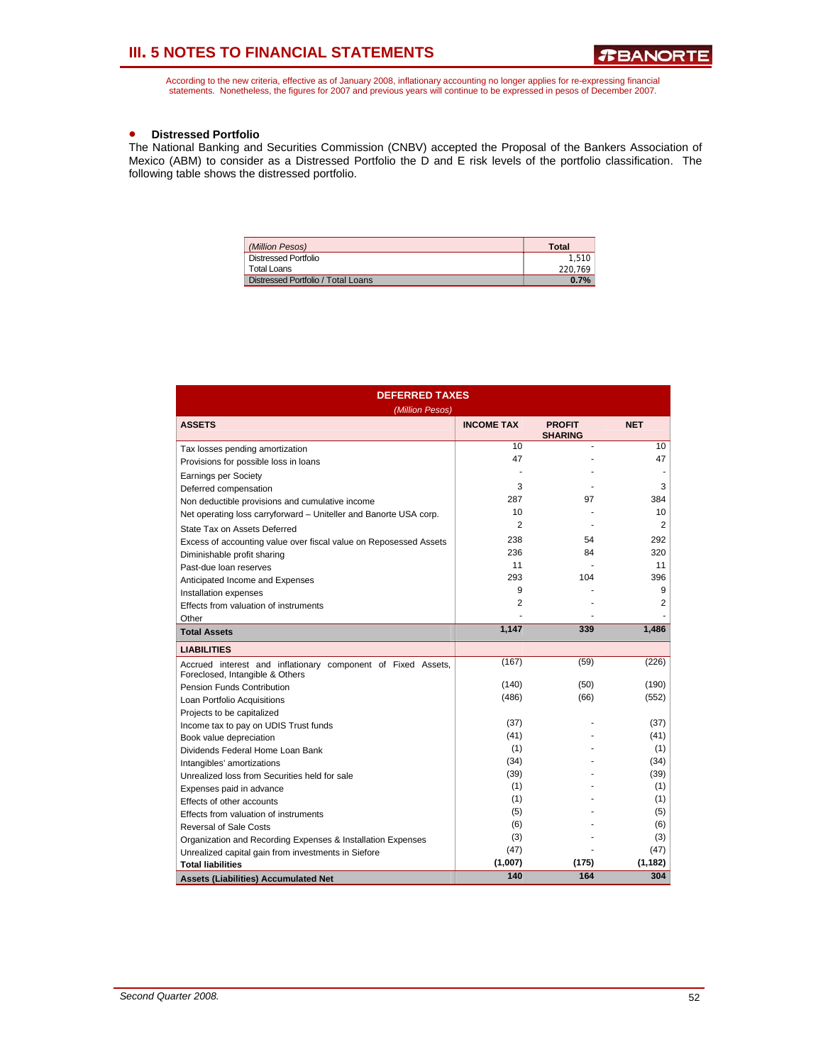According to the new criteria, effective as of January 2008, inflationary accounting no longer applies for re-expressing financial<br>statements. Nonetheless, the figures for 2007 and previous years will continue to be expres

#### • **Distressed Portfolio**

The National Banking and Securities Commission (CNBV) accepted the Proposal of the Bankers Association of Mexico (ABM) to consider as a Distressed Portfolio the D and E risk levels of the portfolio classification. The following table shows the distressed portfolio.

| (Million Pesos)                    | Total   |
|------------------------------------|---------|
| <b>Distressed Portfolio</b>        | 1.510   |
| Total Loans                        | 220.769 |
| Distressed Portfolio / Total Loans | 0.7%    |

| <b>DEFERRED TAXES</b><br>(Million Pesos)                                                        |                   |                                 |                |  |  |  |  |
|-------------------------------------------------------------------------------------------------|-------------------|---------------------------------|----------------|--|--|--|--|
| <b>ASSETS</b>                                                                                   | <b>INCOME TAX</b> | <b>PROFIT</b><br><b>SHARING</b> | <b>NET</b>     |  |  |  |  |
| Tax losses pending amortization                                                                 | 10                |                                 | 10             |  |  |  |  |
| Provisions for possible loss in loans                                                           | 47                |                                 | 47             |  |  |  |  |
| <b>Earnings per Society</b>                                                                     |                   |                                 |                |  |  |  |  |
| Deferred compensation                                                                           | 3                 |                                 | 3              |  |  |  |  |
| Non deductible provisions and cumulative income                                                 | 287               | 97                              | 384            |  |  |  |  |
| Net operating loss carryforward - Uniteller and Banorte USA corp.                               | 10                |                                 | 10             |  |  |  |  |
| State Tax on Assets Deferred                                                                    | $\overline{2}$    |                                 | $\overline{2}$ |  |  |  |  |
| Excess of accounting value over fiscal value on Reposessed Assets                               | 238               | 54                              | 292            |  |  |  |  |
| Diminishable profit sharing                                                                     | 236               | 84                              | 320            |  |  |  |  |
| Past-due loan reserves                                                                          | 11                |                                 | 11             |  |  |  |  |
| Anticipated Income and Expenses                                                                 | 293               | 104                             | 396            |  |  |  |  |
| Installation expenses                                                                           | 9                 |                                 | 9              |  |  |  |  |
| Effects from valuation of instruments                                                           | $\overline{2}$    |                                 | 2              |  |  |  |  |
| Other                                                                                           |                   |                                 |                |  |  |  |  |
| <b>Total Assets</b>                                                                             | 1,147             | 339                             | 1,486          |  |  |  |  |
| <b>LIABILITIES</b>                                                                              |                   |                                 |                |  |  |  |  |
| Accrued interest and inflationary component of Fixed Assets,<br>Foreclosed, Intangible & Others | (167)             | (59)                            | (226)          |  |  |  |  |
| <b>Pension Funds Contribution</b>                                                               | (140)             | (50)                            | (190)          |  |  |  |  |
| Loan Portfolio Acquisitions                                                                     | (486)             | (66)                            | (552)          |  |  |  |  |
| Projects to be capitalized                                                                      |                   |                                 |                |  |  |  |  |
| Income tax to pay on UDIS Trust funds                                                           | (37)              |                                 | (37)           |  |  |  |  |
| Book value depreciation                                                                         | (41)              |                                 | (41)           |  |  |  |  |
| Dividends Federal Home Loan Bank                                                                | (1)               |                                 | (1)            |  |  |  |  |
| Intangibles' amortizations                                                                      | (34)              |                                 | (34)           |  |  |  |  |
| Unrealized loss from Securities held for sale                                                   | (39)              |                                 | (39)           |  |  |  |  |
| Expenses paid in advance                                                                        | (1)               |                                 | (1)            |  |  |  |  |
| Effects of other accounts                                                                       | (1)               |                                 | (1)            |  |  |  |  |
| Effects from valuation of instruments                                                           | (5)               |                                 | (5)            |  |  |  |  |
| <b>Reversal of Sale Costs</b>                                                                   | (6)               |                                 | (6)            |  |  |  |  |
| Organization and Recording Expenses & Installation Expenses                                     | (3)               |                                 | (3)            |  |  |  |  |
| Unrealized capital gain from investments in Siefore                                             | (47)              |                                 | (47)           |  |  |  |  |
| <b>Total liabilities</b>                                                                        | (1,007)           | (175)                           | (1, 182)       |  |  |  |  |
| <b>Assets (Liabilities) Accumulated Net</b>                                                     | 140               | 164                             | 304            |  |  |  |  |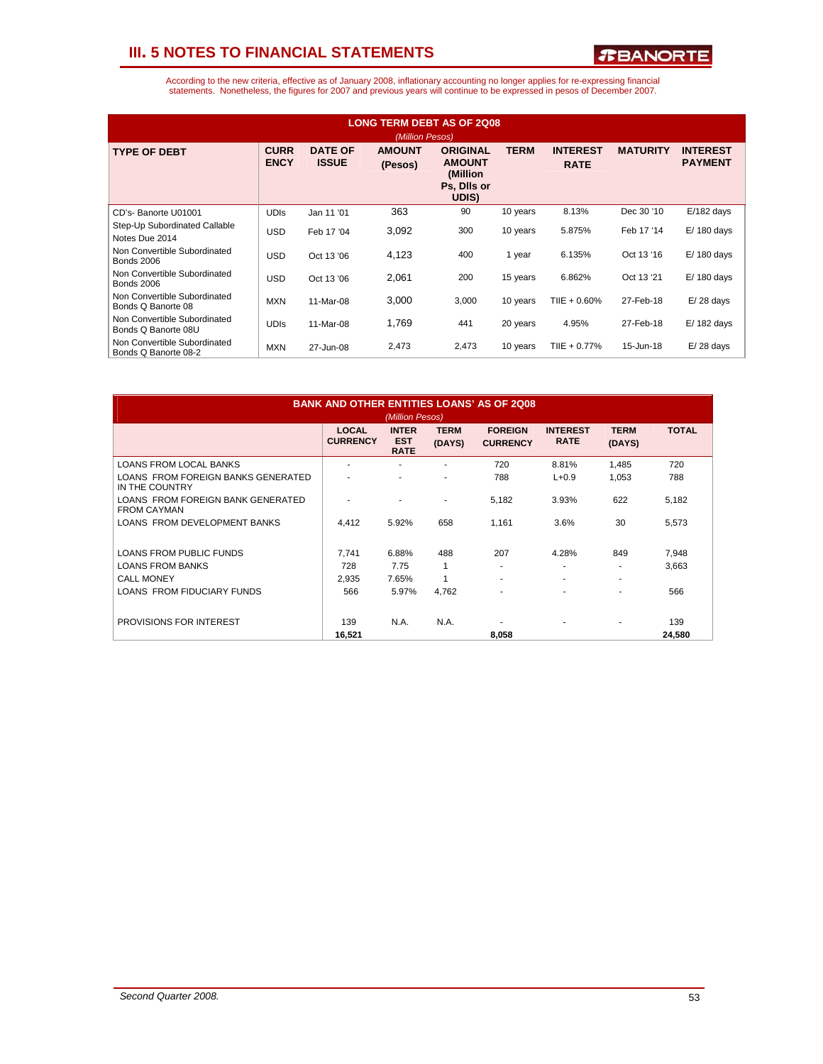*R***BANORTE** 

| <b>LONG TERM DEBT AS OF 2Q08</b><br>(Million Pesos)  |                            |                                |                          |                                                                      |             |                                |                 |                                   |  |
|------------------------------------------------------|----------------------------|--------------------------------|--------------------------|----------------------------------------------------------------------|-------------|--------------------------------|-----------------|-----------------------------------|--|
| <b>TYPE OF DEBT</b>                                  | <b>CURR</b><br><b>ENCY</b> | <b>DATE OF</b><br><b>ISSUE</b> | <b>AMOUNT</b><br>(Pesos) | <b>ORIGINAL</b><br><b>AMOUNT</b><br>(Million<br>Ps, Dils or<br>UDIS) | <b>TERM</b> | <b>INTEREST</b><br><b>RATE</b> | <b>MATURITY</b> | <b>INTEREST</b><br><b>PAYMENT</b> |  |
| CD's-Banorte U01001                                  | <b>UDIS</b>                | Jan 11 '01                     | 363                      | 90                                                                   | 10 years    | 8.13%                          | Dec 30 '10      | $E/182$ days                      |  |
| Step-Up Subordinated Callable<br>Notes Due 2014      | <b>USD</b>                 | Feb 17 '04                     | 3,092                    | 300                                                                  | 10 years    | 5.875%                         | Feb 17 '14      | $E/180$ days                      |  |
| Non Convertible Subordinated<br><b>Bonds 2006</b>    | <b>USD</b>                 | Oct 13 '06                     | 4,123                    | 400                                                                  | 1 year      | 6.135%                         | Oct 13 '16      | $E/180$ days                      |  |
| Non Convertible Subordinated<br><b>Bonds 2006</b>    | <b>USD</b>                 | Oct 13 '06                     | 2,061                    | 200                                                                  | 15 years    | 6.862%                         | Oct 13 '21      | $E/180$ days                      |  |
| Non Convertible Subordinated<br>Bonds Q Banorte 08   | <b>MXN</b>                 | 11-Mar-08                      | 3,000                    | 3,000                                                                | 10 years    | TIIE + 0.60%                   | 27-Feb-18       | $E/28$ days                       |  |
| Non Convertible Subordinated<br>Bonds Q Banorte 08U  | <b>UDIS</b>                | 11-Mar-08                      | 1,769                    | 441                                                                  | 20 years    | 4.95%                          | 27-Feb-18       | $E/182$ days                      |  |
| Non Convertible Subordinated<br>Bonds Q Banorte 08-2 | <b>MXN</b>                 | 27-Jun-08                      | 2,473                    | 2,473                                                                | 10 years    | TIIE + 0.77%                   | 15-Jun-18       | $E/28$ days                       |  |

| <b>BANK AND OTHER ENTITIES LOANS' AS OF 2008</b><br>(Million Pesos) |                                 |                                           |                       |                                   |                                |                          |              |
|---------------------------------------------------------------------|---------------------------------|-------------------------------------------|-----------------------|-----------------------------------|--------------------------------|--------------------------|--------------|
|                                                                     | <b>LOCAL</b><br><b>CURRENCY</b> | <b>INTER</b><br><b>EST</b><br><b>RATE</b> | <b>TERM</b><br>(DAYS) | <b>FOREIGN</b><br><b>CURRENCY</b> | <b>INTEREST</b><br><b>RATE</b> | <b>TERM</b><br>(DAYS)    | <b>TOTAL</b> |
| <b>LOANS FROM LOCAL BANKS</b>                                       |                                 |                                           |                       | 720                               | 8.81%                          | 1,485                    | 720          |
| LOANS FROM FOREIGN BANKS GENERATED<br>IN THE COUNTRY                |                                 |                                           |                       | 788                               | $L + 0.9$                      | 1,053                    | 788          |
| LOANS FROM FOREIGN BANK GENERATED<br><b>FROM CAYMAN</b>             |                                 |                                           |                       | 5,182                             | 3.93%                          | 622                      | 5,182        |
| LOANS FROM DEVELOPMENT BANKS                                        | 4.412                           | 5.92%                                     | 658                   | 1.161                             | 3.6%                           | 30                       | 5,573        |
| <b>LOANS FROM PUBLIC FUNDS</b>                                      | 7.741                           | 6.88%                                     | 488                   | 207                               | 4.28%                          | 849                      | 7,948        |
| <b>LOANS FROM BANKS</b>                                             | 728                             | 7.75                                      | 1                     | ۰                                 | ۰                              | ٠                        | 3,663        |
| <b>CALL MONEY</b>                                                   | 2.935                           | 7.65%                                     | 1                     | ۰                                 | $\overline{\phantom{a}}$       | $\overline{\phantom{a}}$ |              |
| <b>LOANS FROM FIDUCIARY FUNDS</b>                                   | 566                             | 5.97%                                     | 4,762                 | ٠                                 | $\overline{\phantom{a}}$       | $\overline{\phantom{a}}$ | 566          |
| <b>PROVISIONS FOR INTEREST</b>                                      | 139                             | N.A.                                      | N.A.                  |                                   | ٠                              | ۰                        | 139          |
|                                                                     | 16,521                          |                                           |                       | 8,058                             |                                |                          | 24,580       |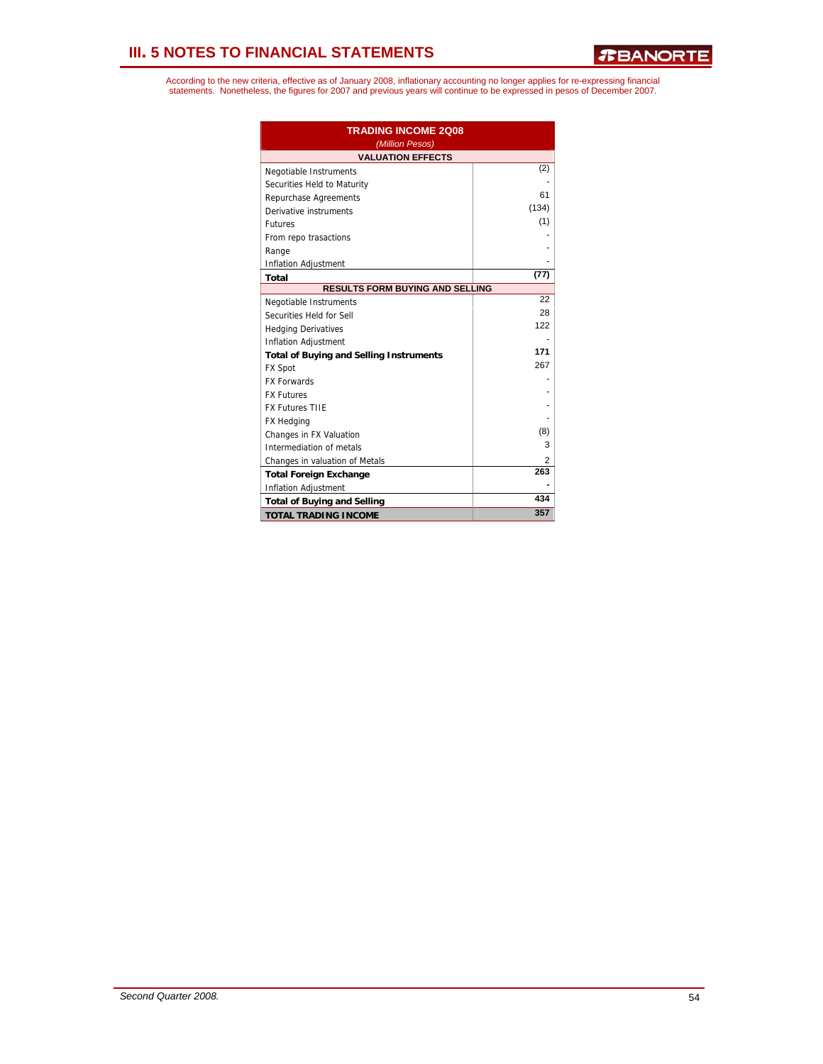| <b>TRADING INCOME 2Q08</b><br>(Million Pesos)  |       |
|------------------------------------------------|-------|
| <b>VALUATION EFFECTS</b>                       |       |
| Negotiable Instruments                         | (2)   |
| Securities Held to Maturity                    |       |
| Repurchase Agreements                          | 61    |
| Derivative instruments                         | (134) |
| <b>Futures</b>                                 | (1)   |
| From repo trasactions                          |       |
| Range                                          |       |
| <b>Inflation Adjustment</b>                    |       |
| Total                                          | (77)  |
| <b>RESULTS FORM BUYING AND SELLING</b>         |       |
| Negotiable Instruments                         | 22    |
| Securities Held for Sell                       | 28    |
| <b>Hedging Derivatives</b>                     | 122   |
| <b>Inflation Adjustment</b>                    |       |
| <b>Total of Buying and Selling Instruments</b> | 171   |
| FX Spot                                        | 267   |
| <b>FX Forwards</b>                             |       |
| <b>FX Futures</b>                              |       |
| <b>FX Futures TIIE</b>                         |       |
| <b>FX Hedging</b>                              |       |
| Changes in FX Valuation                        | (8)   |
| Intermediation of metals                       | 3     |
| Changes in valuation of Metals                 | 2     |
| <b>Total Foreign Exchange</b>                  | 263   |
| <b>Inflation Adjustment</b>                    |       |
| <b>Total of Buying and Selling</b>             | 434   |
| <b>TOTAL TRADING INCOME</b>                    | 357   |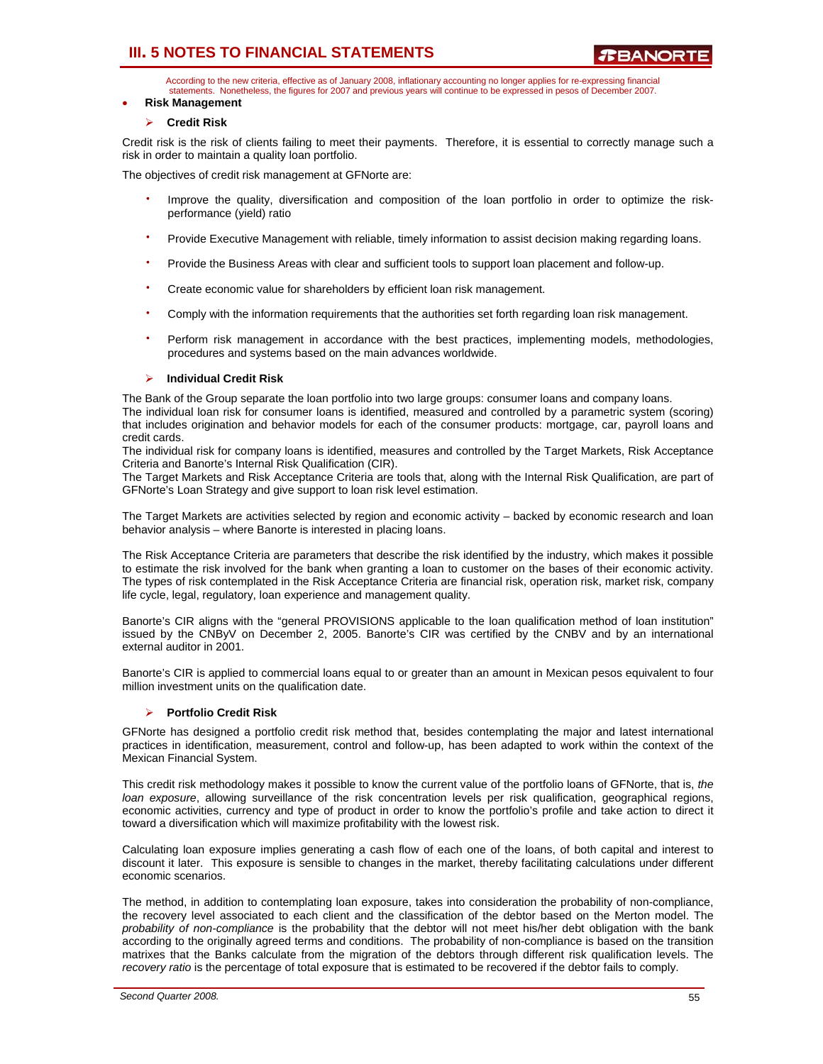According to the new criteria, effective as of January 2008, inflationary accounting no longer applies for re-expressing financial statements. Nonetheless, the figures for 2007 and previous years will continue to be expressed in pesos of December 2007.

### • **Risk Management**

### ¾ **Credit Risk**

Credit risk is the risk of clients failing to meet their payments. Therefore, it is essential to correctly manage such a risk in order to maintain a quality loan portfolio.

The objectives of credit risk management at GFNorte are:

- Improve the quality, diversification and composition of the loan portfolio in order to optimize the riskperformance (yield) ratio
- Provide Executive Management with reliable, timely information to assist decision making regarding loans.
- Provide the Business Areas with clear and sufficient tools to support loan placement and follow-up.
- Create economic value for shareholders by efficient loan risk management.
- Comply with the information requirements that the authorities set forth regarding loan risk management.
- $\bullet$ Perform risk management in accordance with the best practices, implementing models, methodologies, procedures and systems based on the main advances worldwide.

### ¾ **Individual Credit Risk**

The Bank of the Group separate the loan portfolio into two large groups: consumer loans and company loans. The individual loan risk for consumer loans is identified, measured and controlled by a parametric system (scoring) that includes origination and behavior models for each of the consumer products: mortgage, car, payroll loans and credit cards.

The individual risk for company loans is identified, measures and controlled by the Target Markets, Risk Acceptance Criteria and Banorte's Internal Risk Qualification (CIR).

The Target Markets and Risk Acceptance Criteria are tools that, along with the Internal Risk Qualification, are part of GFNorte's Loan Strategy and give support to loan risk level estimation.

The Target Markets are activities selected by region and economic activity – backed by economic research and loan behavior analysis – where Banorte is interested in placing loans.

The Risk Acceptance Criteria are parameters that describe the risk identified by the industry, which makes it possible to estimate the risk involved for the bank when granting a loan to customer on the bases of their economic activity. The types of risk contemplated in the Risk Acceptance Criteria are financial risk, operation risk, market risk, company life cycle, legal, regulatory, loan experience and management quality.

Banorte's CIR aligns with the "general PROVISIONS applicable to the loan qualification method of loan institution" issued by the CNByV on December 2, 2005. Banorte's CIR was certified by the CNBV and by an international external auditor in 2001.

Banorte's CIR is applied to commercial loans equal to or greater than an amount in Mexican pesos equivalent to four million investment units on the qualification date.

#### ¾ **Portfolio Credit Risk**

GFNorte has designed a portfolio credit risk method that, besides contemplating the major and latest international practices in identification, measurement, control and follow-up, has been adapted to work within the context of the Mexican Financial System.

This credit risk methodology makes it possible to know the current value of the portfolio loans of GFNorte, that is, *the loan exposure*, allowing surveillance of the risk concentration levels per risk qualification, geographical regions, economic activities, currency and type of product in order to know the portfolio's profile and take action to direct it toward a diversification which will maximize profitability with the lowest risk.

Calculating loan exposure implies generating a cash flow of each one of the loans, of both capital and interest to discount it later. This exposure is sensible to changes in the market, thereby facilitating calculations under different economic scenarios.

The method, in addition to contemplating loan exposure, takes into consideration the probability of non-compliance, the recovery level associated to each client and the classification of the debtor based on the Merton model. The *probability of non-compliance* is the probability that the debtor will not meet his/her debt obligation with the bank according to the originally agreed terms and conditions. The probability of non-compliance is based on the transition matrixes that the Banks calculate from the migration of the debtors through different risk qualification levels. The *recovery ratio* is the percentage of total exposure that is estimated to be recovered if the debtor fails to comply.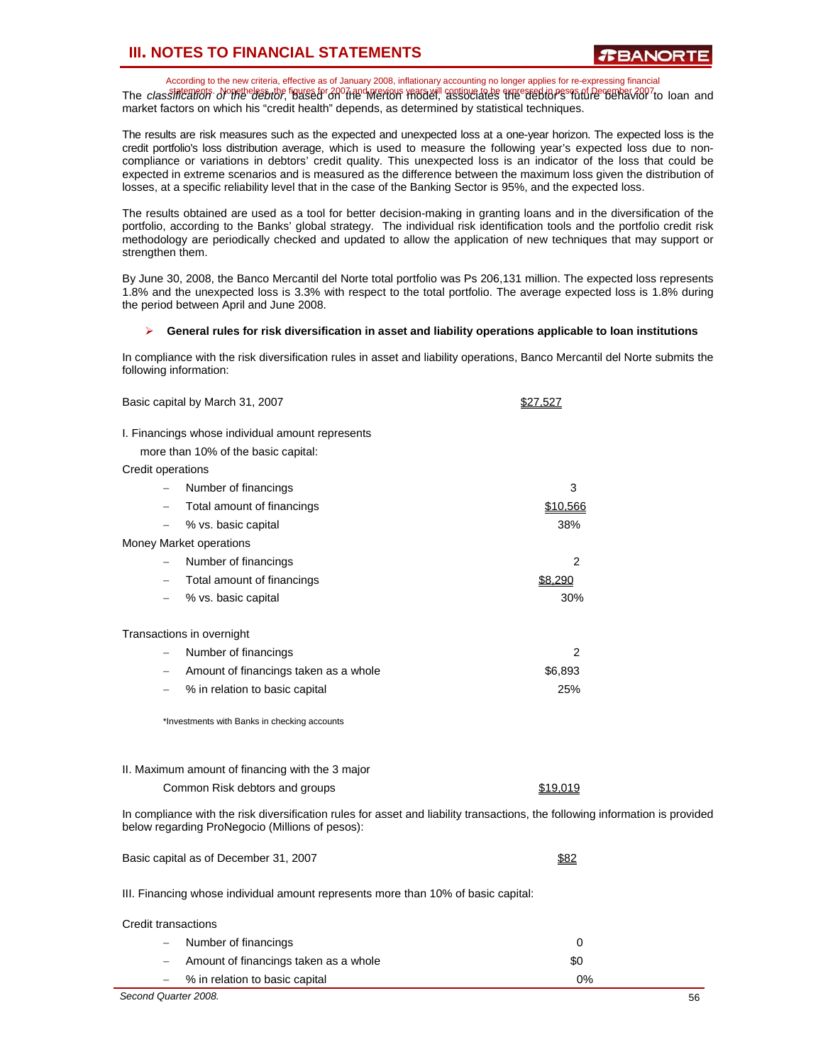According to the new criteria, effective as of January 2008, inflationary accounting no longer applies for re-expressing financial The class *integrats*. Nogetheless the figures for 2007 and previous years will continue to be expressed in pesgs of December 2007 to loan and market factors on which his "credit health" depends, as determined by statistical techniques.

The results are risk measures such as the expected and unexpected loss at a one-year horizon. The expected loss is the credit portfolio's loss distribution average, which is used to measure the following year's expected loss due to noncompliance or variations in debtors' credit quality. This unexpected loss is an indicator of the loss that could be expected in extreme scenarios and is measured as the difference between the maximum loss given the distribution of losses, at a specific reliability level that in the case of the Banking Sector is 95%, and the expected loss.

The results obtained are used as a tool for better decision-making in granting loans and in the diversification of the portfolio, according to the Banks' global strategy. The individual risk identification tools and the portfolio credit risk methodology are periodically checked and updated to allow the application of new techniques that may support or strengthen them.

By June 30, 2008, the Banco Mercantil del Norte total portfolio was Ps 206,131 million. The expected loss represents 1.8% and the unexpected loss is 3.3% with respect to the total portfolio. The average expected loss is 1.8% during the period between April and June 2008.

#### ¾ **General rules for risk diversification in asset and liability operations applicable to loan institutions**

In compliance with the risk diversification rules in asset and liability operations, Banco Mercantil del Norte submits the following information:

| Basic capital by March 31, 2007                                                                                                                                                  | \$27,527       |  |
|----------------------------------------------------------------------------------------------------------------------------------------------------------------------------------|----------------|--|
| I. Financings whose individual amount represents<br>more than 10% of the basic capital:                                                                                          |                |  |
| Credit operations                                                                                                                                                                |                |  |
| Number of financings<br>$\qquad \qquad -$                                                                                                                                        | 3              |  |
| Total amount of financings                                                                                                                                                       | \$10,566       |  |
| % vs. basic capital                                                                                                                                                              | 38%            |  |
| Money Market operations                                                                                                                                                          |                |  |
| Number of financings                                                                                                                                                             | $\overline{2}$ |  |
| Total amount of financings<br>$\qquad \qquad -$                                                                                                                                  | \$8,290        |  |
| % vs. basic capital                                                                                                                                                              | 30%            |  |
| Transactions in overnight                                                                                                                                                        |                |  |
| Number of financings                                                                                                                                                             | 2              |  |
| Amount of financings taken as a whole                                                                                                                                            | \$6,893        |  |
| % in relation to basic capital                                                                                                                                                   | 25%            |  |
| *Investments with Banks in checking accounts                                                                                                                                     |                |  |
| II. Maximum amount of financing with the 3 major                                                                                                                                 |                |  |
| Common Risk debtors and groups                                                                                                                                                   | \$19,019       |  |
| In compliance with the risk diversification rules for asset and liability transactions, the following information is provided<br>below regarding ProNegocio (Millions of pesos): |                |  |
| Basic capital as of December 31, 2007                                                                                                                                            | \$82           |  |

III. Financing whose individual amount represents more than 10% of basic capital:

− Number of financings 0 Amount of financings taken as a whole \$0 \$0

− % in relation to basic capital 0%

Credit transactions

*Second Quarter 2008.* 56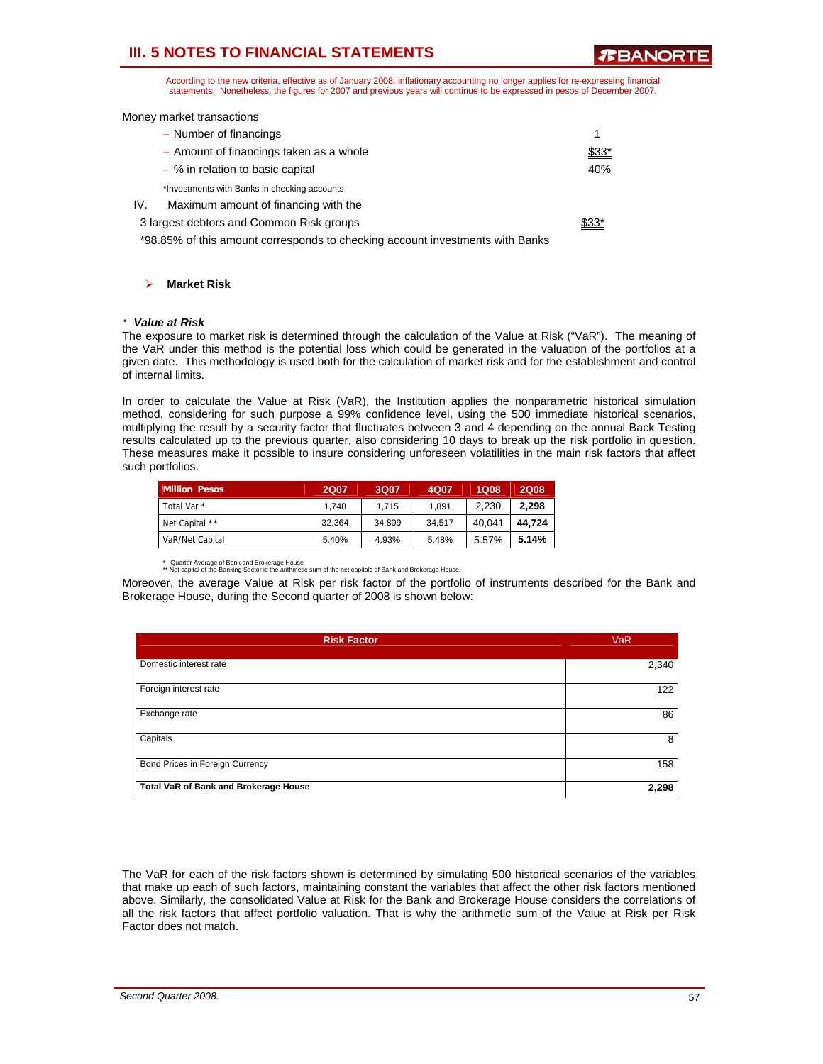**TEANORT** 

According to the new criteria, effective as of January 2008, inflationary accounting no longer applies for re-expressing financial statements. Nonetheless, the figures for 2007 and previous years will continue to be expressed in pesos of December 2007.

Money market transactions

| - Number of financings                                                        |       |
|-------------------------------------------------------------------------------|-------|
| - Amount of financings taken as a whole                                       | \$33* |
| - % in relation to basic capital                                              | 40%   |
| *Investments with Banks in checking accounts                                  |       |
| IV.<br>Maximum amount of financing with the                                   |       |
| 3 largest debtors and Common Risk groups                                      | \$33* |
| *98.85% of this amount corresponds to checking account investments with Banks |       |

¾ **Market Risk** 

#### ⋅ *Value at Risk*

The exposure to market risk is determined through the calculation of the Value at Risk ("VaR"). The meaning of the VaR under this method is the potential loss which could be generated in the valuation of the portfolios at a given date. This methodology is used both for the calculation of market risk and for the establishment and control of internal limits.

In order to calculate the Value at Risk (VaR), the Institution applies the nonparametric historical simulation method, considering for such purpose a 99% confidence level, using the 500 immediate historical scenarios, multiplying the result by a security factor that fluctuates between 3 and 4 depending on the annual Back Testing results calculated up to the previous quarter, also considering 10 days to break up the risk portfolio in question. These measures make it possible to insure considering unforeseen volatilities in the main risk factors that affect such portfolios.

| <b>Million Pesos</b> | <b>2Q07</b> | 3Q07   | 4Q07   | <b>1Q08</b> | <b>2Q08</b> |
|----------------------|-------------|--------|--------|-------------|-------------|
| Total Var *          | 1.748       | 1.715  | 1.891  | 2.230       | 2.298       |
| Net Capital **       | 32.364      | 34.809 | 34.517 | 40.041      | 44.724      |
| VaR/Net Capital      | 5.40%       | 4.93%  | 5.48%  | 5.57%       | 5.14%       |

Quarter Average of Bank and Brokerage House

\*\* Net capital of the Banking Sector is the arithmetic sum of the net capitals of Bank and Brokerage House.

Moreover, the average Value at Risk per risk factor of the portfolio of instruments described for the Bank and Brokerage House, during the Second quarter of 2008 is shown below:

| <b>Risk Factor</b>                    | <b>VaR</b> |
|---------------------------------------|------------|
| Domestic interest rate                | 2,340      |
| Foreign interest rate                 | 122        |
| Exchange rate                         | 86         |
| Capitals                              | 8          |
| Bond Prices in Foreign Currency       | 158        |
| Total VaR of Bank and Brokerage House | 2,298      |

The VaR for each of the risk factors shown is determined by simulating 500 historical scenarios of the variables that make up each of such factors, maintaining constant the variables that affect the other risk factors mentioned above. Similarly, the consolidated Value at Risk for the Bank and Brokerage House considers the correlations of all the risk factors that affect portfolio valuation. That is why the arithmetic sum of the Value at Risk per Risk Factor does not match.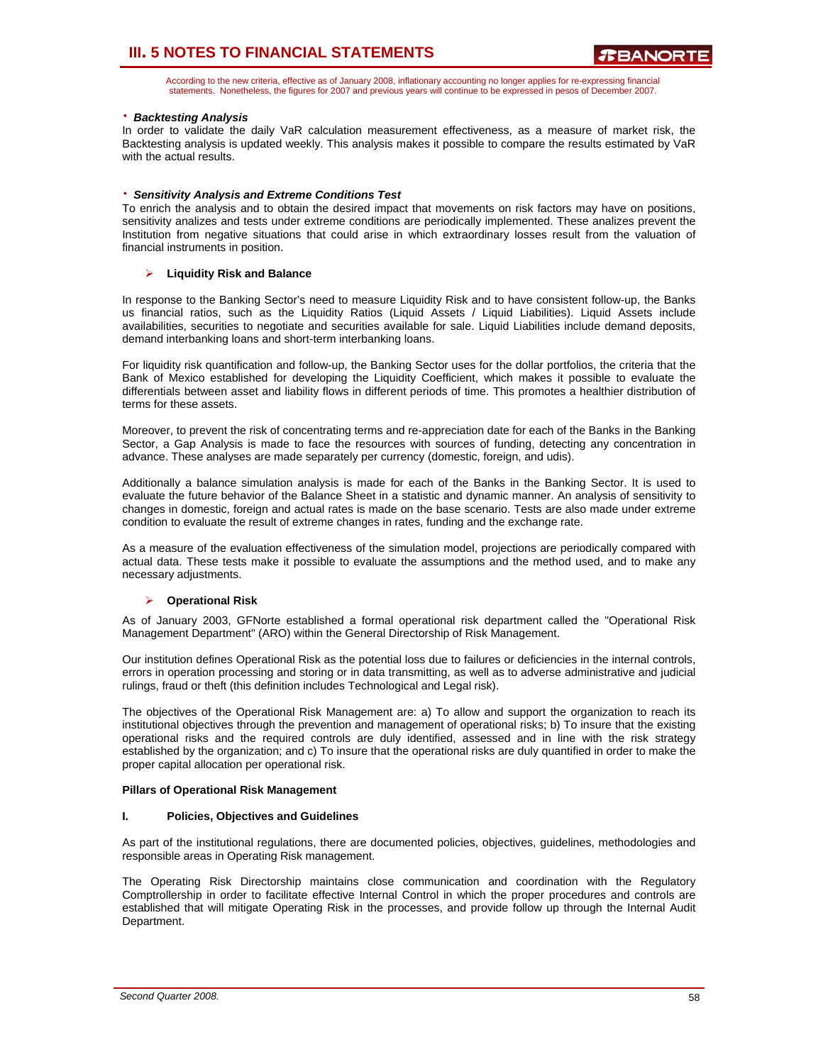According to the new criteria, effective as of January 2008, inflationary accounting no longer applies for re-expressing financial statements. Nonetheless, the figures for 2007 and previous years will continue to be expressed in pesos of December 2007.

### ⋅ *Backtesting Analysis*

In order to validate the daily VaR calculation measurement effectiveness, as a measure of market risk, the Backtesting analysis is updated weekly. This analysis makes it possible to compare the results estimated by VaR with the actual results.

### ⋅ *Sensitivity Analysis and Extreme Conditions Test*

To enrich the analysis and to obtain the desired impact that movements on risk factors may have on positions, sensitivity analizes and tests under extreme conditions are periodically implemented. These analizes prevent the Institution from negative situations that could arise in which extraordinary losses result from the valuation of financial instruments in position.

### ¾ **Liquidity Risk and Balance**

In response to the Banking Sector's need to measure Liquidity Risk and to have consistent follow-up, the Banks us financial ratios, such as the Liquidity Ratios (Liquid Assets / Liquid Liabilities). Liquid Assets include availabilities, securities to negotiate and securities available for sale. Liquid Liabilities include demand deposits, demand interbanking loans and short-term interbanking loans.

For liquidity risk quantification and follow-up, the Banking Sector uses for the dollar portfolios, the criteria that the Bank of Mexico established for developing the Liquidity Coefficient, which makes it possible to evaluate the differentials between asset and liability flows in different periods of time. This promotes a healthier distribution of terms for these assets.

Moreover, to prevent the risk of concentrating terms and re-appreciation date for each of the Banks in the Banking Sector, a Gap Analysis is made to face the resources with sources of funding, detecting any concentration in advance. These analyses are made separately per currency (domestic, foreign, and udis).

Additionally a balance simulation analysis is made for each of the Banks in the Banking Sector. It is used to evaluate the future behavior of the Balance Sheet in a statistic and dynamic manner. An analysis of sensitivity to changes in domestic, foreign and actual rates is made on the base scenario. Tests are also made under extreme condition to evaluate the result of extreme changes in rates, funding and the exchange rate.

As a measure of the evaluation effectiveness of the simulation model, projections are periodically compared with actual data. These tests make it possible to evaluate the assumptions and the method used, and to make any necessary adjustments.

#### ¾ **Operational Risk**

As of January 2003, GFNorte established a formal operational risk department called the "Operational Risk Management Department" (ARO) within the General Directorship of Risk Management.

Our institution defines Operational Risk as the potential loss due to failures or deficiencies in the internal controls, errors in operation processing and storing or in data transmitting, as well as to adverse administrative and judicial rulings, fraud or theft (this definition includes Technological and Legal risk).

The objectives of the Operational Risk Management are: a) To allow and support the organization to reach its institutional objectives through the prevention and management of operational risks; b) To insure that the existing operational risks and the required controls are duly identified, assessed and in line with the risk strategy established by the organization; and c) To insure that the operational risks are duly quantified in order to make the proper capital allocation per operational risk.

#### **Pillars of Operational Risk Management**

#### **I. Policies, Objectives and Guidelines**

As part of the institutional regulations, there are documented policies, objectives, guidelines, methodologies and responsible areas in Operating Risk management.

The Operating Risk Directorship maintains close communication and coordination with the Regulatory Comptrollership in order to facilitate effective Internal Control in which the proper procedures and controls are established that will mitigate Operating Risk in the processes, and provide follow up through the Internal Audit Department.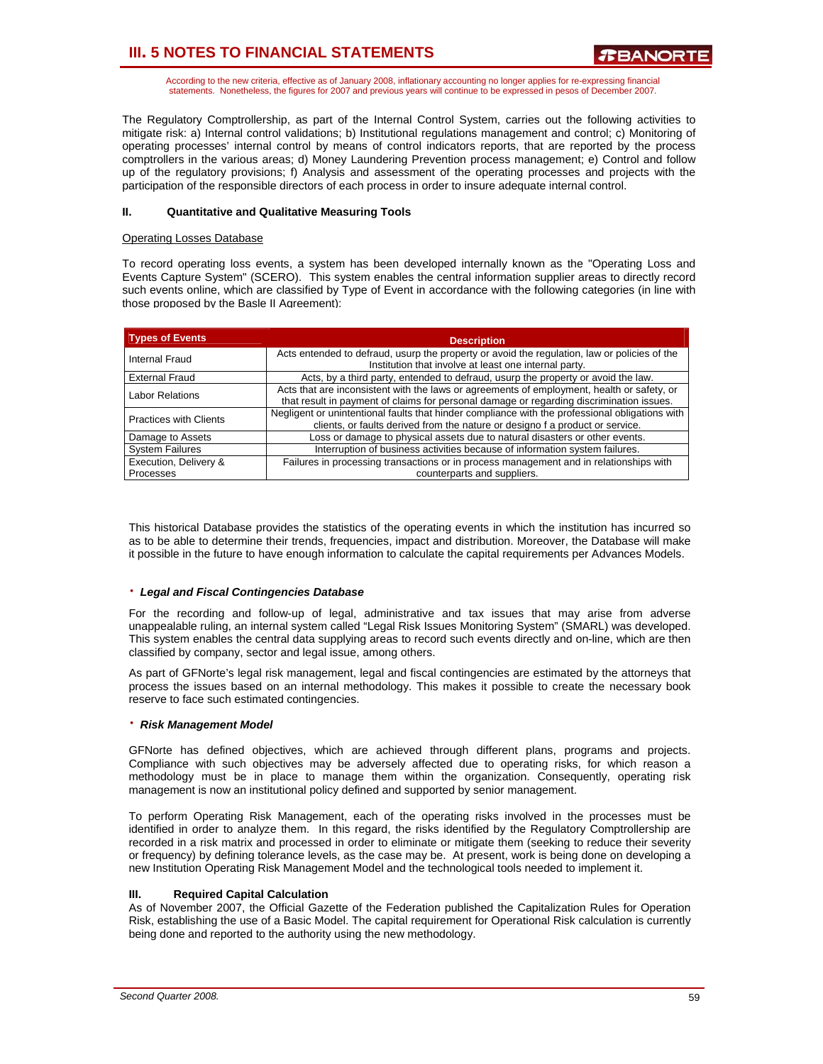According to the new criteria, effective as of January 2008, inflationary accounting no longer applies for re-expressing financial statements. Nonetheless, the figures for 2007 and previous years will continue to be expressed in pesos of December 2007.

The Regulatory Comptrollership, as part of the Internal Control System, carries out the following activities to mitigate risk: a) Internal control validations; b) Institutional regulations management and control; c) Monitoring of operating processes' internal control by means of control indicators reports, that are reported by the process comptrollers in the various areas; d) Money Laundering Prevention process management; e) Control and follow up of the regulatory provisions; f) Analysis and assessment of the operating processes and projects with the participation of the responsible directors of each process in order to insure adequate internal control.

### **II. Quantitative and Qualitative Measuring Tools**

#### Operating Losses Database

To record operating loss events, a system has been developed internally known as the "Operating Loss and Events Capture System" (SCERO). This system enables the central information supplier areas to directly record such events online, which are classified by Type of Event in accordance with the following categories (in line with those proposed by the Basle II Agreement):

| <b>Types of Events</b>        | <b>Description</b>                                                                                                                                                                     |  |
|-------------------------------|----------------------------------------------------------------------------------------------------------------------------------------------------------------------------------------|--|
| Internal Fraud                | Acts entended to defraud, usurp the property or avoid the regulation, law or policies of the<br>Institution that involve at least one internal party.                                  |  |
| <b>External Fraud</b>         | Acts, by a third party, entended to defraud, usurp the property or avoid the law.                                                                                                      |  |
| <b>Labor Relations</b>        | Acts that are inconsistent with the laws or agreements of employment, health or safety, or<br>that result in payment of claims for personal damage or regarding discrimination issues. |  |
| <b>Practices with Clients</b> | Negligent or unintentional faults that hinder compliance with the professional obligations with<br>clients, or faults derived from the nature or designo f a product or service.       |  |
| Damage to Assets              | Loss or damage to physical assets due to natural disasters or other events.                                                                                                            |  |
| <b>System Failures</b>        | Interruption of business activities because of information system failures.                                                                                                            |  |
| Execution, Delivery &         | Failures in processing transactions or in process management and in relationships with                                                                                                 |  |
| Processes                     | counterparts and suppliers.                                                                                                                                                            |  |

This historical Database provides the statistics of the operating events in which the institution has incurred so as to be able to determine their trends, frequencies, impact and distribution. Moreover, the Database will make it possible in the future to have enough information to calculate the capital requirements per Advances Models.

#### ⋅ *Legal and Fiscal Contingencies Database*

For the recording and follow-up of legal, administrative and tax issues that may arise from adverse unappealable ruling, an internal system called "Legal Risk Issues Monitoring System" (SMARL) was developed. This system enables the central data supplying areas to record such events directly and on-line, which are then classified by company, sector and legal issue, among others.

As part of GFNorte's legal risk management, legal and fiscal contingencies are estimated by the attorneys that process the issues based on an internal methodology. This makes it possible to create the necessary book reserve to face such estimated contingencies.

#### ⋅ *Risk Management Model*

GFNorte has defined objectives, which are achieved through different plans, programs and projects. Compliance with such objectives may be adversely affected due to operating risks, for which reason a methodology must be in place to manage them within the organization. Consequently, operating risk management is now an institutional policy defined and supported by senior management.

To perform Operating Risk Management, each of the operating risks involved in the processes must be identified in order to analyze them. In this regard, the risks identified by the Regulatory Comptrollership are recorded in a risk matrix and processed in order to eliminate or mitigate them (seeking to reduce their severity or frequency) by defining tolerance levels, as the case may be. At present, work is being done on developing a new Institution Operating Risk Management Model and the technological tools needed to implement it.

### **III. Required Capital Calculation**

As of November 2007, the Official Gazette of the Federation published the Capitalization Rules for Operation Risk, establishing the use of a Basic Model. The capital requirement for Operational Risk calculation is currently being done and reported to the authority using the new methodology.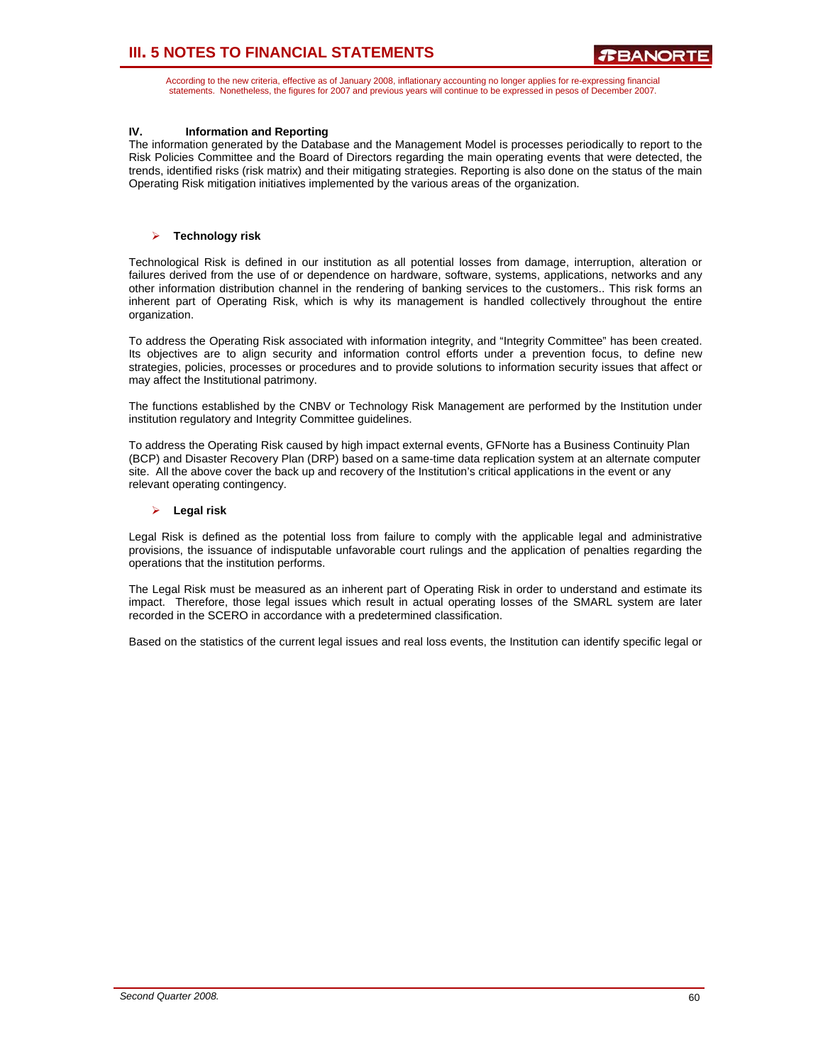According to the new criteria, effective as of January 2008, inflationary accounting no longer applies for re-expressing financial statements. Nonetheless, the figures for 2007 and previous years will continue to be expressed in pesos of December 2007.

### **IV. Information and Reporting**

The information generated by the Database and the Management Model is processes periodically to report to the Risk Policies Committee and the Board of Directors regarding the main operating events that were detected, the trends, identified risks (risk matrix) and their mitigating strategies. Reporting is also done on the status of the main Operating Risk mitigation initiatives implemented by the various areas of the organization.

### ¾ **Technology risk**

Technological Risk is defined in our institution as all potential losses from damage, interruption, alteration or failures derived from the use of or dependence on hardware, software, systems, applications, networks and any other information distribution channel in the rendering of banking services to the customers.. This risk forms an inherent part of Operating Risk, which is why its management is handled collectively throughout the entire organization.

To address the Operating Risk associated with information integrity, and "Integrity Committee" has been created. Its objectives are to align security and information control efforts under a prevention focus, to define new strategies, policies, processes or procedures and to provide solutions to information security issues that affect or may affect the Institutional patrimony.

The functions established by the CNBV or Technology Risk Management are performed by the Institution under institution regulatory and Integrity Committee guidelines.

To address the Operating Risk caused by high impact external events, GFNorte has a Business Continuity Plan (BCP) and Disaster Recovery Plan (DRP) based on a same-time data replication system at an alternate computer site. All the above cover the back up and recovery of the Institution's critical applications in the event or any relevant operating contingency.

### ¾ **Legal risk**

Legal Risk is defined as the potential loss from failure to comply with the applicable legal and administrative provisions, the issuance of indisputable unfavorable court rulings and the application of penalties regarding the operations that the institution performs.

The Legal Risk must be measured as an inherent part of Operating Risk in order to understand and estimate its impact. Therefore, those legal issues which result in actual operating losses of the SMARL system are later recorded in the SCERO in accordance with a predetermined classification.

Based on the statistics of the current legal issues and real loss events, the Institution can identify specific legal or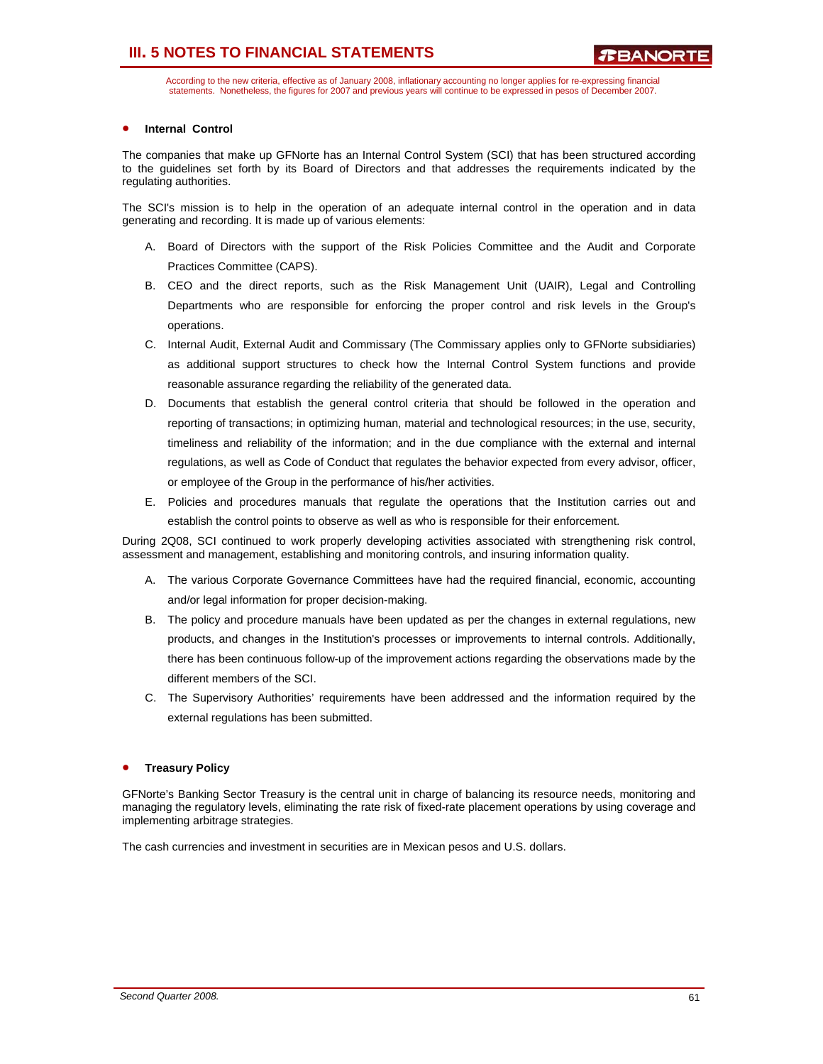According to the new criteria, effective as of January 2008, inflationary accounting no longer applies for re-expressing financial statements. Nonetheless, the figures for 2007 and previous years will continue to be expressed in pesos of December 2007.

### **Internal Control**

The companies that make up GFNorte has an Internal Control System (SCI) that has been structured according to the guidelines set forth by its Board of Directors and that addresses the requirements indicated by the regulating authorities.

The SCI's mission is to help in the operation of an adequate internal control in the operation and in data generating and recording. It is made up of various elements:

- A. Board of Directors with the support of the Risk Policies Committee and the Audit and Corporate Practices Committee (CAPS).
- B. CEO and the direct reports, such as the Risk Management Unit (UAIR), Legal and Controlling Departments who are responsible for enforcing the proper control and risk levels in the Group's operations.
- C. Internal Audit, External Audit and Commissary (The Commissary applies only to GFNorte subsidiaries) as additional support structures to check how the Internal Control System functions and provide reasonable assurance regarding the reliability of the generated data.
- D. Documents that establish the general control criteria that should be followed in the operation and reporting of transactions; in optimizing human, material and technological resources; in the use, security, timeliness and reliability of the information; and in the due compliance with the external and internal regulations, as well as Code of Conduct that regulates the behavior expected from every advisor, officer, or employee of the Group in the performance of his/her activities.
- E. Policies and procedures manuals that regulate the operations that the Institution carries out and establish the control points to observe as well as who is responsible for their enforcement.

During 2Q08, SCI continued to work properly developing activities associated with strengthening risk control, assessment and management, establishing and monitoring controls, and insuring information quality.

- A. The various Corporate Governance Committees have had the required financial, economic, accounting and/or legal information for proper decision-making.
- B. The policy and procedure manuals have been updated as per the changes in external regulations, new products, and changes in the Institution's processes or improvements to internal controls. Additionally, there has been continuous follow-up of the improvement actions regarding the observations made by the different members of the SCI.
- C. The Supervisory Authorities' requirements have been addressed and the information required by the external regulations has been submitted.

#### • **Treasury Policy**

GFNorte's Banking Sector Treasury is the central unit in charge of balancing its resource needs, monitoring and managing the regulatory levels, eliminating the rate risk of fixed-rate placement operations by using coverage and implementing arbitrage strategies.

The cash currencies and investment in securities are in Mexican pesos and U.S. dollars.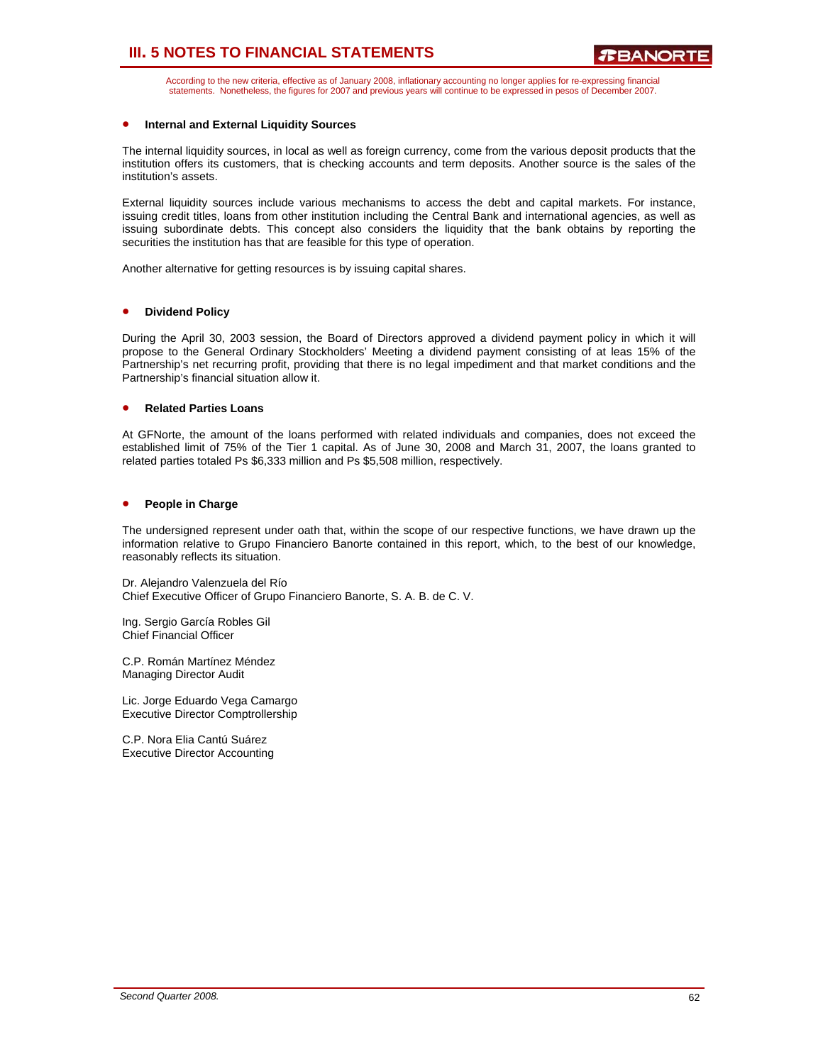According to the new criteria, effective as of January 2008, inflationary accounting no longer applies for re-expressing financial statements. Nonetheless, the figures for 2007 and previous years will continue to be expressed in pesos of December 2007.

### • **Internal and External Liquidity Sources**

The internal liquidity sources, in local as well as foreign currency, come from the various deposit products that the institution offers its customers, that is checking accounts and term deposits. Another source is the sales of the institution's assets.

External liquidity sources include various mechanisms to access the debt and capital markets. For instance, issuing credit titles, loans from other institution including the Central Bank and international agencies, as well as issuing subordinate debts. This concept also considers the liquidity that the bank obtains by reporting the securities the institution has that are feasible for this type of operation.

Another alternative for getting resources is by issuing capital shares.

#### • **Dividend Policy**

During the April 30, 2003 session, the Board of Directors approved a dividend payment policy in which it will propose to the General Ordinary Stockholders' Meeting a dividend payment consisting of at leas 15% of the Partnership's net recurring profit, providing that there is no legal impediment and that market conditions and the Partnership's financial situation allow it.

#### • **Related Parties Loans**

At GFNorte, the amount of the loans performed with related individuals and companies, does not exceed the established limit of 75% of the Tier 1 capital. As of June 30, 2008 and March 31, 2007, the loans granted to related parties totaled Ps \$6,333 million and Ps \$5,508 million, respectively.

### • **People in Charge**

The undersigned represent under oath that, within the scope of our respective functions, we have drawn up the information relative to Grupo Financiero Banorte contained in this report, which, to the best of our knowledge, reasonably reflects its situation.

Dr. Alejandro Valenzuela del Río Chief Executive Officer of Grupo Financiero Banorte, S. A. B. de C. V.

Ing. Sergio García Robles Gil Chief Financial Officer

C.P. Román Martínez Méndez Managing Director Audit

Lic. Jorge Eduardo Vega Camargo Executive Director Comptrollership

C.P. Nora Elia Cantú Suárez Executive Director Accounting